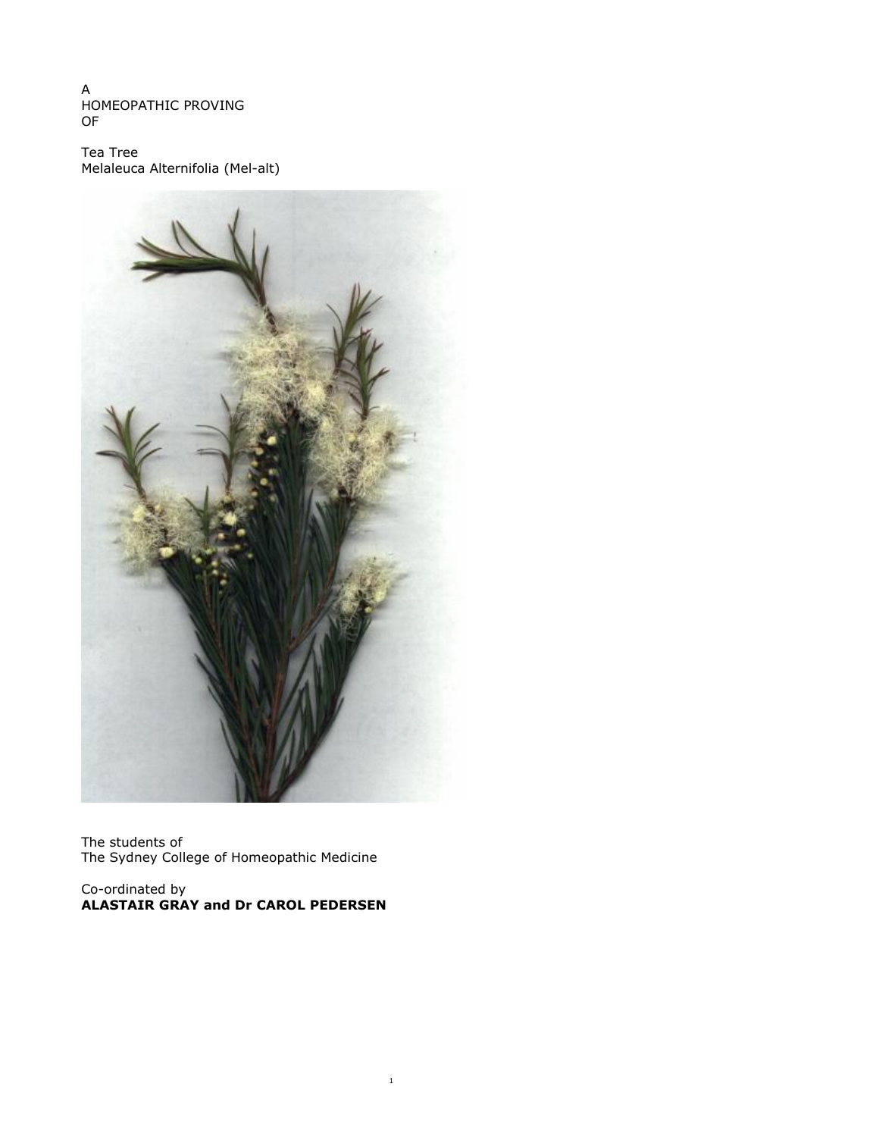A HOMEOPATHIC PROVING OF

Tea Tree Melaleuca Alternifolia (Mel-alt)



The students of The Sydney College of Homeopathic Medicine

Co-ordinated by ALASTAIR GRAY and Dr CAROL PEDERSEN

1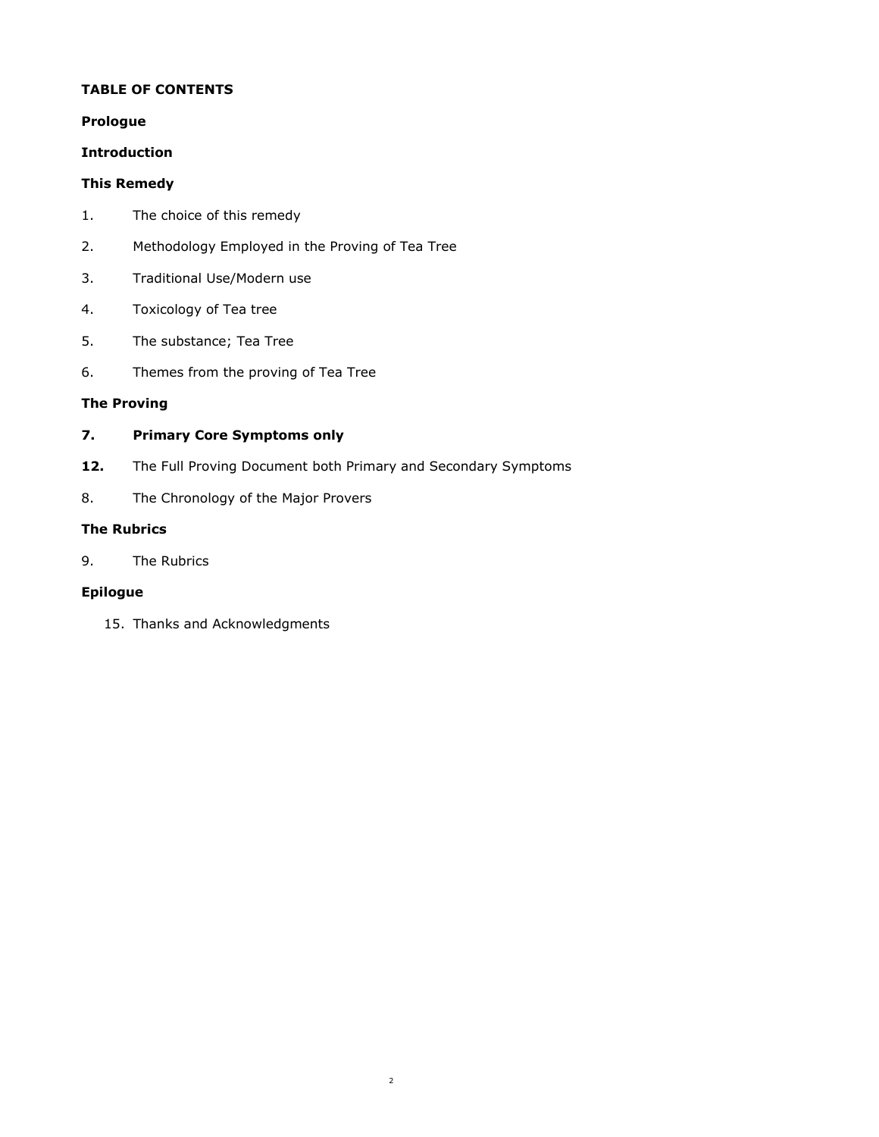# TABLE OF CONTENTS

## Prologue

# Introduction

# This Remedy

- 1. The choice of this remedy
- 2. Methodology Employed in the Proving of Tea Tree
- 3. Traditional Use/Modern use
- 4. Toxicology of Tea tree
- 5. The substance; Tea Tree
- 6. Themes from the proving of Tea Tree

# The Proving

# 7. Primary Core Symptoms only

12. The Full Proving Document both Primary and Secondary Symptoms

2

8. The Chronology of the Major Provers

# The Rubrics

9. The Rubrics

# Epilogue

15. Thanks and Acknowledgments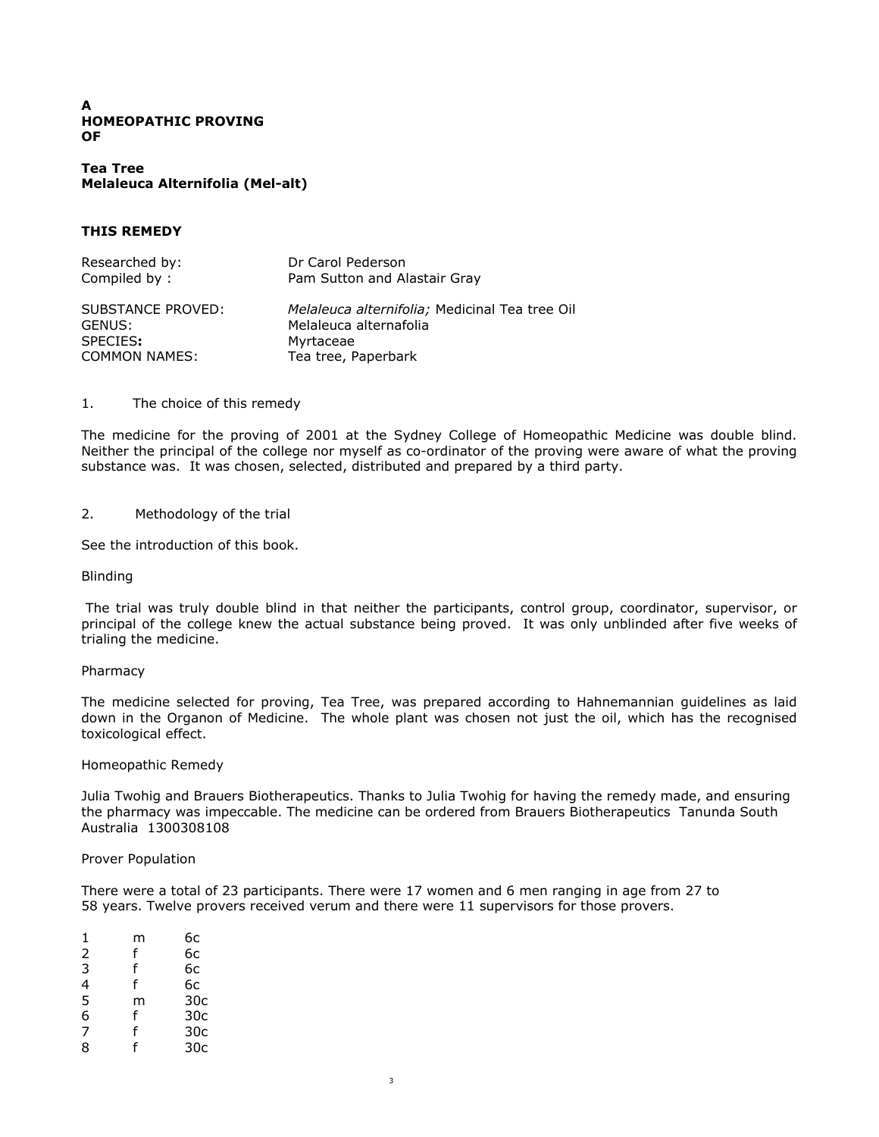### A HOMEOPATHIC PROVING OF

### Tea Tree Melaleuca Alternifolia (Mel-alt)

### THIS REMEDY

| Researched by:       | Dr Carol Pederson                                     |
|----------------------|-------------------------------------------------------|
| Compiled by:         | Pam Sutton and Alastair Gray                          |
|                      |                                                       |
| SUBSTANCE PROVED:    | <i>Melaleuca alternifolia; Medicinal Tea tree Oil</i> |
| GENUS:               | Melaleuca alternafolia                                |
| SPECIES:             | Myrtaceae                                             |
| <b>COMMON NAMES:</b> | Tea tree, Paperbark                                   |

### 1. The choice of this remedy

The medicine for the proving of 2001 at the Sydney College of Homeopathic Medicine was double blind. Neither the principal of the college nor myself as co-ordinator of the proving were aware of what the proving substance was. It was chosen, selected, distributed and prepared by a third party.

### 2. Methodology of the trial

See the introduction of this book.

### Blinding

 The trial was truly double blind in that neither the participants, control group, coordinator, supervisor, or principal of the college knew the actual substance being proved. It was only unblinded after five weeks of trialing the medicine.

### Pharmacy

The medicine selected for proving, Tea Tree, was prepared according to Hahnemannian guidelines as laid down in the Organon of Medicine. The whole plant was chosen not just the oil, which has the recognised toxicological effect.

### Homeopathic Remedy

Julia Twohig and Brauers Biotherapeutics. Thanks to Julia Twohig for having the remedy made, and ensuring the pharmacy was impeccable. The medicine can be ordered from Brauers Biotherapeutics Tanunda South Australia 1300308108

### Prover Population

There were a total of 23 participants. There were 17 women and 6 men ranging in age from 27 to 58 years. Twelve provers received verum and there were 11 supervisors for those provers.

3

| 1              | m | 6с              |
|----------------|---|-----------------|
| 2              | f | 6c              |
| 3              | f | 6c              |
| 4              | f | 6c              |
| 5              | m | 30c             |
| 6              | f | 30c             |
| $\overline{7}$ | f | 30 <sub>c</sub> |
| 8              | f | 30c             |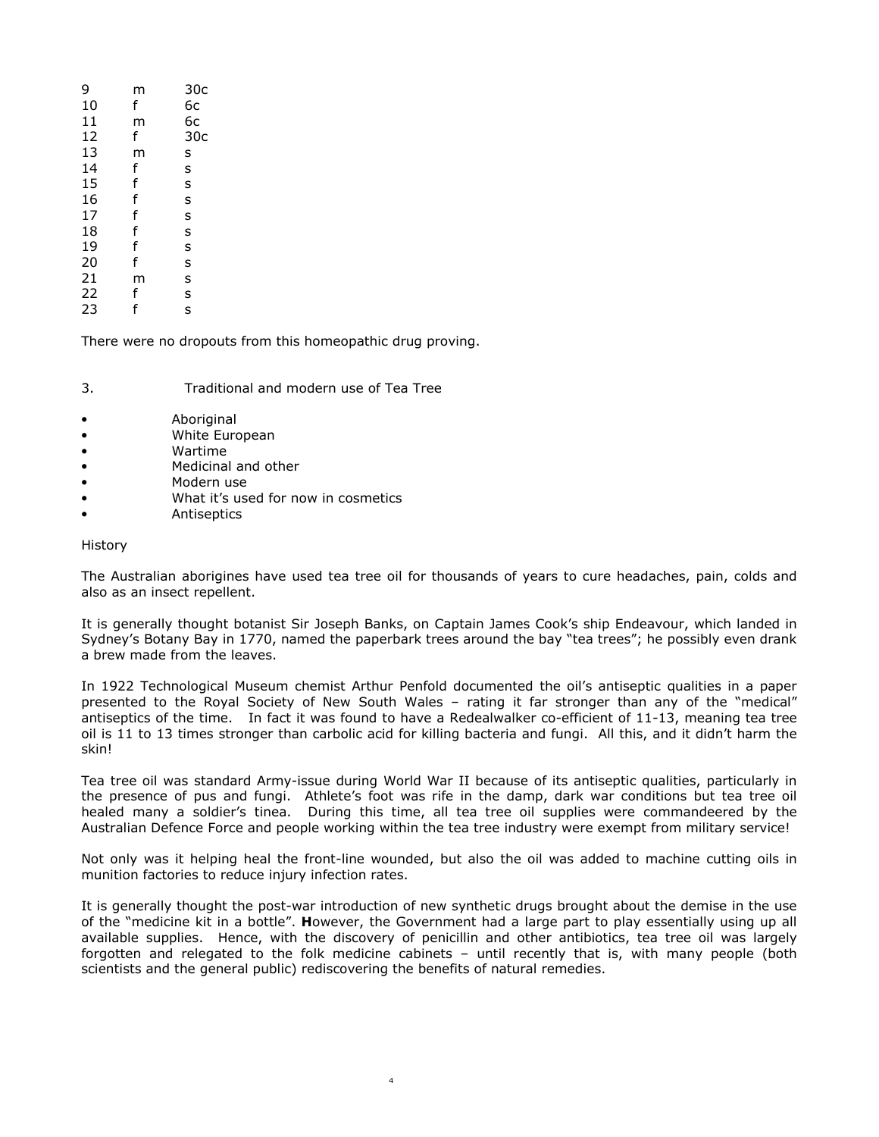| m | 30c    |
|---|--------|
| f | 6c     |
| m | 6c     |
| f | 30c    |
| m | S      |
| f | S      |
|   | S      |
| f | S      |
| f | S      |
| f | S      |
| f | S      |
| f | S      |
| m | s      |
| f | S      |
|   | s      |
|   | f<br>f |

There were no dropouts from this homeopathic drug proving.

- 3. Traditional and modern use of Tea Tree
- Aboriginal
- White European
- Wartime
- Medicinal and other
- Modern use
- What it's used for now in cosmetics
- Antiseptics

#### History

The Australian aborigines have used tea tree oil for thousands of years to cure headaches, pain, colds and also as an insect repellent.

It is generally thought botanist Sir Joseph Banks, on Captain James Cook's ship Endeavour, which landed in Sydney's Botany Bay in 1770, named the paperbark trees around the bay "tea trees"; he possibly even drank a brew made from the leaves.

In 1922 Technological Museum chemist Arthur Penfold documented the oil's antiseptic qualities in a paper presented to the Royal Society of New South Wales – rating it far stronger than any of the "medical" antiseptics of the time. In fact it was found to have a Redealwalker co-efficient of 11-13, meaning tea tree oil is 11 to 13 times stronger than carbolic acid for killing bacteria and fungi. All this, and it didn't harm the skin!

Tea tree oil was standard Army-issue during World War II because of its antiseptic qualities, particularly in the presence of pus and fungi. Athlete's foot was rife in the damp, dark war conditions but tea tree oil healed many a soldier's tinea. During this time, all tea tree oil supplies were commandeered by the Australian Defence Force and people working within the tea tree industry were exempt from military service!

Not only was it helping heal the front-line wounded, but also the oil was added to machine cutting oils in munition factories to reduce injury infection rates.

It is generally thought the post-war introduction of new synthetic drugs brought about the demise in the use of the "medicine kit in a bottle". However, the Government had a large part to play essentially using up all available supplies. Hence, with the discovery of penicillin and other antibiotics, tea tree oil was largely forgotten and relegated to the folk medicine cabinets – until recently that is, with many people (both scientists and the general public) rediscovering the benefits of natural remedies.

4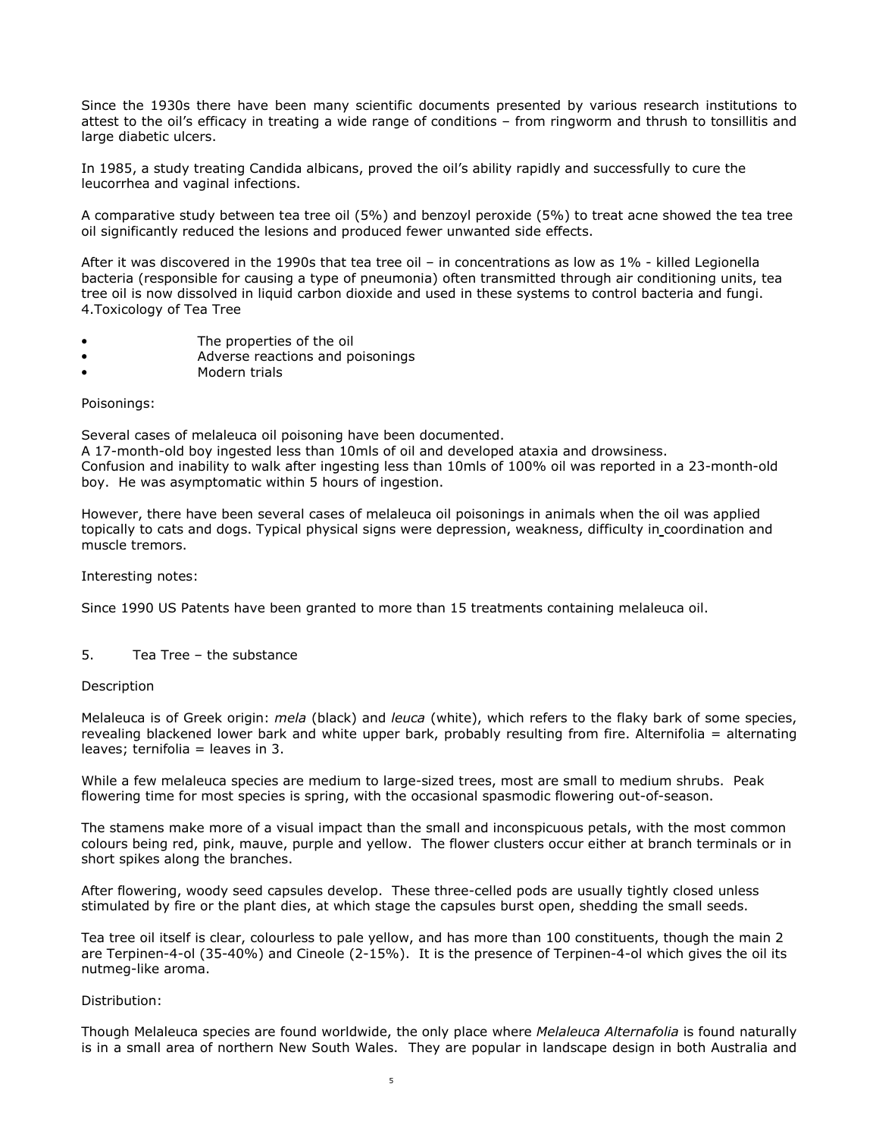Since the 1930s there have been many scientific documents presented by various research institutions to attest to the oil's efficacy in treating a wide range of conditions – from ringworm and thrush to tonsillitis and large diabetic ulcers.

In 1985, a study treating Candida albicans, proved the oil's ability rapidly and successfully to cure the leucorrhea and vaginal infections.

A comparative study between tea tree oil (5%) and benzoyl peroxide (5%) to treat acne showed the tea tree oil significantly reduced the lesions and produced fewer unwanted side effects.

After it was discovered in the 1990s that tea tree oil – in concentrations as low as 1% - killed Legionella bacteria (responsible for causing a type of pneumonia) often transmitted through air conditioning units, tea tree oil is now dissolved in liquid carbon dioxide and used in these systems to control bacteria and fungi. 4.Toxicology of Tea Tree

- The properties of the oil
- Adverse reactions and poisonings
- Modern trials

### Poisonings:

Several cases of melaleuca oil poisoning have been documented.

A 17-month-old boy ingested less than 10mls of oil and developed ataxia and drowsiness. Confusion and inability to walk after ingesting less than 10mls of 100% oil was reported in a 23-month-old boy. He was asymptomatic within 5 hours of ingestion.

However, there have been several cases of melaleuca oil poisonings in animals when the oil was applied topically to cats and dogs. Typical physical signs were depression, weakness, difficulty in coordination and muscle tremors.

Interesting notes:

Since 1990 US Patents have been granted to more than 15 treatments containing melaleuca oil.

### 5. Tea Tree – the substance

### Description

Melaleuca is of Greek origin: mela (black) and leuca (white), which refers to the flaky bark of some species, revealing blackened lower bark and white upper bark, probably resulting from fire. Alternifolia = alternating leaves; ternifolia = leaves in 3.

While a few melaleuca species are medium to large-sized trees, most are small to medium shrubs. Peak flowering time for most species is spring, with the occasional spasmodic flowering out-of-season.

The stamens make more of a visual impact than the small and inconspicuous petals, with the most common colours being red, pink, mauve, purple and yellow. The flower clusters occur either at branch terminals or in short spikes along the branches.

After flowering, woody seed capsules develop. These three-celled pods are usually tightly closed unless stimulated by fire or the plant dies, at which stage the capsules burst open, shedding the small seeds.

Tea tree oil itself is clear, colourless to pale yellow, and has more than 100 constituents, though the main 2 are Terpinen-4-ol (35-40%) and Cineole (2-15%). It is the presence of Terpinen-4-ol which gives the oil its nutmeg-like aroma.

### Distribution:

Though Melaleuca species are found worldwide, the only place where Melaleuca Alternafolia is found naturally is in a small area of northern New South Wales. They are popular in landscape design in both Australia and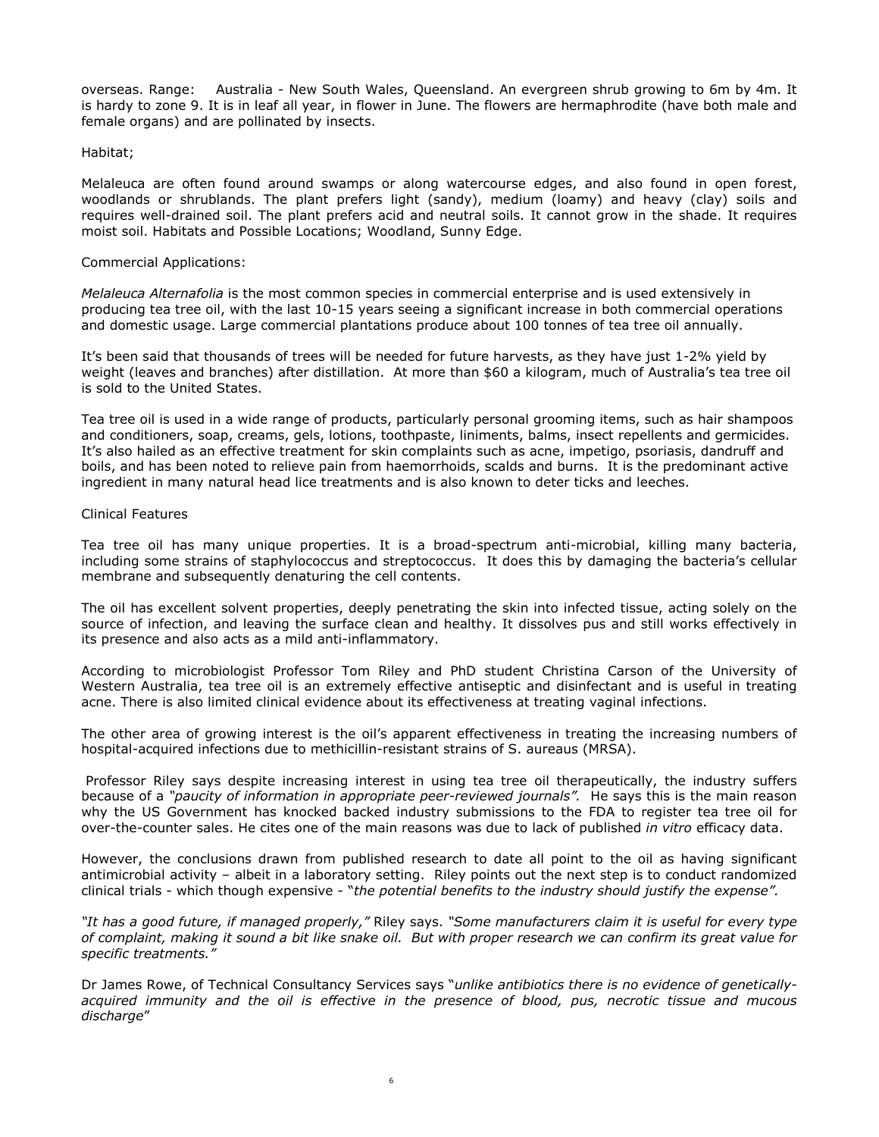overseas. Range: Australia - New South Wales, Queensland. An evergreen shrub growing to 6m by 4m. It is hardy to zone 9. It is in leaf all year, in flower in June. The flowers are hermaphrodite (have both male and female organs) and are pollinated by insects.

#### Habitat;

Melaleuca are often found around swamps or along watercourse edges, and also found in open forest, woodlands or shrublands. The plant prefers light (sandy), medium (loamy) and heavy (clay) soils and requires well-drained soil. The plant prefers acid and neutral soils. It cannot grow in the shade. It requires moist soil. Habitats and Possible Locations; Woodland, Sunny Edge.

### Commercial Applications:

Melaleuca Alternafolia is the most common species in commercial enterprise and is used extensively in producing tea tree oil, with the last 10-15 years seeing a significant increase in both commercial operations and domestic usage. Large commercial plantations produce about 100 tonnes of tea tree oil annually.

It's been said that thousands of trees will be needed for future harvests, as they have just 1-2% yield by weight (leaves and branches) after distillation. At more than \$60 a kilogram, much of Australia's tea tree oil is sold to the United States.

Tea tree oil is used in a wide range of products, particularly personal grooming items, such as hair shampoos and conditioners, soap, creams, gels, lotions, toothpaste, liniments, balms, insect repellents and germicides. It's also hailed as an effective treatment for skin complaints such as acne, impetigo, psoriasis, dandruff and boils, and has been noted to relieve pain from haemorrhoids, scalds and burns. It is the predominant active ingredient in many natural head lice treatments and is also known to deter ticks and leeches.

#### Clinical Features

Tea tree oil has many unique properties. It is a broad-spectrum anti-microbial, killing many bacteria, including some strains of staphylococcus and streptococcus. It does this by damaging the bacteria's cellular membrane and subsequently denaturing the cell contents.

The oil has excellent solvent properties, deeply penetrating the skin into infected tissue, acting solely on the source of infection, and leaving the surface clean and healthy. It dissolves pus and still works effectively in its presence and also acts as a mild anti-inflammatory.

According to microbiologist Professor Tom Riley and PhD student Christina Carson of the University of Western Australia, tea tree oil is an extremely effective antiseptic and disinfectant and is useful in treating acne. There is also limited clinical evidence about its effectiveness at treating vaginal infections.

The other area of growing interest is the oil's apparent effectiveness in treating the increasing numbers of hospital-acquired infections due to methicillin-resistant strains of S. aureaus (MRSA).

 Professor Riley says despite increasing interest in using tea tree oil therapeutically, the industry suffers because of a "paucity of information in appropriate peer-reviewed journals". He says this is the main reason why the US Government has knocked backed industry submissions to the FDA to register tea tree oil for over-the-counter sales. He cites one of the main reasons was due to lack of published in vitro efficacy data.

However, the conclusions drawn from published research to date all point to the oil as having significant antimicrobial activity – albeit in a laboratory setting. Riley points out the next step is to conduct randomized clinical trials - which though expensive - "the potential benefits to the industry should justify the expense".

"It has a good future, if managed properly," Riley says. "Some manufacturers claim it is useful for every type of complaint, making it sound a bit like snake oil. But with proper research we can confirm its great value for specific treatments."

Dr James Rowe, of Technical Consultancy Services says "unlike antibiotics there is no evidence of geneticallyacquired immunity and the oil is effective in the presence of blood, pus, necrotic tissue and mucous discharge"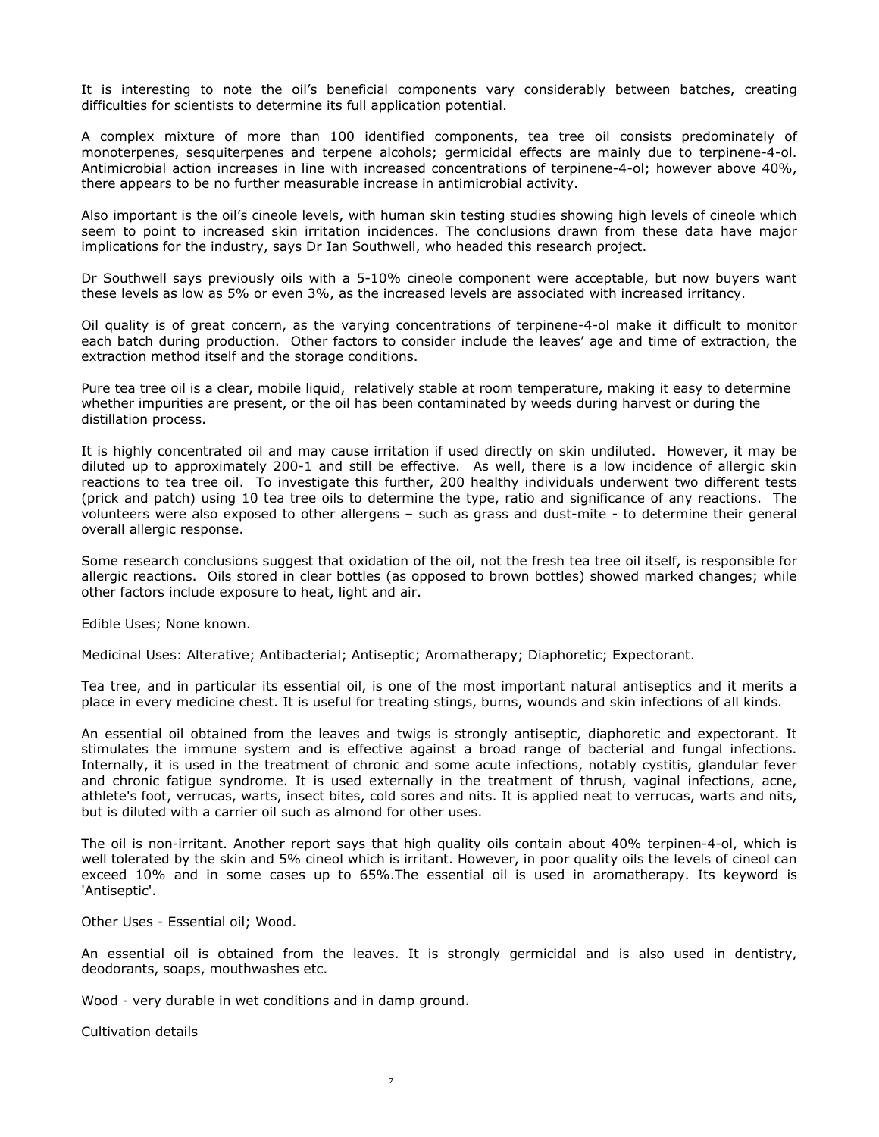It is interesting to note the oil's beneficial components vary considerably between batches, creating difficulties for scientists to determine its full application potential.

A complex mixture of more than 100 identified components, tea tree oil consists predominately of monoterpenes, sesquiterpenes and terpene alcohols; germicidal effects are mainly due to terpinene-4-ol. Antimicrobial action increases in line with increased concentrations of terpinene-4-ol; however above 40%, there appears to be no further measurable increase in antimicrobial activity.

Also important is the oil's cineole levels, with human skin testing studies showing high levels of cineole which seem to point to increased skin irritation incidences. The conclusions drawn from these data have major implications for the industry, says Dr Ian Southwell, who headed this research project.

Dr Southwell says previously oils with a 5-10% cineole component were acceptable, but now buyers want these levels as low as 5% or even 3%, as the increased levels are associated with increased irritancy.

Oil quality is of great concern, as the varying concentrations of terpinene-4-ol make it difficult to monitor each batch during production. Other factors to consider include the leaves' age and time of extraction, the extraction method itself and the storage conditions.

Pure tea tree oil is a clear, mobile liquid, relatively stable at room temperature, making it easy to determine whether impurities are present, or the oil has been contaminated by weeds during harvest or during the distillation process.

It is highly concentrated oil and may cause irritation if used directly on skin undiluted. However, it may be diluted up to approximately 200-1 and still be effective. As well, there is a low incidence of allergic skin reactions to tea tree oil. To investigate this further, 200 healthy individuals underwent two different tests (prick and patch) using 10 tea tree oils to determine the type, ratio and significance of any reactions. The volunteers were also exposed to other allergens – such as grass and dust-mite - to determine their general overall allergic response.

Some research conclusions suggest that oxidation of the oil, not the fresh tea tree oil itself, is responsible for allergic reactions. Oils stored in clear bottles (as opposed to brown bottles) showed marked changes; while other factors include exposure to heat, light and air.

Edible Uses; None known.

Medicinal Uses: Alterative; Antibacterial; Antiseptic; Aromatherapy; Diaphoretic; Expectorant.

Tea tree, and in particular its essential oil, is one of the most important natural antiseptics and it merits a place in every medicine chest. It is useful for treating stings, burns, wounds and skin infections of all kinds.

An essential oil obtained from the leaves and twigs is strongly antiseptic, diaphoretic and expectorant. It stimulates the immune system and is effective against a broad range of bacterial and fungal infections. Internally, it is used in the treatment of chronic and some acute infections, notably cystitis, glandular fever and chronic fatigue syndrome. It is used externally in the treatment of thrush, vaginal infections, acne, athlete's foot, verrucas, warts, insect bites, cold sores and nits. It is applied neat to verrucas, warts and nits, but is diluted with a carrier oil such as almond for other uses.

The oil is non-irritant. Another report says that high quality oils contain about 40% terpinen-4-ol, which is well tolerated by the skin and 5% cineol which is irritant. However, in poor quality oils the levels of cineol can exceed 10% and in some cases up to 65%.The essential oil is used in aromatherapy. Its keyword is 'Antiseptic'.

Other Uses - Essential oil; Wood.

An essential oil is obtained from the leaves. It is strongly germicidal and is also used in dentistry, deodorants, soaps, mouthwashes etc.

Wood - very durable in wet conditions and in damp ground.

Cultivation details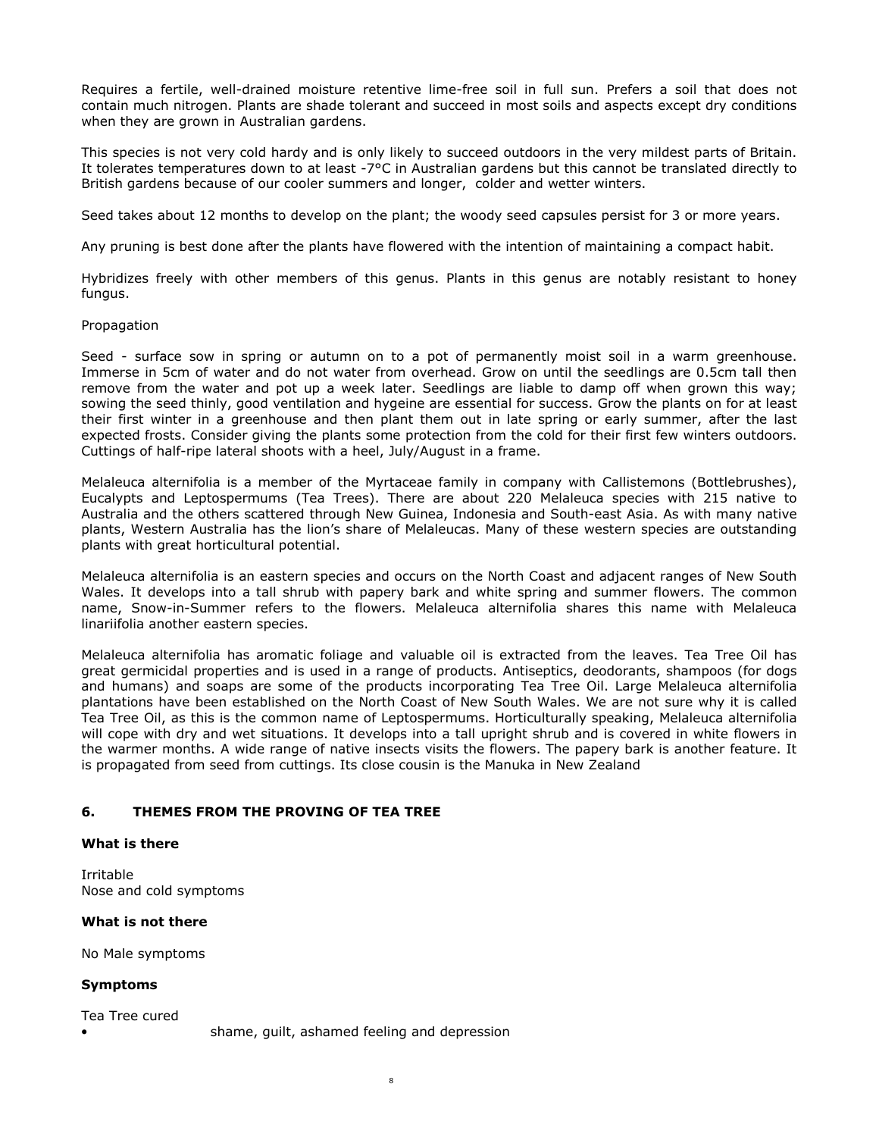Requires a fertile, well-drained moisture retentive lime-free soil in full sun. Prefers a soil that does not contain much nitrogen. Plants are shade tolerant and succeed in most soils and aspects except dry conditions when they are grown in Australian gardens.

This species is not very cold hardy and is only likely to succeed outdoors in the very mildest parts of Britain. It tolerates temperatures down to at least -7°C in Australian gardens but this cannot be translated directly to British gardens because of our cooler summers and longer, colder and wetter winters.

Seed takes about 12 months to develop on the plant; the woody seed capsules persist for 3 or more years.

Any pruning is best done after the plants have flowered with the intention of maintaining a compact habit.

Hybridizes freely with other members of this genus. Plants in this genus are notably resistant to honey fungus.

### Propagation

Seed - surface sow in spring or autumn on to a pot of permanently moist soil in a warm greenhouse. Immerse in 5cm of water and do not water from overhead. Grow on until the seedlings are 0.5cm tall then remove from the water and pot up a week later. Seedlings are liable to damp off when grown this way; sowing the seed thinly, good ventilation and hygeine are essential for success. Grow the plants on for at least their first winter in a greenhouse and then plant them out in late spring or early summer, after the last expected frosts. Consider giving the plants some protection from the cold for their first few winters outdoors. Cuttings of half-ripe lateral shoots with a heel, July/August in a frame.

Melaleuca alternifolia is a member of the Myrtaceae family in company with Callistemons (Bottlebrushes), Eucalypts and Leptospermums (Tea Trees). There are about 220 Melaleuca species with 215 native to Australia and the others scattered through New Guinea, Indonesia and South-east Asia. As with many native plants, Western Australia has the lion's share of Melaleucas. Many of these western species are outstanding plants with great horticultural potential.

Melaleuca alternifolia is an eastern species and occurs on the North Coast and adjacent ranges of New South Wales. It develops into a tall shrub with papery bark and white spring and summer flowers. The common name, Snow-in-Summer refers to the flowers. Melaleuca alternifolia shares this name with Melaleuca linariifolia another eastern species.

Melaleuca alternifolia has aromatic foliage and valuable oil is extracted from the leaves. Tea Tree Oil has great germicidal properties and is used in a range of products. Antiseptics, deodorants, shampoos (for dogs and humans) and soaps are some of the products incorporating Tea Tree Oil. Large Melaleuca alternifolia plantations have been established on the North Coast of New South Wales. We are not sure why it is called Tea Tree Oil, as this is the common name of Leptospermums. Horticulturally speaking, Melaleuca alternifolia will cope with dry and wet situations. It develops into a tall upright shrub and is covered in white flowers in the warmer months. A wide range of native insects visits the flowers. The papery bark is another feature. It is propagated from seed from cuttings. Its close cousin is the Manuka in New Zealand

## 6. THEMES FROM THE PROVING OF TEA TREE

### What is there

Irritable Nose and cold symptoms

### What is not there

No Male symptoms

## Symptoms

Tea Tree cured

• shame, guilt, ashamed feeling and depression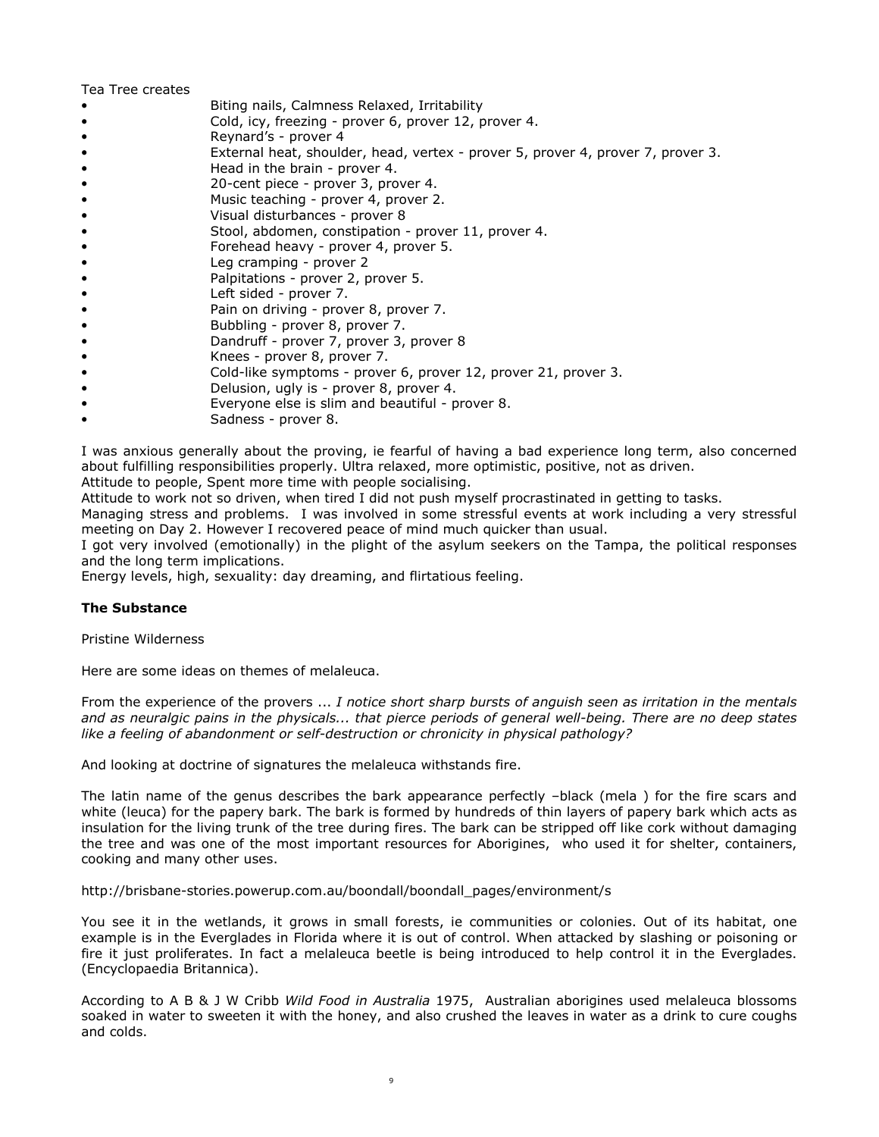Tea Tree creates

- Biting nails, Calmness Relaxed, Irritability
- Cold, icy, freezing prover 6, prover 12, prover 4.
- Reynard's prover 4
- External heat, shoulder, head, vertex prover 5, prover 4, prover 7, prover 3.
- Head in the brain prover 4.
- 20-cent piece prover 3, prover 4.
- Music teaching prover 4, prover 2.
- Visual disturbances prover 8
- Stool, abdomen, constipation prover 11, prover 4.
- Forehead heavy prover 4, prover 5.
- Leg cramping prover 2
- Palpitations prover 2, prover 5.
- Left sided prover 7.
- Pain on driving prover 8, prover 7.
- Bubbling prover 8, prover 7.
- Dandruff prover 7, prover 3, prover 8
- Knees prover 8, prover 7.
- Cold-like symptoms prover 6, prover 12, prover 21, prover 3.
- Delusion, ugly is prover 8, prover 4.
- Everyone else is slim and beautiful prover 8.
- Sadness prover 8.

I was anxious generally about the proving, ie fearful of having a bad experience long term, also concerned about fulfilling responsibilities properly. Ultra relaxed, more optimistic, positive, not as driven.

Attitude to people, Spent more time with people socialising.

Attitude to work not so driven, when tired I did not push myself procrastinated in getting to tasks.

Managing stress and problems. I was involved in some stressful events at work including a very stressful meeting on Day 2. However I recovered peace of mind much quicker than usual.

I got very involved (emotionally) in the plight of the asylum seekers on the Tampa, the political responses and the long term implications.

Energy levels, high, sexuality: day dreaming, and flirtatious feeling.

## The Substance

Pristine Wilderness

Here are some ideas on themes of melaleuca.

From the experience of the provers ... I notice short sharp bursts of anguish seen as irritation in the mentals and as neuralgic pains in the physicals... that pierce periods of general well-being. There are no deep states like a feeling of abandonment or self-destruction or chronicity in physical pathology?

And looking at doctrine of signatures the melaleuca withstands fire.

The latin name of the genus describes the bark appearance perfectly –black (mela ) for the fire scars and white (leuca) for the papery bark. The bark is formed by hundreds of thin layers of papery bark which acts as insulation for the living trunk of the tree during fires. The bark can be stripped off like cork without damaging the tree and was one of the most important resources for Aborigines, who used it for shelter, containers, cooking and many other uses.

http://brisbane-stories.powerup.com.au/boondall/boondall\_pages/environment/s

You see it in the wetlands, it grows in small forests, ie communities or colonies. Out of its habitat, one example is in the Everglades in Florida where it is out of control. When attacked by slashing or poisoning or fire it just proliferates. In fact a melaleuca beetle is being introduced to help control it in the Everglades. (Encyclopaedia Britannica).

According to A B & J W Cribb Wild Food in Australia 1975, Australian aborigines used melaleuca blossoms soaked in water to sweeten it with the honey, and also crushed the leaves in water as a drink to cure coughs and colds.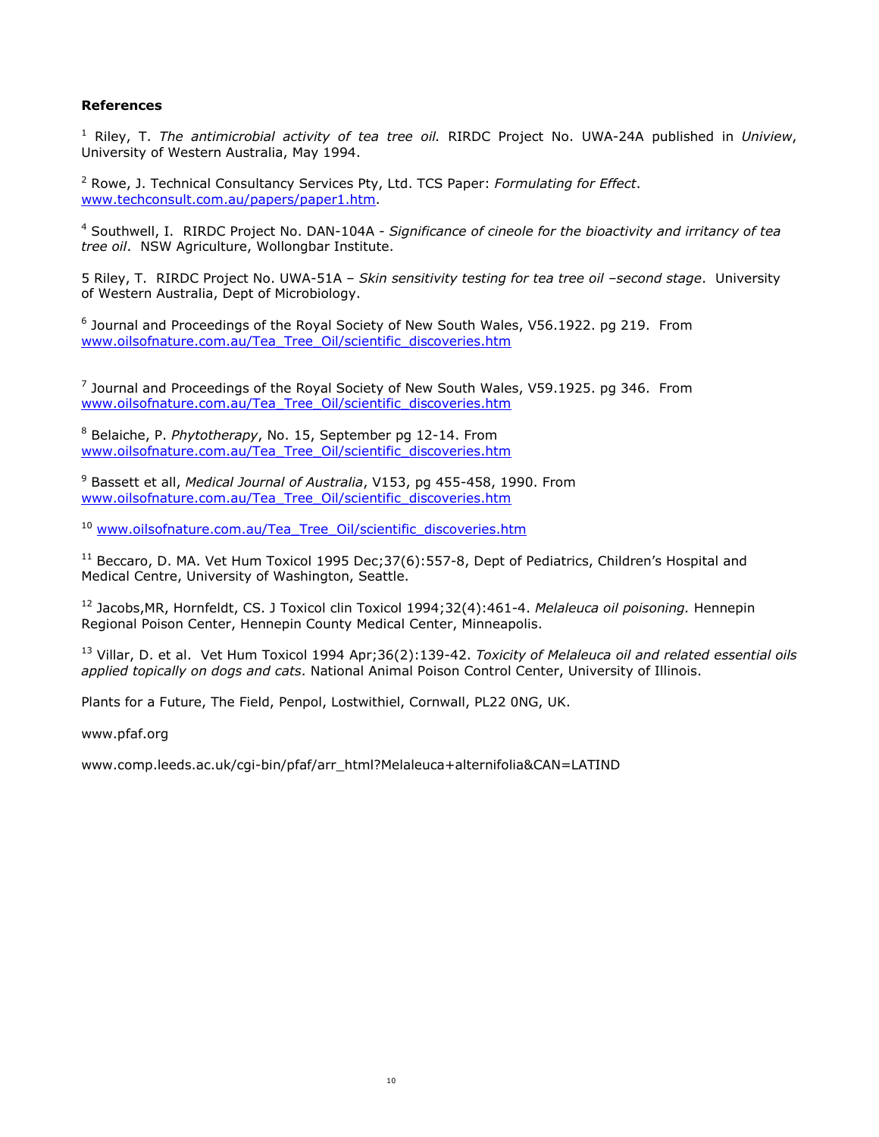## References

<sup>1</sup> Riley, T. The antimicrobial activity of tea tree oil. RIRDC Project No. UWA-24A published in Uniview, University of Western Australia, May 1994.

<sup>2</sup> Rowe, J. Technical Consultancy Services Pty, Ltd. TCS Paper: Formulating for Effect. www.techconsult.com.au/papers/paper1.htm.

<sup>4</sup> Southwell, I. RIRDC Project No. DAN-104A - Significance of cineole for the bioactivity and irritancy of tea tree oil. NSW Agriculture, Wollongbar Institute.

5 Riley, T. RIRDC Project No. UWA-51A - Skin sensitivity testing for tea tree oil -second stage. University of Western Australia, Dept of Microbiology.

<sup>6</sup> Journal and Proceedings of the Royal Society of New South Wales, V56.1922. pg 219. From www.oilsofnature.com.au/Tea\_Tree\_Oil/scientific\_discoveries.htm

<sup>7</sup> Journal and Proceedings of the Royal Society of New South Wales, V59.1925. pg 346. From www.oilsofnature.com.au/Tea\_Tree\_Oil/scientific\_discoveries.htm

<sup>8</sup> Belaiche, P. Phytotherapy, No. 15, September pg 12-14. From www.oilsofnature.com.au/Tea\_Tree\_Oil/scientific\_discoveries.htm

<sup>9</sup> Bassett et all, *Medical Journal of Australia*, V153, pg 455-458, 1990. From www.oilsofnature.com.au/Tea\_Tree\_Oil/scientific\_discoveries.htm

<sup>10</sup> www.oilsofnature.com.au/Tea\_Tree\_Oil/scientific\_discoveries.htm

 $11$  Beccaro, D. MA. Vet Hum Toxicol 1995 Dec; 37(6): 557-8, Dept of Pediatrics, Children's Hospital and Medical Centre, University of Washington, Seattle.

<sup>12</sup> Jacobs, MR, Hornfeldt, CS. J Toxicol clin Toxicol 1994;32(4):461-4. Melaleuca oil poisoning. Hennepin Regional Poison Center, Hennepin County Medical Center, Minneapolis.

<sup>13</sup> Villar, D. et al. Vet Hum Toxicol 1994 Apr;36(2):139-42. Toxicity of Melaleuca oil and related essential oils applied topically on dogs and cats. National Animal Poison Control Center, University of Illinois.

Plants for a Future, The Field, Penpol, Lostwithiel, Cornwall, PL22 0NG, UK.

www.pfaf.org

www.comp.leeds.ac.uk/cgi-bin/pfaf/arr\_html?Melaleuca+alternifolia&CAN=LATIND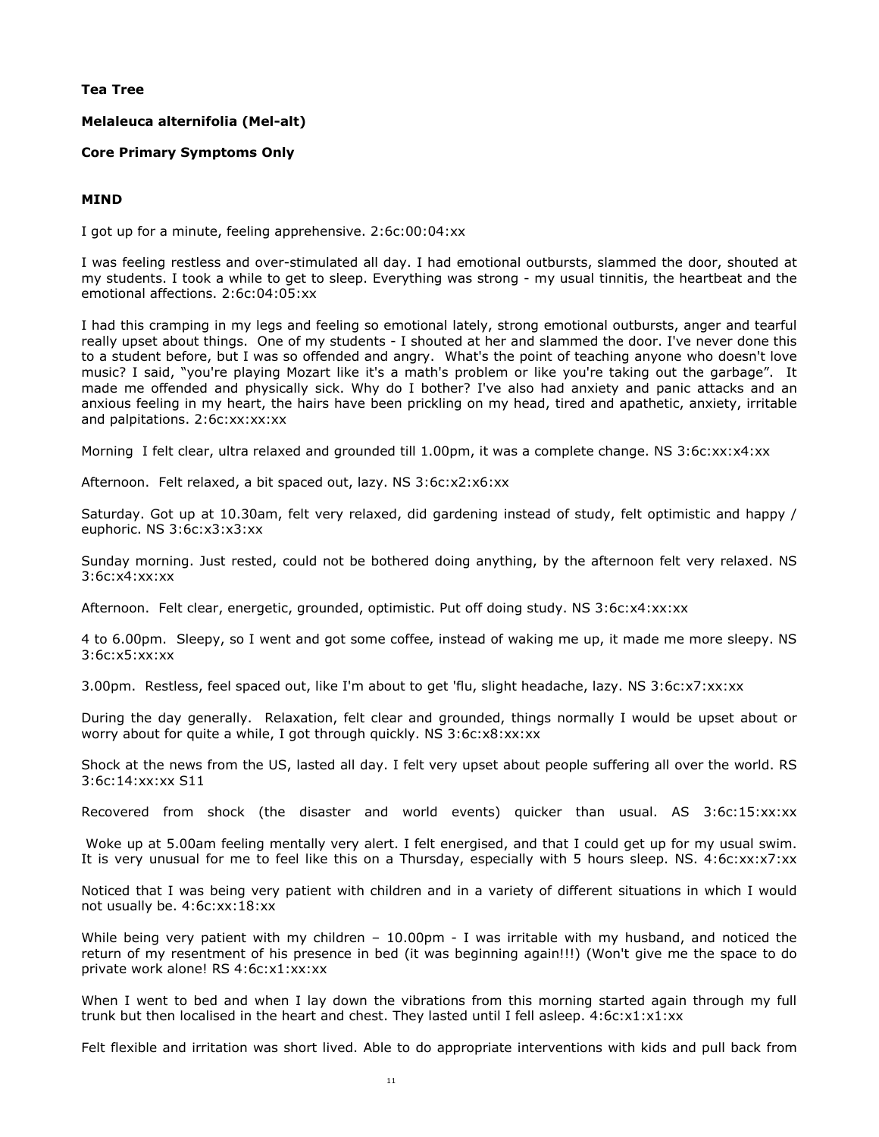### Tea Tree

### Melaleuca alternifolia (Mel-alt)

### Core Primary Symptoms Only

### MIND

I got up for a minute, feeling apprehensive. 2:6c:00:04:xx

I was feeling restless and over-stimulated all day. I had emotional outbursts, slammed the door, shouted at my students. I took a while to get to sleep. Everything was strong - my usual tinnitis, the heartbeat and the emotional affections. 2:6c:04:05:xx

I had this cramping in my legs and feeling so emotional lately, strong emotional outbursts, anger and tearful really upset about things. One of my students - I shouted at her and slammed the door. I've never done this to a student before, but I was so offended and angry. What's the point of teaching anyone who doesn't love music? I said, "you're playing Mozart like it's a math's problem or like you're taking out the garbage". It made me offended and physically sick. Why do I bother? I've also had anxiety and panic attacks and an anxious feeling in my heart, the hairs have been prickling on my head, tired and apathetic, anxiety, irritable and palpitations. 2:6c:xx:xx:xx

Morning I felt clear, ultra relaxed and grounded till 1.00pm, it was a complete change. NS 3:6c:xx:x4:xx

Afternoon. Felt relaxed, a bit spaced out, lazy. NS 3:6c:x2:x6:xx

Saturday. Got up at 10.30am, felt very relaxed, did gardening instead of study, felt optimistic and happy / euphoric. NS 3:6c:x3:x3:xx

Sunday morning. Just rested, could not be bothered doing anything, by the afternoon felt very relaxed. NS 3:6c:x4:xx:xx

Afternoon. Felt clear, energetic, grounded, optimistic. Put off doing study. NS 3:6c:x4:xx:xx

4 to 6.00pm. Sleepy, so I went and got some coffee, instead of waking me up, it made me more sleepy. NS 3:6c:x5:xx:xx

3.00pm. Restless, feel spaced out, like I'm about to get 'flu, slight headache, lazy. NS 3:6c:x7:xx:xx

During the day generally. Relaxation, felt clear and grounded, things normally I would be upset about or worry about for quite a while, I got through quickly. NS 3:6c:x8:xx:xx

Shock at the news from the US, lasted all day. I felt very upset about people suffering all over the world. RS 3:6c:14:xx:xx S11

Recovered from shock (the disaster and world events) quicker than usual. AS 3:6c:15:xx:xx

 Woke up at 5.00am feeling mentally very alert. I felt energised, and that I could get up for my usual swim. It is very unusual for me to feel like this on a Thursday, especially with 5 hours sleep. NS. 4:6c:xx:x7:xx

Noticed that I was being very patient with children and in a variety of different situations in which I would not usually be. 4:6c:xx:18:xx

While being very patient with my children - 10.00pm - I was irritable with my husband, and noticed the return of my resentment of his presence in bed (it was beginning again!!!) (Won't give me the space to do private work alone! RS 4:6c:x1:xx:xx

When I went to bed and when I lay down the vibrations from this morning started again through my full trunk but then localised in the heart and chest. They lasted until I fell asleep. 4:6c:x1:x1:xx

Felt flexible and irritation was short lived. Able to do appropriate interventions with kids and pull back from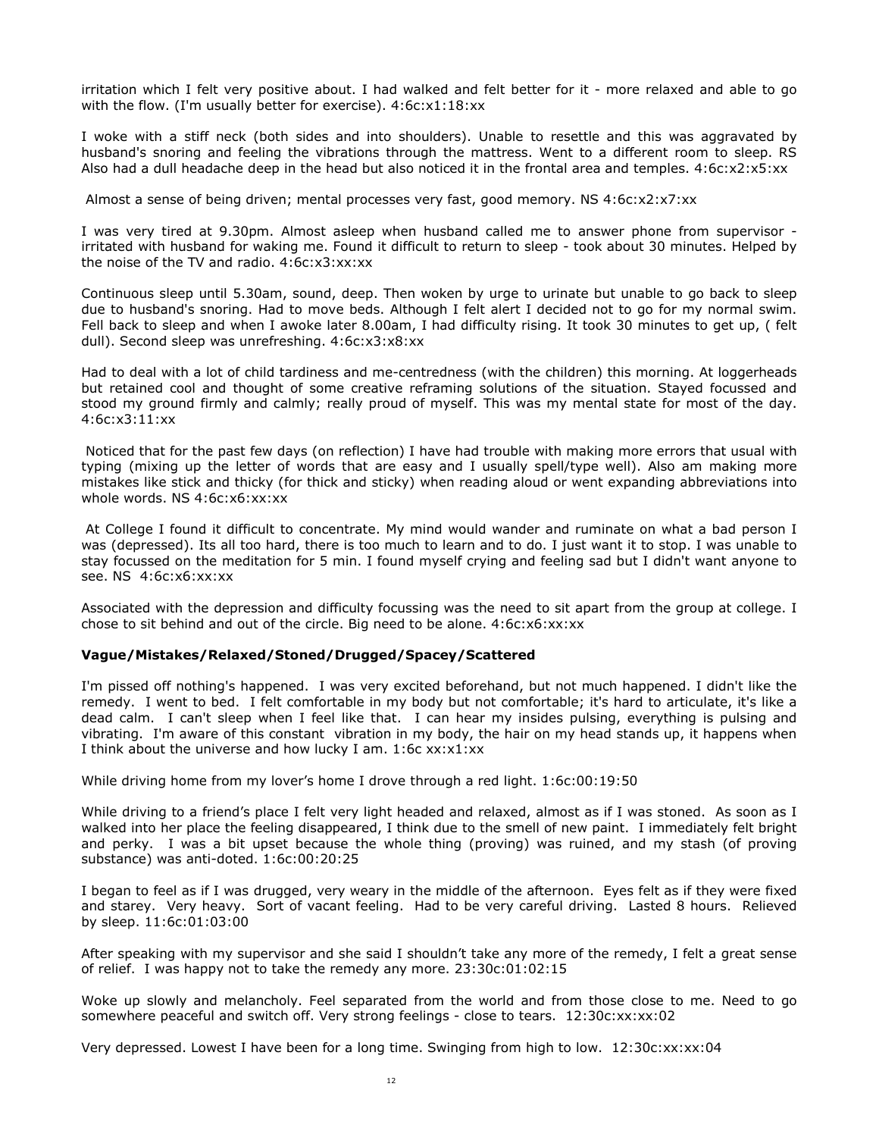irritation which I felt very positive about. I had walked and felt better for it - more relaxed and able to go with the flow. (I'm usually better for exercise). 4:6c:x1:18:xx

I woke with a stiff neck (both sides and into shoulders). Unable to resettle and this was aggravated by husband's snoring and feeling the vibrations through the mattress. Went to a different room to sleep. RS Also had a dull headache deep in the head but also noticed it in the frontal area and temples. 4:6c:x2:x5:xx

Almost a sense of being driven; mental processes very fast, good memory. NS 4:6c:x2:x7:xx

I was very tired at 9.30pm. Almost asleep when husband called me to answer phone from supervisor irritated with husband for waking me. Found it difficult to return to sleep - took about 30 minutes. Helped by the noise of the TV and radio. 4:6c:x3:xx:xx

Continuous sleep until 5.30am, sound, deep. Then woken by urge to urinate but unable to go back to sleep due to husband's snoring. Had to move beds. Although I felt alert I decided not to go for my normal swim. Fell back to sleep and when I awoke later 8.00am, I had difficulty rising. It took 30 minutes to get up, ( felt dull). Second sleep was unrefreshing. 4:6c:x3:x8:xx

Had to deal with a lot of child tardiness and me-centredness (with the children) this morning. At loggerheads but retained cool and thought of some creative reframing solutions of the situation. Stayed focussed and stood my ground firmly and calmly; really proud of myself. This was my mental state for most of the day. 4:6c:x3:11:xx

 Noticed that for the past few days (on reflection) I have had trouble with making more errors that usual with typing (mixing up the letter of words that are easy and I usually spell/type well). Also am making more mistakes like stick and thicky (for thick and sticky) when reading aloud or went expanding abbreviations into whole words. NS 4:6c:x6:xx:xx

 At College I found it difficult to concentrate. My mind would wander and ruminate on what a bad person I was (depressed). Its all too hard, there is too much to learn and to do. I just want it to stop. I was unable to stay focussed on the meditation for 5 min. I found myself crying and feeling sad but I didn't want anyone to see. NS 4:6c:x6:xx:xx

Associated with the depression and difficulty focussing was the need to sit apart from the group at college. I chose to sit behind and out of the circle. Big need to be alone. 4:6c:x6:xx:xx

### Vague/Mistakes/Relaxed/Stoned/Drugged/Spacey/Scattered

I'm pissed off nothing's happened. I was very excited beforehand, but not much happened. I didn't like the remedy. I went to bed. I felt comfortable in my body but not comfortable; it's hard to articulate, it's like a dead calm. I can't sleep when I feel like that. I can hear my insides pulsing, everything is pulsing and vibrating. I'm aware of this constant vibration in my body, the hair on my head stands up, it happens when I think about the universe and how lucky I am. 1:6c xx:x1:xx

While driving home from my lover's home I drove through a red light. 1:6c:00:19:50

While driving to a friend's place I felt very light headed and relaxed, almost as if I was stoned. As soon as I walked into her place the feeling disappeared, I think due to the smell of new paint. I immediately felt bright and perky. I was a bit upset because the whole thing (proving) was ruined, and my stash (of proving substance) was anti-doted. 1:6c:00:20:25

I began to feel as if I was drugged, very weary in the middle of the afternoon. Eyes felt as if they were fixed and starey. Very heavy. Sort of vacant feeling. Had to be very careful driving. Lasted 8 hours. Relieved by sleep. 11:6c:01:03:00

After speaking with my supervisor and she said I shouldn't take any more of the remedy, I felt a great sense of relief. I was happy not to take the remedy any more. 23:30c:01:02:15

Woke up slowly and melancholy. Feel separated from the world and from those close to me. Need to go somewhere peaceful and switch off. Very strong feelings - close to tears. 12:30c:xx:xx:02

Very depressed. Lowest I have been for a long time. Swinging from high to low. 12:30c:xx:xx:04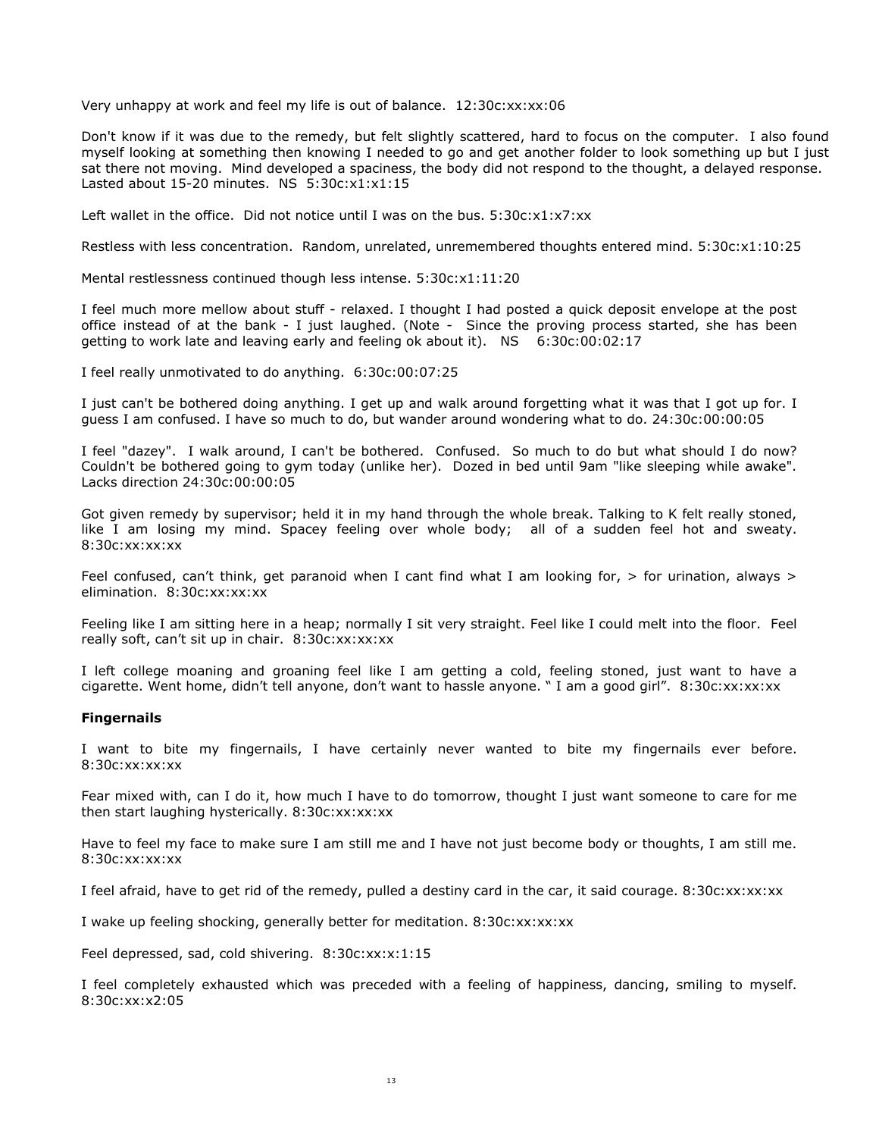Very unhappy at work and feel my life is out of balance.  $12:30c:xx:xx:06$ 

Don't know if it was due to the remedy, but felt slightly scattered, hard to focus on the computer. I also found myself looking at something then knowing I needed to go and get another folder to look something up but I just sat there not moving. Mind developed a spaciness, the body did not respond to the thought, a delayed response. Lasted about 15-20 minutes. NS 5:30c:x1:x1:15

Left wallet in the office. Did not notice until I was on the bus.  $5:30c:x1:x7:xx$ 

Restless with less concentration. Random, unrelated, unremembered thoughts entered mind. 5:30c:x1:10:25

Mental restlessness continued though less intense. 5:30c:x1:11:20

I feel much more mellow about stuff - relaxed. I thought I had posted a quick deposit envelope at the post office instead of at the bank - I just laughed. (Note - Since the proving process started, she has been getting to work late and leaving early and feeling ok about it). NS 6:30c:00:02:17

I feel really unmotivated to do anything. 6:30c:00:07:25

I just can't be bothered doing anything. I get up and walk around forgetting what it was that I got up for. I guess I am confused. I have so much to do, but wander around wondering what to do. 24:30c:00:00:05

I feel "dazey". I walk around, I can't be bothered. Confused. So much to do but what should I do now? Couldn't be bothered going to gym today (unlike her). Dozed in bed until 9am "like sleeping while awake". Lacks direction 24:30c:00:00:05

Got given remedy by supervisor; held it in my hand through the whole break. Talking to K felt really stoned, like I am losing my mind. Spacey feeling over whole body; all of a sudden feel hot and sweaty. 8:30c:xx:xx:xx

Feel confused, can't think, get paranoid when I cant find what I am looking for,  $>$  for urination, always  $>$ elimination. 8:30c:xx:xx:xx

Feeling like I am sitting here in a heap; normally I sit very straight. Feel like I could melt into the floor. Feel really soft, can't sit up in chair. 8:30c:xx:xx:xx

I left college moaning and groaning feel like I am getting a cold, feeling stoned, just want to have a cigarette. Went home, didn't tell anyone, don't want to hassle anyone. " I am a good girl". 8:30c:xx:xx:xx

### Fingernails

I want to bite my fingernails, I have certainly never wanted to bite my fingernails ever before. 8:30c:xx:xx:xx

Fear mixed with, can I do it, how much I have to do tomorrow, thought I just want someone to care for me then start laughing hysterically. 8:30c:xx:xx:xx

Have to feel my face to make sure I am still me and I have not just become body or thoughts, I am still me. 8:30c:xx:xx:xx

I feel afraid, have to get rid of the remedy, pulled a destiny card in the car, it said courage. 8:30c:xx:xx:xx

I wake up feeling shocking, generally better for meditation. 8:30c:xx:xx:xx

Feel depressed, sad, cold shivering. 8:30c:xx:x:1:15

I feel completely exhausted which was preceded with a feeling of happiness, dancing, smiling to myself. 8:30c:xx:x2:05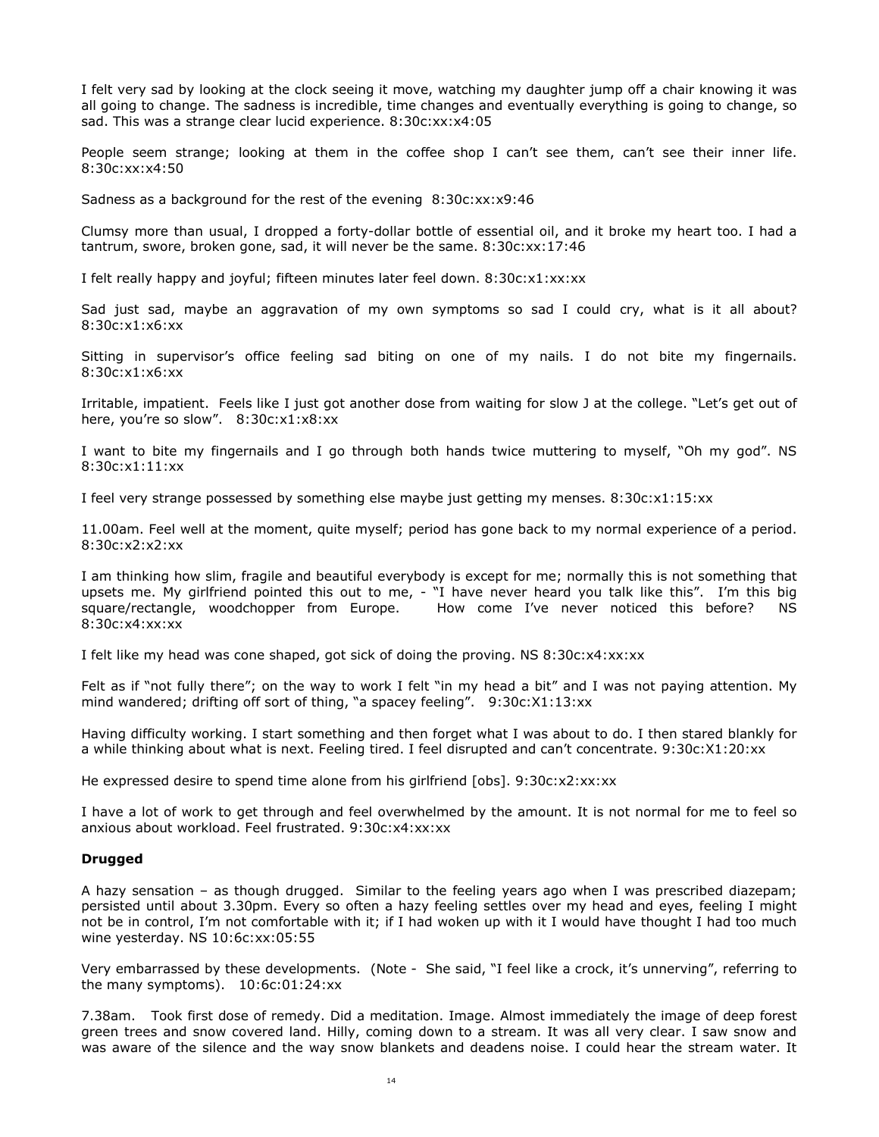I felt very sad by looking at the clock seeing it move, watching my daughter jump off a chair knowing it was all going to change. The sadness is incredible, time changes and eventually everything is going to change, so sad. This was a strange clear lucid experience. 8:30c:xx:x4:05

People seem strange; looking at them in the coffee shop I can't see them, can't see their inner life. 8:30c:xx:x4:50

Sadness as a background for the rest of the evening 8:30c:xx:x9:46

Clumsy more than usual, I dropped a forty-dollar bottle of essential oil, and it broke my heart too. I had a tantrum, swore, broken gone, sad, it will never be the same. 8:30c:xx:17:46

I felt really happy and joyful; fifteen minutes later feel down. 8:30c:x1:xx:xx

Sad just sad, maybe an aggravation of my own symptoms so sad I could cry, what is it all about? 8:30c:x1:x6:xx

Sitting in supervisor's office feeling sad biting on one of my nails. I do not bite my fingernails. 8:30c:x1:x6:xx

Irritable, impatient. Feels like I just got another dose from waiting for slow J at the college. "Let's get out of here, you're so slow". 8:30c:x1:x8:xx

I want to bite my fingernails and I go through both hands twice muttering to myself, "Oh my god". NS 8:30c:x1:11:xx

I feel very strange possessed by something else maybe just getting my menses. 8:30c:x1:15:xx

11.00am. Feel well at the moment, quite myself; period has gone back to my normal experience of a period. 8:30c:x2:x2:xx

I am thinking how slim, fragile and beautiful everybody is except for me; normally this is not something that upsets me. My girlfriend pointed this out to me, - "I have never heard you talk like this". I'm this big square/rectangle, woodchopper from Europe. How come I've never noticed this before? NS 8:30c:x4:xx:xx

I felt like my head was cone shaped, got sick of doing the proving. NS 8:30c:x4:xx:xx

Felt as if "not fully there"; on the way to work I felt "in my head a bit" and I was not paying attention. My mind wandered; drifting off sort of thing, "a spacey feeling". 9:30c:X1:13:xx

Having difficulty working. I start something and then forget what I was about to do. I then stared blankly for a while thinking about what is next. Feeling tired. I feel disrupted and can't concentrate. 9:30c:X1:20:xx

He expressed desire to spend time alone from his girlfriend [obs]. 9:30c:x2:xx:xx

I have a lot of work to get through and feel overwhelmed by the amount. It is not normal for me to feel so anxious about workload. Feel frustrated. 9:30c:x4:xx:xx

### Drugged

A hazy sensation – as though drugged. Similar to the feeling years ago when I was prescribed diazepam; persisted until about 3.30pm. Every so often a hazy feeling settles over my head and eyes, feeling I might not be in control, I'm not comfortable with it; if I had woken up with it I would have thought I had too much wine yesterday. NS 10:6c:xx:05:55

Very embarrassed by these developments. (Note - She said, "I feel like a crock, it's unnerving", referring to the many symptoms). 10:6c:01:24:xx

7.38am. Took first dose of remedy. Did a meditation. Image. Almost immediately the image of deep forest green trees and snow covered land. Hilly, coming down to a stream. It was all very clear. I saw snow and was aware of the silence and the way snow blankets and deadens noise. I could hear the stream water. It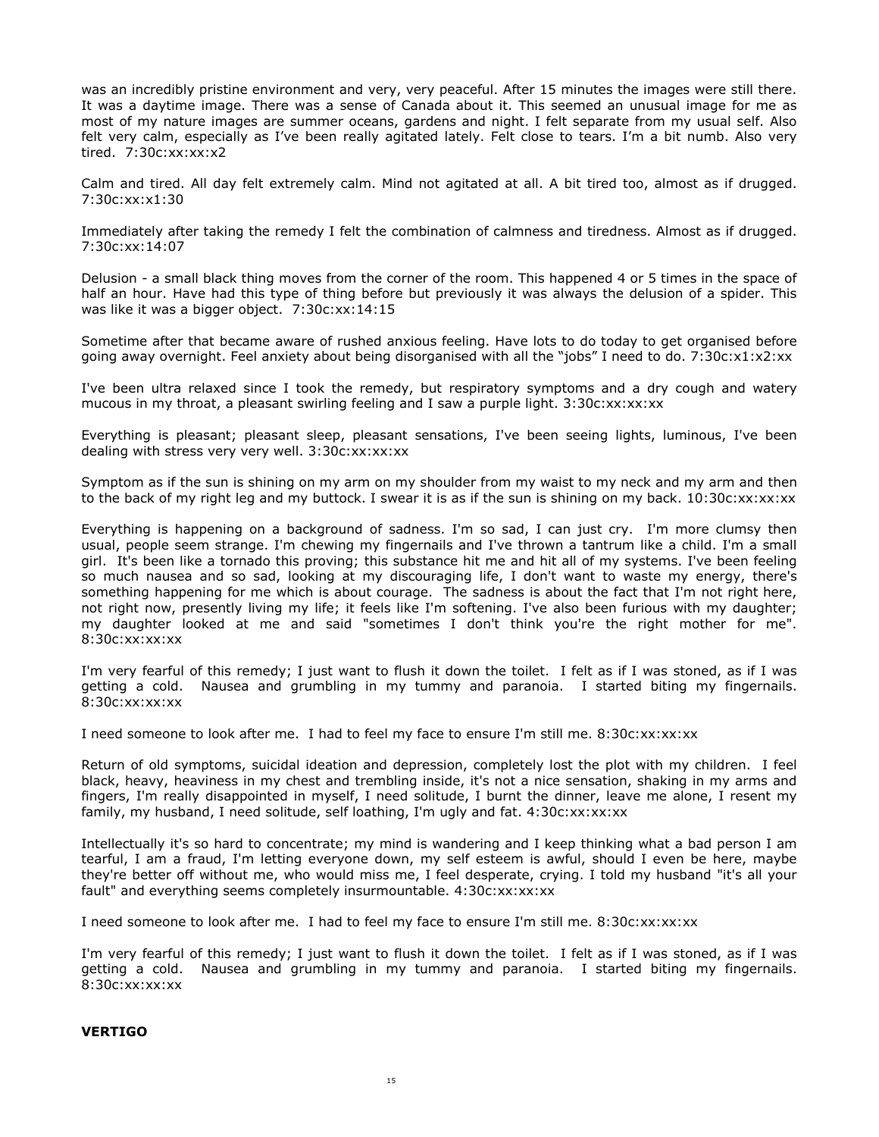was an incredibly pristine environment and very, very peaceful. After 15 minutes the images were still there. It was a daytime image. There was a sense of Canada about it. This seemed an unusual image for me as most of my nature images are summer oceans, gardens and night. I felt separate from my usual self. Also felt very calm, especially as I've been really agitated lately. Felt close to tears. I'm a bit numb. Also very tired. 7:30c:xx:xx:x2

Calm and tired. All day felt extremely calm. Mind not agitated at all. A bit tired too, almost as if drugged. 7:30c:xx:x1:30

Immediately after taking the remedy I felt the combination of calmness and tiredness. Almost as if drugged. 7:30c:xx:14:07

Delusion - a small black thing moves from the corner of the room. This happened 4 or 5 times in the space of half an hour. Have had this type of thing before but previously it was always the delusion of a spider. This was like it was a bigger object. 7:30c:xx:14:15

Sometime after that became aware of rushed anxious feeling. Have lots to do today to get organised before going away overnight. Feel anxiety about being disorganised with all the "jobs" I need to do. 7:30c:x1:x2:xx

I've been ultra relaxed since I took the remedy, but respiratory symptoms and a dry cough and watery mucous in my throat, a pleasant swirling feeling and I saw a purple light. 3:30c:xx:xx:xx

Everything is pleasant; pleasant sleep, pleasant sensations, I've been seeing lights, luminous, I've been dealing with stress very very well. 3:30c:xx:xx:xx

Symptom as if the sun is shining on my arm on my shoulder from my waist to my neck and my arm and then to the back of my right leg and my buttock. I swear it is as if the sun is shining on my back. 10:30c:xx:xx:xx

Everything is happening on a background of sadness. I'm so sad, I can just cry. I'm more clumsy then usual, people seem strange. I'm chewing my fingernails and I've thrown a tantrum like a child. I'm a small girl. It's been like a tornado this proving; this substance hit me and hit all of my systems. I've been feeling so much nausea and so sad, looking at my discouraging life, I don't want to waste my energy, there's something happening for me which is about courage. The sadness is about the fact that I'm not right here, not right now, presently living my life; it feels like I'm softening. I've also been furious with my daughter; my daughter looked at me and said "sometimes I don't think you're the right mother for me". 8:30c:xx:xx:xx

I'm very fearful of this remedy; I just want to flush it down the toilet. I felt as if I was stoned, as if I was getting a cold. Nausea and grumbling in my tummy and paranoia. I started biting my fingernails. 8:30c:xx:xx:xx

I need someone to look after me. I had to feel my face to ensure I'm still me. 8:30c:xx:xx:xx

Return of old symptoms, suicidal ideation and depression, completely lost the plot with my children. I feel black, heavy, heaviness in my chest and trembling inside, it's not a nice sensation, shaking in my arms and fingers, I'm really disappointed in myself, I need solitude, I burnt the dinner, leave me alone, I resent my family, my husband, I need solitude, self loathing, I'm ugly and fat. 4:30c:xx:xx:xx

Intellectually it's so hard to concentrate; my mind is wandering and I keep thinking what a bad person I am tearful, I am a fraud, I'm letting everyone down, my self esteem is awful, should I even be here, maybe they're better off without me, who would miss me, I feel desperate, crying. I told my husband "it's all your fault" and everything seems completely insurmountable. 4:30c:xx:xx:xx

I need someone to look after me. I had to feel my face to ensure I'm still me. 8:30c:xx:xx:xx

I'm very fearful of this remedy; I just want to flush it down the toilet. I felt as if I was stoned, as if I was getting a cold. Nausea and grumbling in my tummy and paranoia. I started biting my fingernails. 8:30c:xx:xx:xx

### VERTIGO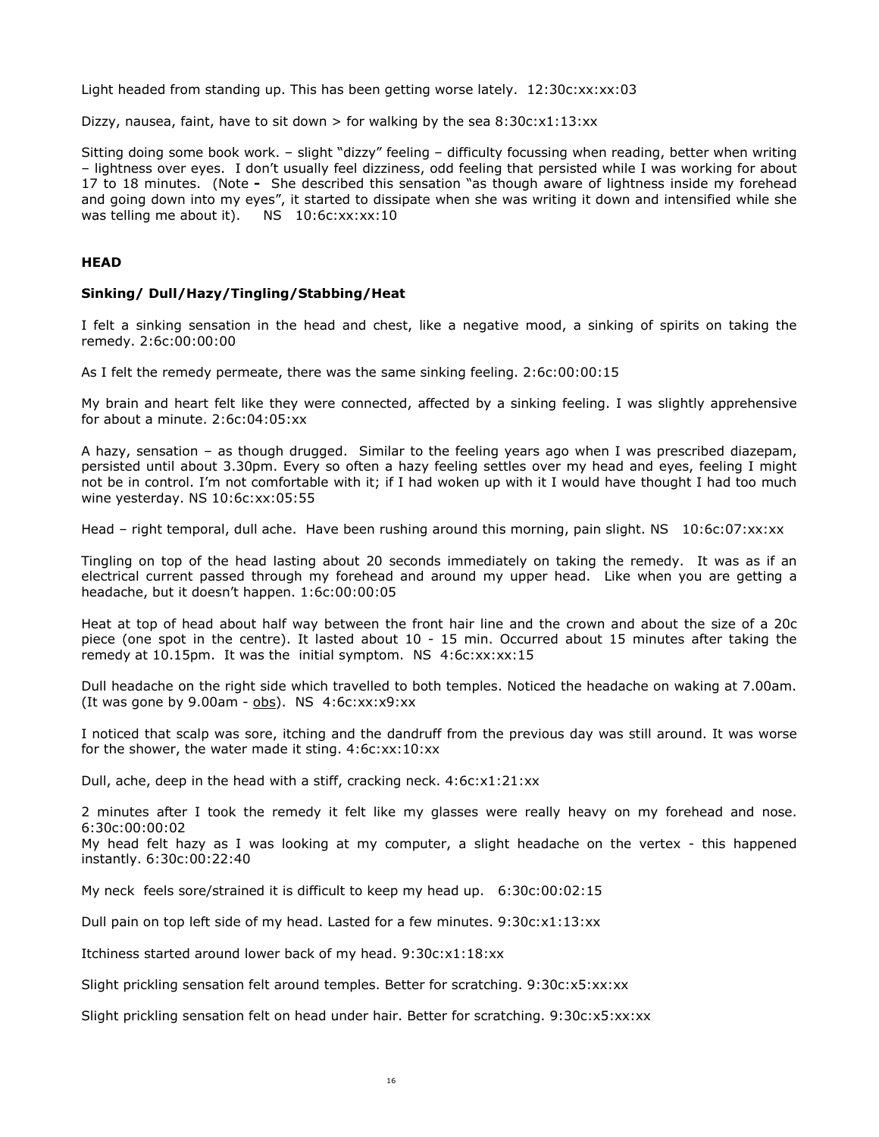Light headed from standing up. This has been getting worse lately. 12:30c:xx:xx:03

Dizzy, nausea, faint, have to sit down  $>$  for walking by the sea 8:30c: $x1:13:xx$ 

Sitting doing some book work. – slight "dizzy" feeling – difficulty focussing when reading, better when writing – lightness over eyes. I don't usually feel dizziness, odd feeling that persisted while I was working for about 17 to 18 minutes. (Note - She described this sensation "as though aware of lightness inside my forehead and going down into my eyes", it started to dissipate when she was writing it down and intensified while she was telling me about it). NS 10:6c:xx:xx:10

### **HEAD**

### Sinking/ Dull/Hazy/Tingling/Stabbing/Heat

I felt a sinking sensation in the head and chest, like a negative mood, a sinking of spirits on taking the remedy. 2:6c:00:00:00

As I felt the remedy permeate, there was the same sinking feeling. 2:6c:00:00:15

My brain and heart felt like they were connected, affected by a sinking feeling. I was slightly apprehensive for about a minute. 2:6c:04:05:xx

A hazy, sensation – as though drugged. Similar to the feeling years ago when I was prescribed diazepam, persisted until about 3.30pm. Every so often a hazy feeling settles over my head and eyes, feeling I might not be in control. I'm not comfortable with it; if I had woken up with it I would have thought I had too much wine yesterday. NS 10:6c:xx:05:55

Head - right temporal, dull ache. Have been rushing around this morning, pain slight. NS 10:6c:07:xx:xx

Tingling on top of the head lasting about 20 seconds immediately on taking the remedy. It was as if an electrical current passed through my forehead and around my upper head. Like when you are getting a headache, but it doesn't happen. 1:6c:00:00:05

Heat at top of head about half way between the front hair line and the crown and about the size of a 20c piece (one spot in the centre). It lasted about 10 - 15 min. Occurred about 15 minutes after taking the remedy at 10.15pm. It was the initial symptom. NS 4:6c:xx:xx:15

Dull headache on the right side which travelled to both temples. Noticed the headache on waking at 7.00am. (It was gone by  $9.00$ am - obs). NS  $4:6c:xx:x9:xx$ 

I noticed that scalp was sore, itching and the dandruff from the previous day was still around. It was worse for the shower, the water made it sting. 4:6c:xx:10:xx

Dull, ache, deep in the head with a stiff, cracking neck. 4:6c:x1:21:xx

2 minutes after I took the remedy it felt like my glasses were really heavy on my forehead and nose. 6:30c:00:00:02

My head felt hazy as I was looking at my computer, a slight headache on the vertex - this happened instantly. 6:30c:00:22:40

My neck feels sore/strained it is difficult to keep my head up. 6:30c:00:02:15

Dull pain on top left side of my head. Lasted for a few minutes. 9:30c:x1:13:xx

Itchiness started around lower back of my head. 9:30c:x1:18:xx

Slight prickling sensation felt around temples. Better for scratching. 9:30c:x5:xx:xx

Slight prickling sensation felt on head under hair. Better for scratching. 9:30c:x5:xx:xx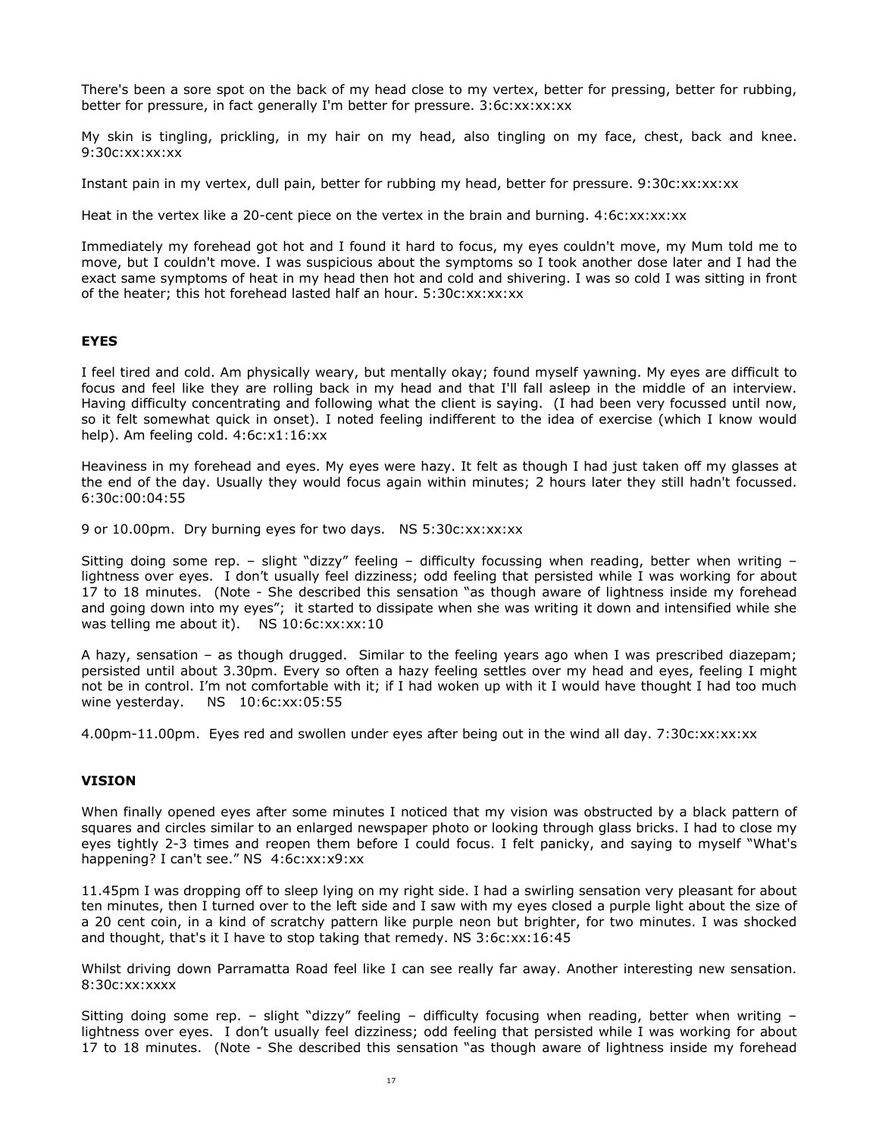There's been a sore spot on the back of my head close to my vertex, better for pressing, better for rubbing, better for pressure, in fact generally I'm better for pressure. 3:6c:xx:xx:xx

My skin is tingling, prickling, in my hair on my head, also tingling on my face, chest, back and knee. 9:30c:xx:xx:xx

Instant pain in my vertex, dull pain, better for rubbing my head, better for pressure. 9:30c:xx:xx:xx

Heat in the vertex like a 20-cent piece on the vertex in the brain and burning. 4:6c:xx:xx:xx

Immediately my forehead got hot and I found it hard to focus, my eyes couldn't move, my Mum told me to move, but I couldn't move. I was suspicious about the symptoms so I took another dose later and I had the exact same symptoms of heat in my head then hot and cold and shivering. I was so cold I was sitting in front of the heater; this hot forehead lasted half an hour. 5:30c:xx:xx:xx

### EYES

I feel tired and cold. Am physically weary, but mentally okay; found myself yawning. My eyes are difficult to focus and feel like they are rolling back in my head and that I'll fall asleep in the middle of an interview. Having difficulty concentrating and following what the client is saying. (I had been very focussed until now, so it felt somewhat quick in onset). I noted feeling indifferent to the idea of exercise (which I know would help). Am feeling cold. 4:6c:x1:16:xx

Heaviness in my forehead and eyes. My eyes were hazy. It felt as though I had just taken off my glasses at the end of the day. Usually they would focus again within minutes; 2 hours later they still hadn't focussed. 6:30c:00:04:55

9 or 10.00pm. Dry burning eyes for two days. NS 5:30c:xx:xx:xx

Sitting doing some rep. – slight "dizzy" feeling – difficulty focussing when reading, better when writing – lightness over eyes. I don't usually feel dizziness; odd feeling that persisted while I was working for about 17 to 18 minutes. (Note - She described this sensation "as though aware of lightness inside my forehead and going down into my eyes"; it started to dissipate when she was writing it down and intensified while she was telling me about it). NS 10:6c:xx:xx:10

A hazy, sensation – as though drugged. Similar to the feeling years ago when I was prescribed diazepam; persisted until about 3.30pm. Every so often a hazy feeling settles over my head and eyes, feeling I might not be in control. I'm not comfortable with it; if I had woken up with it I would have thought I had too much wine yesterday. NS 10:6c:xx:05:55 NS 10:6c:xx:05:55

4.00pm-11.00pm. Eyes red and swollen under eyes after being out in the wind all day. 7:30c:xx:xx:xx

### VISION

When finally opened eyes after some minutes I noticed that my vision was obstructed by a black pattern of squares and circles similar to an enlarged newspaper photo or looking through glass bricks. I had to close my eyes tightly 2-3 times and reopen them before I could focus. I felt panicky, and saying to myself "What's happening? I can't see." NS 4:6c:xx:x9:xx

11.45pm I was dropping off to sleep lying on my right side. I had a swirling sensation very pleasant for about ten minutes, then I turned over to the left side and I saw with my eyes closed a purple light about the size of a 20 cent coin, in a kind of scratchy pattern like purple neon but brighter, for two minutes. I was shocked and thought, that's it I have to stop taking that remedy. NS 3:6c:xx:16:45

Whilst driving down Parramatta Road feel like I can see really far away. Another interesting new sensation. 8:30c:xx:xxxx

Sitting doing some rep. – slight "dizzy" feeling – difficulty focusing when reading, better when writing – lightness over eyes. I don't usually feel dizziness; odd feeling that persisted while I was working for about 17 to 18 minutes. (Note - She described this sensation "as though aware of lightness inside my forehead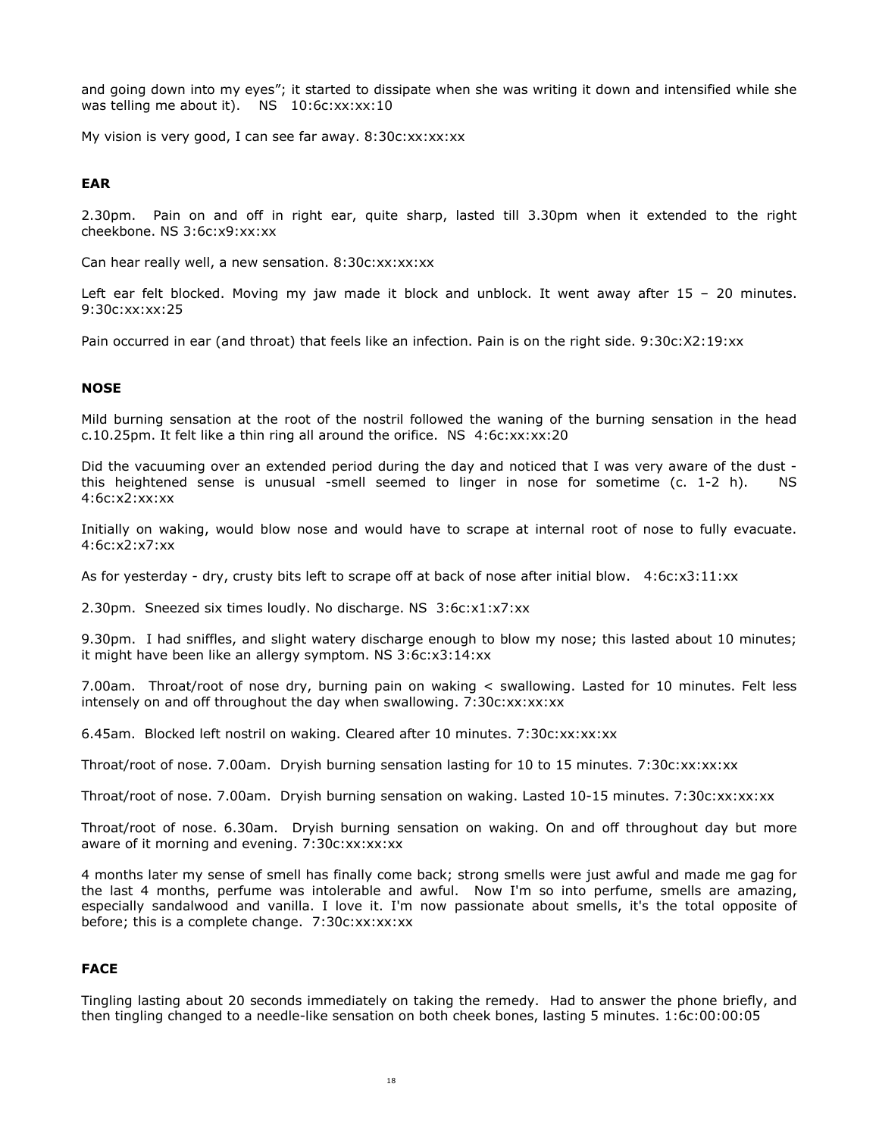and going down into my eyes"; it started to dissipate when she was writing it down and intensified while she was telling me about it). NS 10:6c:xx:xx:10

My vision is very good, I can see far away. 8:30c:xx:xx:xx

### EAR

2.30pm. Pain on and off in right ear, quite sharp, lasted till 3.30pm when it extended to the right cheekbone. NS 3:6c:x9:xx:xx

Can hear really well, a new sensation. 8:30c:xx:xx:xx

Left ear felt blocked. Moving my jaw made it block and unblock. It went away after 15 - 20 minutes. 9:30c:xx:xx:25

Pain occurred in ear (and throat) that feels like an infection. Pain is on the right side. 9:30c:X2:19:xx

### **NOSE**

Mild burning sensation at the root of the nostril followed the waning of the burning sensation in the head c.10.25pm. It felt like a thin ring all around the orifice. NS 4:6c:xx:xx:20

Did the vacuuming over an extended period during the day and noticed that I was very aware of the dust this heightened sense is unusual -smell seemed to linger in nose for sometime (c. 1-2 h). NS 4:6c:x2:xx:xx

Initially on waking, would blow nose and would have to scrape at internal root of nose to fully evacuate. 4:6c:x2:x7:xx

As for yesterday - dry, crusty bits left to scrape off at back of nose after initial blow. 4:6c:x3:11:xx

2.30pm. Sneezed six times loudly. No discharge. NS 3:6c:x1:x7:xx

9.30pm. I had sniffles, and slight watery discharge enough to blow my nose; this lasted about 10 minutes; it might have been like an allergy symptom. NS 3:6c:x3:14:xx

7.00am. Throat/root of nose dry, burning pain on waking < swallowing. Lasted for 10 minutes. Felt less intensely on and off throughout the day when swallowing.  $7:30c:xx:xx:x$ 

6.45am. Blocked left nostril on waking. Cleared after 10 minutes. 7:30c:xx:xx:xx

Throat/root of nose. 7.00am. Dryish burning sensation lasting for 10 to 15 minutes. 7:30c:xx:xx:xx

Throat/root of nose. 7.00am. Dryish burning sensation on waking. Lasted 10-15 minutes. 7:30c:xx:xx:xx

Throat/root of nose. 6.30am. Dryish burning sensation on waking. On and off throughout day but more aware of it morning and evening. 7:30c:xx:xx:xx

4 months later my sense of smell has finally come back; strong smells were just awful and made me gag for the last 4 months, perfume was intolerable and awful. Now I'm so into perfume, smells are amazing, especially sandalwood and vanilla. I love it. I'm now passionate about smells, it's the total opposite of before; this is a complete change. 7:30c:xx:xx:xx

### FACE

Tingling lasting about 20 seconds immediately on taking the remedy. Had to answer the phone briefly, and then tingling changed to a needle-like sensation on both cheek bones, lasting 5 minutes. 1:6c:00:00:05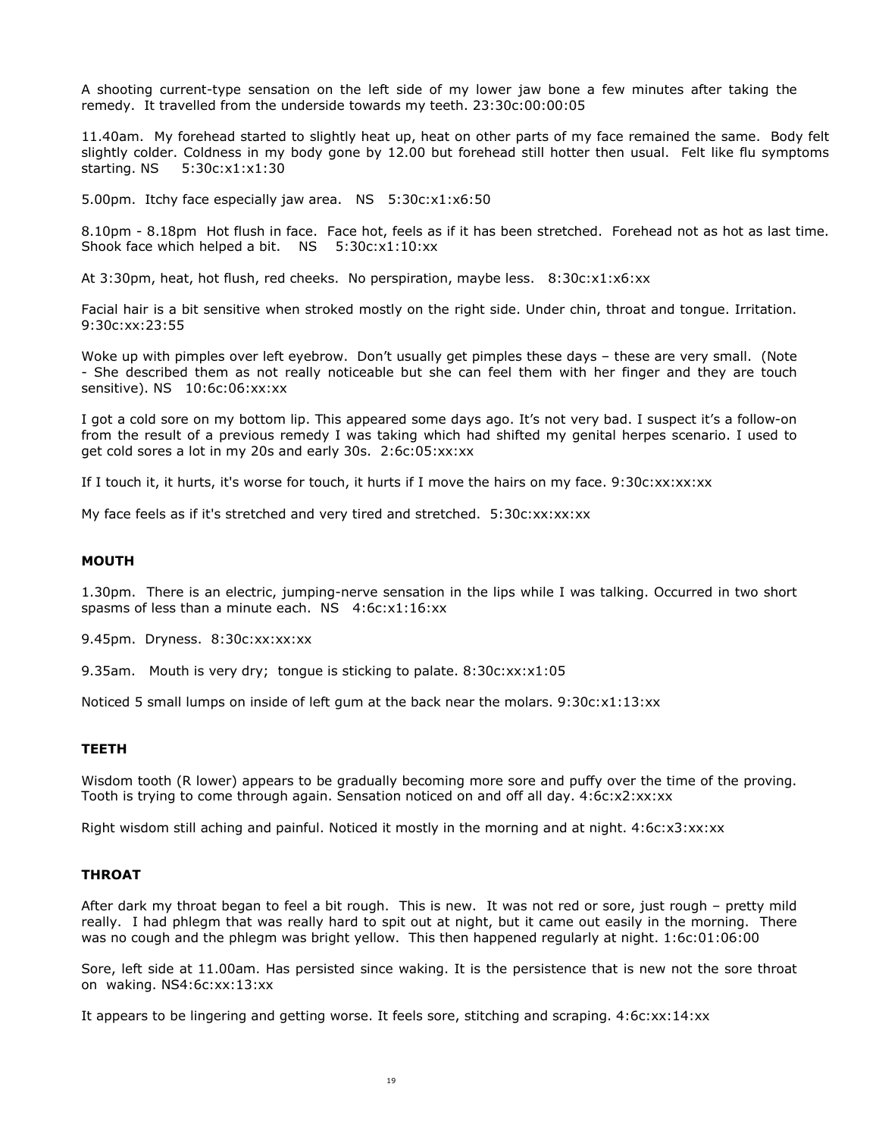A shooting current-type sensation on the left side of my lower jaw bone a few minutes after taking the remedy. It travelled from the underside towards my teeth. 23:30c:00:00:05

11.40am. My forehead started to slightly heat up, heat on other parts of my face remained the same. Body felt slightly colder. Coldness in my body gone by 12.00 but forehead still hotter then usual. Felt like flu symptoms starting. NS 5:30c:x1:x1:30

5.00pm. Itchy face especially jaw area. NS 5:30c:x1:x6:50

8.10pm - 8.18pm Hot flush in face. Face hot, feels as if it has been stretched. Forehead not as hot as last time. Shook face which helped a bit. NS 5:30c:x1:10:xx

At 3:30pm, heat, hot flush, red cheeks. No perspiration, maybe less. 8:30c:x1:x6:xx

Facial hair is a bit sensitive when stroked mostly on the right side. Under chin, throat and tongue. Irritation. 9:30c:xx:23:55

Woke up with pimples over left eyebrow. Don't usually get pimples these days - these are very small. (Note - She described them as not really noticeable but she can feel them with her finger and they are touch sensitive). NS 10:6c:06:xx:xx

I got a cold sore on my bottom lip. This appeared some days ago. It's not very bad. I suspect it's a follow-on from the result of a previous remedy I was taking which had shifted my genital herpes scenario. I used to get cold sores a lot in my 20s and early 30s. 2:6c:05:xx:xx

If I touch it, it hurts, it's worse for touch, it hurts if I move the hairs on my face. 9:30c:xx:xx:xx

My face feels as if it's stretched and very tired and stretched. 5:30c:xx:xx:xx

# MOUTH

1.30pm. There is an electric, jumping-nerve sensation in the lips while I was talking. Occurred in two short spasms of less than a minute each. NS 4:6c:x1:16:xx

9.45pm. Dryness. 8:30c:xx:xx:xx

9.35am. Mouth is very dry; tongue is sticking to palate. 8:30c:xx:x1:05

Noticed 5 small lumps on inside of left gum at the back near the molars. 9:30c:x1:13:xx

### TEETH

Wisdom tooth (R lower) appears to be gradually becoming more sore and puffy over the time of the proving. Tooth is trying to come through again. Sensation noticed on and off all day. 4:6c:x2:xx:xx

Right wisdom still aching and painful. Noticed it mostly in the morning and at night. 4:6c:x3:xx:xx

### THROAT

After dark my throat began to feel a bit rough. This is new. It was not red or sore, just rough – pretty mild really. I had phlegm that was really hard to spit out at night, but it came out easily in the morning. There was no cough and the phlegm was bright yellow. This then happened regularly at night. 1:6c:01:06:00

Sore, left side at 11.00am. Has persisted since waking. It is the persistence that is new not the sore throat on waking. NS4:6c:xx:13:xx

It appears to be lingering and getting worse. It feels sore, stitching and scraping. 4:6c:xx:14:xx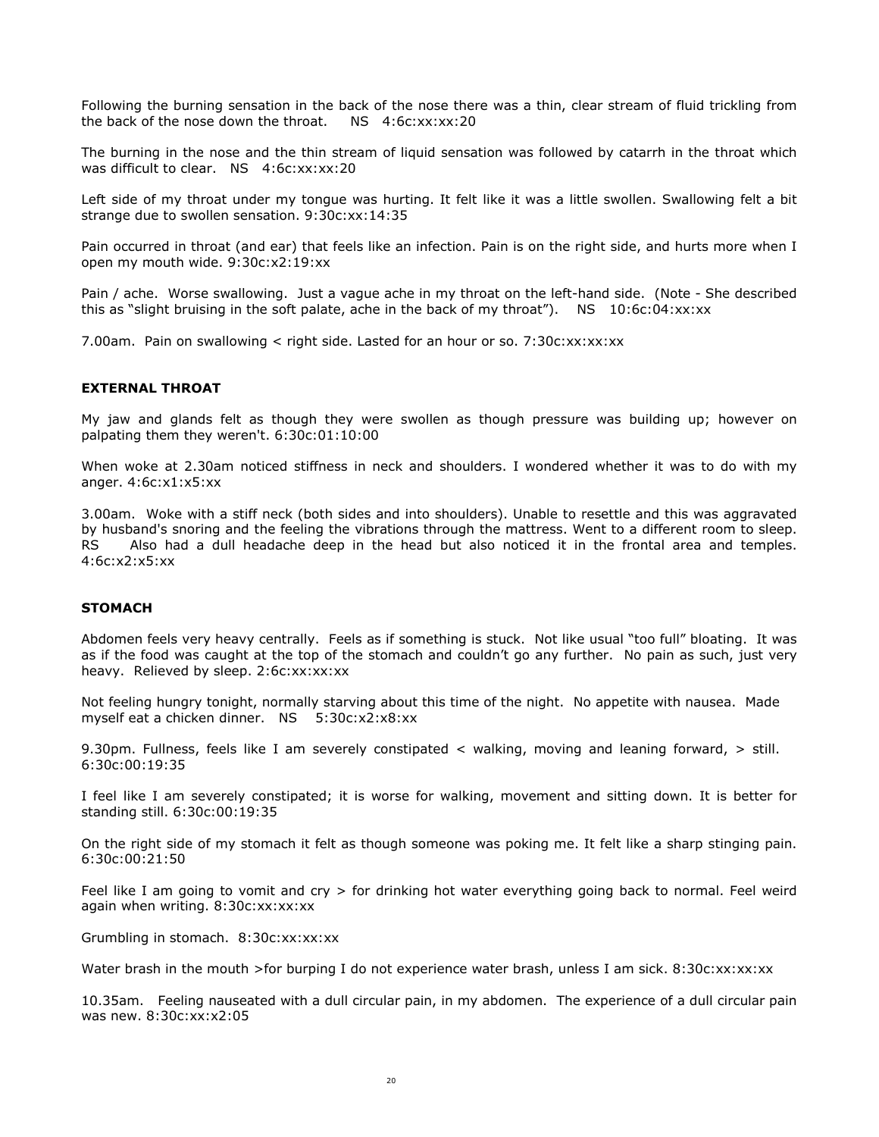Following the burning sensation in the back of the nose there was a thin, clear stream of fluid trickling from the back of the nose down the throat. NS 4:6c:xx:xx:20

The burning in the nose and the thin stream of liquid sensation was followed by catarrh in the throat which was difficult to clear. NS 4:6c:xx:xx:20

Left side of my throat under my tongue was hurting. It felt like it was a little swollen. Swallowing felt a bit strange due to swollen sensation. 9:30c:xx:14:35

Pain occurred in throat (and ear) that feels like an infection. Pain is on the right side, and hurts more when I open my mouth wide. 9:30c:x2:19:xx

Pain / ache. Worse swallowing. Just a vague ache in my throat on the left-hand side. (Note - She described this as "slight bruising in the soft palate, ache in the back of my throat"). NS 10:6c:04:xx:xx

7.00am. Pain on swallowing < right side. Lasted for an hour or so. 7:30c:xx:xx:xx

#### EXTERNAL THROAT

My jaw and glands felt as though they were swollen as though pressure was building up; however on palpating them they weren't. 6:30c:01:10:00

When woke at 2.30am noticed stiffness in neck and shoulders. I wondered whether it was to do with my anger. 4:6c:x1:x5:xx

3.00am. Woke with a stiff neck (both sides and into shoulders). Unable to resettle and this was aggravated by husband's snoring and the feeling the vibrations through the mattress. Went to a different room to sleep. RS Also had a dull headache deep in the head but also noticed it in the frontal area and temples. 4:6c:x2:x5:xx

## **STOMACH**

Abdomen feels very heavy centrally. Feels as if something is stuck. Not like usual "too full" bloating. It was as if the food was caught at the top of the stomach and couldn't go any further. No pain as such, just very heavy. Relieved by sleep. 2:6c:xx:xx:xx

Not feeling hungry tonight, normally starving about this time of the night. No appetite with nausea. Made myself eat a chicken dinner. NS 5:30c:x2:x8:xx

9.30pm. Fullness, feels like I am severely constipated < walking, moving and leaning forward, > still. 6:30c:00:19:35

I feel like I am severely constipated; it is worse for walking, movement and sitting down. It is better for standing still. 6:30c:00:19:35

On the right side of my stomach it felt as though someone was poking me. It felt like a sharp stinging pain. 6:30c:00:21:50

Feel like I am going to vomit and cry > for drinking hot water everything going back to normal. Feel weird again when writing. 8:30c:xx:xx:xx

Grumbling in stomach. 8:30c:xx:xx:xx

Water brash in the mouth >for burping I do not experience water brash, unless I am sick. 8:30c:xx:xx:xx

10.35am. Feeling nauseated with a dull circular pain, in my abdomen. The experience of a dull circular pain was new. 8:30c:xx:x2:05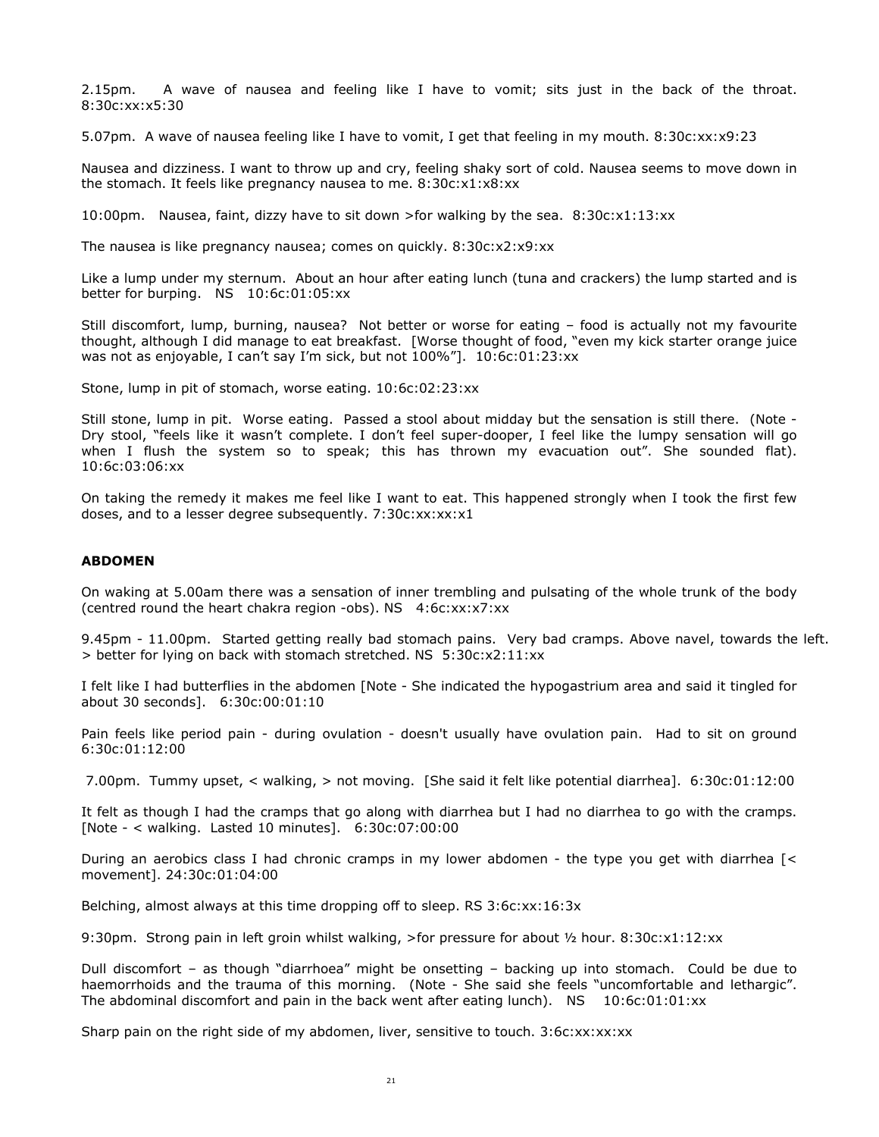2.15pm. A wave of nausea and feeling like I have to vomit; sits just in the back of the throat. 8:30c:xx:x5:30

5.07pm. A wave of nausea feeling like I have to vomit, I get that feeling in my mouth. 8:30c:xx:x9:23

Nausea and dizziness. I want to throw up and cry, feeling shaky sort of cold. Nausea seems to move down in the stomach. It feels like pregnancy nausea to me. 8:30c:x1:x8:xx

10:00pm. Nausea, faint, dizzy have to sit down >for walking by the sea. 8:30c:x1:13:xx

The nausea is like pregnancy nausea; comes on quickly. 8:30c:x2:x9:xx

Like a lump under my sternum. About an hour after eating lunch (tuna and crackers) the lump started and is better for burping. NS 10:6c:01:05:xx

Still discomfort, lump, burning, nausea? Not better or worse for eating – food is actually not my favourite thought, although I did manage to eat breakfast. [Worse thought of food, "even my kick starter orange juice was not as enjoyable, I can't say I'm sick, but not 100%"]. 10:6c:01:23:xx

Stone, lump in pit of stomach, worse eating. 10:6c:02:23:xx

Still stone, lump in pit. Worse eating. Passed a stool about midday but the sensation is still there. (Note - Dry stool, "feels like it wasn't complete. I don't feel super-dooper, I feel like the lumpy sensation will go when I flush the system so to speak; this has thrown my evacuation out". She sounded flat). 10:6c:03:06:xx

On taking the remedy it makes me feel like I want to eat. This happened strongly when I took the first few doses, and to a lesser degree subsequently. 7:30c:xx:xx:x1

### ABDOMEN

On waking at 5.00am there was a sensation of inner trembling and pulsating of the whole trunk of the body (centred round the heart chakra region -obs). NS 4:6c:xx:x7:xx

9.45pm - 11.00pm. Started getting really bad stomach pains. Very bad cramps. Above navel, towards the left. > better for lying on back with stomach stretched. NS 5:30c:x2:11:xx

I felt like I had butterflies in the abdomen [Note - She indicated the hypogastrium area and said it tingled for about 30 seconds]. 6:30c:00:01:10

Pain feels like period pain - during ovulation - doesn't usually have ovulation pain. Had to sit on ground 6:30c:01:12:00

7.00pm. Tummy upset, < walking, > not moving. [She said it felt like potential diarrhea]. 6:30c:01:12:00

It felt as though I had the cramps that go along with diarrhea but I had no diarrhea to go with the cramps. [Note - < walking. Lasted 10 minutes]. 6:30c:07:00:00

During an aerobics class I had chronic cramps in my lower abdomen - the type you get with diarrhea [< movement]. 24:30c:01:04:00

Belching, almost always at this time dropping off to sleep. RS 3:6c:xx:16:3x

9:30pm. Strong pain in left groin whilst walking, >for pressure for about ½ hour. 8:30c:x1:12:xx

Dull discomfort – as though "diarrhoea" might be onsetting – backing up into stomach. Could be due to haemorrhoids and the trauma of this morning. (Note - She said she feels "uncomfortable and lethargic". The abdominal discomfort and pain in the back went after eating lunch).  $NS = 10:6c:01:01:xx$ 

Sharp pain on the right side of my abdomen, liver, sensitive to touch. 3:6c:xx:xx:xx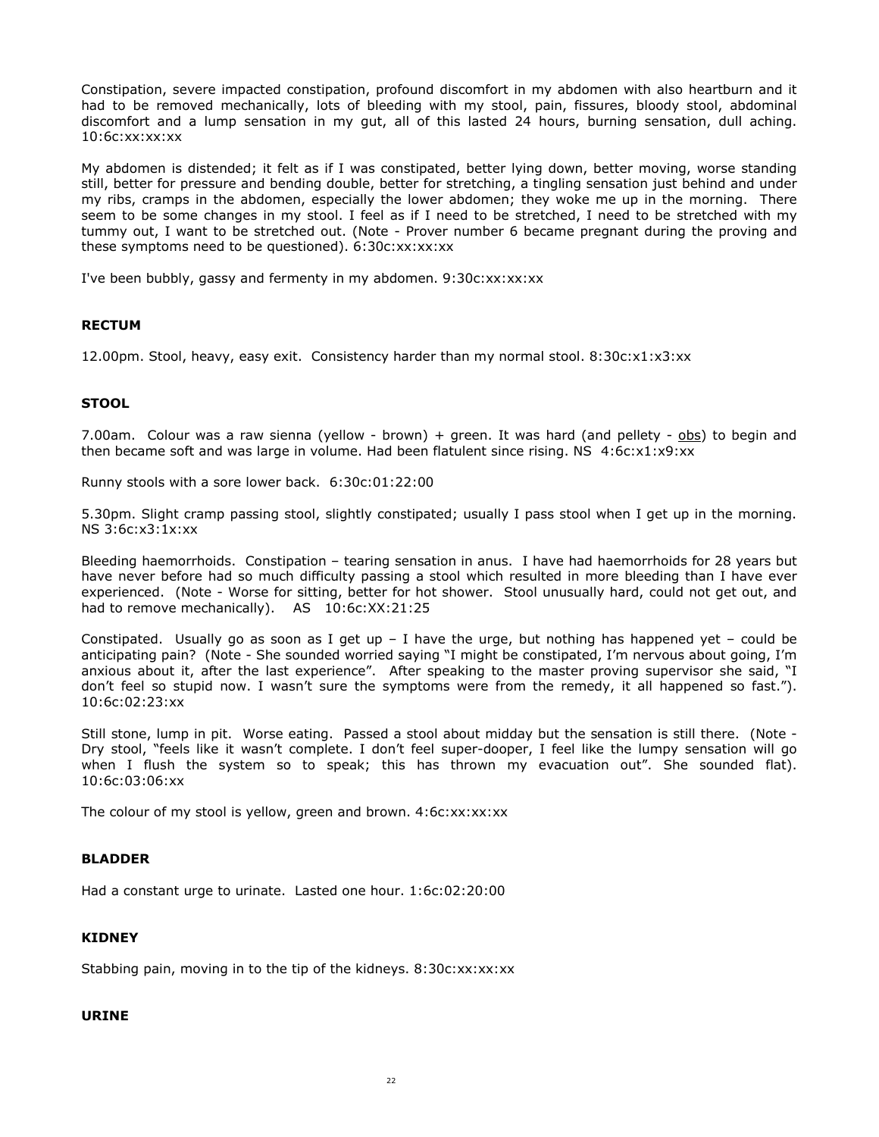Constipation, severe impacted constipation, profound discomfort in my abdomen with also heartburn and it had to be removed mechanically, lots of bleeding with my stool, pain, fissures, bloody stool, abdominal discomfort and a lump sensation in my gut, all of this lasted 24 hours, burning sensation, dull aching. 10:6c:xx:xx:xx

My abdomen is distended; it felt as if I was constipated, better lying down, better moving, worse standing still, better for pressure and bending double, better for stretching, a tingling sensation just behind and under my ribs, cramps in the abdomen, especially the lower abdomen; they woke me up in the morning. There seem to be some changes in my stool. I feel as if I need to be stretched, I need to be stretched with my tummy out, I want to be stretched out. (Note - Prover number 6 became pregnant during the proving and these symptoms need to be questioned). 6:30c:xx:xx:xx

I've been bubbly, gassy and fermenty in my abdomen. 9:30c:xx:xx:xx

### RECTUM

12.00pm. Stool, heavy, easy exit. Consistency harder than my normal stool. 8:30c:x1:x3:xx

## **STOOL**

7.00am. Colour was a raw sienna (yellow - brown) + green. It was hard (and pellety -  $_{\text{obs}}$ ) to begin and then became soft and was large in volume. Had been flatulent since rising. NS 4:6c:x1:x9:xx

Runny stools with a sore lower back. 6:30c:01:22:00

5.30pm. Slight cramp passing stool, slightly constipated; usually I pass stool when I get up in the morning. NS 3:6c:x3:1x:xx

Bleeding haemorrhoids. Constipation – tearing sensation in anus. I have had haemorrhoids for 28 years but have never before had so much difficulty passing a stool which resulted in more bleeding than I have ever experienced. (Note - Worse for sitting, better for hot shower. Stool unusually hard, could not get out, and had to remove mechanically). AS 10:6c:XX:21:25

Constipated. Usually go as soon as I get up  $-$  I have the urge, but nothing has happened yet – could be anticipating pain? (Note - She sounded worried saying "I might be constipated, I'm nervous about going, I'm anxious about it, after the last experience". After speaking to the master proving supervisor she said, "I don't feel so stupid now. I wasn't sure the symptoms were from the remedy, it all happened so fast."). 10:6c:02:23:xx

Still stone, lump in pit. Worse eating. Passed a stool about midday but the sensation is still there. (Note - Dry stool, "feels like it wasn't complete. I don't feel super-dooper, I feel like the lumpy sensation will go when I flush the system so to speak; this has thrown my evacuation out". She sounded flat). 10:6c:03:06:xx

The colour of my stool is yellow, green and brown. 4:6c:xx:xx:xx

### BLADDER

Had a constant urge to urinate. Lasted one hour. 1:6c:02:20:00

### KIDNEY

Stabbing pain, moving in to the tip of the kidneys. 8:30c:xx:xx:xx

#### URINE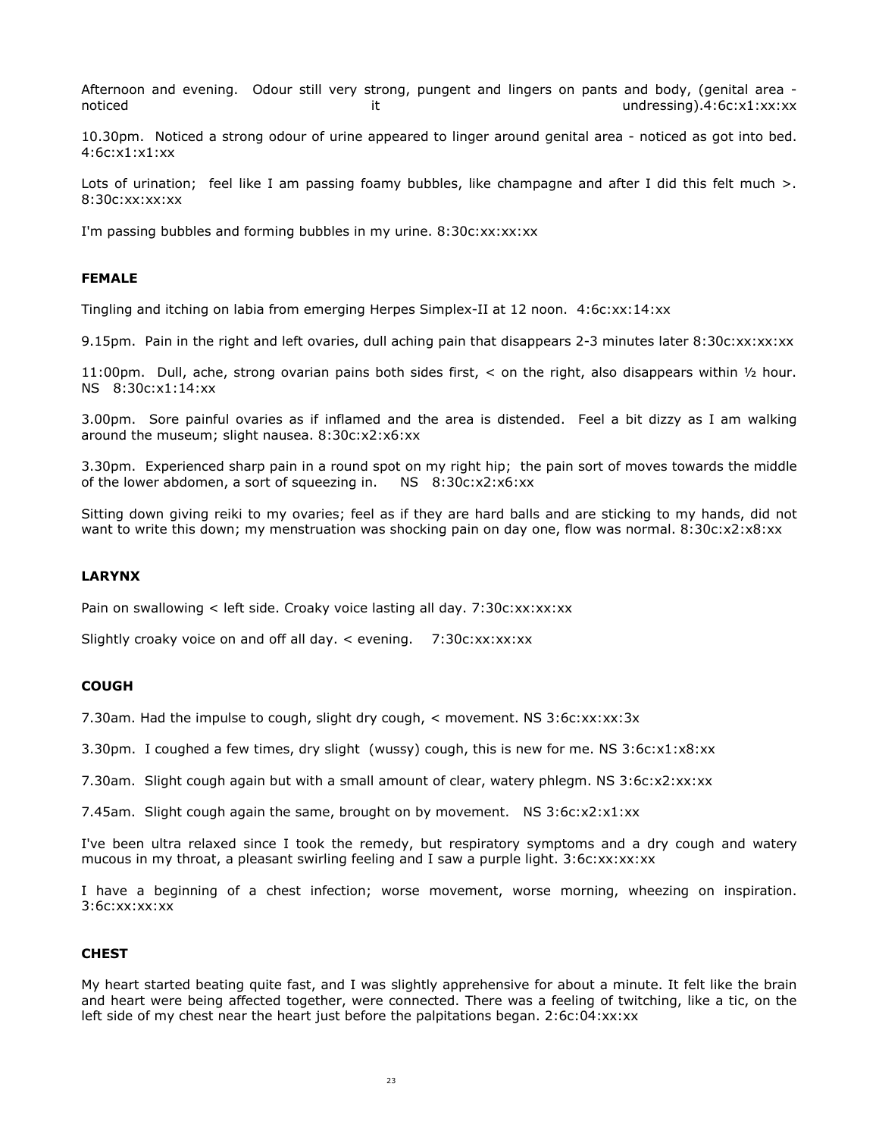Afternoon and evening. Odour still very strong, pungent and lingers on pants and body, (genital area noticed it it undressing).4:6c:x1:xx:xx

10.30pm. Noticed a strong odour of urine appeared to linger around genital area - noticed as got into bed. 4:6c:x1:x1:xx

Lots of urination; feel like I am passing foamy bubbles, like champagne and after I did this felt much >. 8:30c:xx:xx:xx

I'm passing bubbles and forming bubbles in my urine.  $8:30c:xx:xx:xx$ 

### FEMALE

Tingling and itching on labia from emerging Herpes Simplex-II at 12 noon. 4:6c:xx:14:xx

9.15pm. Pain in the right and left ovaries, dull aching pain that disappears 2-3 minutes later 8:30c:xx:xx:xx

11:00pm. Dull, ache, strong ovarian pains both sides first, < on the right, also disappears within ½ hour. NS 8:30c:x1:14:xx

3.00pm. Sore painful ovaries as if inflamed and the area is distended. Feel a bit dizzy as I am walking around the museum; slight nausea. 8:30c:x2:x6:xx

3.30pm. Experienced sharp pain in a round spot on my right hip; the pain sort of moves towards the middle of the lower abdomen, a sort of squeezing in. NS 8:30c:x2:x6:xx

Sitting down giving reiki to my ovaries; feel as if they are hard balls and are sticking to my hands, did not want to write this down; my menstruation was shocking pain on day one, flow was normal. 8:30c:x2:x8:xx

### LARYNX

Pain on swallowing < left side. Croaky voice lasting all day. 7:30c:xx:xx:xx

Slightly croaky voice on and off all day. < evening. 7:30c:xx:xx:xx

#### **COUGH**

7.30am. Had the impulse to cough, slight dry cough, < movement. NS 3:6c:xx:xx:3x

3.30pm. I coughed a few times, dry slight (wussy) cough, this is new for me. NS 3:6c:x1:x8:xx

7.30am. Slight cough again but with a small amount of clear, watery phlegm. NS 3:6c:x2:xx:xx

7.45am. Slight cough again the same, brought on by movement. NS  $3:6c:x2:x1:xx$ 

I've been ultra relaxed since I took the remedy, but respiratory symptoms and a dry cough and watery mucous in my throat, a pleasant swirling feeling and I saw a purple light. 3:6c:xx:xx:xx

I have a beginning of a chest infection; worse movement, worse morning, wheezing on inspiration. 3:6c:xx:xx:xx

#### **CHEST**

My heart started beating quite fast, and I was slightly apprehensive for about a minute. It felt like the brain and heart were being affected together, were connected. There was a feeling of twitching, like a tic, on the left side of my chest near the heart just before the palpitations began.  $2:6c:04:xx:xx$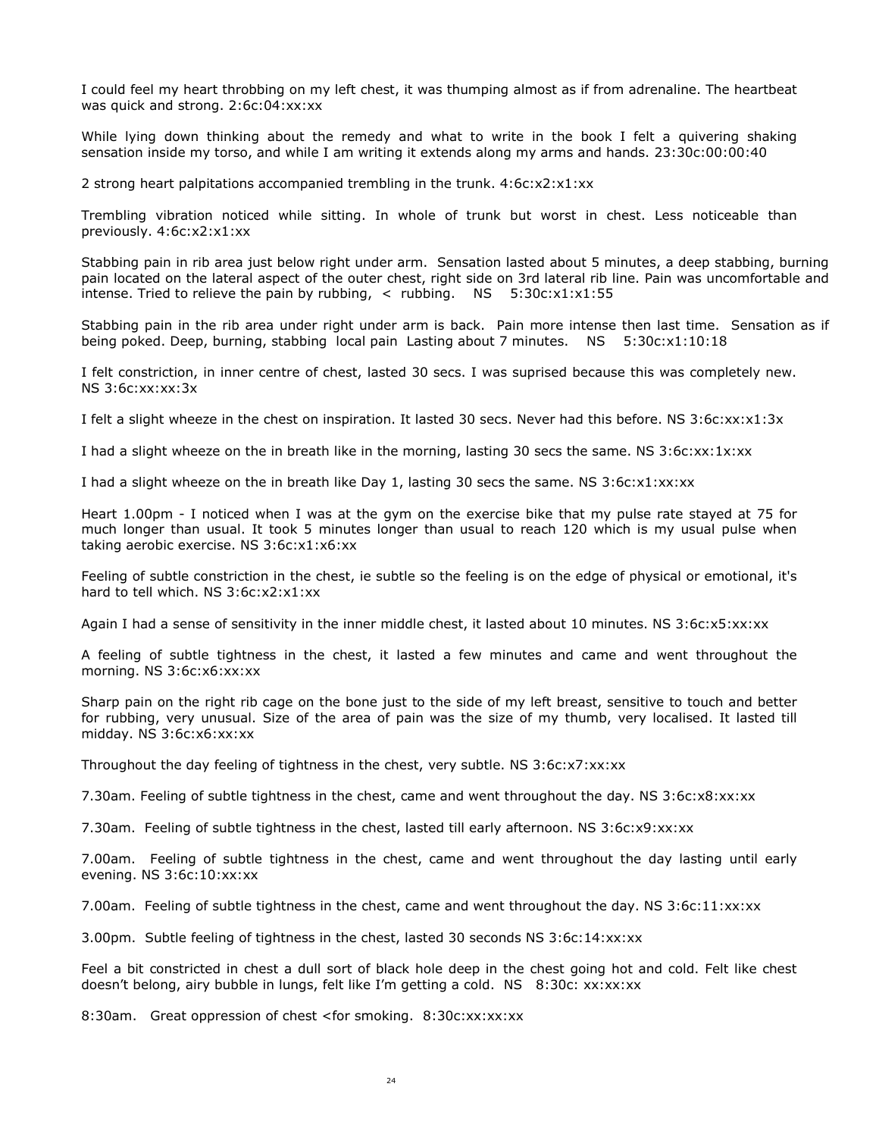I could feel my heart throbbing on my left chest, it was thumping almost as if from adrenaline. The heartbeat was quick and strong. 2:6c:04:xx:xx

While lying down thinking about the remedy and what to write in the book I felt a quivering shaking sensation inside my torso, and while I am writing it extends along my arms and hands. 23:30c:00:00:40

2 strong heart palpitations accompanied trembling in the trunk. 4:6c:x2:x1:xx

Trembling vibration noticed while sitting. In whole of trunk but worst in chest. Less noticeable than previously. 4:6c:x2:x1:xx

Stabbing pain in rib area just below right under arm. Sensation lasted about 5 minutes, a deep stabbing, burning pain located on the lateral aspect of the outer chest, right side on 3rd lateral rib line. Pain was uncomfortable and intense. Tried to relieve the pain by rubbing,  $\lt$  rubbing. NS 5:30c:x1:x1:55

Stabbing pain in the rib area under right under arm is back. Pain more intense then last time. Sensation as if being poked. Deep, burning, stabbing local pain Lasting about 7 minutes. NS 5:30c:x1:10:18

I felt constriction, in inner centre of chest, lasted 30 secs. I was suprised because this was completely new. NS 3:6c:xx:xx:3x

I felt a slight wheeze in the chest on inspiration. It lasted 30 secs. Never had this before. NS 3:6c:xx:x1:3x

I had a slight wheeze on the in breath like in the morning, lasting 30 secs the same. NS 3:6c:xx:1x:xx

I had a slight wheeze on the in breath like Day 1, lasting 30 secs the same. NS 3:6c:x1:xx:xx

Heart 1.00pm - I noticed when I was at the gym on the exercise bike that my pulse rate stayed at 75 for much longer than usual. It took 5 minutes longer than usual to reach 120 which is my usual pulse when taking aerobic exercise. NS 3:6c:x1:x6:xx

Feeling of subtle constriction in the chest, ie subtle so the feeling is on the edge of physical or emotional, it's hard to tell which. NS 3:6c:x2:x1:xx

Again I had a sense of sensitivity in the inner middle chest, it lasted about 10 minutes. NS 3:6c:x5:xx:xx

A feeling of subtle tightness in the chest, it lasted a few minutes and came and went throughout the morning. NS 3:6c:x6:xx:xx

Sharp pain on the right rib cage on the bone just to the side of my left breast, sensitive to touch and better for rubbing, very unusual. Size of the area of pain was the size of my thumb, very localised. It lasted till midday. NS 3:6c:x6:xx:xx

Throughout the day feeling of tightness in the chest, very subtle. NS 3:6c:x7:xx:xx

7.30am. Feeling of subtle tightness in the chest, came and went throughout the day. NS 3:6c:x8:xx:xx

7.30am. Feeling of subtle tightness in the chest, lasted till early afternoon. NS 3:6c:x9:xx:xx

7.00am. Feeling of subtle tightness in the chest, came and went throughout the day lasting until early evening. NS 3:6c:10:xx:xx

7.00am. Feeling of subtle tightness in the chest, came and went throughout the day. NS 3:6c:11:xx:xx

3.00pm. Subtle feeling of tightness in the chest, lasted 30 seconds NS 3:6c:14:xx:xx

Feel a bit constricted in chest a dull sort of black hole deep in the chest going hot and cold. Felt like chest doesn't belong, airy bubble in lungs, felt like I'm getting a cold. NS 8:30c: xx:xx:xx

8:30am. Great oppression of chest <for smoking. 8:30c:xx:xx:xx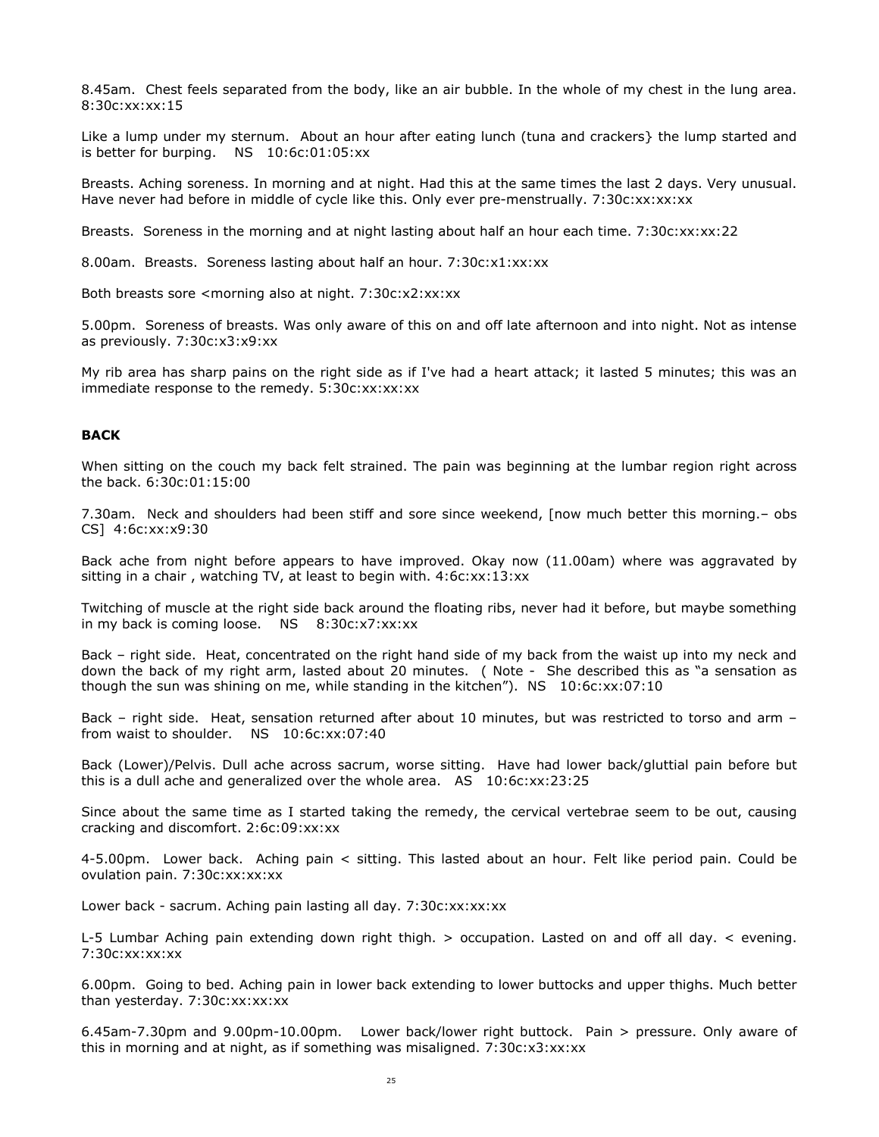8.45am. Chest feels separated from the body, like an air bubble. In the whole of my chest in the lung area. 8:30c:xx:xx:15

Like a lump under my sternum. About an hour after eating lunch (tuna and crackers} the lump started and is better for burping. NS 10:6c:01:05:xx

Breasts. Aching soreness. In morning and at night. Had this at the same times the last 2 days. Very unusual. Have never had before in middle of cycle like this. Only ever pre-menstrually. 7:30c:xx:xx:xx

Breasts. Soreness in the morning and at night lasting about half an hour each time. 7:30c:xx:xx:22

8.00am. Breasts. Soreness lasting about half an hour. 7:30c:x1:xx:xx

Both breasts sore <morning also at night. 7:30c:x2:xx:xx

5.00pm. Soreness of breasts. Was only aware of this on and off late afternoon and into night. Not as intense as previously. 7:30c:x3:x9:xx

My rib area has sharp pains on the right side as if I've had a heart attack; it lasted 5 minutes; this was an immediate response to the remedy. 5:30c:xx:xx:xx

# **BACK**

When sitting on the couch my back felt strained. The pain was beginning at the lumbar region right across the back. 6:30c:01:15:00

7.30am. Neck and shoulders had been stiff and sore since weekend, [now much better this morning.– obs CS] 4:6c:xx:x9:30

Back ache from night before appears to have improved. Okay now (11.00am) where was aggravated by sitting in a chair , watching TV, at least to begin with. 4:6c:xx:13:xx

Twitching of muscle at the right side back around the floating ribs, never had it before, but maybe something in my back is coming loose. NS 8:30c:x7:xx:xx

Back – right side. Heat, concentrated on the right hand side of my back from the waist up into my neck and down the back of my right arm, lasted about 20 minutes. ( Note - She described this as "a sensation as though the sun was shining on me, while standing in the kitchen"). NS 10:6c:xx:07:10

Back – right side. Heat, sensation returned after about 10 minutes, but was restricted to torso and arm – from waist to shoulder. NS 10:6c:xx:07:40

Back (Lower)/Pelvis. Dull ache across sacrum, worse sitting. Have had lower back/gluttial pain before but this is a dull ache and generalized over the whole area. AS 10:6c:xx:23:25

Since about the same time as I started taking the remedy, the cervical vertebrae seem to be out, causing cracking and discomfort. 2:6c:09:xx:xx

4-5.00pm. Lower back. Aching pain < sitting. This lasted about an hour. Felt like period pain. Could be ovulation pain. 7:30c:xx:xx:xx

Lower back - sacrum. Aching pain lasting all day. 7:30c:xx:xx:xx

L-5 Lumbar Aching pain extending down right thigh. > occupation. Lasted on and off all day. < evening. 7:30c:xx:xx:xx

6.00pm. Going to bed. Aching pain in lower back extending to lower buttocks and upper thighs. Much better than yesterday. 7:30c:xx:xx:xx

6.45am-7.30pm and 9.00pm-10.00pm. Lower back/lower right buttock. Pain > pressure. Only aware of this in morning and at night, as if something was misaligned. 7:30c:x3:xx:xx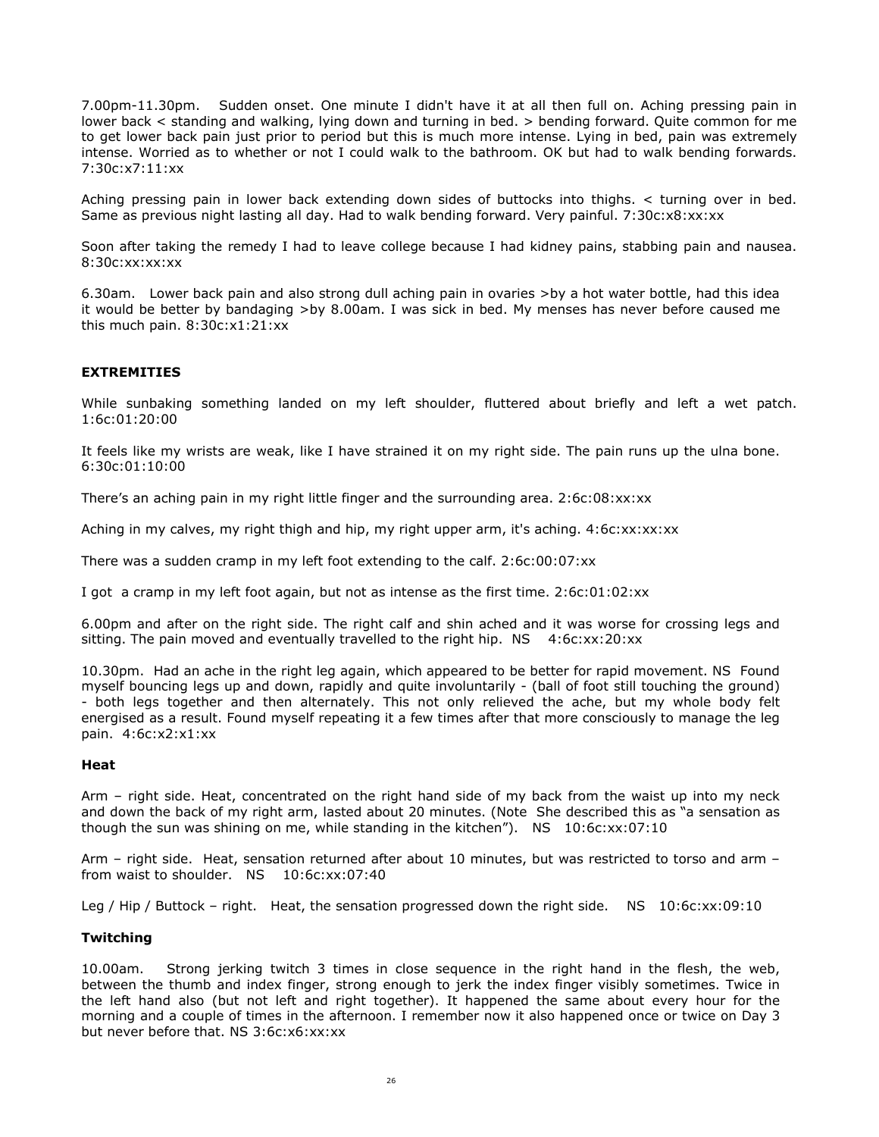7.00pm-11.30pm. Sudden onset. One minute I didn't have it at all then full on. Aching pressing pain in lower back < standing and walking, lying down and turning in bed. > bending forward. Quite common for me to get lower back pain just prior to period but this is much more intense. Lying in bed, pain was extremely intense. Worried as to whether or not I could walk to the bathroom. OK but had to walk bending forwards. 7:30c:x7:11:xx

Aching pressing pain in lower back extending down sides of buttocks into thighs. < turning over in bed. Same as previous night lasting all day. Had to walk bending forward. Very painful. 7:30c:x8:xx:xx

Soon after taking the remedy I had to leave college because I had kidney pains, stabbing pain and nausea. 8:30c:xx:xx:xx

6.30am. Lower back pain and also strong dull aching pain in ovaries >by a hot water bottle, had this idea it would be better by bandaging >by 8.00am. I was sick in bed. My menses has never before caused me this much pain. 8:30c:x1:21:xx

### EXTREMITIES

While sunbaking something landed on my left shoulder, fluttered about briefly and left a wet patch. 1:6c:01:20:00

It feels like my wrists are weak, like I have strained it on my right side. The pain runs up the ulna bone. 6:30c:01:10:00

There's an aching pain in my right little finger and the surrounding area. 2:6c:08:xx:xx

Aching in my calves, my right thigh and hip, my right upper arm, it's aching. 4:6c:xx:xx:xx

There was a sudden cramp in my left foot extending to the calf. 2:6c:00:07:xx

I got a cramp in my left foot again, but not as intense as the first time. 2:6c:01:02:xx

6.00pm and after on the right side. The right calf and shin ached and it was worse for crossing legs and sitting. The pain moved and eventually travelled to the right hip. NS 4:6c:xx:20:xx

10.30pm. Had an ache in the right leg again, which appeared to be better for rapid movement. NS Found myself bouncing legs up and down, rapidly and quite involuntarily - (ball of foot still touching the ground) - both legs together and then alternately. This not only relieved the ache, but my whole body felt energised as a result. Found myself repeating it a few times after that more consciously to manage the leg pain. 4:6c:x2:x1:xx

### **Heat**

Arm – right side. Heat, concentrated on the right hand side of my back from the waist up into my neck and down the back of my right arm, lasted about 20 minutes. (Note She described this as "a sensation as though the sun was shining on me, while standing in the kitchen").  $NS \ 10:6c:xx:07:10$ 

Arm – right side. Heat, sensation returned after about 10 minutes, but was restricted to torso and arm – from waist to shoulder. NS 10:6c:xx:07:40

Leg / Hip / Buttock – right. Heat, the sensation progressed down the right side. NS 10:6c:xx:09:10

### **Twitching**

10.00am. Strong jerking twitch 3 times in close sequence in the right hand in the flesh, the web, between the thumb and index finger, strong enough to jerk the index finger visibly sometimes. Twice in the left hand also (but not left and right together). It happened the same about every hour for the morning and a couple of times in the afternoon. I remember now it also happened once or twice on Day 3 but never before that. NS 3:6c:x6:xx:xx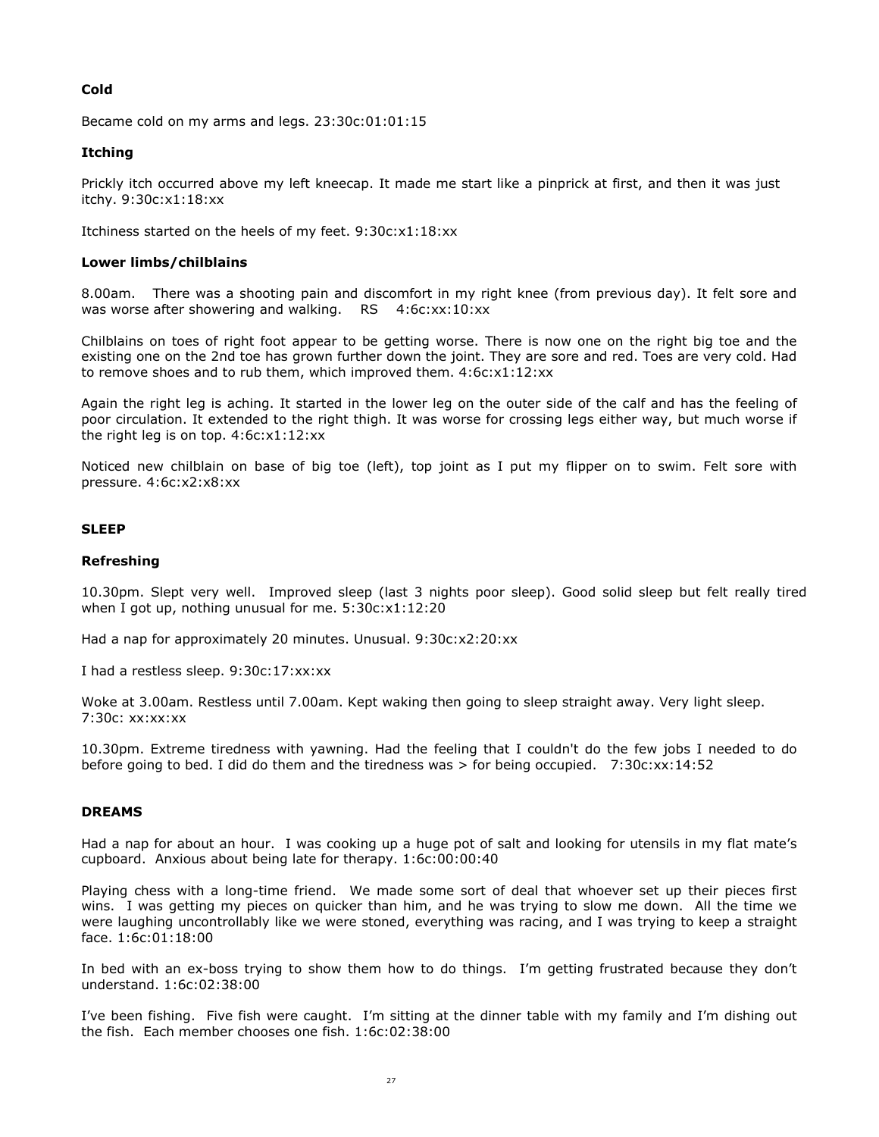### Cold

Became cold on my arms and legs. 23:30c:01:01:15

# **Itching**

Prickly itch occurred above my left kneecap. It made me start like a pinprick at first, and then it was just itchy. 9:30c:x1:18:xx

Itchiness started on the heels of my feet. 9:30c:x1:18:xx

## Lower limbs/chilblains

8.00am. There was a shooting pain and discomfort in my right knee (from previous day). It felt sore and was worse after showering and walking. RS 4:6c:xx:10:xx

Chilblains on toes of right foot appear to be getting worse. There is now one on the right big toe and the existing one on the 2nd toe has grown further down the joint. They are sore and red. Toes are very cold. Had to remove shoes and to rub them, which improved them. 4:6c:x1:12:xx

Again the right leg is aching. It started in the lower leg on the outer side of the calf and has the feeling of poor circulation. It extended to the right thigh. It was worse for crossing legs either way, but much worse if the right leg is on top. 4:6c:x1:12:xx

Noticed new chilblain on base of big toe (left), top joint as I put my flipper on to swim. Felt sore with pressure. 4:6c:x2:x8:xx

### SLEEP

### Refreshing

10.30pm. Slept very well. Improved sleep (last 3 nights poor sleep). Good solid sleep but felt really tired when I got up, nothing unusual for me. 5:30c:x1:12:20

Had a nap for approximately 20 minutes. Unusual. 9:30c:x2:20:xx

I had a restless sleep. 9:30c:17:xx:xx

Woke at 3.00am. Restless until 7.00am. Kept waking then going to sleep straight away. Very light sleep. 7:30c: xx:xx:xx

10.30pm. Extreme tiredness with yawning. Had the feeling that I couldn't do the few jobs I needed to do before going to bed. I did do them and the tiredness was > for being occupied. 7:30c:xx:14:52

## DREAMS

Had a nap for about an hour. I was cooking up a huge pot of salt and looking for utensils in my flat mate's cupboard. Anxious about being late for therapy. 1:6c:00:00:40

Playing chess with a long-time friend. We made some sort of deal that whoever set up their pieces first wins. I was getting my pieces on quicker than him, and he was trying to slow me down. All the time we were laughing uncontrollably like we were stoned, everything was racing, and I was trying to keep a straight face. 1:6c:01:18:00

In bed with an ex-boss trying to show them how to do things. I'm getting frustrated because they don't understand. 1:6c:02:38:00

I've been fishing. Five fish were caught. I'm sitting at the dinner table with my family and I'm dishing out the fish. Each member chooses one fish. 1:6c:02:38:00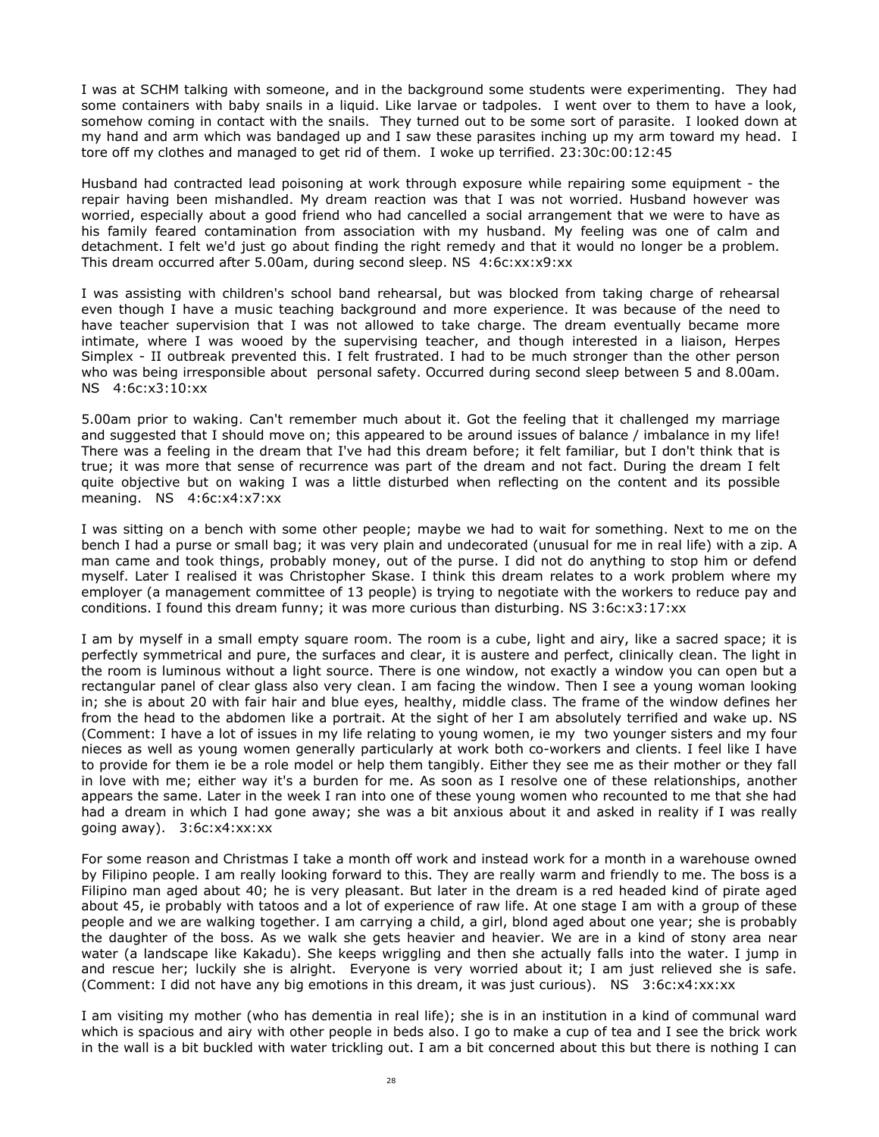I was at SCHM talking with someone, and in the background some students were experimenting. They had some containers with baby snails in a liquid. Like larvae or tadpoles. I went over to them to have a look, somehow coming in contact with the snails. They turned out to be some sort of parasite. I looked down at my hand and arm which was bandaged up and I saw these parasites inching up my arm toward my head. I tore off my clothes and managed to get rid of them. I woke up terrified. 23:30c:00:12:45

Husband had contracted lead poisoning at work through exposure while repairing some equipment - the repair having been mishandled. My dream reaction was that I was not worried. Husband however was worried, especially about a good friend who had cancelled a social arrangement that we were to have as his family feared contamination from association with my husband. My feeling was one of calm and detachment. I felt we'd just go about finding the right remedy and that it would no longer be a problem. This dream occurred after 5.00am, during second sleep. NS 4:6c:xx:x9:xx

I was assisting with children's school band rehearsal, but was blocked from taking charge of rehearsal even though I have a music teaching background and more experience. It was because of the need to have teacher supervision that I was not allowed to take charge. The dream eventually became more intimate, where I was wooed by the supervising teacher, and though interested in a liaison, Herpes Simplex - II outbreak prevented this. I felt frustrated. I had to be much stronger than the other person who was being irresponsible about personal safety. Occurred during second sleep between 5 and 8.00am. NS 4:6c:x3:10:xx

5.00am prior to waking. Can't remember much about it. Got the feeling that it challenged my marriage and suggested that I should move on; this appeared to be around issues of balance / imbalance in my life! There was a feeling in the dream that I've had this dream before; it felt familiar, but I don't think that is true; it was more that sense of recurrence was part of the dream and not fact. During the dream I felt quite objective but on waking I was a little disturbed when reflecting on the content and its possible meaning. NS 4:6c:x4:x7:xx

I was sitting on a bench with some other people; maybe we had to wait for something. Next to me on the bench I had a purse or small bag; it was very plain and undecorated (unusual for me in real life) with a zip. A man came and took things, probably money, out of the purse. I did not do anything to stop him or defend myself. Later I realised it was Christopher Skase. I think this dream relates to a work problem where my employer (a management committee of 13 people) is trying to negotiate with the workers to reduce pay and conditions. I found this dream funny; it was more curious than disturbing. NS 3:6c:x3:17:xx

I am by myself in a small empty square room. The room is a cube, light and airy, like a sacred space; it is perfectly symmetrical and pure, the surfaces and clear, it is austere and perfect, clinically clean. The light in the room is luminous without a light source. There is one window, not exactly a window you can open but a rectangular panel of clear glass also very clean. I am facing the window. Then I see a young woman looking in; she is about 20 with fair hair and blue eyes, healthy, middle class. The frame of the window defines her from the head to the abdomen like a portrait. At the sight of her I am absolutely terrified and wake up. NS (Comment: I have a lot of issues in my life relating to young women, ie my two younger sisters and my four nieces as well as young women generally particularly at work both co-workers and clients. I feel like I have to provide for them ie be a role model or help them tangibly. Either they see me as their mother or they fall in love with me; either way it's a burden for me. As soon as I resolve one of these relationships, another appears the same. Later in the week I ran into one of these young women who recounted to me that she had had a dream in which I had gone away; she was a bit anxious about it and asked in reality if I was really going away). 3:6c:x4:xx:xx

For some reason and Christmas I take a month off work and instead work for a month in a warehouse owned by Filipino people. I am really looking forward to this. They are really warm and friendly to me. The boss is a Filipino man aged about 40; he is very pleasant. But later in the dream is a red headed kind of pirate aged about 45, ie probably with tatoos and a lot of experience of raw life. At one stage I am with a group of these people and we are walking together. I am carrying a child, a girl, blond aged about one year; she is probably the daughter of the boss. As we walk she gets heavier and heavier. We are in a kind of stony area near water (a landscape like Kakadu). She keeps wriggling and then she actually falls into the water. I jump in and rescue her; luckily she is alright. Everyone is very worried about it; I am just relieved she is safe. (Comment: I did not have any big emotions in this dream, it was just curious). NS 3:6c:x4:xx:xx

I am visiting my mother (who has dementia in real life); she is in an institution in a kind of communal ward which is spacious and airy with other people in beds also. I go to make a cup of tea and I see the brick work in the wall is a bit buckled with water trickling out. I am a bit concerned about this but there is nothing I can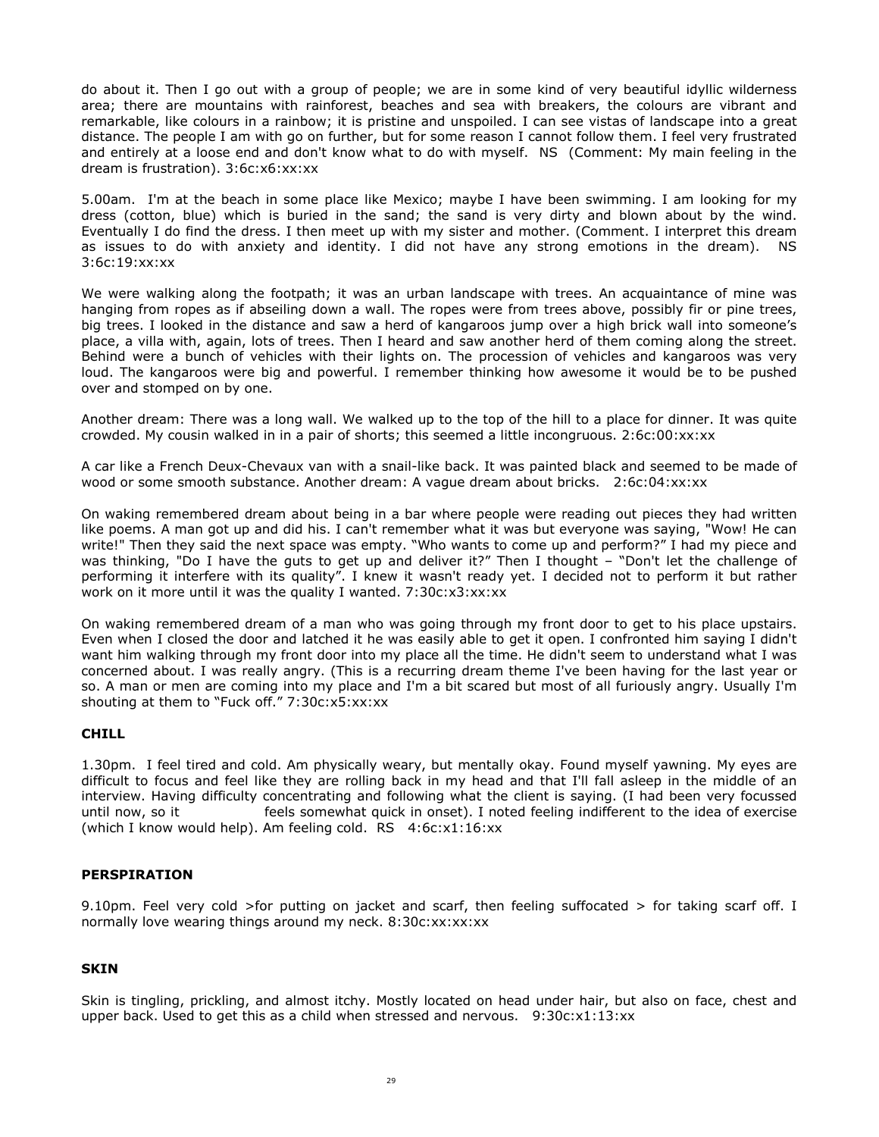do about it. Then I go out with a group of people; we are in some kind of very beautiful idyllic wilderness area; there are mountains with rainforest, beaches and sea with breakers, the colours are vibrant and remarkable, like colours in a rainbow; it is pristine and unspoiled. I can see vistas of landscape into a great distance. The people I am with go on further, but for some reason I cannot follow them. I feel very frustrated and entirely at a loose end and don't know what to do with myself. NS (Comment: My main feeling in the dream is frustration). 3:6c:x6:xx:xx

5.00am. I'm at the beach in some place like Mexico; maybe I have been swimming. I am looking for my dress (cotton, blue) which is buried in the sand; the sand is very dirty and blown about by the wind. Eventually I do find the dress. I then meet up with my sister and mother. (Comment. I interpret this dream as issues to do with anxiety and identity. I did not have any strong emotions in the dream). NS 3:6c:19:xx:xx

We were walking along the footpath; it was an urban landscape with trees. An acquaintance of mine was hanging from ropes as if abseiling down a wall. The ropes were from trees above, possibly fir or pine trees, big trees. I looked in the distance and saw a herd of kangaroos jump over a high brick wall into someone's place, a villa with, again, lots of trees. Then I heard and saw another herd of them coming along the street. Behind were a bunch of vehicles with their lights on. The procession of vehicles and kangaroos was very loud. The kangaroos were big and powerful. I remember thinking how awesome it would be to be pushed over and stomped on by one.

Another dream: There was a long wall. We walked up to the top of the hill to a place for dinner. It was quite crowded. My cousin walked in in a pair of shorts; this seemed a little incongruous. 2:6c:00:xx:xx

A car like a French Deux-Chevaux van with a snail-like back. It was painted black and seemed to be made of wood or some smooth substance. Another dream: A vague dream about bricks. 2:6c:04:xx:xx

On waking remembered dream about being in a bar where people were reading out pieces they had written like poems. A man got up and did his. I can't remember what it was but everyone was saying, "Wow! He can write!" Then they said the next space was empty. "Who wants to come up and perform?" I had my piece and was thinking, "Do I have the guts to get up and deliver it?" Then I thought - "Don't let the challenge of performing it interfere with its quality". I knew it wasn't ready yet. I decided not to perform it but rather work on it more until it was the quality I wanted. 7:30c:x3:xx:xx

On waking remembered dream of a man who was going through my front door to get to his place upstairs. Even when I closed the door and latched it he was easily able to get it open. I confronted him saying I didn't want him walking through my front door into my place all the time. He didn't seem to understand what I was concerned about. I was really angry. (This is a recurring dream theme I've been having for the last year or so. A man or men are coming into my place and I'm a bit scared but most of all furiously angry. Usually I'm shouting at them to "Fuck off." 7:30c:x5:xx:xx

## CHILL

1.30pm. I feel tired and cold. Am physically weary, but mentally okay. Found myself yawning. My eyes are difficult to focus and feel like they are rolling back in my head and that I'll fall asleep in the middle of an interview. Having difficulty concentrating and following what the client is saying. (I had been very focussed until now, so it feels somewhat quick in onset). I noted feeling indifferent to the idea of exercise (which I know would help). Am feeling cold. RS 4:6c:x1:16:xx

### PERSPIRATION

9.10pm. Feel very cold >for putting on jacket and scarf, then feeling suffocated > for taking scarf off. I normally love wearing things around my neck. 8:30c:xx:xx:xx

### **SKIN**

Skin is tingling, prickling, and almost itchy. Mostly located on head under hair, but also on face, chest and upper back. Used to get this as a child when stressed and nervous. 9:30c:x1:13:xx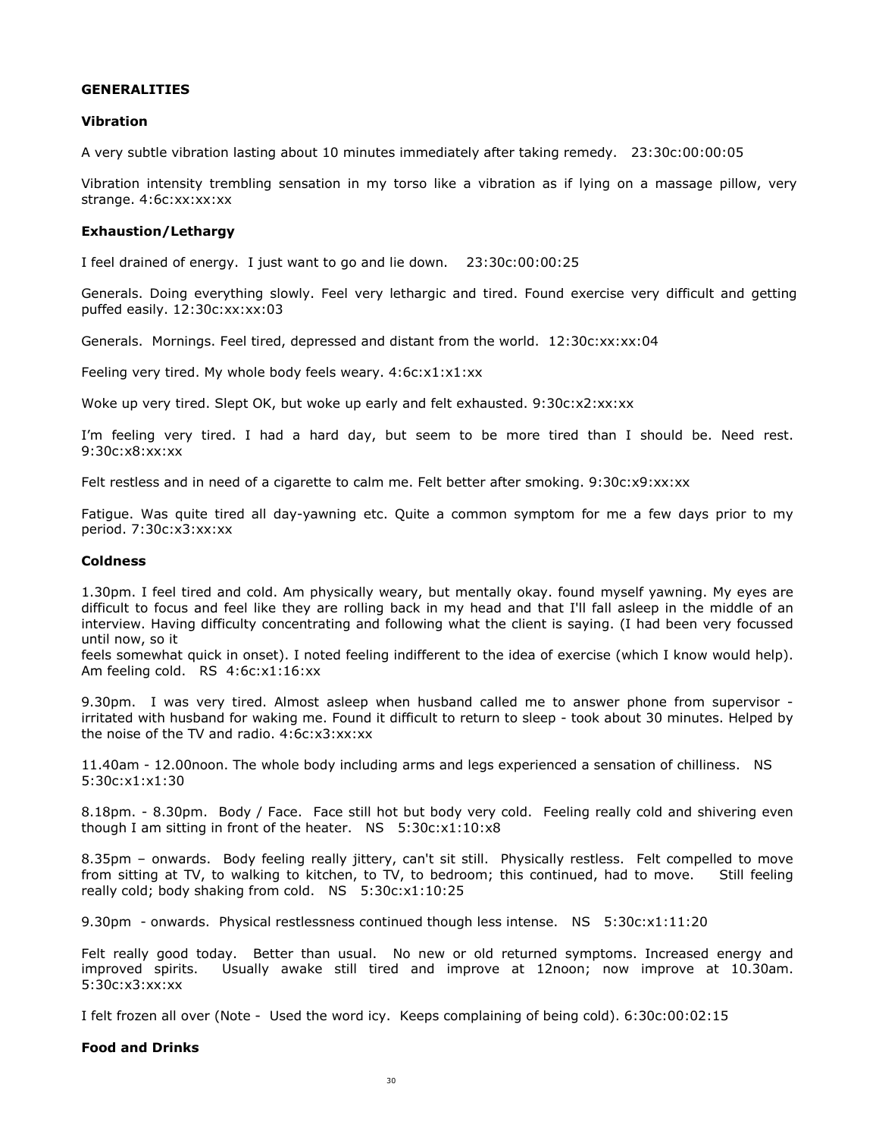### GENERALITIES

#### Vibration

A very subtle vibration lasting about 10 minutes immediately after taking remedy. 23:30c:00:00:05

Vibration intensity trembling sensation in my torso like a vibration as if lying on a massage pillow, very strange. 4:6c:xx:xx:xx

#### Exhaustion/Lethargy

I feel drained of energy. I just want to go and lie down. 23:30c:00:00:25

Generals. Doing everything slowly. Feel very lethargic and tired. Found exercise very difficult and getting puffed easily. 12:30c:xx:xx:03

Generals. Mornings. Feel tired, depressed and distant from the world. 12:30c:xx:xx:04

Feeling very tired. My whole body feels weary. 4:6c:x1:x1:xx

Woke up very tired. Slept OK, but woke up early and felt exhausted. 9:30c:x2:xx:xx

I'm feeling very tired. I had a hard day, but seem to be more tired than I should be. Need rest. 9:30c:x8:xx:xx

Felt restless and in need of a cigarette to calm me. Felt better after smoking. 9:30c:x9:xx:xx

Fatigue. Was quite tired all day-yawning etc. Quite a common symptom for me a few days prior to my period. 7:30c:x3:xx:xx

### Coldness

1.30pm. I feel tired and cold. Am physically weary, but mentally okay. found myself yawning. My eyes are difficult to focus and feel like they are rolling back in my head and that I'll fall asleep in the middle of an interview. Having difficulty concentrating and following what the client is saying. (I had been very focussed until now, so it

feels somewhat quick in onset). I noted feeling indifferent to the idea of exercise (which I know would help). Am feeling cold. RS 4:6c:x1:16:xx

9.30pm. I was very tired. Almost asleep when husband called me to answer phone from supervisor irritated with husband for waking me. Found it difficult to return to sleep - took about 30 minutes. Helped by the noise of the TV and radio. 4:6c:x3:xx:xx

11.40am - 12.00noon. The whole body including arms and legs experienced a sensation of chilliness. NS 5:30c:x1:x1:30

8.18pm. - 8.30pm. Body / Face. Face still hot but body very cold. Feeling really cold and shivering even though I am sitting in front of the heater. NS 5:30c:x1:10:x8

8.35pm – onwards. Body feeling really jittery, can't sit still. Physically restless. Felt compelled to move from sitting at TV, to walking to kitchen, to TV, to bedroom; this continued, had to move. Still feeling really cold; body shaking from cold. NS 5:30c:x1:10:25

9.30pm - onwards. Physical restlessness continued though less intense. NS 5:30c:x1:11:20

Felt really good today. Better than usual. No new or old returned symptoms. Increased energy and improved spirits. Usually awake still tired and improve at 12noon; now improve at 10.30am. 5:30c:x3:xx:xx

I felt frozen all over (Note - Used the word icy. Keeps complaining of being cold). 6:30c:00:02:15

#### Food and Drinks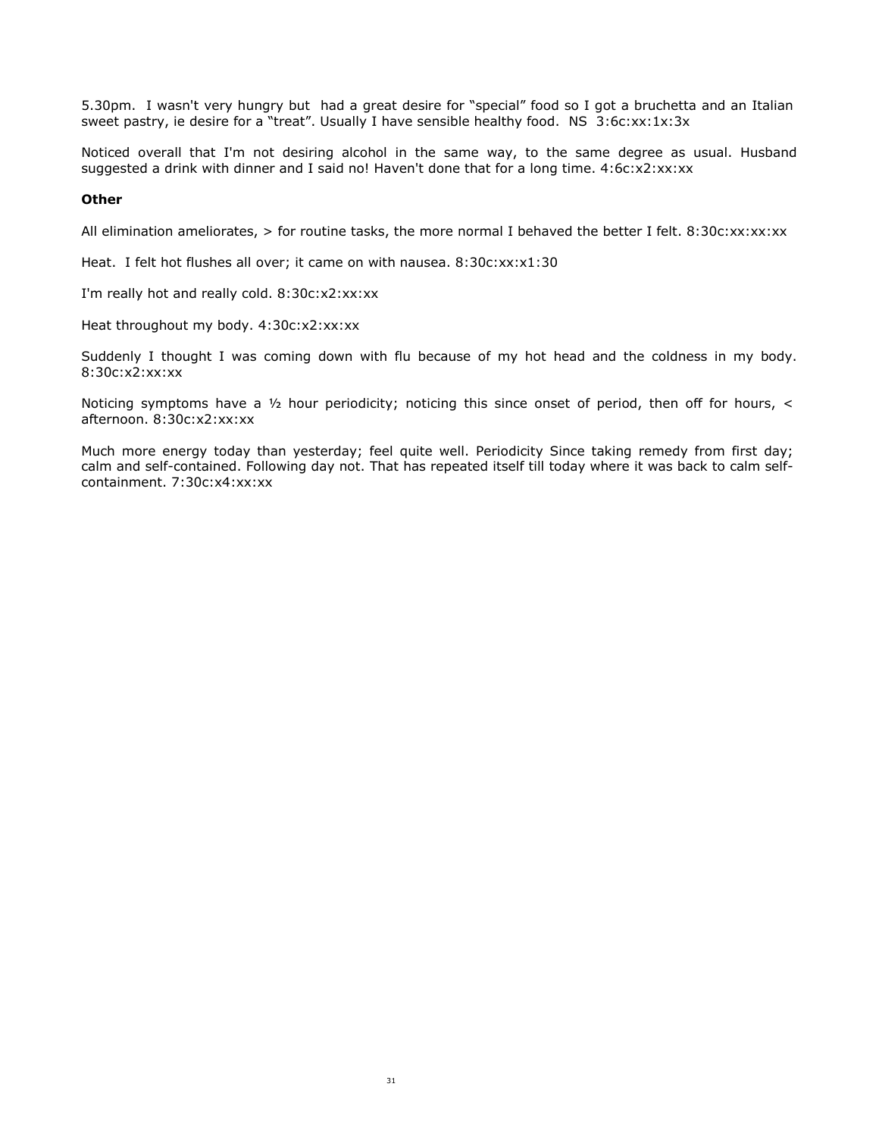5.30pm. I wasn't very hungry but had a great desire for "special" food so I got a bruchetta and an Italian sweet pastry, ie desire for a "treat". Usually I have sensible healthy food. NS 3:6c:xx:1x:3x

Noticed overall that I'm not desiring alcohol in the same way, to the same degree as usual. Husband suggested a drink with dinner and I said no! Haven't done that for a long time. 4:6c:x2:xx:xx

#### **Other**

All elimination ameliorates,  $>$  for routine tasks, the more normal I behaved the better I felt. 8:30c:xx:xx:xx

Heat. I felt hot flushes all over; it came on with nausea. 8:30c:xx:x1:30

I'm really hot and really cold. 8:30c:x2:xx:xx

Heat throughout my body. 4:30c:x2:xx:xx

Suddenly I thought I was coming down with flu because of my hot head and the coldness in my body. 8:30c:x2:xx:xx

Noticing symptoms have a 1/2 hour periodicity; noticing this since onset of period, then off for hours, < afternoon. 8:30c:x2:xx:xx

Much more energy today than yesterday; feel quite well. Periodicity Since taking remedy from first day; calm and self-contained. Following day not. That has repeated itself till today where it was back to calm selfcontainment. 7:30c:x4:xx:xx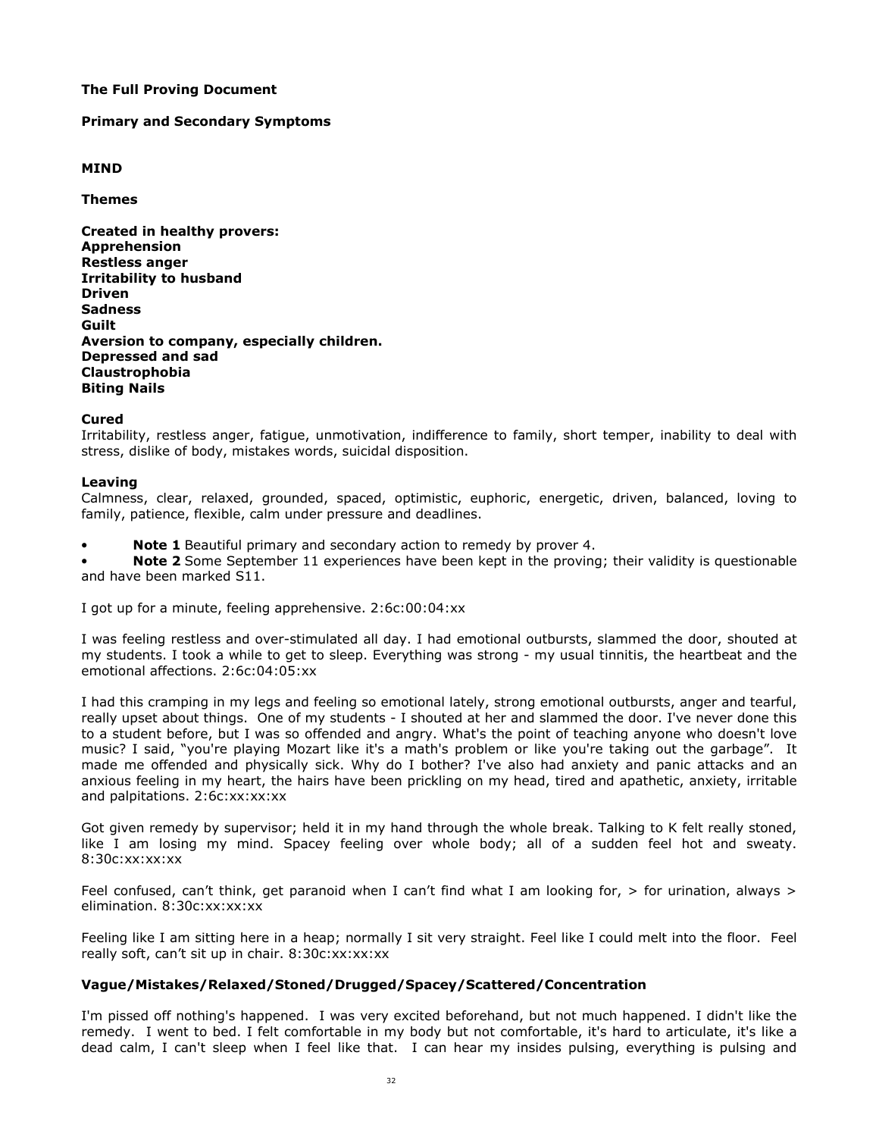### The Full Proving Document

### Primary and Secondary Symptoms

MIND

Themes

Created in healthy provers: Apprehension Restless anger Irritability to husband Driven Sadness Guilt Aversion to company, especially children. Depressed and sad Claustrophobia Biting Nails

### Cured

Irritability, restless anger, fatigue, unmotivation, indifference to family, short temper, inability to deal with stress, dislike of body, mistakes words, suicidal disposition.

### Leaving

Calmness, clear, relaxed, grounded, spaced, optimistic, euphoric, energetic, driven, balanced, loving to family, patience, flexible, calm under pressure and deadlines.

**Note 1** Beautiful primary and secondary action to remedy by prover 4.

Note 2 Some September 11 experiences have been kept in the proving; their validity is questionable and have been marked S11.

I got up for a minute, feeling apprehensive. 2:6c:00:04:xx

I was feeling restless and over-stimulated all day. I had emotional outbursts, slammed the door, shouted at my students. I took a while to get to sleep. Everything was strong - my usual tinnitis, the heartbeat and the emotional affections. 2:6c:04:05:xx

I had this cramping in my legs and feeling so emotional lately, strong emotional outbursts, anger and tearful, really upset about things. One of my students - I shouted at her and slammed the door. I've never done this to a student before, but I was so offended and angry. What's the point of teaching anyone who doesn't love music? I said, "you're playing Mozart like it's a math's problem or like you're taking out the garbage". It made me offended and physically sick. Why do I bother? I've also had anxiety and panic attacks and an anxious feeling in my heart, the hairs have been prickling on my head, tired and apathetic, anxiety, irritable and palpitations. 2:6c:xx:xx:xx

Got given remedy by supervisor; held it in my hand through the whole break. Talking to K felt really stoned, like I am losing my mind. Spacey feeling over whole body; all of a sudden feel hot and sweaty. 8:30c:xx:xx:xx

Feel confused, can't think, get paranoid when I can't find what I am looking for, > for urination, always > elimination. 8:30c:xx:xx:xx

Feeling like I am sitting here in a heap; normally I sit very straight. Feel like I could melt into the floor. Feel really soft, can't sit up in chair. 8:30c:xx:xx:xx

### Vague/Mistakes/Relaxed/Stoned/Drugged/Spacey/Scattered/Concentration

I'm pissed off nothing's happened. I was very excited beforehand, but not much happened. I didn't like the remedy. I went to bed. I felt comfortable in my body but not comfortable, it's hard to articulate, it's like a dead calm, I can't sleep when I feel like that. I can hear my insides pulsing, everything is pulsing and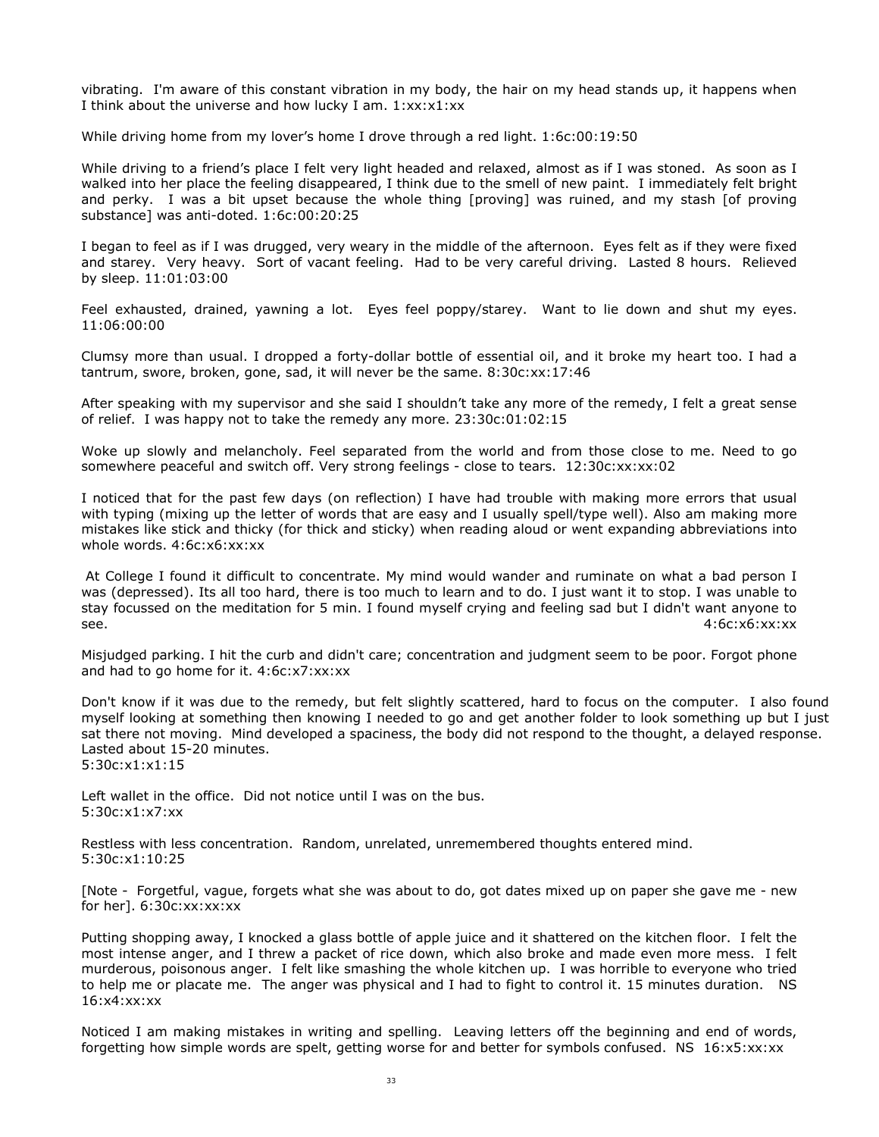vibrating. I'm aware of this constant vibration in my body, the hair on my head stands up, it happens when I think about the universe and how lucky I am. 1:xx:x1:xx

While driving home from my lover's home I drove through a red light. 1:6c:00:19:50

While driving to a friend's place I felt very light headed and relaxed, almost as if I was stoned. As soon as I walked into her place the feeling disappeared, I think due to the smell of new paint. I immediately felt bright and perky. I was a bit upset because the whole thing [proving] was ruined, and my stash [of proving substance] was anti-doted. 1:6c:00:20:25

I began to feel as if I was drugged, very weary in the middle of the afternoon. Eyes felt as if they were fixed and starey. Very heavy. Sort of vacant feeling. Had to be very careful driving. Lasted 8 hours. Relieved by sleep. 11:01:03:00

Feel exhausted, drained, yawning a lot. Eyes feel poppy/starey. Want to lie down and shut my eyes. 11:06:00:00

Clumsy more than usual. I dropped a forty-dollar bottle of essential oil, and it broke my heart too. I had a tantrum, swore, broken, gone, sad, it will never be the same. 8:30c:xx:17:46

After speaking with my supervisor and she said I shouldn't take any more of the remedy, I felt a great sense of relief. I was happy not to take the remedy any more. 23:30c:01:02:15

Woke up slowly and melancholy. Feel separated from the world and from those close to me. Need to go somewhere peaceful and switch off. Very strong feelings - close to tears. 12:30c:xx:xx:02

I noticed that for the past few days (on reflection) I have had trouble with making more errors that usual with typing (mixing up the letter of words that are easy and I usually spell/type well). Also am making more mistakes like stick and thicky (for thick and sticky) when reading aloud or went expanding abbreviations into whole words. 4:6c:x6:xx:xx

 At College I found it difficult to concentrate. My mind would wander and ruminate on what a bad person I was (depressed). Its all too hard, there is too much to learn and to do. I just want it to stop. I was unable to stay focussed on the meditation for 5 min. I found myself crying and feeling sad but I didn't want anyone to see. 4:6c:x6:xx:xx

Misjudged parking. I hit the curb and didn't care; concentration and judgment seem to be poor. Forgot phone and had to go home for it. 4:6c:x7:xx:xx

Don't know if it was due to the remedy, but felt slightly scattered, hard to focus on the computer. I also found myself looking at something then knowing I needed to go and get another folder to look something up but I just sat there not moving. Mind developed a spaciness, the body did not respond to the thought, a delayed response. Lasted about 15-20 minutes.

5:30c:x1:x1:15

Left wallet in the office. Did not notice until I was on the bus. 5:30c:x1:x7:xx

Restless with less concentration. Random, unrelated, unremembered thoughts entered mind. 5:30c:x1:10:25

[Note - Forgetful, vague, forgets what she was about to do, got dates mixed up on paper she gave me - new for her]. 6:30c:xx:xx:xx

Putting shopping away, I knocked a glass bottle of apple juice and it shattered on the kitchen floor. I felt the most intense anger, and I threw a packet of rice down, which also broke and made even more mess. I felt murderous, poisonous anger. I felt like smashing the whole kitchen up. I was horrible to everyone who tried to help me or placate me. The anger was physical and I had to fight to control it. 15 minutes duration. NS 16:x4:xx:xx

Noticed I am making mistakes in writing and spelling. Leaving letters off the beginning and end of words, forgetting how simple words are spelt, getting worse for and better for symbols confused. NS 16:x5:xx:xx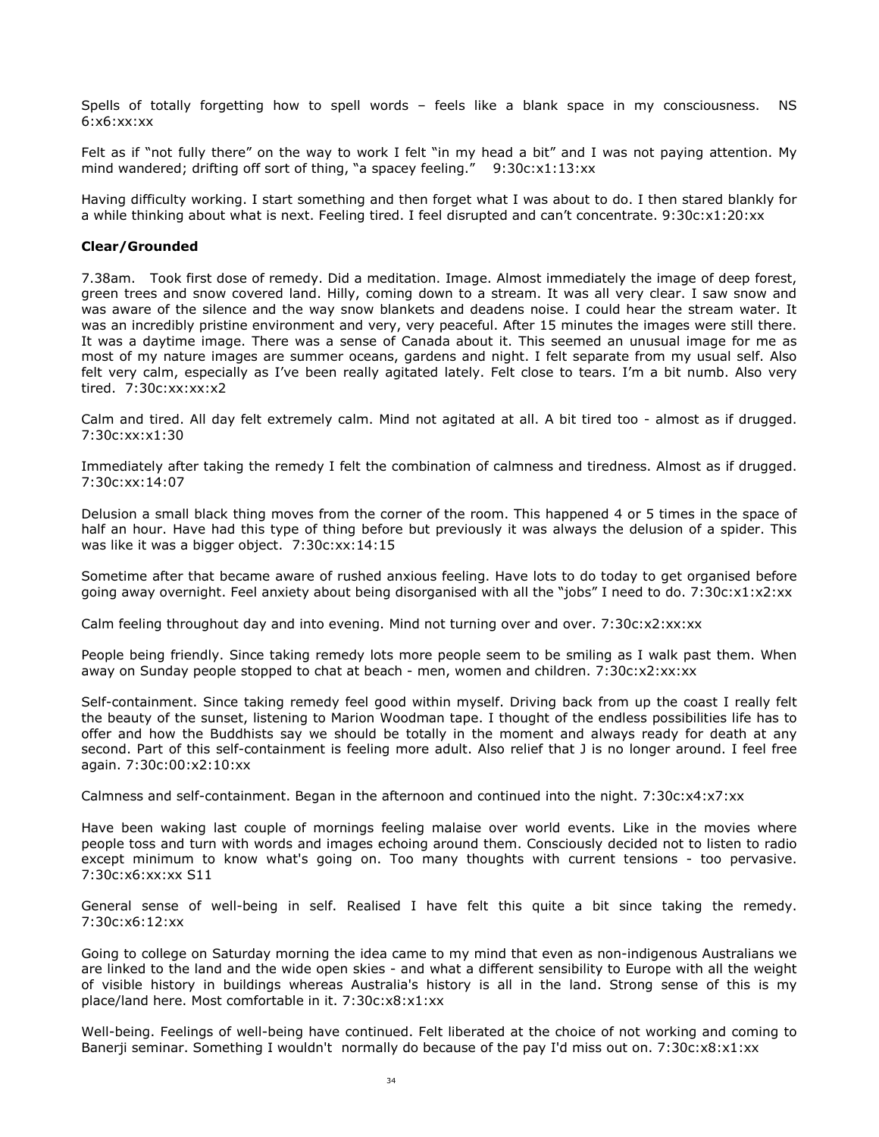Spells of totally forgetting how to spell words – feels like a blank space in my consciousness. NS 6:x6:xx:xx

Felt as if "not fully there" on the way to work I felt "in my head a bit" and I was not paying attention. My mind wandered; drifting off sort of thing, "a spacey feeling." 9:30c:x1:13:xx

Having difficulty working. I start something and then forget what I was about to do. I then stared blankly for a while thinking about what is next. Feeling tired. I feel disrupted and can't concentrate. 9:30c:x1:20:xx

### Clear/Grounded

7.38am. Took first dose of remedy. Did a meditation. Image. Almost immediately the image of deep forest, green trees and snow covered land. Hilly, coming down to a stream. It was all very clear. I saw snow and was aware of the silence and the way snow blankets and deadens noise. I could hear the stream water. It was an incredibly pristine environment and very, very peaceful. After 15 minutes the images were still there. It was a daytime image. There was a sense of Canada about it. This seemed an unusual image for me as most of my nature images are summer oceans, gardens and night. I felt separate from my usual self. Also felt very calm, especially as I've been really agitated lately. Felt close to tears. I'm a bit numb. Also very tired. 7:30c:xx:xx:x2

Calm and tired. All day felt extremely calm. Mind not agitated at all. A bit tired too - almost as if drugged. 7:30c:xx:x1:30

Immediately after taking the remedy I felt the combination of calmness and tiredness. Almost as if drugged. 7:30c:xx:14:07

Delusion a small black thing moves from the corner of the room. This happened 4 or 5 times in the space of half an hour. Have had this type of thing before but previously it was always the delusion of a spider. This was like it was a bigger object. 7:30c:xx:14:15

Sometime after that became aware of rushed anxious feeling. Have lots to do today to get organised before going away overnight. Feel anxiety about being disorganised with all the "jobs" I need to do. 7:30c:x1:x2:xx

Calm feeling throughout day and into evening. Mind not turning over and over. 7:30c:x2:xx:xx

People being friendly. Since taking remedy lots more people seem to be smiling as I walk past them. When away on Sunday people stopped to chat at beach - men, women and children. 7:30c:x2:xx:xx

Self-containment. Since taking remedy feel good within myself. Driving back from up the coast I really felt the beauty of the sunset, listening to Marion Woodman tape. I thought of the endless possibilities life has to offer and how the Buddhists say we should be totally in the moment and always ready for death at any second. Part of this self-containment is feeling more adult. Also relief that J is no longer around. I feel free again. 7:30c:00:x2:10:xx

Calmness and self-containment. Began in the afternoon and continued into the night. 7:30c:x4:x7:xx

Have been waking last couple of mornings feeling malaise over world events. Like in the movies where people toss and turn with words and images echoing around them. Consciously decided not to listen to radio except minimum to know what's going on. Too many thoughts with current tensions - too pervasive. 7:30c:x6:xx:xx S11

General sense of well-being in self. Realised I have felt this quite a bit since taking the remedy. 7:30c:x6:12:xx

Going to college on Saturday morning the idea came to my mind that even as non-indigenous Australians we are linked to the land and the wide open skies - and what a different sensibility to Europe with all the weight of visible history in buildings whereas Australia's history is all in the land. Strong sense of this is my place/land here. Most comfortable in it. 7:30c:x8:x1:xx

Well-being. Feelings of well-being have continued. Felt liberated at the choice of not working and coming to Banerji seminar. Something I wouldn't normally do because of the pay I'd miss out on. 7:30c:x8:x1:xx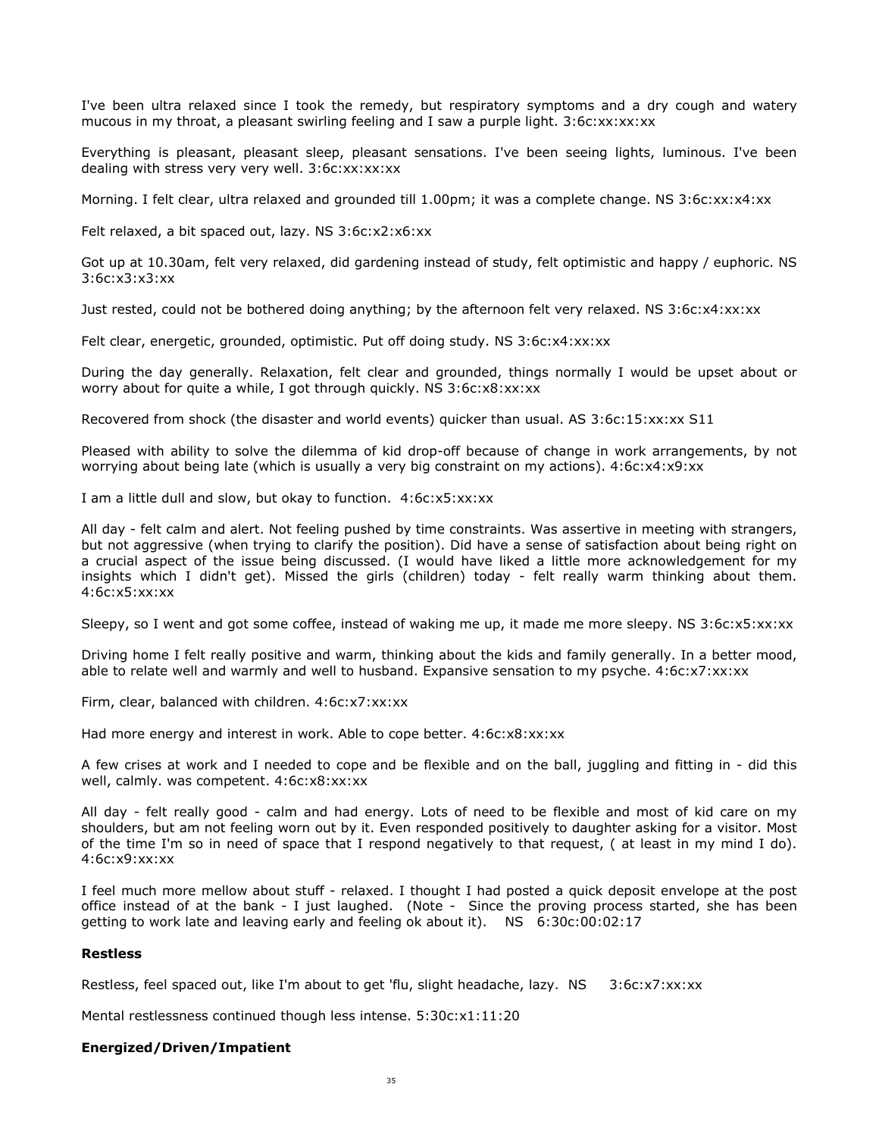I've been ultra relaxed since I took the remedy, but respiratory symptoms and a dry cough and watery mucous in my throat, a pleasant swirling feeling and I saw a purple light.  $3:6c:xx:xx:xx$ 

Everything is pleasant, pleasant sleep, pleasant sensations. I've been seeing lights, luminous. I've been dealing with stress very very well. 3:6c:xx:xx:xx

Morning. I felt clear, ultra relaxed and grounded till 1.00pm; it was a complete change. NS 3:6c:xx:x4:xx

Felt relaxed, a bit spaced out, lazy. NS 3:6c:x2:x6:xx

Got up at 10.30am, felt very relaxed, did gardening instead of study, felt optimistic and happy / euphoric. NS 3:6c:x3:x3:xx

Just rested, could not be bothered doing anything; by the afternoon felt very relaxed. NS 3:6c:x4:xx:xx

Felt clear, energetic, grounded, optimistic. Put off doing study. NS 3:6c:x4:xx:xx

During the day generally. Relaxation, felt clear and grounded, things normally I would be upset about or worry about for quite a while, I got through quickly. NS 3:6c:x8:xx:xx

Recovered from shock (the disaster and world events) quicker than usual. AS 3:6c:15:xx:xx S11

Pleased with ability to solve the dilemma of kid drop-off because of change in work arrangements, by not worrying about being late (which is usually a very big constraint on my actions). 4:6c:x4:x9:xx

I am a little dull and slow, but okay to function. 4:6c:x5:xx:xx

All day - felt calm and alert. Not feeling pushed by time constraints. Was assertive in meeting with strangers, but not aggressive (when trying to clarify the position). Did have a sense of satisfaction about being right on a crucial aspect of the issue being discussed. (I would have liked a little more acknowledgement for my insights which I didn't get). Missed the girls (children) today - felt really warm thinking about them. 4:6c:x5:xx:xx

Sleepy, so I went and got some coffee, instead of waking me up, it made me more sleepy. NS 3:6c:x5:xx:xx

Driving home I felt really positive and warm, thinking about the kids and family generally. In a better mood, able to relate well and warmly and well to husband. Expansive sensation to my psyche. 4:6c:x7:xx:xx

Firm, clear, balanced with children. 4:6c:x7:xx:xx

Had more energy and interest in work. Able to cope better. 4:6c:x8:xx:xx

A few crises at work and I needed to cope and be flexible and on the ball, juggling and fitting in - did this well, calmly. was competent. 4:6c:x8:xx:xx

All day - felt really good - calm and had energy. Lots of need to be flexible and most of kid care on my shoulders, but am not feeling worn out by it. Even responded positively to daughter asking for a visitor. Most of the time I'm so in need of space that I respond negatively to that request, ( at least in my mind I do). 4:6c:x9:xx:xx

I feel much more mellow about stuff - relaxed. I thought I had posted a quick deposit envelope at the post office instead of at the bank - I just laughed. (Note - Since the proving process started, she has been getting to work late and leaving early and feeling ok about it). NS 6:30c:00:02:17

### Restless

Restless, feel spaced out, like I'm about to get 'flu, slight headache, lazy. NS 3:6c:x7:xx:xx

Mental restlessness continued though less intense. 5:30c:x1:11:20

### Energized/Driven/Impatient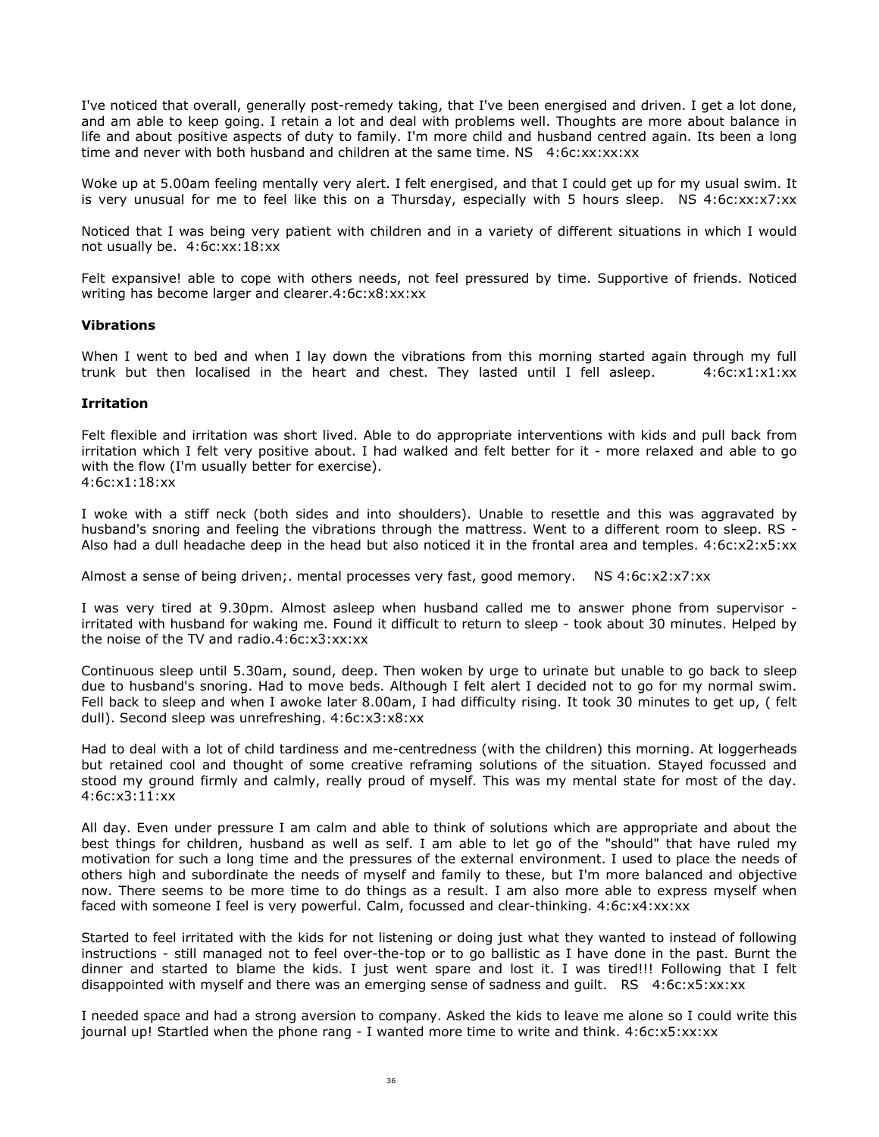I've noticed that overall, generally post-remedy taking, that I've been energised and driven. I get a lot done, and am able to keep going. I retain a lot and deal with problems well. Thoughts are more about balance in life and about positive aspects of duty to family. I'm more child and husband centred again. Its been a long time and never with both husband and children at the same time. NS 4:6c:xx:xx:xx

Woke up at 5.00am feeling mentally very alert. I felt energised, and that I could get up for my usual swim. It is very unusual for me to feel like this on a Thursday, especially with 5 hours sleep. NS 4:6c:xx:x7:xx

Noticed that I was being very patient with children and in a variety of different situations in which I would not usually be. 4:6c:xx:18:xx

Felt expansive! able to cope with others needs, not feel pressured by time. Supportive of friends. Noticed writing has become larger and clearer.4:6c:x8:xx:xx

### Vibrations

When I went to bed and when I lay down the vibrations from this morning started again through my full trunk but then localised in the heart and chest. They lasted until I fell asleep.  $4:6c:x1:x1:xx$ 

### **Irritation**

Felt flexible and irritation was short lived. Able to do appropriate interventions with kids and pull back from irritation which I felt very positive about. I had walked and felt better for it - more relaxed and able to go with the flow (I'm usually better for exercise). 4:6c:x1:18:xx

I woke with a stiff neck (both sides and into shoulders). Unable to resettle and this was aggravated by husband's snoring and feeling the vibrations through the mattress. Went to a different room to sleep. RS -Also had a dull headache deep in the head but also noticed it in the frontal area and temples. 4:6c:x2:x5:xx

Almost a sense of being driven;. mental processes very fast, good memory. NS 4:6c:x2:x7:xx

I was very tired at 9.30pm. Almost asleep when husband called me to answer phone from supervisor irritated with husband for waking me. Found it difficult to return to sleep - took about 30 minutes. Helped by the noise of the TV and radio.4:6c:x3:xx:xx

Continuous sleep until 5.30am, sound, deep. Then woken by urge to urinate but unable to go back to sleep due to husband's snoring. Had to move beds. Although I felt alert I decided not to go for my normal swim. Fell back to sleep and when I awoke later 8.00am, I had difficulty rising. It took 30 minutes to get up, ( felt dull). Second sleep was unrefreshing. 4:6c:x3:x8:xx

Had to deal with a lot of child tardiness and me-centredness (with the children) this morning. At loggerheads but retained cool and thought of some creative reframing solutions of the situation. Stayed focussed and stood my ground firmly and calmly, really proud of myself. This was my mental state for most of the day. 4:6c:x3:11:xx

All day. Even under pressure I am calm and able to think of solutions which are appropriate and about the best things for children, husband as well as self. I am able to let go of the "should" that have ruled my motivation for such a long time and the pressures of the external environment. I used to place the needs of others high and subordinate the needs of myself and family to these, but I'm more balanced and objective now. There seems to be more time to do things as a result. I am also more able to express myself when faced with someone I feel is very powerful. Calm, focussed and clear-thinking. 4:6c:x4:xx:xx

Started to feel irritated with the kids for not listening or doing just what they wanted to instead of following instructions - still managed not to feel over-the-top or to go ballistic as I have done in the past. Burnt the dinner and started to blame the kids. I just went spare and lost it. I was tired!!! Following that I felt disappointed with myself and there was an emerging sense of sadness and guilt. RS 4:6c:x5:xx:xx

I needed space and had a strong aversion to company. Asked the kids to leave me alone so I could write this journal up! Startled when the phone rang - I wanted more time to write and think. 4:6c:x5:xx:xx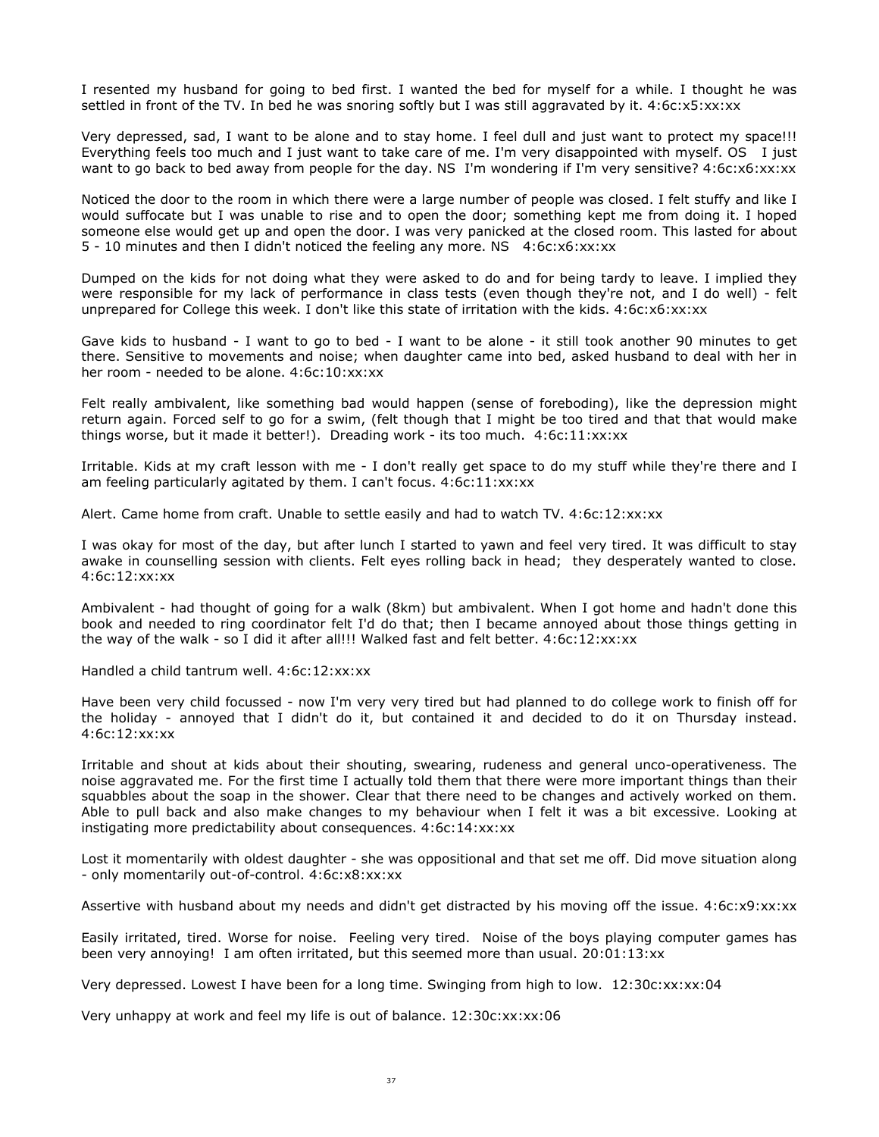I resented my husband for going to bed first. I wanted the bed for myself for a while. I thought he was settled in front of the TV. In bed he was snoring softly but I was still aggravated by it. 4:6c:x5:xx:xx

Very depressed, sad, I want to be alone and to stay home. I feel dull and just want to protect my space!!! Everything feels too much and I just want to take care of me. I'm very disappointed with myself. OS I just want to go back to bed away from people for the day. NS I'm wondering if I'm very sensitive? 4:6c:x6:xx:xx

Noticed the door to the room in which there were a large number of people was closed. I felt stuffy and like I would suffocate but I was unable to rise and to open the door; something kept me from doing it. I hoped someone else would get up and open the door. I was very panicked at the closed room. This lasted for about 5 - 10 minutes and then I didn't noticed the feeling any more. NS 4:6c:x6:xx:xx

Dumped on the kids for not doing what they were asked to do and for being tardy to leave. I implied they were responsible for my lack of performance in class tests (even though they're not, and I do well) - felt unprepared for College this week. I don't like this state of irritation with the kids. 4:6c:x6:xx:xx

Gave kids to husband - I want to go to bed - I want to be alone - it still took another 90 minutes to get there. Sensitive to movements and noise; when daughter came into bed, asked husband to deal with her in her room - needed to be alone. 4:6c:10:xx:xx

Felt really ambivalent, like something bad would happen (sense of foreboding), like the depression might return again. Forced self to go for a swim, (felt though that I might be too tired and that that would make things worse, but it made it better!). Dreading work - its too much. 4:6c:11:xx:xx

Irritable. Kids at my craft lesson with me - I don't really get space to do my stuff while they're there and I am feeling particularly agitated by them. I can't focus. 4:6c:11:xx:xx

Alert. Came home from craft. Unable to settle easily and had to watch TV. 4:6c:12:xx:xx

I was okay for most of the day, but after lunch I started to yawn and feel very tired. It was difficult to stay awake in counselling session with clients. Felt eyes rolling back in head; they desperately wanted to close. 4:6c:12:xx:xx

Ambivalent - had thought of going for a walk (8km) but ambivalent. When I got home and hadn't done this book and needed to ring coordinator felt I'd do that; then I became annoyed about those things getting in the way of the walk - so I did it after all!!! Walked fast and felt better. 4:6c:12:xx:xx

Handled a child tantrum well. 4:6c:12:xx:xx

Have been very child focussed - now I'm very very tired but had planned to do college work to finish off for the holiday - annoyed that I didn't do it, but contained it and decided to do it on Thursday instead. 4:6c:12:xx:xx

Irritable and shout at kids about their shouting, swearing, rudeness and general unco-operativeness. The noise aggravated me. For the first time I actually told them that there were more important things than their squabbles about the soap in the shower. Clear that there need to be changes and actively worked on them. Able to pull back and also make changes to my behaviour when I felt it was a bit excessive. Looking at instigating more predictability about consequences. 4:6c:14:xx:xx

Lost it momentarily with oldest daughter - she was oppositional and that set me off. Did move situation along - only momentarily out-of-control. 4:6c:x8:xx:xx

Assertive with husband about my needs and didn't get distracted by his moving off the issue. 4:6c:x9:xx:xx

Easily irritated, tired. Worse for noise. Feeling very tired. Noise of the boys playing computer games has been very annoying! I am often irritated, but this seemed more than usual. 20:01:13:xx

Very depressed. Lowest I have been for a long time. Swinging from high to low. 12:30c:xx:xx:04

Very unhappy at work and feel my life is out of balance. 12:30c:xx:xx:06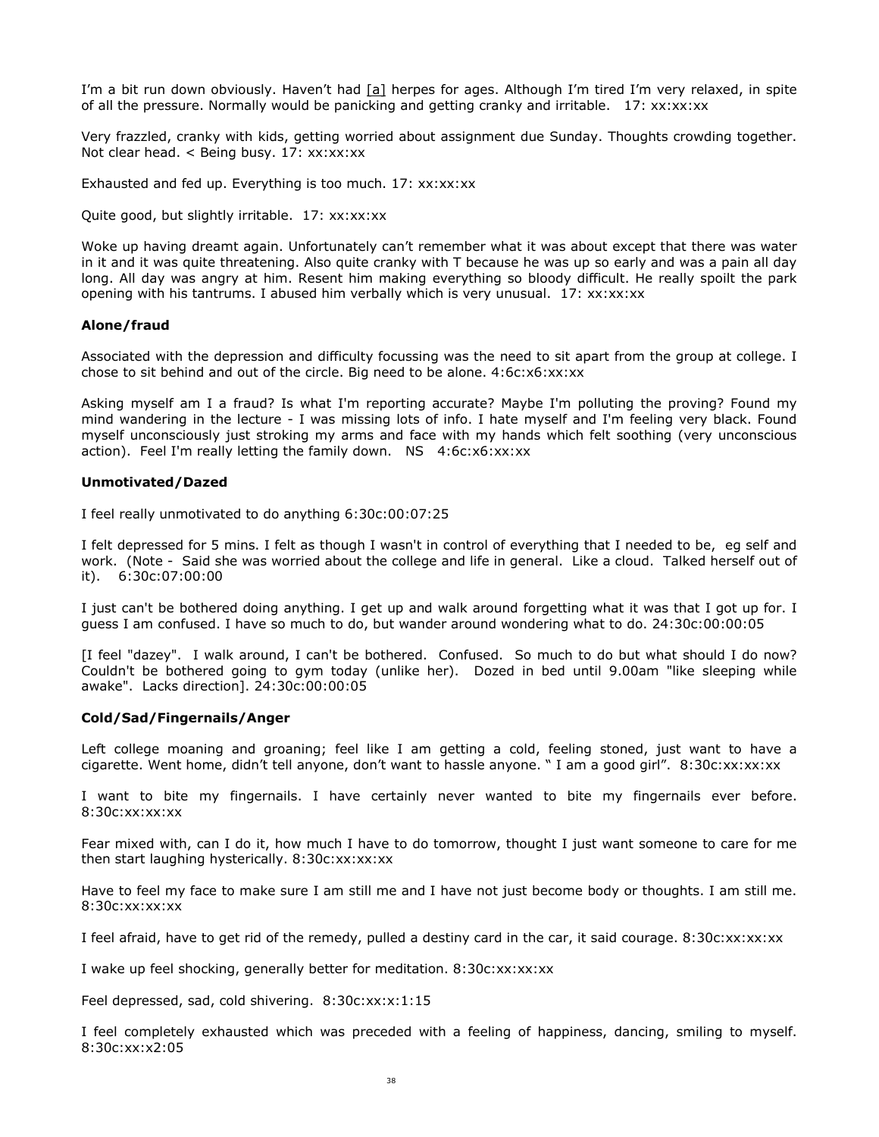I'm a bit run down obviously. Haven't had  $[a]$  herpes for ages. Although I'm tired I'm very relaxed, in spite of all the pressure. Normally would be panicking and getting cranky and irritable. 17: xx:xx:xx

Very frazzled, cranky with kids, getting worried about assignment due Sunday. Thoughts crowding together. Not clear head. < Being busy. 17: xx:xx:xx

Exhausted and fed up. Everything is too much. 17: xx:xx:xx

Quite good, but slightly irritable. 17: xx:xx:xx

Woke up having dreamt again. Unfortunately can't remember what it was about except that there was water in it and it was quite threatening. Also quite cranky with T because he was up so early and was a pain all day long. All day was angry at him. Resent him making everything so bloody difficult. He really spoilt the park opening with his tantrums. I abused him verbally which is very unusual. 17: xx:xx:xx

### Alone/fraud

Associated with the depression and difficulty focussing was the need to sit apart from the group at college. I chose to sit behind and out of the circle. Big need to be alone. 4:6c:x6:xx:xx

Asking myself am I a fraud? Is what I'm reporting accurate? Maybe I'm polluting the proving? Found my mind wandering in the lecture - I was missing lots of info. I hate myself and I'm feeling very black. Found myself unconsciously just stroking my arms and face with my hands which felt soothing (very unconscious action). Feel I'm really letting the family down. NS 4:6c:x6:xx:xx

### Unmotivated/Dazed

I feel really unmotivated to do anything 6:30c:00:07:25

I felt depressed for 5 mins. I felt as though I wasn't in control of everything that I needed to be, eg self and work. (Note - Said she was worried about the college and life in general. Like a cloud. Talked herself out of it). 6:30c:07:00:00

I just can't be bothered doing anything. I get up and walk around forgetting what it was that I got up for. I guess I am confused. I have so much to do, but wander around wondering what to do. 24:30c:00:00:05

[I feel "dazey". I walk around, I can't be bothered. Confused. So much to do but what should I do now? Couldn't be bothered going to gym today (unlike her). Dozed in bed until 9.00am "like sleeping while awake". Lacks direction]. 24:30c:00:00:05

# Cold/Sad/Fingernails/Anger

Left college moaning and groaning; feel like I am getting a cold, feeling stoned, just want to have a cigarette. Went home, didn't tell anyone, don't want to hassle anyone. " I am a good girl". 8:30c:xx:xx:xx

I want to bite my fingernails. I have certainly never wanted to bite my fingernails ever before. 8:30c:xx:xx:xx

Fear mixed with, can I do it, how much I have to do tomorrow, thought I just want someone to care for me then start laughing hysterically. 8:30c:xx:xx:xx

Have to feel my face to make sure I am still me and I have not just become body or thoughts. I am still me. 8:30c:xx:xx:xx

I feel afraid, have to get rid of the remedy, pulled a destiny card in the car, it said courage. 8:30c:xx:xx:xx

I wake up feel shocking, generally better for meditation. 8:30c:xx:xx:xx

Feel depressed, sad, cold shivering. 8:30c:xx:x:1:15

I feel completely exhausted which was preceded with a feeling of happiness, dancing, smiling to myself. 8:30c:xx:x2:05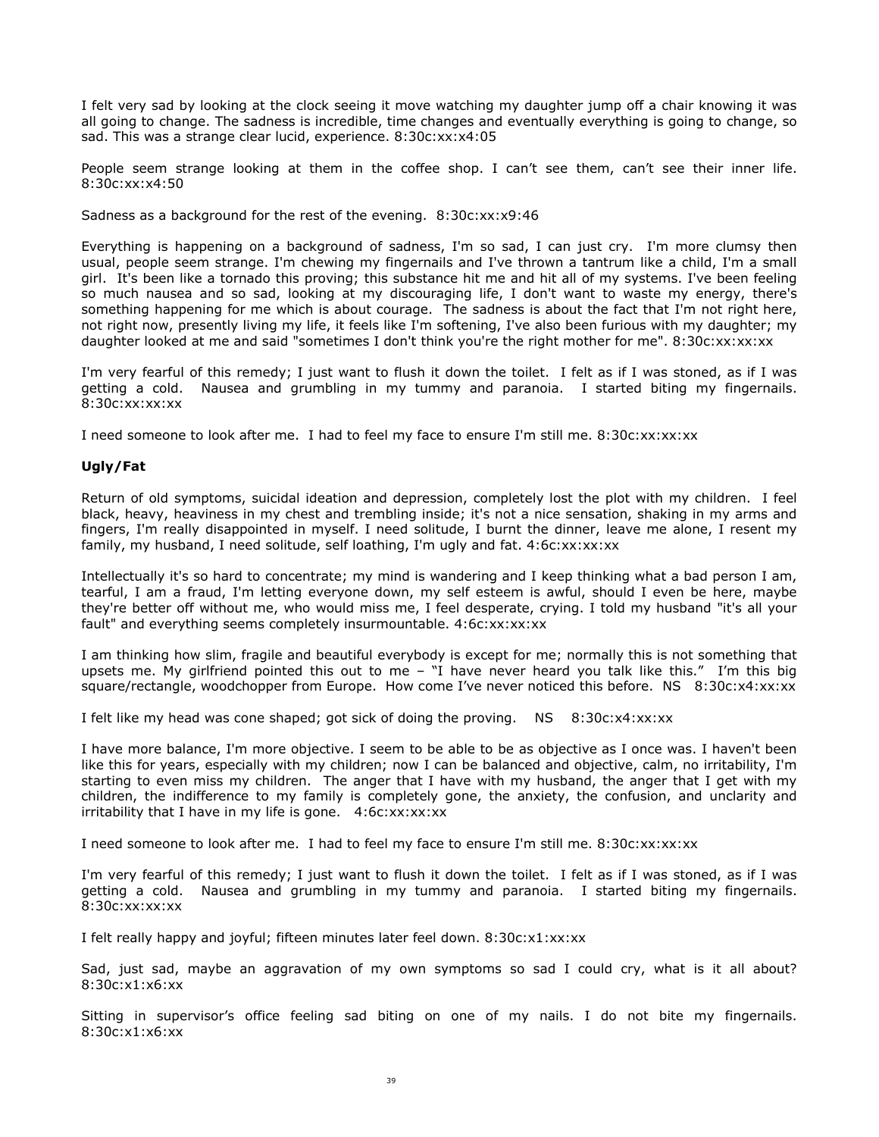I felt very sad by looking at the clock seeing it move watching my daughter jump off a chair knowing it was all going to change. The sadness is incredible, time changes and eventually everything is going to change, so sad. This was a strange clear lucid, experience. 8:30c:xx:x4:05

People seem strange looking at them in the coffee shop. I can't see them, can't see their inner life. 8:30c:xx:x4:50

Sadness as a background for the rest of the evening. 8:30c:xx:x9:46

Everything is happening on a background of sadness, I'm so sad, I can just cry. I'm more clumsy then usual, people seem strange. I'm chewing my fingernails and I've thrown a tantrum like a child, I'm a small girl. It's been like a tornado this proving; this substance hit me and hit all of my systems. I've been feeling so much nausea and so sad, looking at my discouraging life, I don't want to waste my energy, there's something happening for me which is about courage. The sadness is about the fact that I'm not right here, not right now, presently living my life, it feels like I'm softening, I've also been furious with my daughter; my daughter looked at me and said "sometimes I don't think you're the right mother for me". 8:30c:xx:xx:xx

I'm very fearful of this remedy; I just want to flush it down the toilet. I felt as if I was stoned, as if I was getting a cold. Nausea and grumbling in my tummy and paranoia. I started biting my fingernails. 8:30c:xx:xx:xx

I need someone to look after me. I had to feel my face to ensure I'm still me. 8:30c:xx:xx:xx

# Ugly/Fat

Return of old symptoms, suicidal ideation and depression, completely lost the plot with my children. I feel black, heavy, heaviness in my chest and trembling inside; it's not a nice sensation, shaking in my arms and fingers, I'm really disappointed in myself. I need solitude, I burnt the dinner, leave me alone, I resent my family, my husband, I need solitude, self loathing, I'm ugly and fat. 4:6c:xx:xx:xx

Intellectually it's so hard to concentrate; my mind is wandering and I keep thinking what a bad person I am, tearful, I am a fraud, I'm letting everyone down, my self esteem is awful, should I even be here, maybe they're better off without me, who would miss me, I feel desperate, crying. I told my husband "it's all your fault" and everything seems completely insurmountable. 4:6c:xx:xx:xx

I am thinking how slim, fragile and beautiful everybody is except for me; normally this is not something that upsets me. My girlfriend pointed this out to me – "I have never heard you talk like this." I'm this big square/rectangle, woodchopper from Europe. How come I've never noticed this before. NS 8:30c:x4:xx:xx

I felt like my head was cone shaped; got sick of doing the proving. NS 8:30c:x4:xx:xx

I have more balance, I'm more objective. I seem to be able to be as objective as I once was. I haven't been like this for years, especially with my children; now I can be balanced and objective, calm, no irritability, I'm starting to even miss my children. The anger that I have with my husband, the anger that I get with my children, the indifference to my family is completely gone, the anxiety, the confusion, and unclarity and irritability that I have in my life is gone. 4:6c:xx:xx:xx

I need someone to look after me. I had to feel my face to ensure I'm still me. 8:30c:xx:xx:xx

I'm very fearful of this remedy; I just want to flush it down the toilet. I felt as if I was stoned, as if I was getting a cold. Nausea and grumbling in my tummy and paranoia. I started biting my fingernails. 8:30c:xx:xx:xx

I felt really happy and joyful; fifteen minutes later feel down. 8:30c:x1:xx:xx

Sad, just sad, maybe an aggravation of my own symptoms so sad I could cry, what is it all about? 8:30c:x1:x6:xx

Sitting in supervisor's office feeling sad biting on one of my nails. I do not bite my fingernails. 8:30c:x1:x6:xx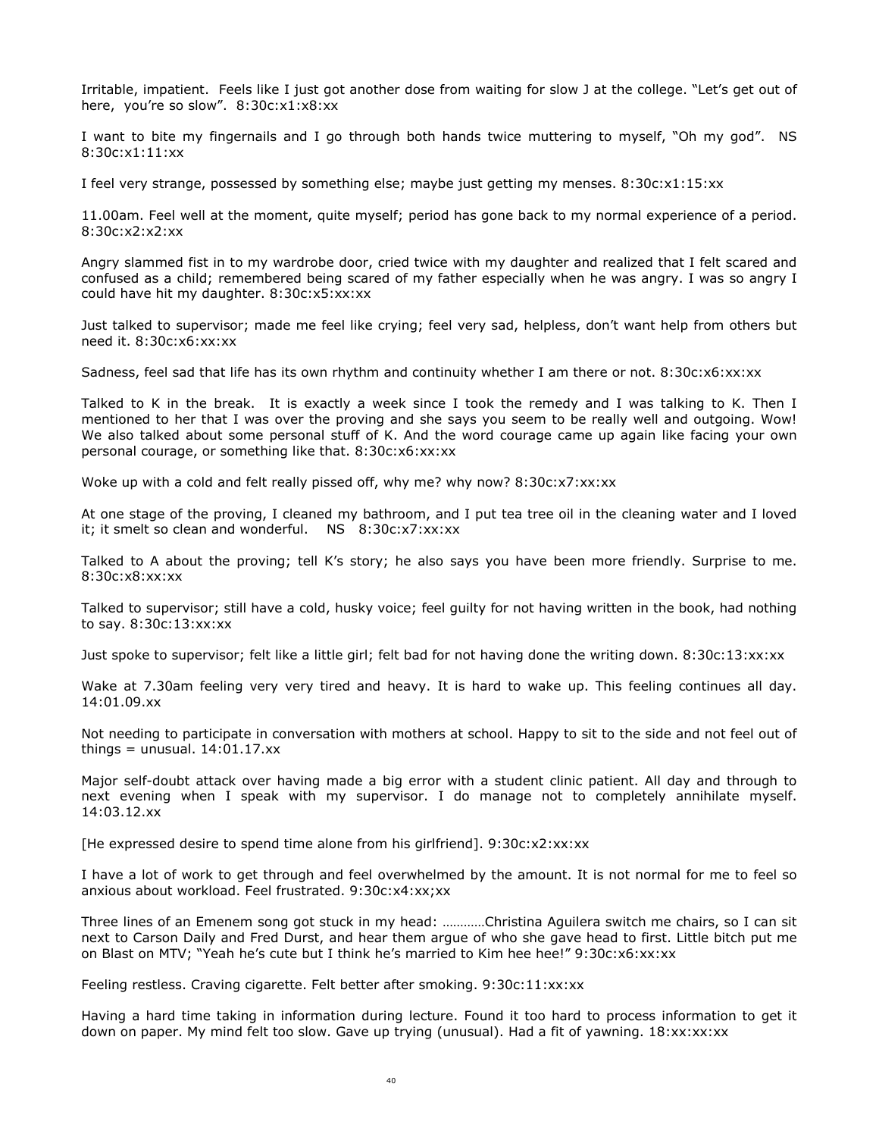Irritable, impatient. Feels like I just got another dose from waiting for slow J at the college. "Let's get out of here, you're so slow". 8:30c:x1:x8:xx

I want to bite my fingernails and I go through both hands twice muttering to myself, "Oh my god". NS 8:30c:x1:11:xx

I feel very strange, possessed by something else; maybe just getting my menses. 8:30c:x1:15:xx

11.00am. Feel well at the moment, quite myself; period has gone back to my normal experience of a period. 8:30c:x2:x2:xx

Angry slammed fist in to my wardrobe door, cried twice with my daughter and realized that I felt scared and confused as a child; remembered being scared of my father especially when he was angry. I was so angry I could have hit my daughter. 8:30c:x5:xx:xx

Just talked to supervisor; made me feel like crying; feel very sad, helpless, don't want help from others but need it. 8:30c:x6:xx:xx

Sadness, feel sad that life has its own rhythm and continuity whether I am there or not. 8:30c:x6:xx:xx

Talked to K in the break. It is exactly a week since I took the remedy and I was talking to K. Then I mentioned to her that I was over the proving and she says you seem to be really well and outgoing. Wow! We also talked about some personal stuff of K. And the word courage came up again like facing your own personal courage, or something like that. 8:30c:x6:xx:xx

Woke up with a cold and felt really pissed off, why me? why now? 8:30c:x7:xx:xx

At one stage of the proving, I cleaned my bathroom, and I put tea tree oil in the cleaning water and I loved it; it smelt so clean and wonderful. NS 8:30c:x7:xx:xx

Talked to A about the proving; tell K's story; he also says you have been more friendly. Surprise to me. 8:30c:x8:xx:xx

Talked to supervisor; still have a cold, husky voice; feel guilty for not having written in the book, had nothing to say. 8:30c:13:xx:xx

Just spoke to supervisor; felt like a little girl; felt bad for not having done the writing down. 8:30c:13:xx:xx

Wake at 7.30am feeling very very tired and heavy. It is hard to wake up. This feeling continues all day. 14:01.09.xx

Not needing to participate in conversation with mothers at school. Happy to sit to the side and not feel out of things = unusual.  $14:01.17$ .xx

Major self-doubt attack over having made a big error with a student clinic patient. All day and through to next evening when I speak with my supervisor. I do manage not to completely annihilate myself. 14:03.12.xx

[He expressed desire to spend time alone from his girlfriend]. 9:30c:x2:xx:xx

I have a lot of work to get through and feel overwhelmed by the amount. It is not normal for me to feel so anxious about workload. Feel frustrated. 9:30c:x4:xx;xx

Three lines of an Emenem song got stuck in my head: …………Christina Aguilera switch me chairs, so I can sit next to Carson Daily and Fred Durst, and hear them argue of who she gave head to first. Little bitch put me on Blast on MTV; "Yeah he's cute but I think he's married to Kim hee hee!" 9:30c:x6:xx:xx

Feeling restless. Craving cigarette. Felt better after smoking. 9:30c:11:xx:xx

Having a hard time taking in information during lecture. Found it too hard to process information to get it down on paper. My mind felt too slow. Gave up trying (unusual). Had a fit of yawning. 18:xx:xx:xx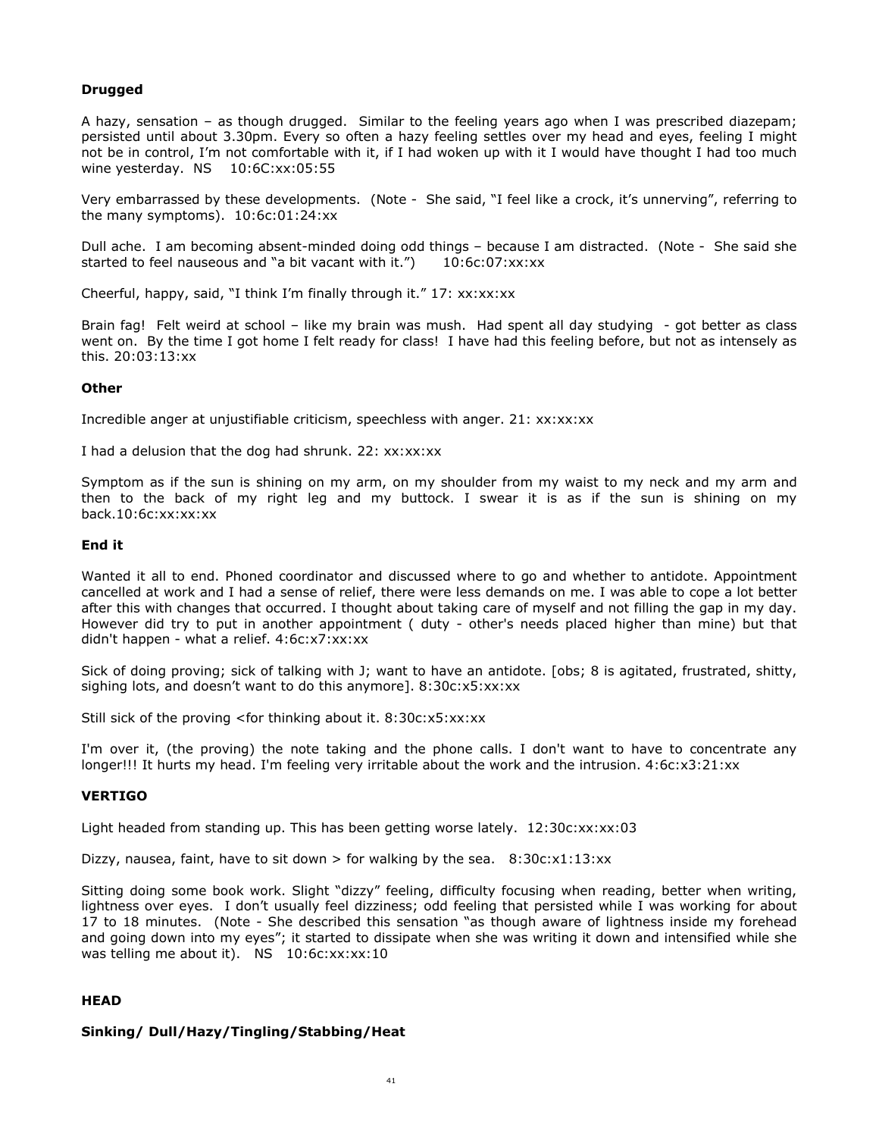# Drugged

A hazy, sensation – as though drugged. Similar to the feeling years ago when I was prescribed diazepam; persisted until about 3.30pm. Every so often a hazy feeling settles over my head and eyes, feeling I might not be in control, I'm not comfortable with it, if I had woken up with it I would have thought I had too much wine yesterday. NS 10:6C:xx:05:55

Very embarrassed by these developments. (Note - She said, "I feel like a crock, it's unnerving", referring to the many symptoms). 10:6c:01:24:xx

Dull ache. I am becoming absent-minded doing odd things – because I am distracted. (Note - She said she started to feel nauseous and "a bit vacant with it.") 10:6c:07:xx:xx

Cheerful, happy, said, "I think I'm finally through it." 17: xx:xx:xx

Brain fag! Felt weird at school – like my brain was mush. Had spent all day studying - got better as class went on. By the time I got home I felt ready for class! I have had this feeling before, but not as intensely as this. 20:03:13:xx

## **Other**

Incredible anger at unjustifiable criticism, speechless with anger. 21: xx:xx:xx

I had a delusion that the dog had shrunk. 22: xx:xx:xx

Symptom as if the sun is shining on my arm, on my shoulder from my waist to my neck and my arm and then to the back of my right leg and my buttock. I swear it is as if the sun is shining on my back.10:6c:xx:xx:xx

#### End it

Wanted it all to end. Phoned coordinator and discussed where to go and whether to antidote. Appointment cancelled at work and I had a sense of relief, there were less demands on me. I was able to cope a lot better after this with changes that occurred. I thought about taking care of myself and not filling the gap in my day. However did try to put in another appointment ( duty - other's needs placed higher than mine) but that didn't happen - what a relief. 4:6c:x7:xx:xx

Sick of doing proving; sick of talking with J; want to have an antidote. [obs; 8 is agitated, frustrated, shitty, sighing lots, and doesn't want to do this anymore]. 8:30c:x5:xx:xx

Still sick of the proving <for thinking about it. 8:30c:x5:xx:xx

I'm over it, (the proving) the note taking and the phone calls. I don't want to have to concentrate any longer!!! It hurts my head. I'm feeling very irritable about the work and the intrusion. 4:6c:x3:21:xx

## **VERTIGO**

Light headed from standing up. This has been getting worse lately.  $12:30c:xx:xx:03$ 

Dizzy, nausea, faint, have to sit down  $>$  for walking by the sea. 8:30c: $x1:13:xx$ 

Sitting doing some book work. Slight "dizzy" feeling, difficulty focusing when reading, better when writing, lightness over eyes. I don't usually feel dizziness; odd feeling that persisted while I was working for about 17 to 18 minutes. (Note - She described this sensation "as though aware of lightness inside my forehead and going down into my eyes"; it started to dissipate when she was writing it down and intensified while she was telling me about it). NS 10:6c:xx:xx:10

#### **HEAD**

### Sinking/ Dull/Hazy/Tingling/Stabbing/Heat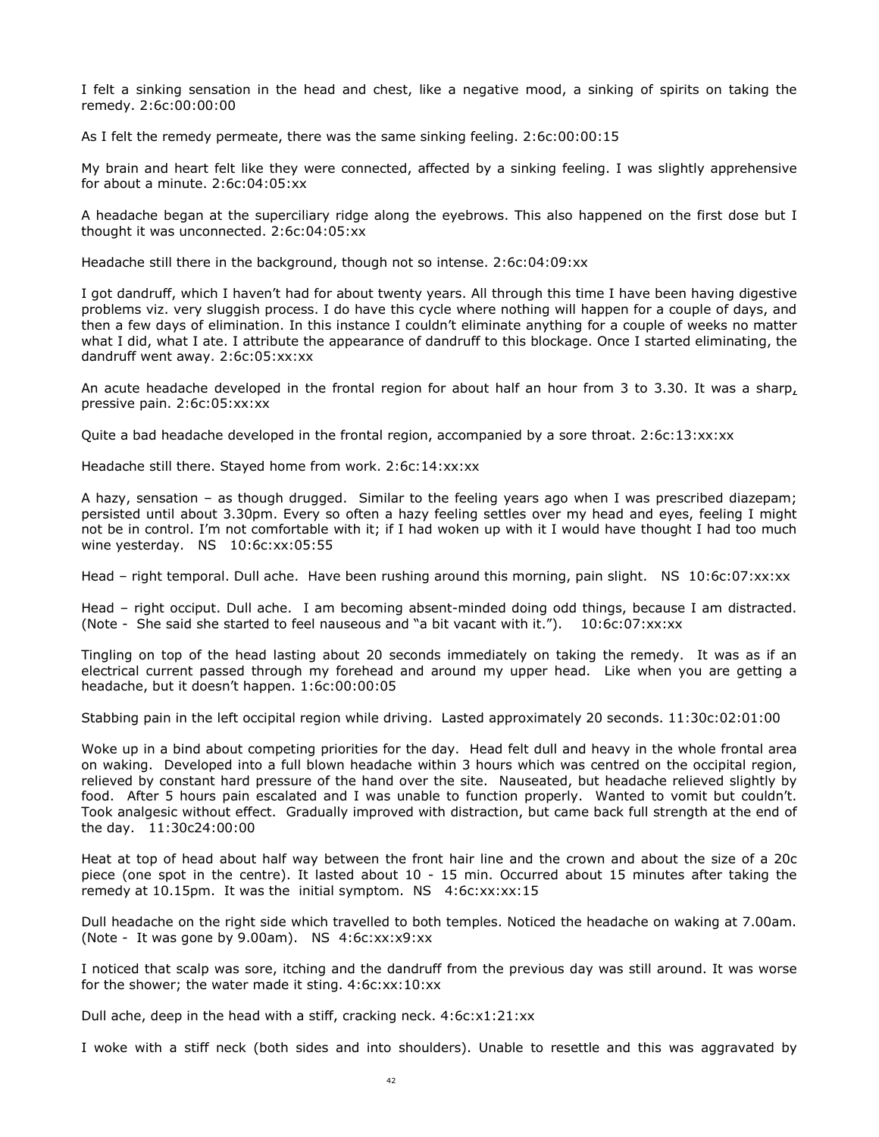I felt a sinking sensation in the head and chest, like a negative mood, a sinking of spirits on taking the remedy. 2:6c:00:00:00

As I felt the remedy permeate, there was the same sinking feeling. 2:6c:00:00:15

My brain and heart felt like they were connected, affected by a sinking feeling. I was slightly apprehensive for about a minute. 2:6c:04:05:xx

A headache began at the superciliary ridge along the eyebrows. This also happened on the first dose but I thought it was unconnected. 2:6c:04:05:xx

Headache still there in the background, though not so intense. 2:6c:04:09:xx

I got dandruff, which I haven't had for about twenty years. All through this time I have been having digestive problems viz. very sluggish process. I do have this cycle where nothing will happen for a couple of days, and then a few days of elimination. In this instance I couldn't eliminate anything for a couple of weeks no matter what I did, what I ate. I attribute the appearance of dandruff to this blockage. Once I started eliminating, the dandruff went away. 2:6c:05:xx:xx

An acute headache developed in the frontal region for about half an hour from 3 to 3.30. It was a sharp, pressive pain. 2:6c:05:xx:xx

Quite a bad headache developed in the frontal region, accompanied by a sore throat. 2:6c:13:xx:xx

Headache still there. Stayed home from work. 2:6c:14:xx:xx

A hazy, sensation – as though drugged. Similar to the feeling years ago when I was prescribed diazepam; persisted until about 3.30pm. Every so often a hazy feeling settles over my head and eyes, feeling I might not be in control. I'm not comfortable with it; if I had woken up with it I would have thought I had too much wine yesterday. NS 10:6c:xx:05:55

Head – right temporal. Dull ache. Have been rushing around this morning, pain slight. NS 10:6c:07:xx:xx

Head – right occiput. Dull ache. I am becoming absent-minded doing odd things, because I am distracted. (Note - She said she started to feel nauseous and "a bit vacant with it."). 10:6c:07:xx:xx

Tingling on top of the head lasting about 20 seconds immediately on taking the remedy. It was as if an electrical current passed through my forehead and around my upper head. Like when you are getting a headache, but it doesn't happen. 1:6c:00:00:05

Stabbing pain in the left occipital region while driving. Lasted approximately 20 seconds. 11:30c:02:01:00

Woke up in a bind about competing priorities for the day. Head felt dull and heavy in the whole frontal area on waking. Developed into a full blown headache within 3 hours which was centred on the occipital region, relieved by constant hard pressure of the hand over the site. Nauseated, but headache relieved slightly by food. After 5 hours pain escalated and I was unable to function properly. Wanted to vomit but couldn't. Took analgesic without effect. Gradually improved with distraction, but came back full strength at the end of the day. 11:30c24:00:00

Heat at top of head about half way between the front hair line and the crown and about the size of a 20c piece (one spot in the centre). It lasted about 10 - 15 min. Occurred about 15 minutes after taking the remedy at 10.15pm. It was the initial symptom. NS 4:6c:xx:xx:15

Dull headache on the right side which travelled to both temples. Noticed the headache on waking at 7.00am. (Note - It was gone by  $9.00$ am). NS  $4:6c:xx:x9:xx$ 

I noticed that scalp was sore, itching and the dandruff from the previous day was still around. It was worse for the shower; the water made it sting. 4:6c:xx:10:xx

Dull ache, deep in the head with a stiff, cracking neck. 4:6c:x1:21:xx

I woke with a stiff neck (both sides and into shoulders). Unable to resettle and this was aggravated by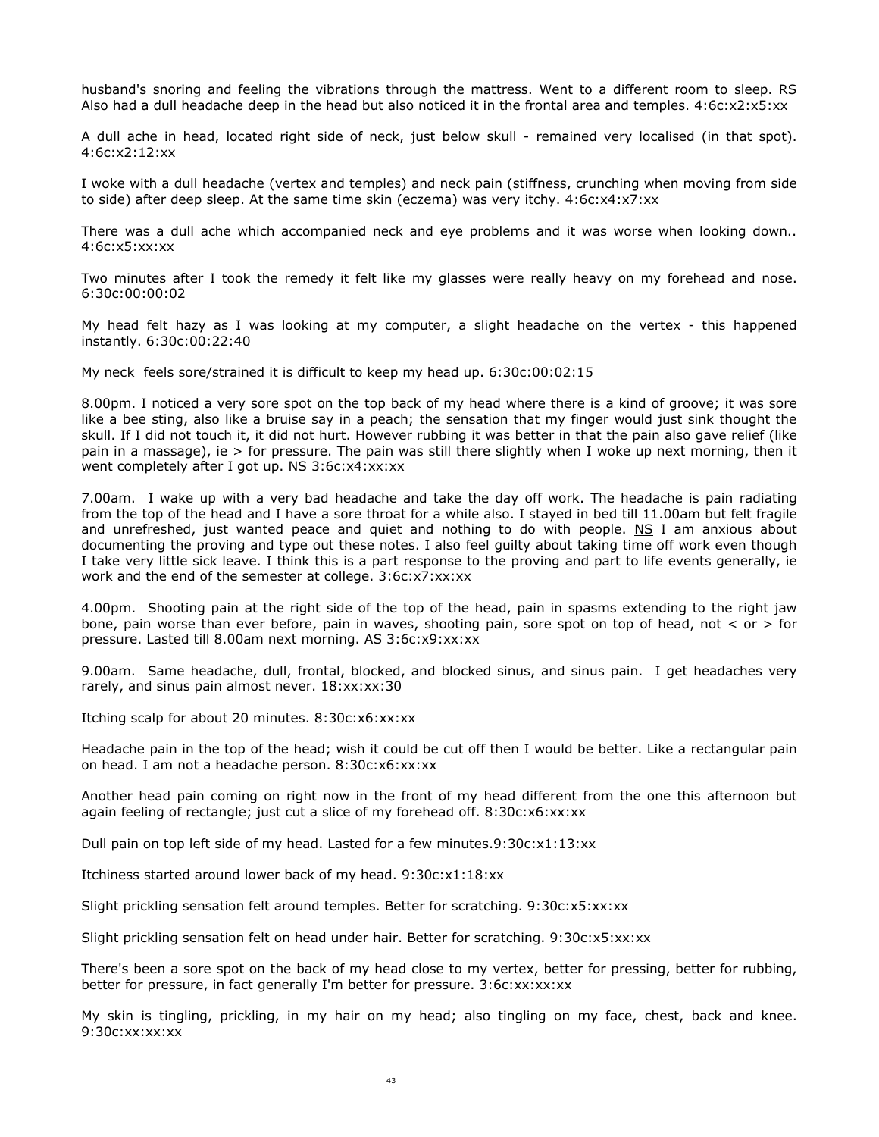husband's snoring and feeling the vibrations through the mattress. Went to a different room to sleep. RS Also had a dull headache deep in the head but also noticed it in the frontal area and temples. 4:6c:x2:x5:xx

A dull ache in head, located right side of neck, just below skull - remained very localised (in that spot). 4:6c:x2:12:xx

I woke with a dull headache (vertex and temples) and neck pain (stiffness, crunching when moving from side to side) after deep sleep. At the same time skin (eczema) was very itchy. 4:6c:x4:x7:xx

There was a dull ache which accompanied neck and eye problems and it was worse when looking down.. 4:6c:x5:xx:xx

Two minutes after I took the remedy it felt like my glasses were really heavy on my forehead and nose. 6:30c:00:00:02

My head felt hazy as I was looking at my computer, a slight headache on the vertex - this happened instantly. 6:30c:00:22:40

My neck feels sore/strained it is difficult to keep my head up. 6:30c:00:02:15

8.00pm. I noticed a very sore spot on the top back of my head where there is a kind of groove; it was sore like a bee sting, also like a bruise say in a peach; the sensation that my finger would just sink thought the skull. If I did not touch it, it did not hurt. However rubbing it was better in that the pain also gave relief (like pain in a massage), ie > for pressure. The pain was still there slightly when I woke up next morning, then it went completely after I got up. NS 3:6c:x4:xx:xx

7.00am. I wake up with a very bad headache and take the day off work. The headache is pain radiating from the top of the head and I have a sore throat for a while also. I stayed in bed till 11.00am but felt fragile and unrefreshed, just wanted peace and quiet and nothing to do with people. NS I am anxious about documenting the proving and type out these notes. I also feel guilty about taking time off work even though I take very little sick leave. I think this is a part response to the proving and part to life events generally, ie work and the end of the semester at college. 3:6c:x7:xx:xx

4.00pm. Shooting pain at the right side of the top of the head, pain in spasms extending to the right jaw bone, pain worse than ever before, pain in waves, shooting pain, sore spot on top of head, not < or > for pressure. Lasted till 8.00am next morning. AS 3:6c:x9:xx:xx

9.00am. Same headache, dull, frontal, blocked, and blocked sinus, and sinus pain. I get headaches very rarely, and sinus pain almost never. 18:xx:xx:30

Itching scalp for about 20 minutes. 8:30c:x6:xx:xx

Headache pain in the top of the head; wish it could be cut off then I would be better. Like a rectangular pain on head. I am not a headache person. 8:30c:x6:xx:xx

Another head pain coming on right now in the front of my head different from the one this afternoon but again feeling of rectangle; just cut a slice of my forehead off. 8:30c:x6:xx:xx

Dull pain on top left side of my head. Lasted for a few minutes.9:30c:x1:13:xx

Itchiness started around lower back of my head. 9:30c:x1:18:xx

Slight prickling sensation felt around temples. Better for scratching. 9:30c:x5:xx:xx

Slight prickling sensation felt on head under hair. Better for scratching. 9:30c:x5:xx:xx

There's been a sore spot on the back of my head close to my vertex, better for pressing, better for rubbing, better for pressure, in fact generally I'm better for pressure. 3:6c:xx:xx:xx

My skin is tingling, prickling, in my hair on my head; also tingling on my face, chest, back and knee. 9:30c:xx:xx:xx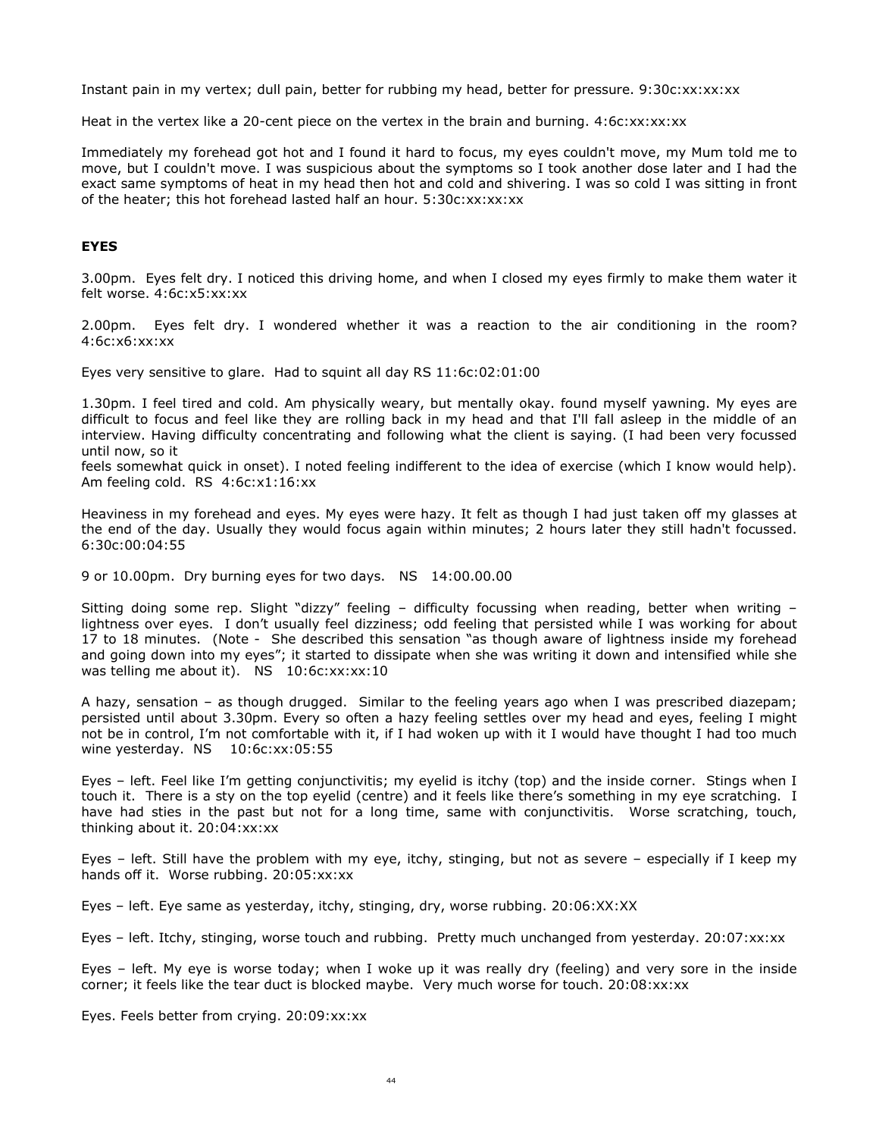Instant pain in my vertex; dull pain, better for rubbing my head, better for pressure. 9:30c:xx:xx:xx

Heat in the vertex like a 20-cent piece on the vertex in the brain and burning. 4:6c:xx:xx:xx

Immediately my forehead got hot and I found it hard to focus, my eyes couldn't move, my Mum told me to move, but I couldn't move. I was suspicious about the symptoms so I took another dose later and I had the exact same symptoms of heat in my head then hot and cold and shivering. I was so cold I was sitting in front of the heater; this hot forehead lasted half an hour. 5:30c:xx:xx:xx

# EYES

3.00pm. Eyes felt dry. I noticed this driving home, and when I closed my eyes firmly to make them water it felt worse. 4:6c:x5:xx:xx

2.00pm. Eyes felt dry. I wondered whether it was a reaction to the air conditioning in the room? 4:6c:x6:xx:xx

Eyes very sensitive to glare. Had to squint all day RS 11:6c:02:01:00

1.30pm. I feel tired and cold. Am physically weary, but mentally okay. found myself yawning. My eyes are difficult to focus and feel like they are rolling back in my head and that I'll fall asleep in the middle of an interview. Having difficulty concentrating and following what the client is saying. (I had been very focussed until now, so it

feels somewhat quick in onset). I noted feeling indifferent to the idea of exercise (which I know would help). Am feeling cold. RS 4:6c:x1:16:xx

Heaviness in my forehead and eyes. My eyes were hazy. It felt as though I had just taken off my glasses at the end of the day. Usually they would focus again within minutes; 2 hours later they still hadn't focussed. 6:30c:00:04:55

9 or 10.00pm. Dry burning eyes for two days. NS 14:00.00.00

Sitting doing some rep. Slight "dizzy" feeling – difficulty focussing when reading, better when writing – lightness over eyes. I don't usually feel dizziness; odd feeling that persisted while I was working for about 17 to 18 minutes. (Note - She described this sensation "as though aware of lightness inside my forehead and going down into my eyes"; it started to dissipate when she was writing it down and intensified while she was telling me about it). NS 10:6c:xx:xx:10

A hazy, sensation – as though drugged. Similar to the feeling years ago when I was prescribed diazepam; persisted until about 3.30pm. Every so often a hazy feeling settles over my head and eyes, feeling I might not be in control, I'm not comfortable with it, if I had woken up with it I would have thought I had too much wine yesterday. NS 10:6c:xx:05:55

Eyes – left. Feel like I'm getting conjunctivitis; my eyelid is itchy (top) and the inside corner. Stings when I touch it. There is a sty on the top eyelid (centre) and it feels like there's something in my eye scratching. I have had sties in the past but not for a long time, same with conjunctivitis. Worse scratching, touch, thinking about it. 20:04:xx:xx

Eyes – left. Still have the problem with my eye, itchy, stinging, but not as severe – especially if I keep my hands off it. Worse rubbing. 20:05:xx:xx

Eyes – left. Eye same as yesterday, itchy, stinging, dry, worse rubbing. 20:06:XX:XX

Eyes – left. Itchy, stinging, worse touch and rubbing. Pretty much unchanged from yesterday. 20:07:xx:xx

Eyes – left. My eye is worse today; when I woke up it was really dry (feeling) and very sore in the inside corner; it feels like the tear duct is blocked maybe. Very much worse for touch. 20:08:xx:xx

Eyes. Feels better from crying. 20:09:xx:xx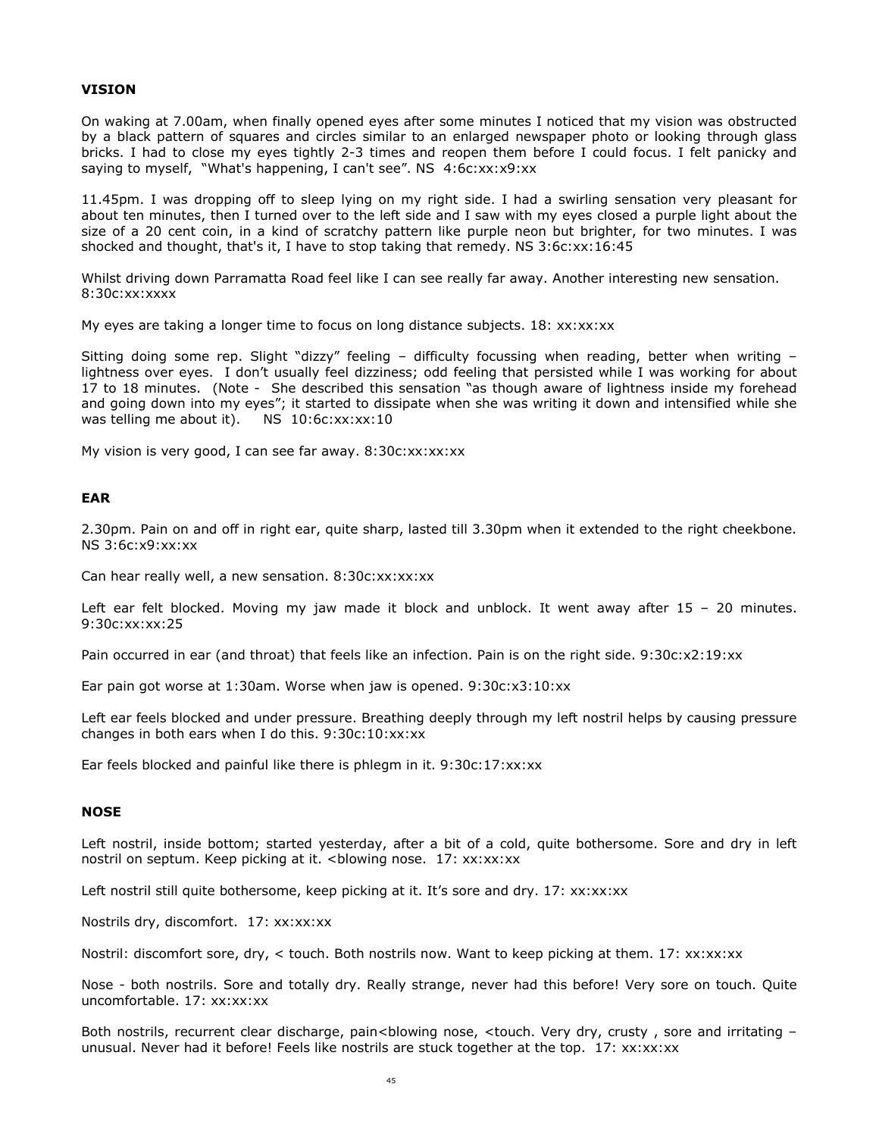# VISION

On waking at 7.00am, when finally opened eyes after some minutes I noticed that my vision was obstructed by a black pattern of squares and circles similar to an enlarged newspaper photo or looking through glass bricks. I had to close my eyes tightly 2-3 times and reopen them before I could focus. I felt panicky and saying to myself, "What's happening, I can't see". NS 4:6c:xx:x9:xx

11.45pm. I was dropping off to sleep lying on my right side. I had a swirling sensation very pleasant for about ten minutes, then I turned over to the left side and I saw with my eyes closed a purple light about the size of a 20 cent coin, in a kind of scratchy pattern like purple neon but brighter, for two minutes. I was shocked and thought, that's it, I have to stop taking that remedy. NS 3:6c:xx:16:45

Whilst driving down Parramatta Road feel like I can see really far away. Another interesting new sensation. 8:30c:xx:xxxx

My eyes are taking a longer time to focus on long distance subjects. 18: xx:xx:xx

Sitting doing some rep. Slight "dizzy" feeling – difficulty focussing when reading, better when writing – lightness over eyes. I don't usually feel dizziness; odd feeling that persisted while I was working for about 17 to 18 minutes. (Note - She described this sensation "as though aware of lightness inside my forehead and going down into my eyes"; it started to dissipate when she was writing it down and intensified while she was telling me about it). NS 10:6c:xx:xx:10

My vision is very good, I can see far away. 8:30c:xx:xx:xx

# EAR

2.30pm. Pain on and off in right ear, quite sharp, lasted till 3.30pm when it extended to the right cheekbone. NS 3:6c:x9:xx:xx

Can hear really well, a new sensation. 8:30c:xx:xx:xx

Left ear felt blocked. Moving my jaw made it block and unblock. It went away after 15 - 20 minutes. 9:30c:xx:xx:25

Pain occurred in ear (and throat) that feels like an infection. Pain is on the right side. 9:30c:x2:19:xx

Ear pain got worse at 1:30am. Worse when jaw is opened. 9:30c:x3:10:xx

Left ear feels blocked and under pressure. Breathing deeply through my left nostril helps by causing pressure changes in both ears when I do this. 9:30c:10:xx:xx

Ear feels blocked and painful like there is phlegm in it. 9:30c:17:xx:xx

## **NOSE**

Left nostril, inside bottom; started yesterday, after a bit of a cold, quite bothersome. Sore and dry in left nostril on septum. Keep picking at it. < blowing nose. 17: xx:xx:xx

Left nostril still quite bothersome, keep picking at it. It's sore and dry. 17: xx:xx:xx

Nostrils dry, discomfort. 17: xx:xx:xx

Nostril: discomfort sore, dry, < touch. Both nostrils now. Want to keep picking at them. 17: xx:xx:xx

Nose - both nostrils. Sore and totally dry. Really strange, never had this before! Very sore on touch. Quite uncomfortable. 17: xx:xx:xx

Both nostrils, recurrent clear discharge, pain<br/>blowing nose, <touch. Very dry, crusty , sore and irritating unusual. Never had it before! Feels like nostrils are stuck together at the top. 17: xx:xx:xx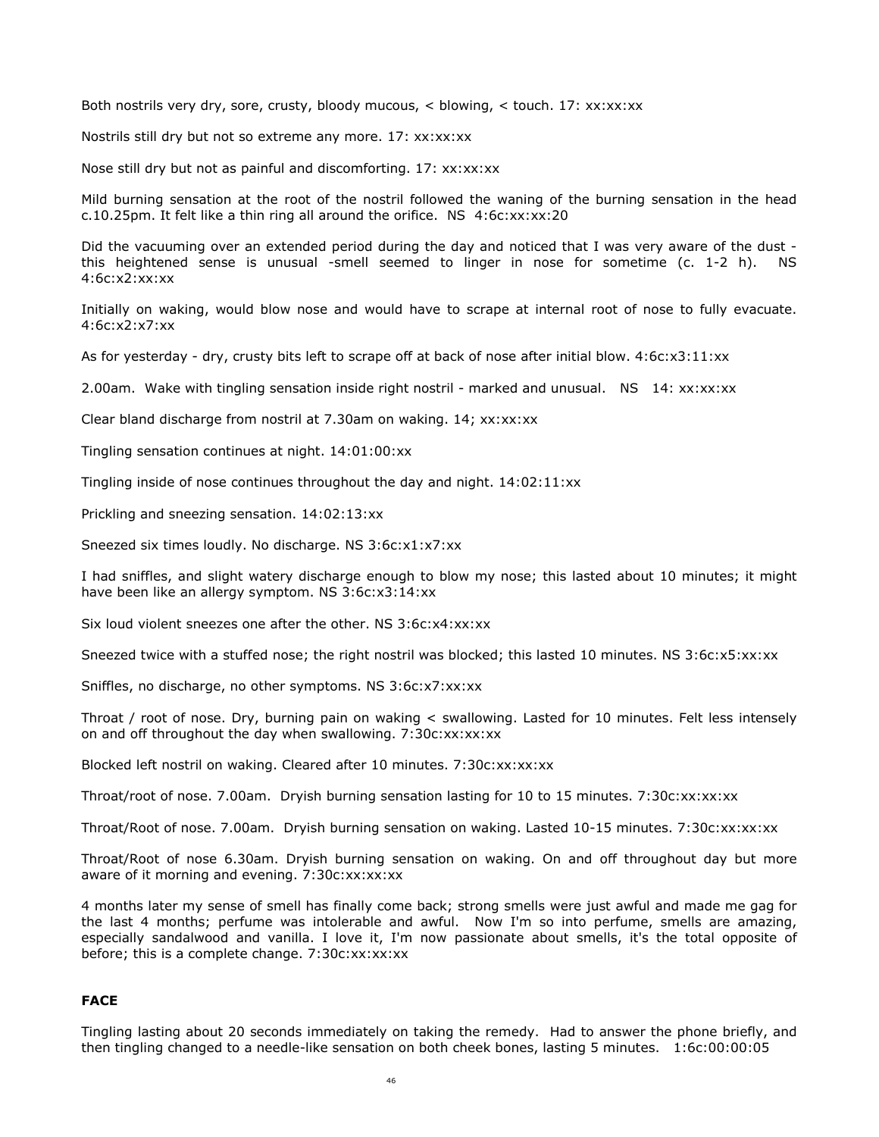Both nostrils very dry, sore, crusty, bloody mucous, < blowing, < touch. 17: xx:xx:xx

Nostrils still dry but not so extreme any more. 17: xx:xx:xx

Nose still dry but not as painful and discomforting. 17: xx:xx:xx

Mild burning sensation at the root of the nostril followed the waning of the burning sensation in the head c.10.25pm. It felt like a thin ring all around the orifice. NS 4:6c:xx:xx:20

Did the vacuuming over an extended period during the day and noticed that I was very aware of the dust this heightened sense is unusual -smell seemed to linger in nose for sometime (c. 1-2 h). NS 4:6c:x2:xx:xx

Initially on waking, would blow nose and would have to scrape at internal root of nose to fully evacuate. 4:6c:x2:x7:xx

As for yesterday - dry, crusty bits left to scrape off at back of nose after initial blow. 4:6c:x3:11:xx

2.00am. Wake with tingling sensation inside right nostril - marked and unusual. NS 14: xx:xx:xx

Clear bland discharge from nostril at 7.30am on waking. 14; xx:xx:xx

Tingling sensation continues at night. 14:01:00:xx

Tingling inside of nose continues throughout the day and night. 14:02:11:xx

Prickling and sneezing sensation. 14:02:13:xx

Sneezed six times loudly. No discharge. NS 3:6c:x1:x7:xx

I had sniffles, and slight watery discharge enough to blow my nose; this lasted about 10 minutes; it might have been like an allergy symptom. NS 3:6c:x3:14:xx

Six loud violent sneezes one after the other. NS 3:6c:x4:xx:xx

Sneezed twice with a stuffed nose; the right nostril was blocked; this lasted 10 minutes. NS 3:6c:x5:xx:xx

Sniffles, no discharge, no other symptoms. NS 3:6c:x7:xx:xx

Throat / root of nose. Dry, burning pain on waking < swallowing. Lasted for 10 minutes. Felt less intensely on and off throughout the day when swallowing. 7:30c:xx:xx:xx

Blocked left nostril on waking. Cleared after 10 minutes. 7:30c:xx:xx:xx

Throat/root of nose. 7.00am. Dryish burning sensation lasting for 10 to 15 minutes. 7:30c:xx:xx:xx

Throat/Root of nose. 7.00am. Dryish burning sensation on waking. Lasted 10-15 minutes. 7:30c:xx:xx:xx

Throat/Root of nose 6.30am. Dryish burning sensation on waking. On and off throughout day but more aware of it morning and evening. 7:30c:xx:xx:xx

4 months later my sense of smell has finally come back; strong smells were just awful and made me gag for the last 4 months; perfume was intolerable and awful. Now I'm so into perfume, smells are amazing, especially sandalwood and vanilla. I love it, I'm now passionate about smells, it's the total opposite of before; this is a complete change. 7:30c:xx:xx:xx

### FACE

Tingling lasting about 20 seconds immediately on taking the remedy. Had to answer the phone briefly, and then tingling changed to a needle-like sensation on both cheek bones, lasting 5 minutes. 1:6c:00:00:05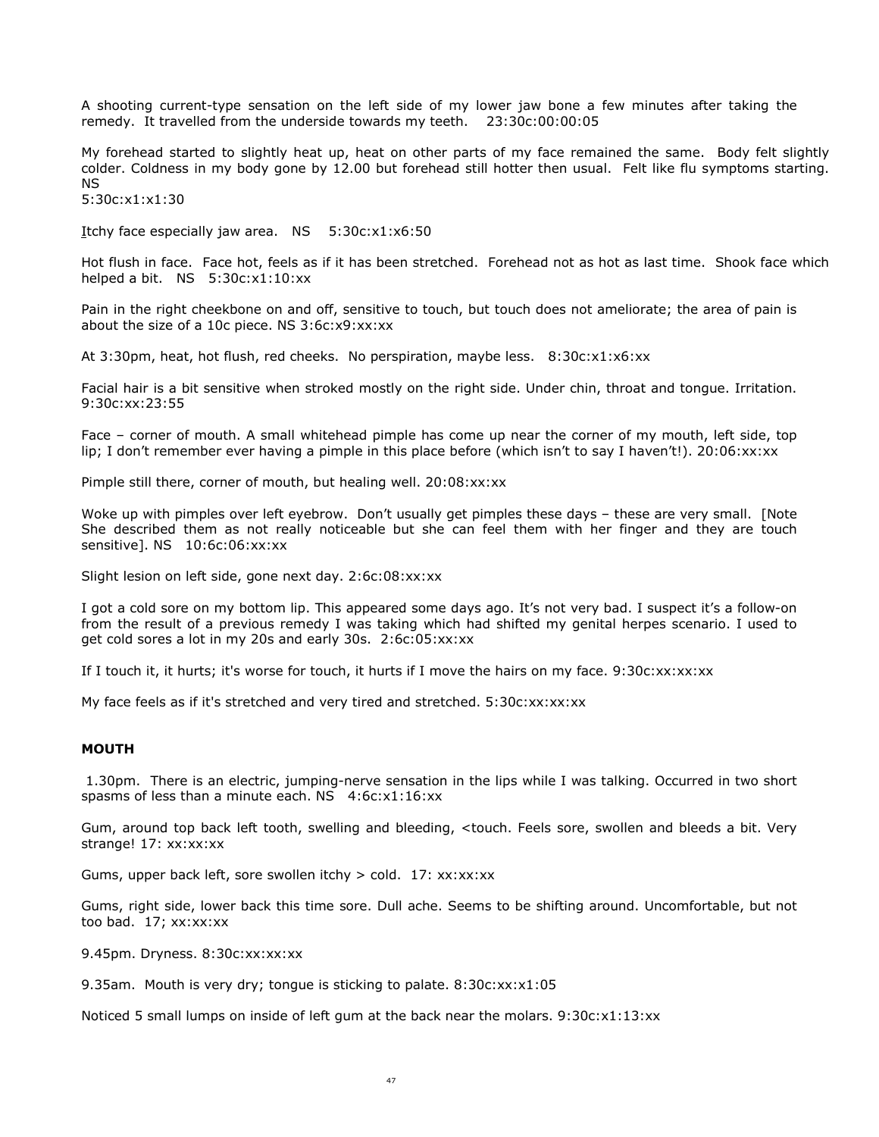A shooting current-type sensation on the left side of my lower jaw bone a few minutes after taking the remedy. It travelled from the underside towards my teeth. 23:30c:00:00:05

My forehead started to slightly heat up, heat on other parts of my face remained the same. Body felt slightly colder. Coldness in my body gone by 12.00 but forehead still hotter then usual. Felt like flu symptoms starting. NS

5:30c:x1:x1:30

Itchy face especially jaw area.  $NS = 5:30c:x1:x6:50$ 

Hot flush in face. Face hot, feels as if it has been stretched. Forehead not as hot as last time. Shook face which helped a bit. NS 5:30c:x1:10:xx

Pain in the right cheekbone on and off, sensitive to touch, but touch does not ameliorate; the area of pain is about the size of a 10c piece. NS 3:6c:x9:xx:xx

At 3:30pm, heat, hot flush, red cheeks. No perspiration, maybe less. 8:30c:x1:x6:xx

Facial hair is a bit sensitive when stroked mostly on the right side. Under chin, throat and tongue. Irritation. 9:30c:xx:23:55

Face – corner of mouth. A small whitehead pimple has come up near the corner of my mouth, left side, top lip; I don't remember ever having a pimple in this place before (which isn't to say I haven't!). 20:06:xx:xx

Pimple still there, corner of mouth, but healing well. 20:08:xx:xx

Woke up with pimples over left eyebrow. Don't usually get pimples these days – these are very small. [Note She described them as not really noticeable but she can feel them with her finger and they are touch sensitive]. NS 10:6c:06:xx:xx

Slight lesion on left side, gone next day. 2:6c:08:xx:xx

I got a cold sore on my bottom lip. This appeared some days ago. It's not very bad. I suspect it's a follow-on from the result of a previous remedy I was taking which had shifted my genital herpes scenario. I used to get cold sores a lot in my 20s and early 30s. 2:6c:05:xx:xx

If I touch it, it hurts; it's worse for touch, it hurts if I move the hairs on my face. 9:30c:xx:xx:xx

My face feels as if it's stretched and very tired and stretched. 5:30c:xx:xx:xx

### MOUTH

 1.30pm. There is an electric, jumping-nerve sensation in the lips while I was talking. Occurred in two short spasms of less than a minute each. NS 4:6c:x1:16:xx

Gum, around top back left tooth, swelling and bleeding, <touch. Feels sore, swollen and bleeds a bit. Very strange! 17: xx:xx:xx

Gums, upper back left, sore swollen itchy  $>$  cold. 17: xx:xx:xx

Gums, right side, lower back this time sore. Dull ache. Seems to be shifting around. Uncomfortable, but not too bad. 17; xx:xx:xx

9.45pm. Dryness. 8:30c:xx:xx:xx

9.35am. Mouth is very dry; tongue is sticking to palate. 8:30c:xx:x1:05

Noticed 5 small lumps on inside of left gum at the back near the molars. 9:30c:x1:13:xx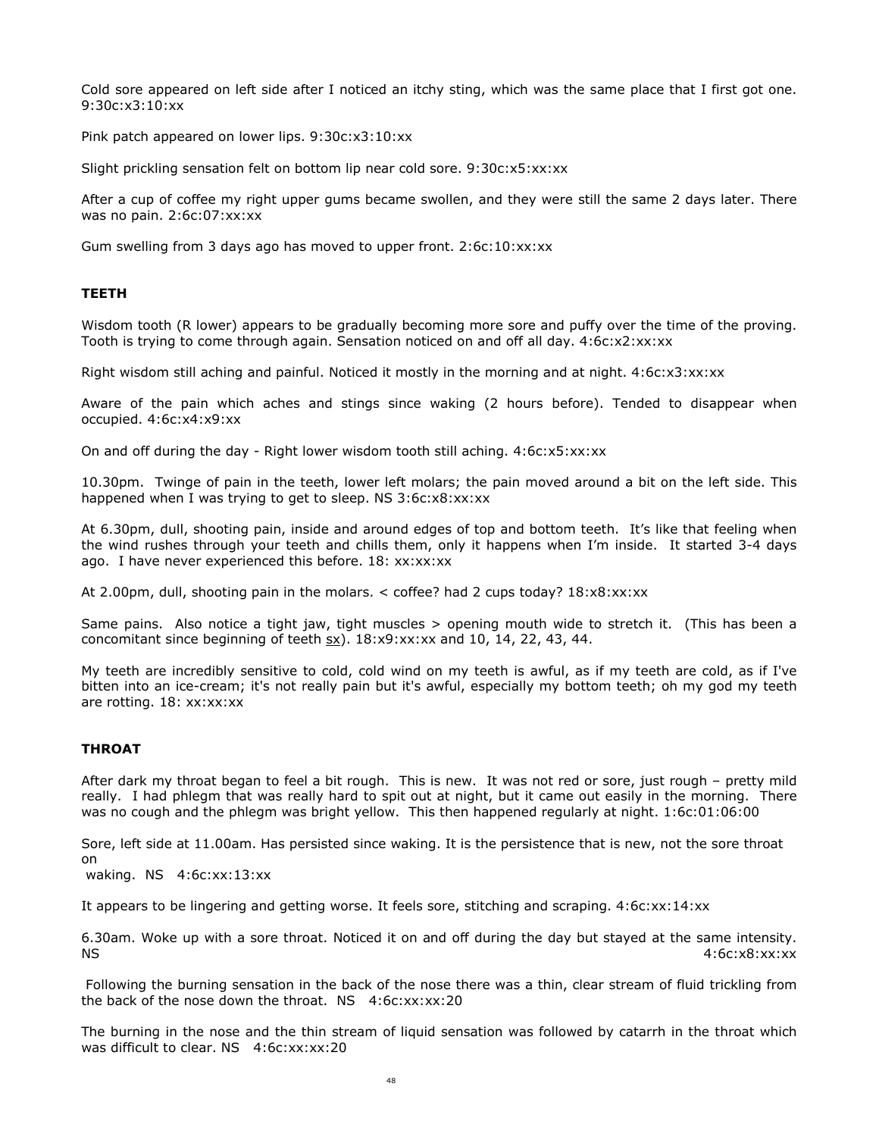Cold sore appeared on left side after I noticed an itchy sting, which was the same place that I first got one. 9:30c:x3:10:xx

Pink patch appeared on lower lips. 9:30c:x3:10:xx

Slight prickling sensation felt on bottom lip near cold sore. 9:30c:x5:xx:xx

After a cup of coffee my right upper gums became swollen, and they were still the same 2 days later. There was no pain. 2:6c:07:xx:xx

Gum swelling from 3 days ago has moved to upper front. 2:6c:10:xx:xx

## TEETH

Wisdom tooth (R lower) appears to be gradually becoming more sore and puffy over the time of the proving. Tooth is trying to come through again. Sensation noticed on and off all day. 4:6c:x2:xx:xx

Right wisdom still aching and painful. Noticed it mostly in the morning and at night. 4:6c:x3:xx:xx

Aware of the pain which aches and stings since waking (2 hours before). Tended to disappear when occupied. 4:6c:x4:x9:xx

On and off during the day - Right lower wisdom tooth still aching.  $4:6c:x5:xx:xx$ 

10.30pm. Twinge of pain in the teeth, lower left molars; the pain moved around a bit on the left side. This happened when I was trying to get to sleep. NS 3:6c:x8:xx:xx

At 6.30pm, dull, shooting pain, inside and around edges of top and bottom teeth. It's like that feeling when the wind rushes through your teeth and chills them, only it happens when I'm inside. It started 3-4 days ago. I have never experienced this before. 18: xx:xx:xx

At 2.00pm, dull, shooting pain in the molars. < coffee? had 2 cups today? 18:x8:xx:xx

Same pains. Also notice a tight jaw, tight muscles > opening mouth wide to stretch it. (This has been a concomitant since beginning of teeth  $s$  $x$ ). 18:x9:xx:xx and 10, 14, 22, 43, 44.

My teeth are incredibly sensitive to cold, cold wind on my teeth is awful, as if my teeth are cold, as if I've bitten into an ice-cream; it's not really pain but it's awful, especially my bottom teeth; oh my god my teeth are rotting. 18: xx:xx:xx

### THROAT

After dark my throat began to feel a bit rough. This is new. It was not red or sore, just rough – pretty mild really. I had phlegm that was really hard to spit out at night, but it came out easily in the morning. There was no cough and the phlegm was bright yellow. This then happened regularly at night. 1:6c:01:06:00

Sore, left side at 11.00am. Has persisted since waking. It is the persistence that is new, not the sore throat on

waking. NS 4:6c:xx:13:xx

It appears to be lingering and getting worse. It feels sore, stitching and scraping. 4:6c:xx:14:xx

6.30am. Woke up with a sore throat. Noticed it on and off during the day but stayed at the same intensity. NS 4:6c:x8:xx:xx

 Following the burning sensation in the back of the nose there was a thin, clear stream of fluid trickling from the back of the nose down the throat. NS 4:6c:xx:xx:20

The burning in the nose and the thin stream of liquid sensation was followed by catarrh in the throat which was difficult to clear. NS 4:6c:xx:xx:20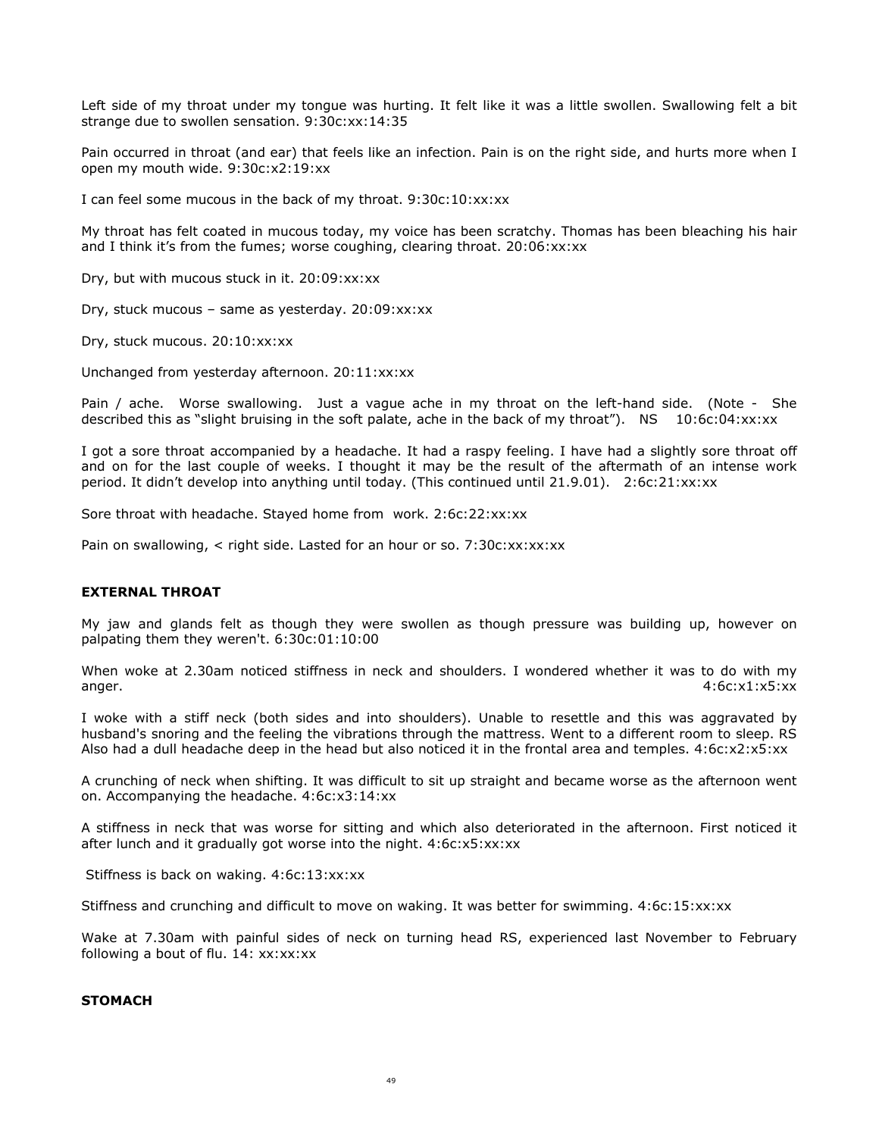Left side of my throat under my tongue was hurting. It felt like it was a little swollen. Swallowing felt a bit strange due to swollen sensation. 9:30c:xx:14:35

Pain occurred in throat (and ear) that feels like an infection. Pain is on the right side, and hurts more when I open my mouth wide. 9:30c:x2:19:xx

I can feel some mucous in the back of my throat. 9:30c:10:xx:xx

My throat has felt coated in mucous today, my voice has been scratchy. Thomas has been bleaching his hair and I think it's from the fumes; worse coughing, clearing throat.  $20:06:xx:xx$ 

Dry, but with mucous stuck in it. 20:09:xx:xx

Dry, stuck mucous – same as yesterday. 20:09:xx:xx

Dry, stuck mucous. 20:10:xx:xx

Unchanged from yesterday afternoon. 20:11:xx:xx

Pain / ache. Worse swallowing. Just a vague ache in my throat on the left-hand side. (Note - She described this as "slight bruising in the soft palate, ache in the back of my throat"). NS 10:6c:04:xx:xx

I got a sore throat accompanied by a headache. It had a raspy feeling. I have had a slightly sore throat off and on for the last couple of weeks. I thought it may be the result of the aftermath of an intense work period. It didn't develop into anything until today. (This continued until 21.9.01). 2:6c:21:xx:xx

Sore throat with headache. Stayed home from work. 2:6c:22:xx:xx

Pain on swallowing, < right side. Lasted for an hour or so. 7:30c:xx:xx:xx

# EXTERNAL THROAT

My jaw and glands felt as though they were swollen as though pressure was building up, however on palpating them they weren't. 6:30c:01:10:00

When woke at 2.30am noticed stiffness in neck and shoulders. I wondered whether it was to do with my anger. 4:6c:x1:x5:xx

I woke with a stiff neck (both sides and into shoulders). Unable to resettle and this was aggravated by husband's snoring and the feeling the vibrations through the mattress. Went to a different room to sleep. RS Also had a dull headache deep in the head but also noticed it in the frontal area and temples. 4:6c:x2:x5:xx

A crunching of neck when shifting. It was difficult to sit up straight and became worse as the afternoon went on. Accompanying the headache. 4:6c:x3:14:xx

A stiffness in neck that was worse for sitting and which also deteriorated in the afternoon. First noticed it after lunch and it gradually got worse into the night. 4:6c:x5:xx:xx

Stiffness is back on waking. 4:6c:13:xx:xx

Stiffness and crunching and difficult to move on waking. It was better for swimming. 4:6c:15:xx:xx

Wake at 7.30am with painful sides of neck on turning head RS, experienced last November to February following a bout of flu.  $14: xx:xx:xx$ 

#### **STOMACH**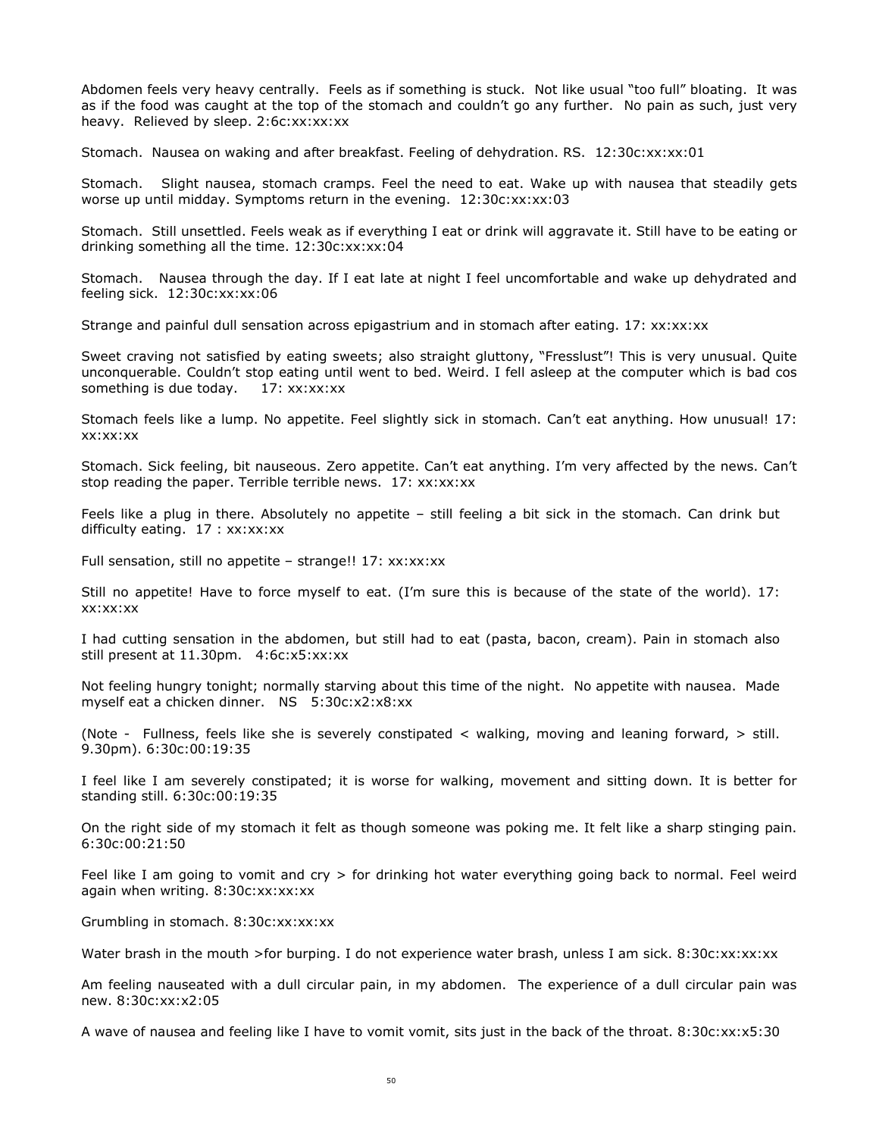Abdomen feels very heavy centrally. Feels as if something is stuck. Not like usual "too full" bloating. It was as if the food was caught at the top of the stomach and couldn't go any further. No pain as such, just very heavy. Relieved by sleep. 2:6c:xx:xx:xx

Stomach. Nausea on waking and after breakfast. Feeling of dehydration. RS. 12:30c:xx:xx:01

Stomach. Slight nausea, stomach cramps. Feel the need to eat. Wake up with nausea that steadily gets worse up until midday. Symptoms return in the evening. 12:30c:xx:xx:03

Stomach. Still unsettled. Feels weak as if everything I eat or drink will aggravate it. Still have to be eating or drinking something all the time. 12:30c:xx:xx:04

Stomach. Nausea through the day. If I eat late at night I feel uncomfortable and wake up dehydrated and feeling sick. 12:30c:xx:xx:06

Strange and painful dull sensation across epigastrium and in stomach after eating. 17: xx:xx:xx

Sweet craving not satisfied by eating sweets; also straight gluttony, "Fresslust"! This is very unusual. Quite unconquerable. Couldn't stop eating until went to bed. Weird. I fell asleep at the computer which is bad cos something is due today. 17: xx:xx:xx

Stomach feels like a lump. No appetite. Feel slightly sick in stomach. Can't eat anything. How unusual! 17: xx:xx:xx

Stomach. Sick feeling, bit nauseous. Zero appetite. Can't eat anything. I'm very affected by the news. Can't stop reading the paper. Terrible terrible news. 17: xx:xx:xx

Feels like a plug in there. Absolutely no appetite – still feeling a bit sick in the stomach. Can drink but difficulty eating. 17 : xx:xx:xx

Full sensation, still no appetite - strange!! 17: xx:xx:xx

Still no appetite! Have to force myself to eat. (I'm sure this is because of the state of the world). 17: xx:xx:xx

I had cutting sensation in the abdomen, but still had to eat (pasta, bacon, cream). Pain in stomach also still present at 11.30pm. 4:6c:x5:xx:xx

Not feeling hungry tonight; normally starving about this time of the night. No appetite with nausea. Made myself eat a chicken dinner. NS 5:30c:x2:x8:xx

(Note - Fullness, feels like she is severely constipated < walking, moving and leaning forward, > still. 9.30pm). 6:30c:00:19:35

I feel like I am severely constipated; it is worse for walking, movement and sitting down. It is better for standing still. 6:30c:00:19:35

On the right side of my stomach it felt as though someone was poking me. It felt like a sharp stinging pain. 6:30c:00:21:50

Feel like I am going to vomit and cry > for drinking hot water everything going back to normal. Feel weird again when writing. 8:30c:xx:xx:xx

Grumbling in stomach. 8:30c:xx:xx:xx

Water brash in the mouth >for burping. I do not experience water brash, unless I am sick. 8:30c:xx:xx:xx

Am feeling nauseated with a dull circular pain, in my abdomen. The experience of a dull circular pain was new. 8:30c:xx:x2:05

A wave of nausea and feeling like I have to vomit vomit, sits just in the back of the throat. 8:30c:xx:x5:30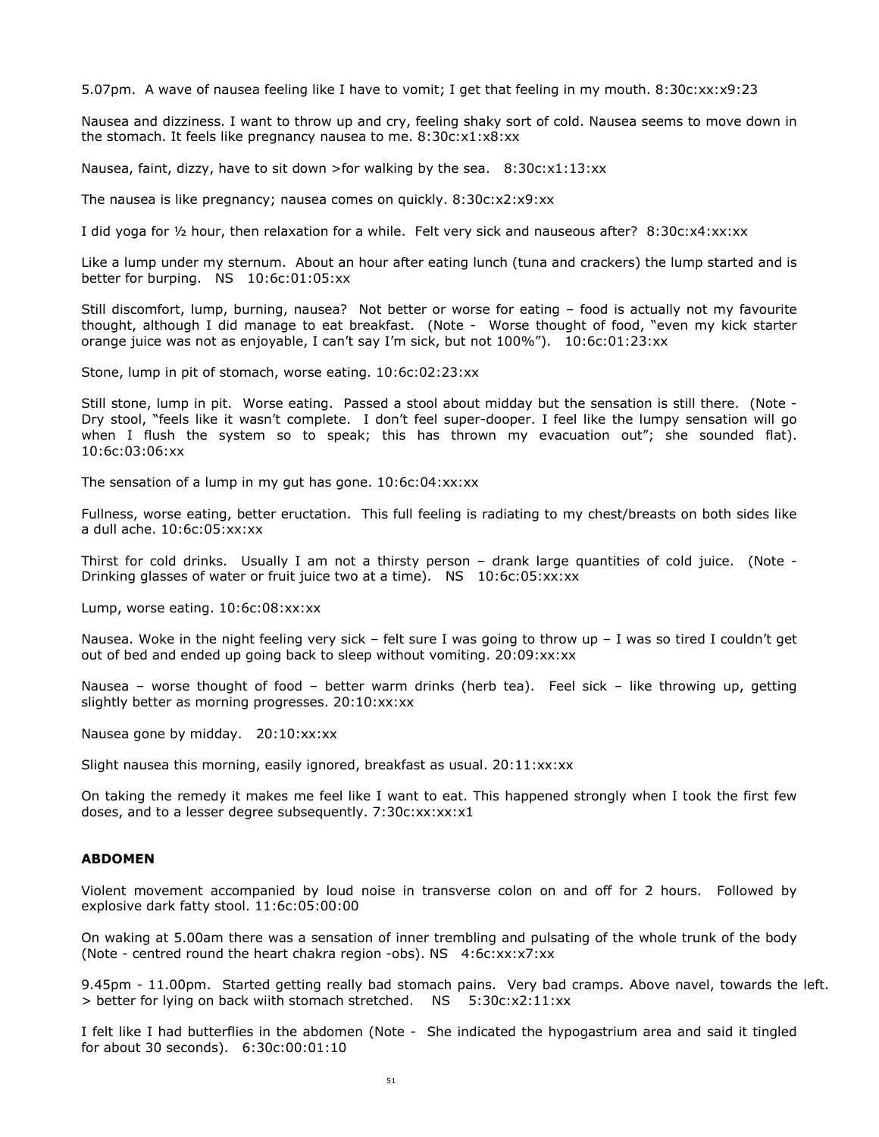5.07pm. A wave of nausea feeling like I have to vomit; I get that feeling in my mouth. 8:30c:xx:x9:23

Nausea and dizziness. I want to throw up and cry, feeling shaky sort of cold. Nausea seems to move down in the stomach. It feels like pregnancy nausea to me. 8:30c:x1:x8:xx

Nausea, faint, dizzy, have to sit down >for walking by the sea. 8:30c:x1:13:xx

The nausea is like pregnancy; nausea comes on quickly. 8:30c:x2:x9:xx

I did yoga for ½ hour, then relaxation for a while. Felt very sick and nauseous after? 8:30c:x4:xx:xx

Like a lump under my sternum. About an hour after eating lunch (tuna and crackers) the lump started and is better for burping. NS 10:6c:01:05:xx

Still discomfort, lump, burning, nausea? Not better or worse for eating – food is actually not my favourite thought, although I did manage to eat breakfast. (Note - Worse thought of food, "even my kick starter orange juice was not as enjoyable, I can't say I'm sick, but not 100%"). 10:6c:01:23:xx

Stone, lump in pit of stomach, worse eating. 10:6c:02:23:xx

Still stone, lump in pit. Worse eating. Passed a stool about midday but the sensation is still there. (Note - Dry stool, "feels like it wasn't complete. I don't feel super-dooper. I feel like the lumpy sensation will go when I flush the system so to speak; this has thrown my evacuation out"; she sounded flat). 10:6c:03:06:xx

The sensation of a lump in my gut has gone. 10:6c:04:xx:xx

Fullness, worse eating, better eructation. This full feeling is radiating to my chest/breasts on both sides like a dull ache. 10:6c:05:xx:xx

Thirst for cold drinks. Usually I am not a thirsty person – drank large quantities of cold juice. (Note - Drinking glasses of water or fruit juice two at a time). NS 10:6c:05:xx:xx

Lump, worse eating. 10:6c:08:xx:xx

Nausea. Woke in the night feeling very sick – felt sure I was going to throw up – I was so tired I couldn't get out of bed and ended up going back to sleep without vomiting. 20:09:xx:xx

Nausea – worse thought of food – better warm drinks (herb tea). Feel sick – like throwing up, getting slightly better as morning progresses. 20:10:xx:xx

Nausea gone by midday. 20:10:xx:xx

Slight nausea this morning, easily ignored, breakfast as usual. 20:11:xx:xx

On taking the remedy it makes me feel like I want to eat. This happened strongly when I took the first few doses, and to a lesser degree subsequently. 7:30c:xx:xx:x1

#### ABDOMEN

Violent movement accompanied by loud noise in transverse colon on and off for 2 hours. Followed by explosive dark fatty stool. 11:6c:05:00:00

On waking at 5.00am there was a sensation of inner trembling and pulsating of the whole trunk of the body (Note - centred round the heart chakra region -obs). NS 4:6c:xx:x7:xx

9.45pm - 11.00pm. Started getting really bad stomach pains. Very bad cramps. Above navel, towards the left.  $>$  better for lying on back wiith stomach stretched. NS  $5:30c:x2:11:xx$ 

I felt like I had butterflies in the abdomen (Note - She indicated the hypogastrium area and said it tingled for about 30 seconds). 6:30c:00:01:10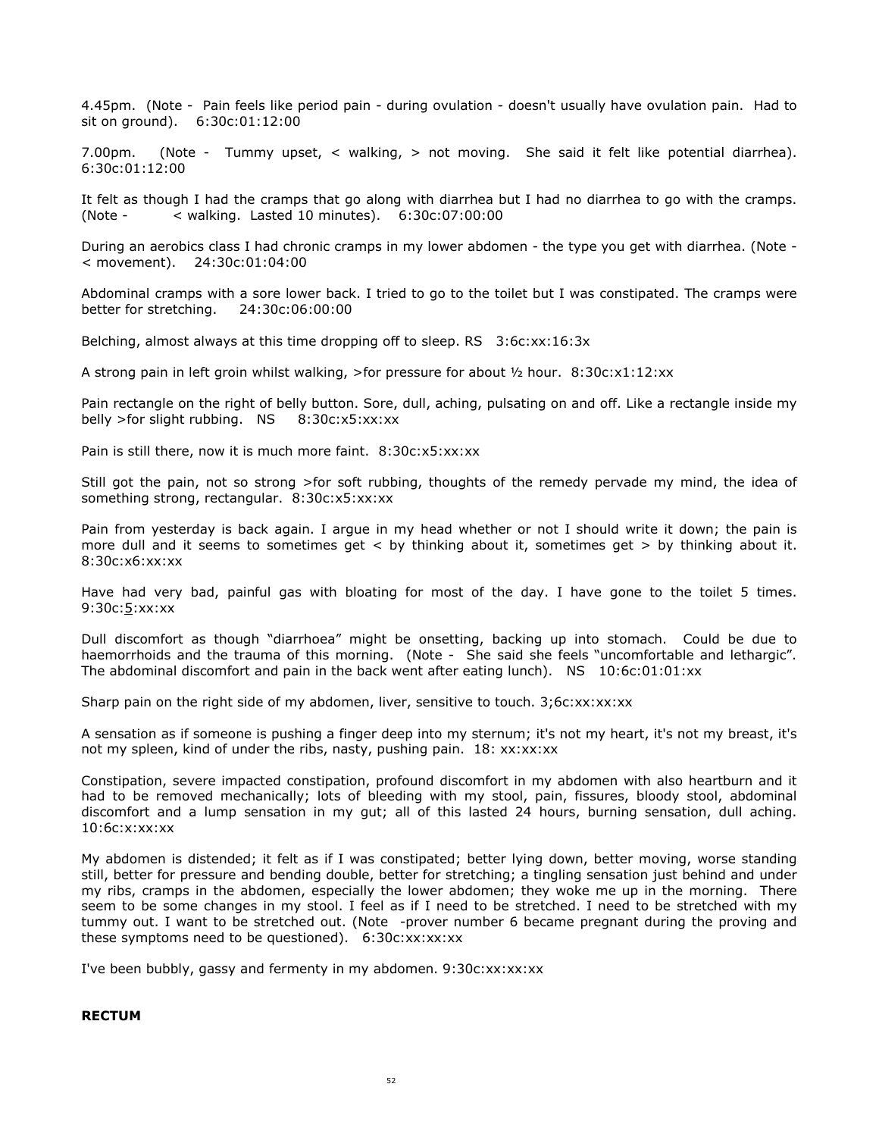4.45pm. (Note - Pain feels like period pain - during ovulation - doesn't usually have ovulation pain. Had to sit on ground). 6:30c:01:12:00

7.00pm. (Note - Tummy upset, < walking, > not moving. She said it felt like potential diarrhea). 6:30c:01:12:00

It felt as though I had the cramps that go along with diarrhea but I had no diarrhea to go with the cramps. (Note - < walking. Lasted 10 minutes). 6:30c:07:00:00

During an aerobics class I had chronic cramps in my lower abdomen - the type you get with diarrhea. (Note - < movement). 24:30c:01:04:00

Abdominal cramps with a sore lower back. I tried to go to the toilet but I was constipated. The cramps were better for stretching. 24:30c:06:00:00

Belching, almost always at this time dropping off to sleep. RS 3:6c:xx:16:3x

A strong pain in left groin whilst walking, >for pressure for about ½ hour. 8:30c:x1:12:xx

Pain rectangle on the right of belly button. Sore, dull, aching, pulsating on and off. Like a rectangle inside my belly >for slight rubbing. NS 8:30c:x5:xx:xx

Pain is still there, now it is much more faint. 8:30c:x5:xx:xx

Still got the pain, not so strong >for soft rubbing, thoughts of the remedy pervade my mind, the idea of something strong, rectangular. 8:30c:x5:xx:xx

Pain from yesterday is back again. I argue in my head whether or not I should write it down; the pain is more dull and it seems to sometimes get  $\lt$  by thinking about it, sometimes get  $>$  by thinking about it. 8:30c:x6:xx:xx

Have had very bad, painful gas with bloating for most of the day. I have gone to the toilet 5 times. 9:30c:5:xx:xx

Dull discomfort as though "diarrhoea" might be onsetting, backing up into stomach. Could be due to haemorrhoids and the trauma of this morning. (Note - She said she feels "uncomfortable and lethargic". The abdominal discomfort and pain in the back went after eating lunch). NS 10:6c:01:01:xx

Sharp pain on the right side of my abdomen, liver, sensitive to touch. 3;6c:xx:xx:xx

A sensation as if someone is pushing a finger deep into my sternum; it's not my heart, it's not my breast, it's not my spleen, kind of under the ribs, nasty, pushing pain. 18: xx:xx:xx

Constipation, severe impacted constipation, profound discomfort in my abdomen with also heartburn and it had to be removed mechanically; lots of bleeding with my stool, pain, fissures, bloody stool, abdominal discomfort and a lump sensation in my gut; all of this lasted 24 hours, burning sensation, dull aching. 10:6c:x:xx:xx

My abdomen is distended; it felt as if I was constipated; better lying down, better moving, worse standing still, better for pressure and bending double, better for stretching; a tingling sensation just behind and under my ribs, cramps in the abdomen, especially the lower abdomen; they woke me up in the morning. There seem to be some changes in my stool. I feel as if I need to be stretched. I need to be stretched with my tummy out. I want to be stretched out. (Note -prover number 6 became pregnant during the proving and these symptoms need to be questioned). 6:30c:xx:xx:xx

I've been bubbly, gassy and fermenty in my abdomen. 9:30c:xx:xx:xx

#### RECTUM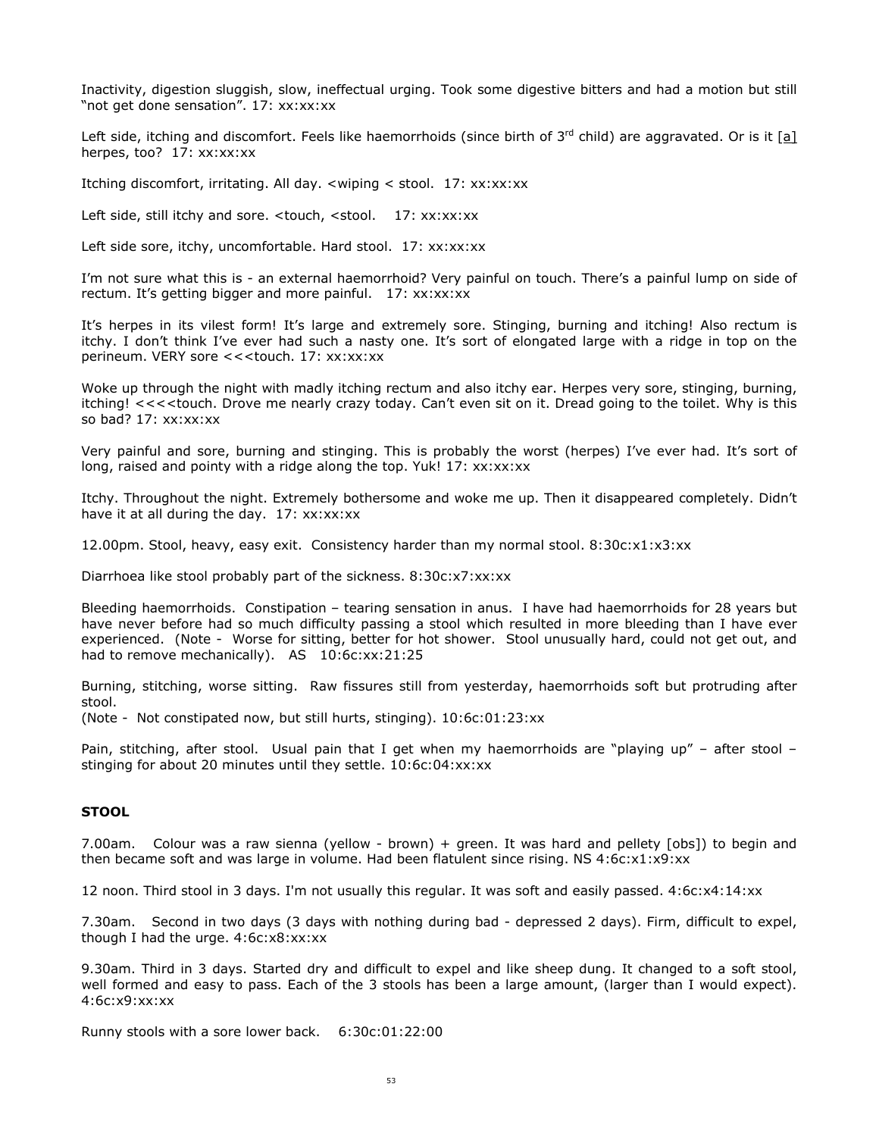Inactivity, digestion sluggish, slow, ineffectual urging. Took some digestive bitters and had a motion but still "not get done sensation". 17: xx:xx:xx

Left side, itching and discomfort. Feels like haemorrhoids (since birth of 3<sup>rd</sup> child) are aggravated. Or is it  $[a]$ herpes, too? 17: xx:xx:xx

Itching discomfort, irritating. All day. <wiping < stool. 17: xx:xx:xx

Left side, still itchy and sore. <touch, <stool. 17: xx:xx:xx

Left side sore, itchy, uncomfortable. Hard stool. 17: xx:xx:xx

I'm not sure what this is - an external haemorrhoid? Very painful on touch. There's a painful lump on side of rectum. It's getting bigger and more painful. 17: xx:xx:xx

It's herpes in its vilest form! It's large and extremely sore. Stinging, burning and itching! Also rectum is itchy. I don't think I've ever had such a nasty one. It's sort of elongated large with a ridge in top on the perineum. VERY sore <<<touch. 17: xx:xx:xx

Woke up through the night with madly itching rectum and also itchy ear. Herpes very sore, stinging, burning, itching! <<<<touch. Drove me nearly crazy today. Can't even sit on it. Dread going to the toilet. Why is this so bad? 17: xx:xx:xx

Very painful and sore, burning and stinging. This is probably the worst (herpes) I've ever had. It's sort of long, raised and pointy with a ridge along the top. Yuk! 17: xx:xx:xx

Itchy. Throughout the night. Extremely bothersome and woke me up. Then it disappeared completely. Didn't have it at all during the day. 17: xx:xx:xx

12.00pm. Stool, heavy, easy exit. Consistency harder than my normal stool. 8:30c:x1:x3:xx

Diarrhoea like stool probably part of the sickness. 8:30c:x7:xx:xx

Bleeding haemorrhoids. Constipation – tearing sensation in anus. I have had haemorrhoids for 28 years but have never before had so much difficulty passing a stool which resulted in more bleeding than I have ever experienced. (Note - Worse for sitting, better for hot shower. Stool unusually hard, could not get out, and had to remove mechanically). AS 10:6c:xx:21:25

Burning, stitching, worse sitting. Raw fissures still from yesterday, haemorrhoids soft but protruding after stool.

(Note - Not constipated now, but still hurts, stinging). 10:6c:01:23:xx

Pain, stitching, after stool. Usual pain that I get when my haemorrhoids are "playing up" – after stool – stinging for about 20 minutes until they settle. 10:6c:04:xx:xx

## **STOOL**

7.00am. Colour was a raw sienna (yellow - brown) + green. It was hard and pellety [obs]) to begin and then became soft and was large in volume. Had been flatulent since rising. NS 4:6c:x1:x9:xx

12 noon. Third stool in 3 days. I'm not usually this regular. It was soft and easily passed. 4:6c:x4:14:xx

7.30am. Second in two days (3 days with nothing during bad - depressed 2 days). Firm, difficult to expel, though I had the urge. 4:6c:x8:xx:xx

9.30am. Third in 3 days. Started dry and difficult to expel and like sheep dung. It changed to a soft stool, well formed and easy to pass. Each of the 3 stools has been a large amount, (larger than I would expect). 4:6c:x9:xx:xx

Runny stools with a sore lower back. 6:30c:01:22:00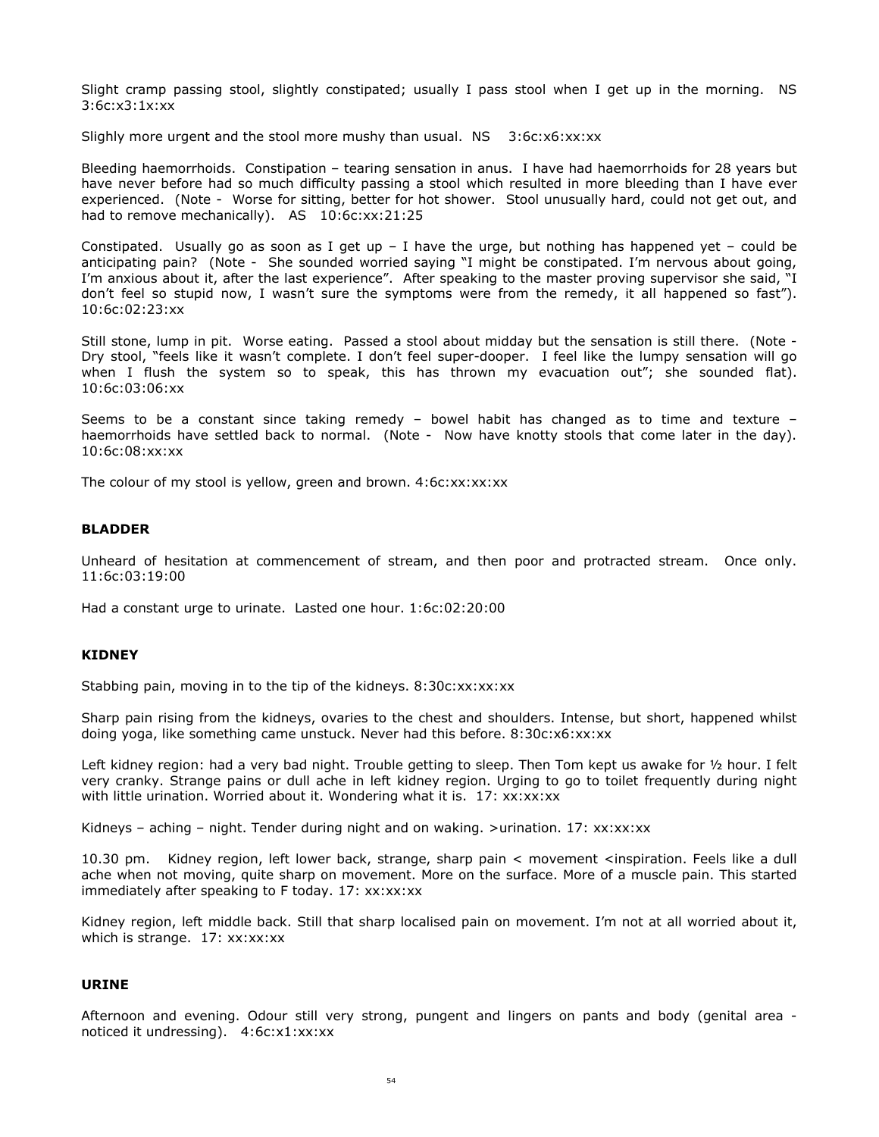Slight cramp passing stool, slightly constipated; usually I pass stool when I get up in the morning. NS 3:6c:x3:1x:xx

Slighly more urgent and the stool more mushy than usual. NS 3:6c:x6:xx:xx

Bleeding haemorrhoids. Constipation – tearing sensation in anus. I have had haemorrhoids for 28 years but have never before had so much difficulty passing a stool which resulted in more bleeding than I have ever experienced. (Note - Worse for sitting, better for hot shower. Stool unusually hard, could not get out, and had to remove mechanically). AS 10:6c:xx:21:25

Constipated. Usually go as soon as I get up  $-$  I have the urge, but nothing has happened yet – could be anticipating pain? (Note - She sounded worried saying "I might be constipated. I'm nervous about going, I'm anxious about it, after the last experience". After speaking to the master proving supervisor she said, "I don't feel so stupid now, I wasn't sure the symptoms were from the remedy, it all happened so fast"). 10:6c:02:23:xx

Still stone, lump in pit. Worse eating. Passed a stool about midday but the sensation is still there. (Note - Dry stool, "feels like it wasn't complete. I don't feel super-dooper. I feel like the lumpy sensation will go when I flush the system so to speak, this has thrown my evacuation out"; she sounded flat). 10:6c:03:06:xx

Seems to be a constant since taking remedy – bowel habit has changed as to time and texture – haemorrhoids have settled back to normal. (Note - Now have knotty stools that come later in the day). 10:6c:08:xx:xx

The colour of my stool is yellow, green and brown. 4:6c:xx:xx:xx

# BLADDER

Unheard of hesitation at commencement of stream, and then poor and protracted stream. Once only. 11:6c:03:19:00

Had a constant urge to urinate. Lasted one hour. 1:6c:02:20:00

## KIDNEY

Stabbing pain, moving in to the tip of the kidneys. 8:30c:xx:xx:xx

Sharp pain rising from the kidneys, ovaries to the chest and shoulders. Intense, but short, happened whilst doing yoga, like something came unstuck. Never had this before. 8:30c:x6:xx:xx

Left kidney region: had a very bad night. Trouble getting to sleep. Then Tom kept us awake for ½ hour. I felt very cranky. Strange pains or dull ache in left kidney region. Urging to go to toilet frequently during night with little urination. Worried about it. Wondering what it is. 17: xx:xx:xx

Kidneys – aching – night. Tender during night and on waking. >urination.  $17: xx:xx:xx$ 

10.30 pm. Kidney region, left lower back, strange, sharp pain < movement <inspiration. Feels like a dull ache when not moving, quite sharp on movement. More on the surface. More of a muscle pain. This started immediately after speaking to F today. 17: xx:xx:xx

Kidney region, left middle back. Still that sharp localised pain on movement. I'm not at all worried about it, which is strange. 17: xx:xx:xx

#### URINE

Afternoon and evening. Odour still very strong, pungent and lingers on pants and body (genital area noticed it undressing). 4:6c:x1:xx:xx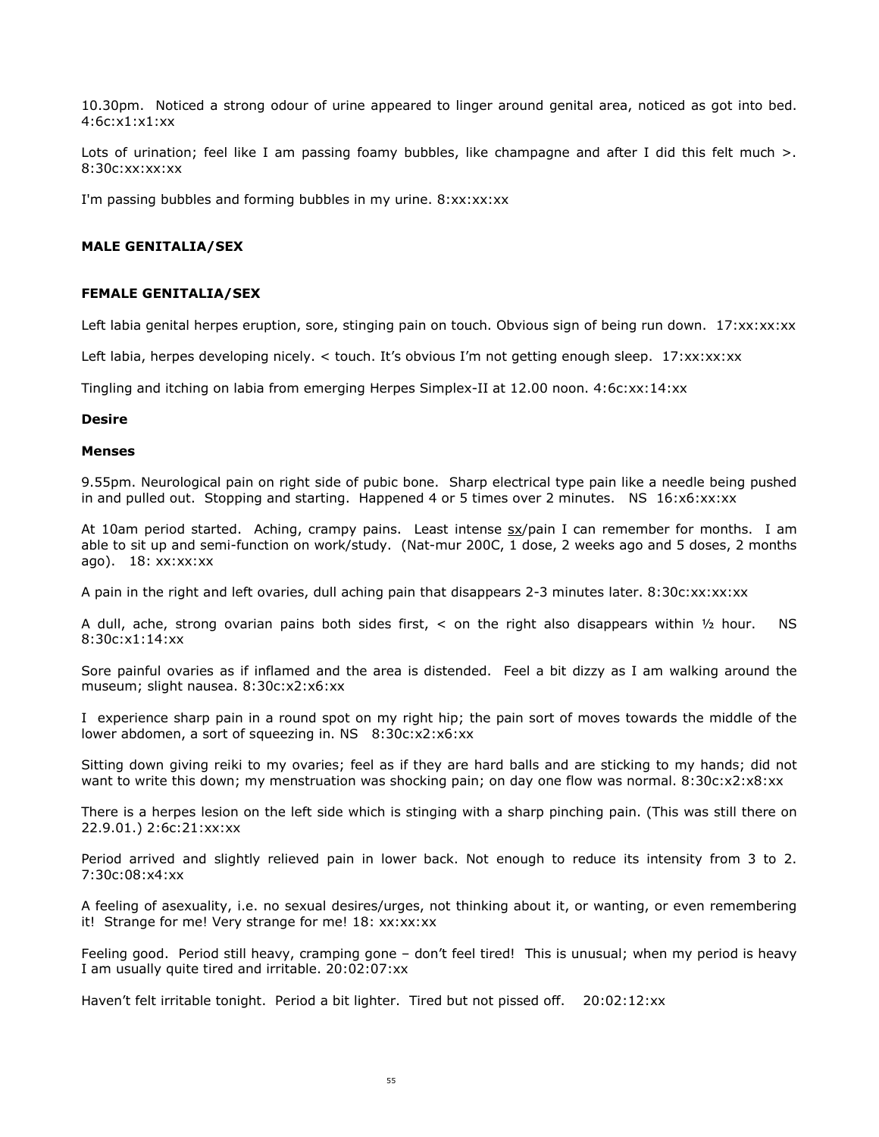10.30pm. Noticed a strong odour of urine appeared to linger around genital area, noticed as got into bed. 4:6c:x1:x1:xx

Lots of urination; feel like I am passing foamy bubbles, like champagne and after I did this felt much >. 8:30c:xx:xx:xx

I'm passing bubbles and forming bubbles in my urine. 8:xx:xx:xx

## MALE GENITALIA/SEX

### FEMALE GENITALIA/SEX

Left labia genital herpes eruption, sore, stinging pain on touch. Obvious sign of being run down. 17:xx:xx:xx

Left labia, herpes developing nicely. < touch. It's obvious I'm not getting enough sleep. 17:xx:xx:xx

Tingling and itching on labia from emerging Herpes Simplex-II at 12.00 noon. 4:6c:xx:14:xx

#### Desire

#### Menses

9.55pm. Neurological pain on right side of pubic bone. Sharp electrical type pain like a needle being pushed in and pulled out. Stopping and starting. Happened 4 or 5 times over 2 minutes. NS 16:x6:xx:xx

At 10am period started. Aching, crampy pains. Least intense  $s x / p a$ in I can remember for months. I am able to sit up and semi-function on work/study. (Nat-mur 200C, 1 dose, 2 weeks ago and 5 doses, 2 months ago). 18: xx:xx:xx

A pain in the right and left ovaries, dull aching pain that disappears 2-3 minutes later. 8:30c:xx:xx:xx

A dull, ache, strong ovarian pains both sides first,  $\lt$  on the right also disappears within  $\frac{1}{2}$  hour. NS 8:30c:x1:14:xx

Sore painful ovaries as if inflamed and the area is distended. Feel a bit dizzy as I am walking around the museum; slight nausea. 8:30c:x2:x6:xx

I experience sharp pain in a round spot on my right hip; the pain sort of moves towards the middle of the lower abdomen, a sort of squeezing in. NS 8:30c:x2:x6:xx

Sitting down giving reiki to my ovaries; feel as if they are hard balls and are sticking to my hands; did not want to write this down; my menstruation was shocking pain; on day one flow was normal. 8:30c:x2:x8:xx

There is a herpes lesion on the left side which is stinging with a sharp pinching pain. (This was still there on 22.9.01.) 2:6c:21:xx:xx

Period arrived and slightly relieved pain in lower back. Not enough to reduce its intensity from 3 to 2. 7:30c:08:x4:xx

A feeling of asexuality, i.e. no sexual desires/urges, not thinking about it, or wanting, or even remembering it! Strange for me! Very strange for me! 18: xx:xx:xx

Feeling good. Period still heavy, cramping gone – don't feel tired! This is unusual; when my period is heavy I am usually quite tired and irritable. 20:02:07:xx

Haven't felt irritable tonight. Period a bit lighter. Tired but not pissed off. 20:02:12:xx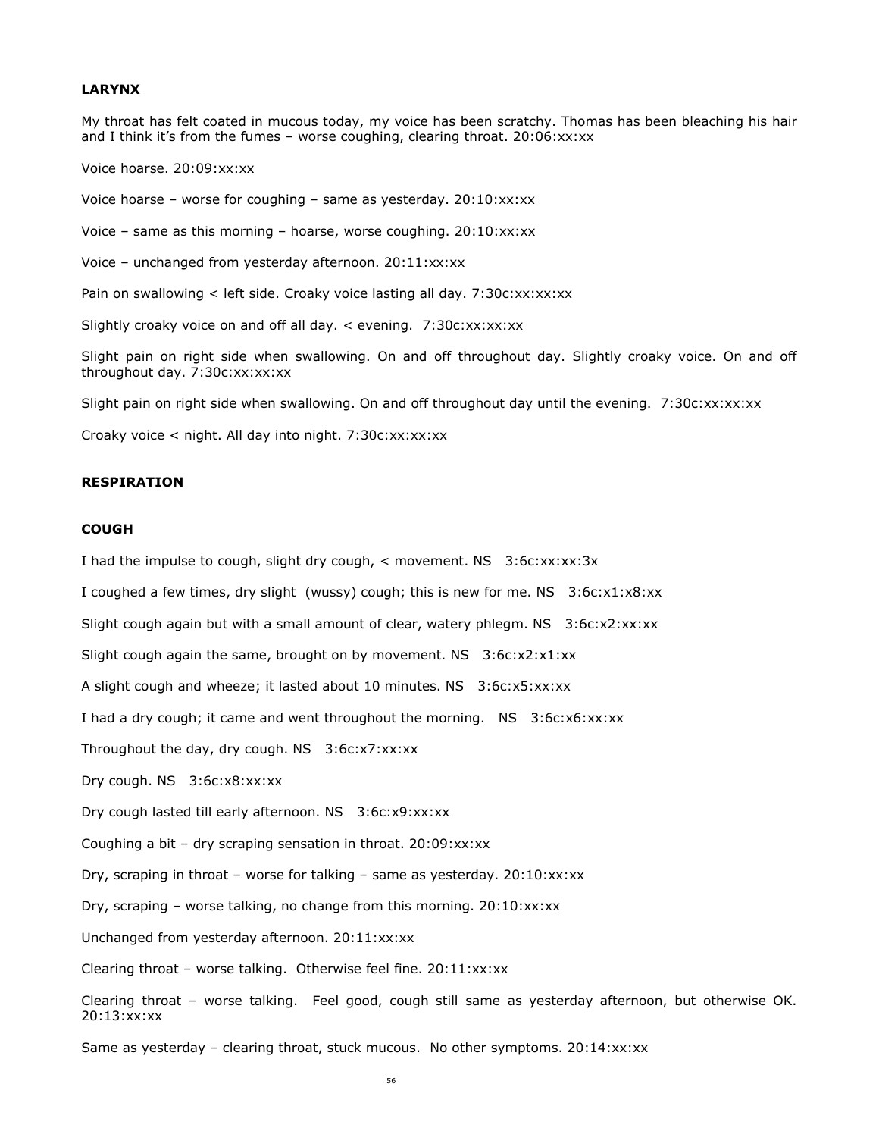## LARYNX

My throat has felt coated in mucous today, my voice has been scratchy. Thomas has been bleaching his hair and I think it's from the fumes – worse coughing, clearing throat.  $20:06:xx:xx$ 

Voice hoarse. 20:09:xx:xx

Voice hoarse – worse for coughing – same as yesterday. 20:10:xx:xx

Voice – same as this morning – hoarse, worse coughing.  $20:10:xx:xx$ 

Voice – unchanged from yesterday afternoon. 20:11:xx:xx

Pain on swallowing < left side. Croaky voice lasting all day. 7:30c:xx:xx:xx

Slightly croaky voice on and off all day. < evening. 7:30c:xx:xx:xx

Slight pain on right side when swallowing. On and off throughout day. Slightly croaky voice. On and off throughout day. 7:30c:xx:xx:xx

Slight pain on right side when swallowing. On and off throughout day until the evening. 7:30c:xx:xx:xx

Croaky voice < night. All day into night. 7:30c:xx:xx:xx

## RESPIRATION

# **COUGH**

I had the impulse to cough, slight dry cough,  $\lt$  movement. NS 3:6c:xx:xx:3x

I coughed a few times, dry slight (wussy) cough; this is new for me. NS  $3:6c:x1:x8:xx$ 

Slight cough again but with a small amount of clear, watery phlegm. NS 3:6c:x2:xx:xx

Slight cough again the same, brought on by movement. NS 3:6c:x2:x1:xx

A slight cough and wheeze; it lasted about 10 minutes. NS 3:6c:x5:xx:xx

I had a dry cough; it came and went throughout the morning. NS 3:6c:x6:xx:xx

Throughout the day, dry cough. NS 3:6c:x7:xx:xx

Dry cough. NS 3:6c:x8:xx:xx

Dry cough lasted till early afternoon. NS 3:6c:x9:xx:xx

Coughing a bit – dry scraping sensation in throat. 20:09:xx:xx

Dry, scraping in throat – worse for talking – same as yesterday.  $20:10:xx:xx$ 

Dry, scraping – worse talking, no change from this morning.  $20:10:xx:x$ 

Unchanged from yesterday afternoon. 20:11:xx:xx

Clearing throat – worse talking. Otherwise feel fine. 20:11:xx:xx

Clearing throat – worse talking. Feel good, cough still same as yesterday afternoon, but otherwise OK. 20:13:xx:xx

Same as yesterday – clearing throat, stuck mucous. No other symptoms. 20:14:xx:xx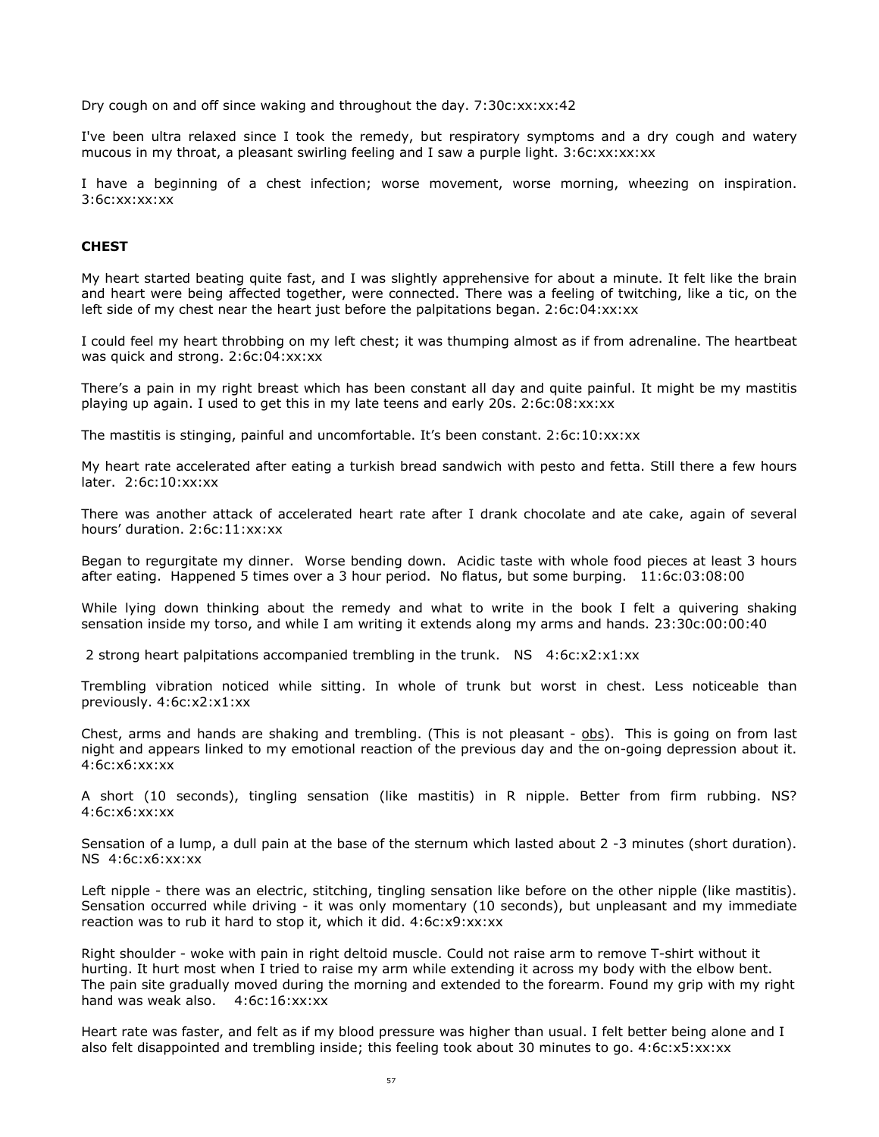Dry cough on and off since waking and throughout the day. 7:30c:xx:xx:42

I've been ultra relaxed since I took the remedy, but respiratory symptoms and a dry cough and watery mucous in my throat, a pleasant swirling feeling and I saw a purple light. 3:6c:xx:xx:xx

I have a beginning of a chest infection; worse movement, worse morning, wheezing on inspiration. 3:6c:xx:xx:xx

#### **CHEST**

My heart started beating quite fast, and I was slightly apprehensive for about a minute. It felt like the brain and heart were being affected together, were connected. There was a feeling of twitching, like a tic, on the left side of my chest near the heart just before the palpitations began.  $2:6c:04:xx:xx$ 

I could feel my heart throbbing on my left chest; it was thumping almost as if from adrenaline. The heartbeat was quick and strong. 2:6c:04:xx:xx

There's a pain in my right breast which has been constant all day and quite painful. It might be my mastitis playing up again. I used to get this in my late teens and early 20s. 2:6c:08:xx:xx

The mastitis is stinging, painful and uncomfortable. It's been constant. 2:6c:10:xx:xx

My heart rate accelerated after eating a turkish bread sandwich with pesto and fetta. Still there a few hours later. 2:6c:10:xx:xx

There was another attack of accelerated heart rate after I drank chocolate and ate cake, again of several hours' duration. 2:6c:11:xx:xx

Began to regurgitate my dinner. Worse bending down. Acidic taste with whole food pieces at least 3 hours after eating. Happened 5 times over a 3 hour period. No flatus, but some burping. 11:6c:03:08:00

While lying down thinking about the remedy and what to write in the book I felt a quivering shaking sensation inside my torso, and while I am writing it extends along my arms and hands. 23:30c:00:00:40

2 strong heart palpitations accompanied trembling in the trunk. NS 4:6c:x2:x1:xx

Trembling vibration noticed while sitting. In whole of trunk but worst in chest. Less noticeable than previously. 4:6c:x2:x1:xx

Chest, arms and hands are shaking and trembling. (This is not pleasant - obs). This is going on from last night and appears linked to my emotional reaction of the previous day and the on-going depression about it. 4:6c:x6:xx:xx

A short (10 seconds), tingling sensation (like mastitis) in R nipple. Better from firm rubbing. NS? 4:6c:x6:xx:xx

Sensation of a lump, a dull pain at the base of the sternum which lasted about 2 -3 minutes (short duration). NS 4:6c:x6:xx:xx

Left nipple - there was an electric, stitching, tingling sensation like before on the other nipple (like mastitis). Sensation occurred while driving - it was only momentary (10 seconds), but unpleasant and my immediate reaction was to rub it hard to stop it, which it did. 4:6c:x9:xx:xx

Right shoulder - woke with pain in right deltoid muscle. Could not raise arm to remove T-shirt without it hurting. It hurt most when I tried to raise my arm while extending it across my body with the elbow bent. The pain site gradually moved during the morning and extended to the forearm. Found my grip with my right hand was weak also. 4:6c:16:xx:xx

Heart rate was faster, and felt as if my blood pressure was higher than usual. I felt better being alone and I also felt disappointed and trembling inside; this feeling took about 30 minutes to go. 4:6c:x5:xx:xx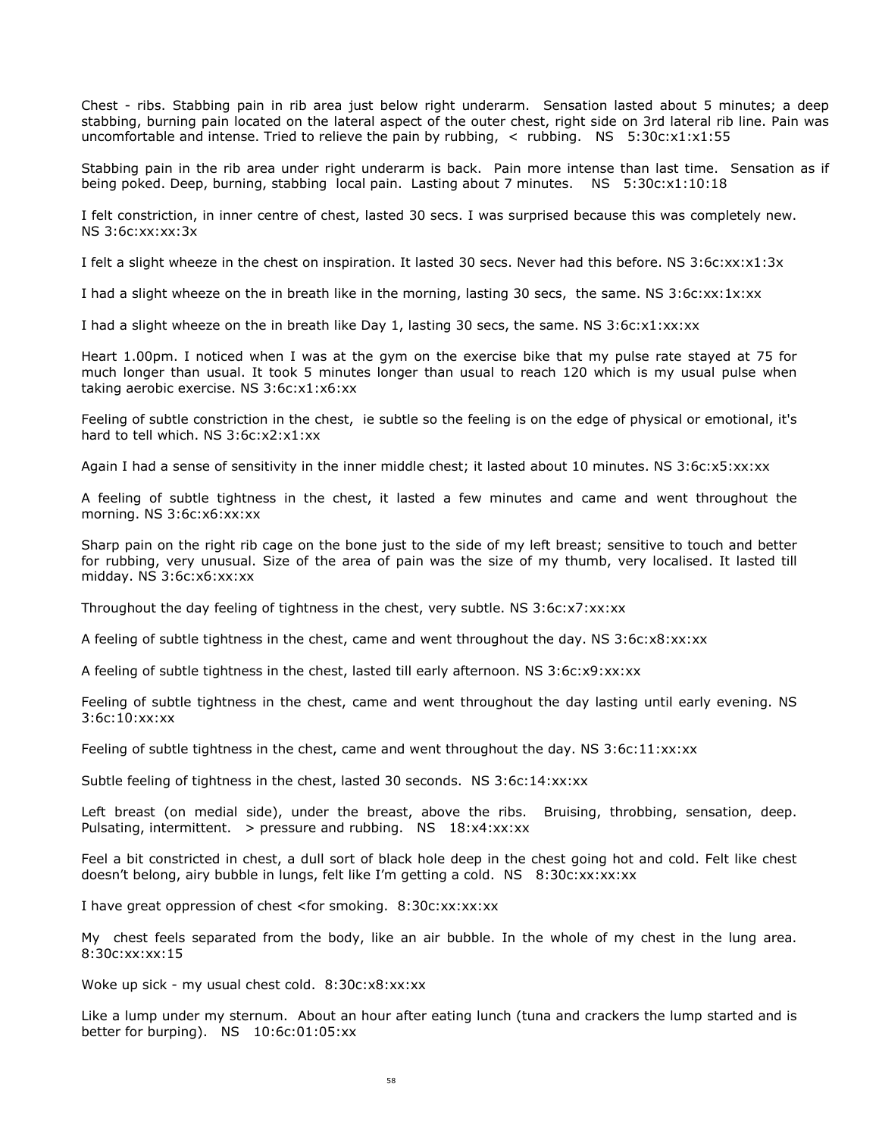Chest - ribs. Stabbing pain in rib area just below right underarm. Sensation lasted about 5 minutes; a deep stabbing, burning pain located on the lateral aspect of the outer chest, right side on 3rd lateral rib line. Pain was uncomfortable and intense. Tried to relieve the pain by rubbing,  $\lt$  rubbing. NS 5:30c:x1:x1:55

Stabbing pain in the rib area under right underarm is back. Pain more intense than last time. Sensation as if being poked. Deep, burning, stabbing local pain. Lasting about 7 minutes. NS 5:30c:x1:10:18

I felt constriction, in inner centre of chest, lasted 30 secs. I was surprised because this was completely new. NS 3:6c:xx:xx:3x

I felt a slight wheeze in the chest on inspiration. It lasted 30 secs. Never had this before. NS 3:6c:xx:x1:3x

I had a slight wheeze on the in breath like in the morning, lasting 30 secs, the same. NS 3:6c:xx:1x:xx

I had a slight wheeze on the in breath like Day 1, lasting 30 secs, the same. NS 3:6c:x1:xx:xx

Heart 1.00pm. I noticed when I was at the gym on the exercise bike that my pulse rate stayed at 75 for much longer than usual. It took 5 minutes longer than usual to reach 120 which is my usual pulse when taking aerobic exercise. NS 3:6c:x1:x6:xx

Feeling of subtle constriction in the chest, ie subtle so the feeling is on the edge of physical or emotional, it's hard to tell which. NS 3:6c:x2:x1:xx

Again I had a sense of sensitivity in the inner middle chest; it lasted about 10 minutes. NS 3:6c:x5:xx:xx

A feeling of subtle tightness in the chest, it lasted a few minutes and came and went throughout the morning. NS 3:6c:x6:xx:xx

Sharp pain on the right rib cage on the bone just to the side of my left breast; sensitive to touch and better for rubbing, very unusual. Size of the area of pain was the size of my thumb, very localised. It lasted till midday. NS 3:6c:x6:xx:xx

Throughout the day feeling of tightness in the chest, very subtle. NS 3:6c:x7:xx:xx

A feeling of subtle tightness in the chest, came and went throughout the day. NS 3:6c:x8:xx:xx

A feeling of subtle tightness in the chest, lasted till early afternoon. NS 3:6c:x9:xx:xx

Feeling of subtle tightness in the chest, came and went throughout the day lasting until early evening. NS 3:6c:10:xx:xx

Feeling of subtle tightness in the chest, came and went throughout the day. NS 3:6c:11:xx:xx

Subtle feeling of tightness in the chest, lasted 30 seconds. NS 3:6c:14:xx:xx

Left breast (on medial side), under the breast, above the ribs. Bruising, throbbing, sensation, deep. Pulsating, intermittent.  $>$  pressure and rubbing. NS  $18:x4:xx:xx$ 

Feel a bit constricted in chest, a dull sort of black hole deep in the chest going hot and cold. Felt like chest doesn't belong, airy bubble in lungs, felt like I'm getting a cold. NS 8:30c:xx:xx:xx

I have great oppression of chest <for smoking. 8:30c:xx:xx:xx

My chest feels separated from the body, like an air bubble. In the whole of my chest in the lung area. 8:30c:xx:xx:15

Woke up sick - my usual chest cold. 8:30c:x8:xx:xx

Like a lump under my sternum. About an hour after eating lunch (tuna and crackers the lump started and is better for burping). NS 10:6c:01:05:xx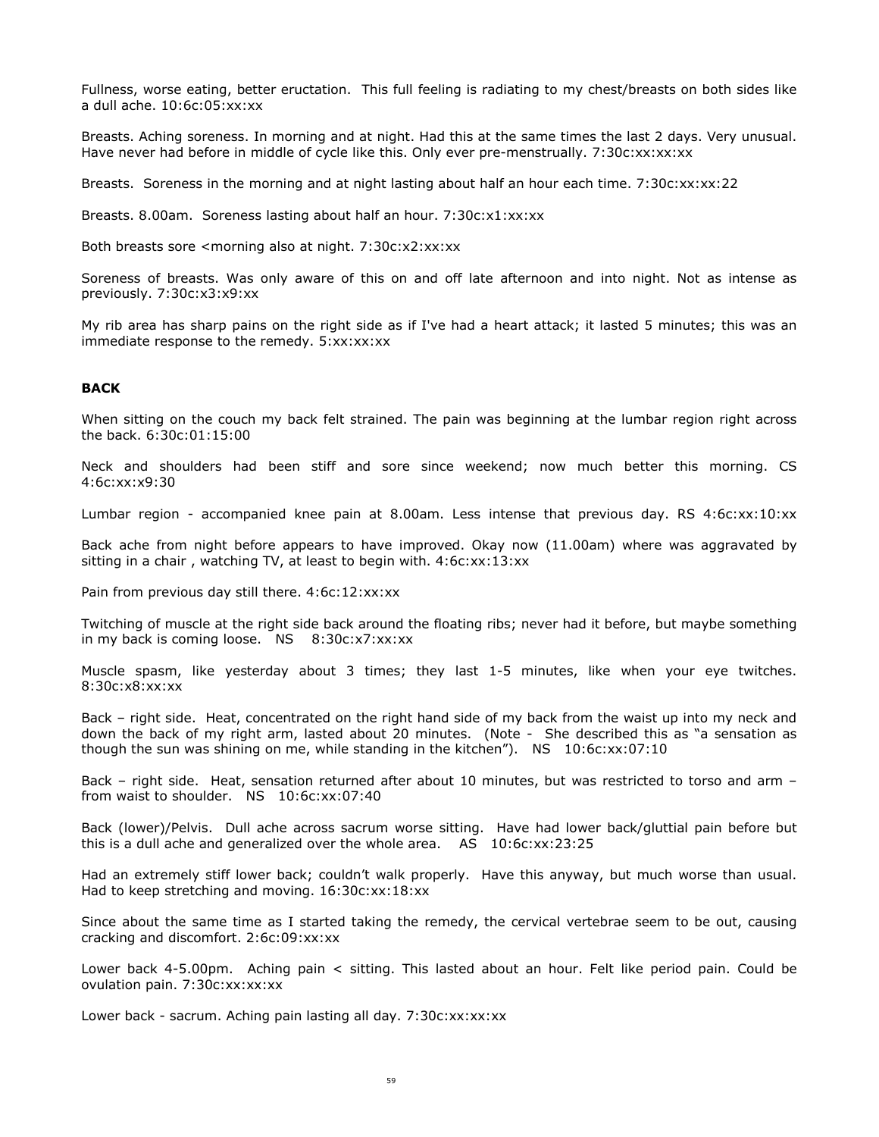Fullness, worse eating, better eructation. This full feeling is radiating to my chest/breasts on both sides like a dull ache. 10:6c:05:xx:xx

Breasts. Aching soreness. In morning and at night. Had this at the same times the last 2 days. Very unusual. Have never had before in middle of cycle like this. Only ever pre-menstrually. 7:30c:xx:xx:xx

Breasts. Soreness in the morning and at night lasting about half an hour each time. 7:30c:xx:xx:22

Breasts. 8.00am. Soreness lasting about half an hour. 7:30c:x1:xx:xx

Both breasts sore <morning also at night. 7:30c:x2:xx:xx

Soreness of breasts. Was only aware of this on and off late afternoon and into night. Not as intense as previously. 7:30c:x3:x9:xx

My rib area has sharp pains on the right side as if I've had a heart attack; it lasted 5 minutes; this was an immediate response to the remedy. 5:xx:xx:xx

# **BACK**

When sitting on the couch my back felt strained. The pain was beginning at the lumbar region right across the back. 6:30c:01:15:00

Neck and shoulders had been stiff and sore since weekend; now much better this morning. CS 4:6c:xx:x9:30

Lumbar region - accompanied knee pain at 8.00am. Less intense that previous day. RS 4:6c:xx:10:xx

Back ache from night before appears to have improved. Okay now (11.00am) where was aggravated by sitting in a chair , watching TV, at least to begin with. 4:6c:xx:13:xx

Pain from previous day still there. 4:6c:12:xx:xx

Twitching of muscle at the right side back around the floating ribs; never had it before, but maybe something in my back is coming loose. NS 8:30c:x7:xx:xx

Muscle spasm, like yesterday about 3 times; they last 1-5 minutes, like when your eye twitches. 8:30c:x8:xx:xx

Back – right side. Heat, concentrated on the right hand side of my back from the waist up into my neck and down the back of my right arm, lasted about 20 minutes. (Note - She described this as "a sensation as though the sun was shining on me, while standing in the kitchen"). NS 10:6c:xx:07:10

Back – right side. Heat, sensation returned after about 10 minutes, but was restricted to torso and arm – from waist to shoulder. NS 10:6c:xx:07:40

Back (lower)/Pelvis. Dull ache across sacrum worse sitting. Have had lower back/gluttial pain before but this is a dull ache and generalized over the whole area. AS 10:6c:xx:23:25

Had an extremely stiff lower back; couldn't walk properly. Have this anyway, but much worse than usual. Had to keep stretching and moving. 16:30c:xx:18:xx

Since about the same time as I started taking the remedy, the cervical vertebrae seem to be out, causing cracking and discomfort. 2:6c:09:xx:xx

Lower back 4-5.00pm. Aching pain < sitting. This lasted about an hour. Felt like period pain. Could be ovulation pain. 7:30c:xx:xx:xx

Lower back - sacrum. Aching pain lasting all day. 7:30c:xx:xx:xx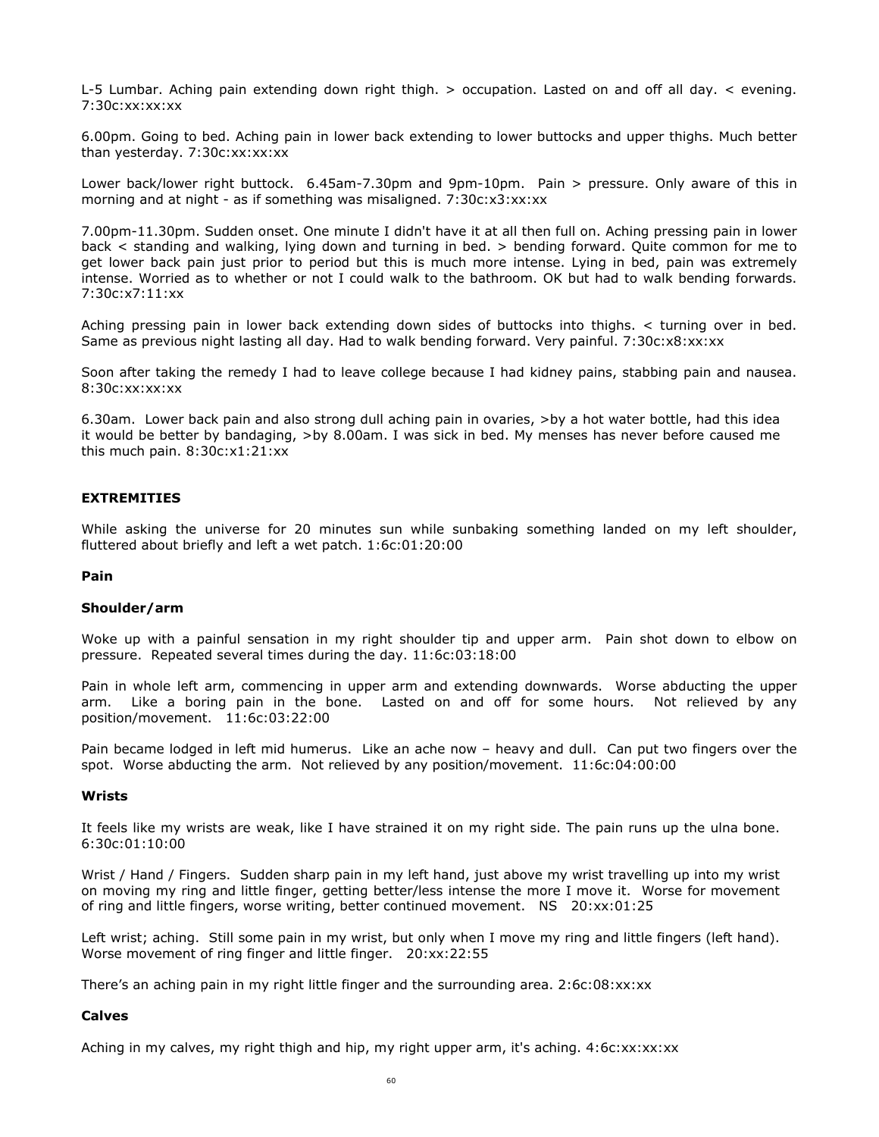L-5 Lumbar. Aching pain extending down right thigh. > occupation. Lasted on and off all day. < evening. 7:30c:xx:xx:xx

6.00pm. Going to bed. Aching pain in lower back extending to lower buttocks and upper thighs. Much better than yesterday. 7:30c:xx:xx:xx

Lower back/lower right buttock. 6.45am-7.30pm and 9pm-10pm. Pain > pressure. Only aware of this in morning and at night - as if something was misaligned. 7:30c:x3:xx:xx

7.00pm-11.30pm. Sudden onset. One minute I didn't have it at all then full on. Aching pressing pain in lower back < standing and walking, lying down and turning in bed. > bending forward. Quite common for me to get lower back pain just prior to period but this is much more intense. Lying in bed, pain was extremely intense. Worried as to whether or not I could walk to the bathroom. OK but had to walk bending forwards. 7:30c:x7:11:xx

Aching pressing pain in lower back extending down sides of buttocks into thighs. < turning over in bed. Same as previous night lasting all day. Had to walk bending forward. Very painful. 7:30c:x8:xx:xx

Soon after taking the remedy I had to leave college because I had kidney pains, stabbing pain and nausea. 8:30c:xx:xx:xx

6.30am. Lower back pain and also strong dull aching pain in ovaries, >by a hot water bottle, had this idea it would be better by bandaging, >by 8.00am. I was sick in bed. My menses has never before caused me this much pain. 8:30c:x1:21:xx

# EXTREMITIES

While asking the universe for 20 minutes sun while sunbaking something landed on my left shoulder, fluttered about briefly and left a wet patch. 1:6c:01:20:00

#### Pain

# Shoulder/arm

Woke up with a painful sensation in my right shoulder tip and upper arm. Pain shot down to elbow on pressure. Repeated several times during the day. 11:6c:03:18:00

Pain in whole left arm, commencing in upper arm and extending downwards. Worse abducting the upper arm. Like a boring pain in the bone. Lasted on and off for some hours. Not relieved by any position/movement. 11:6c:03:22:00

Pain became lodged in left mid humerus. Like an ache now – heavy and dull. Can put two fingers over the spot. Worse abducting the arm. Not relieved by any position/movement. 11:6c:04:00:00

#### Wrists

It feels like my wrists are weak, like I have strained it on my right side. The pain runs up the ulna bone. 6:30c:01:10:00

Wrist / Hand / Fingers. Sudden sharp pain in my left hand, just above my wrist travelling up into my wrist on moving my ring and little finger, getting better/less intense the more I move it. Worse for movement of ring and little fingers, worse writing, better continued movement. NS 20:xx:01:25

Left wrist; aching. Still some pain in my wrist, but only when I move my ring and little fingers (left hand). Worse movement of ring finger and little finger. 20:xx:22:55

There's an aching pain in my right little finger and the surrounding area.  $2:6c:08:xx:xx$ 

### Calves

Aching in my calves, my right thigh and hip, my right upper arm, it's aching. 4:6c:xx:xx:xx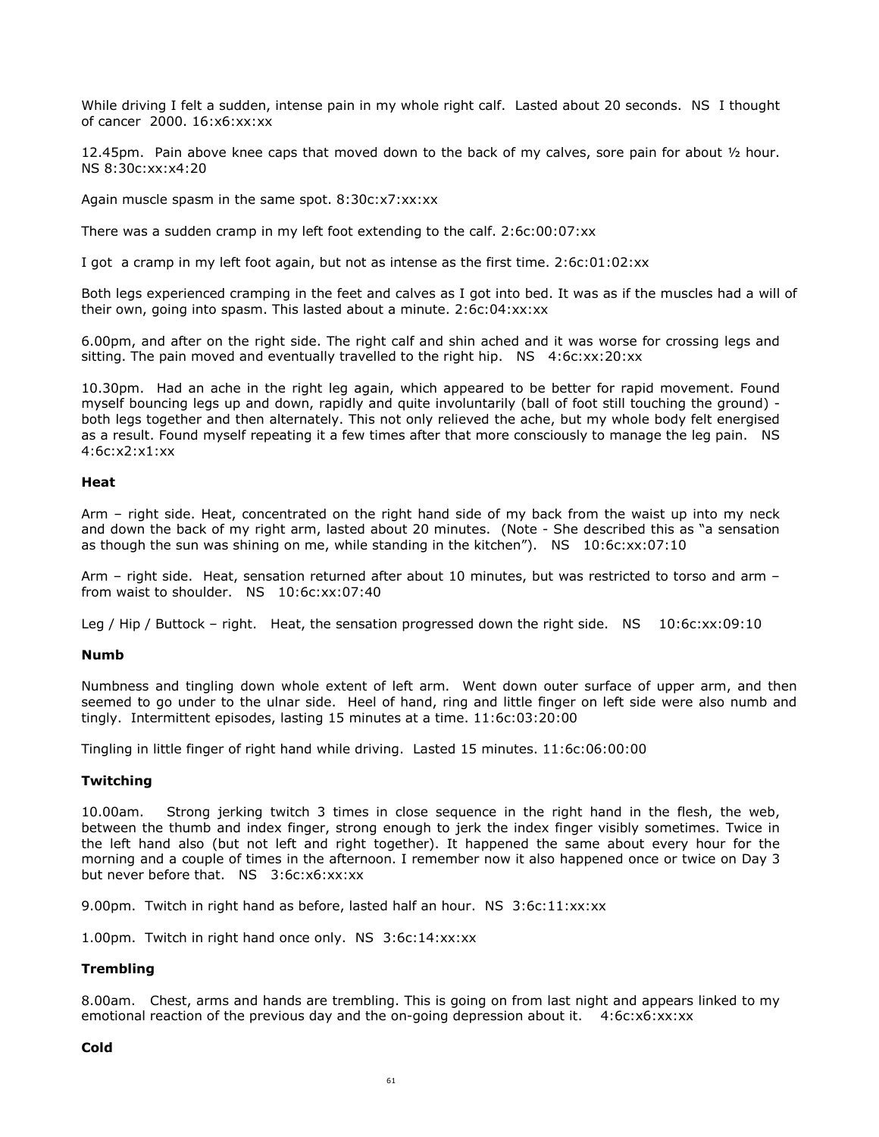While driving I felt a sudden, intense pain in my whole right calf. Lasted about 20 seconds. NS I thought of cancer 2000. 16:x6:xx:xx

12.45pm. Pain above knee caps that moved down to the back of my calves, sore pain for about ½ hour. NS 8:30c:xx:x4:20

Again muscle spasm in the same spot. 8:30c:x7:xx:xx

There was a sudden cramp in my left foot extending to the calf. 2:6c:00:07:xx

I got a cramp in my left foot again, but not as intense as the first time. 2:6c:01:02:xx

Both legs experienced cramping in the feet and calves as I got into bed. It was as if the muscles had a will of their own, going into spasm. This lasted about a minute. 2:6c:04:xx:xx

6.00pm, and after on the right side. The right calf and shin ached and it was worse for crossing legs and sitting. The pain moved and eventually travelled to the right hip. NS 4:6c:xx:20:xx

10.30pm. Had an ache in the right leg again, which appeared to be better for rapid movement. Found myself bouncing legs up and down, rapidly and quite involuntarily (ball of foot still touching the ground) both legs together and then alternately. This not only relieved the ache, but my whole body felt energised as a result. Found myself repeating it a few times after that more consciously to manage the leg pain. NS 4:6c:x2:x1:xx

### Heat

Arm – right side. Heat, concentrated on the right hand side of my back from the waist up into my neck and down the back of my right arm, lasted about 20 minutes. (Note - She described this as "a sensation as though the sun was shining on me, while standing in the kitchen"). NS 10:6c:xx:07:10

Arm – right side. Heat, sensation returned after about 10 minutes, but was restricted to torso and arm – from waist to shoulder. NS 10:6c:xx:07:40

Leg / Hip / Buttock - right. Heat, the sensation progressed down the right side. NS 10:6c:xx:09:10

### Numb

Numbness and tingling down whole extent of left arm. Went down outer surface of upper arm, and then seemed to go under to the ulnar side. Heel of hand, ring and little finger on left side were also numb and tingly. Intermittent episodes, lasting 15 minutes at a time. 11:6c:03:20:00

Tingling in little finger of right hand while driving. Lasted 15 minutes. 11:6c:06:00:00

### **Twitching**

10.00am. Strong jerking twitch 3 times in close sequence in the right hand in the flesh, the web, between the thumb and index finger, strong enough to jerk the index finger visibly sometimes. Twice in the left hand also (but not left and right together). It happened the same about every hour for the morning and a couple of times in the afternoon. I remember now it also happened once or twice on Day 3 but never before that. NS 3:6c:x6:xx:xx

9.00pm. Twitch in right hand as before, lasted half an hour. NS 3:6c:11:xx:xx

1.00pm. Twitch in right hand once only. NS 3:6c:14:xx:xx

### **Trembling**

8.00am. Chest, arms and hands are trembling. This is going on from last night and appears linked to my emotional reaction of the previous day and the on-going depression about it. 4:6c:x6:xx:xx

#### Cold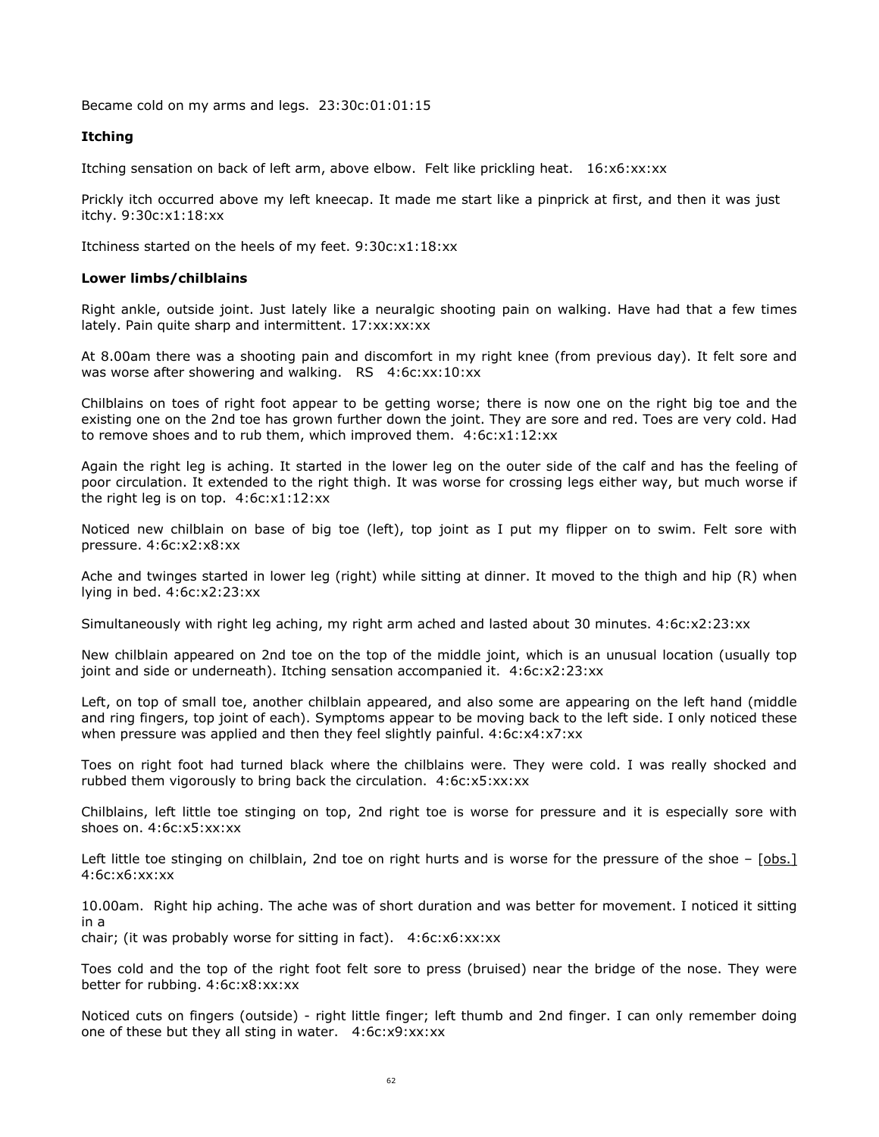Became cold on my arms and legs. 23:30c:01:01:15

## Itching

Itching sensation on back of left arm, above elbow. Felt like prickling heat. 16:x6:xx:xx

Prickly itch occurred above my left kneecap. It made me start like a pinprick at first, and then it was just itchy. 9:30c:x1:18:xx

Itchiness started on the heels of my feet. 9:30c:x1:18:xx

#### Lower limbs/chilblains

Right ankle, outside joint. Just lately like a neuralgic shooting pain on walking. Have had that a few times lately. Pain quite sharp and intermittent. 17:xx:xx:xx

At 8.00am there was a shooting pain and discomfort in my right knee (from previous day). It felt sore and was worse after showering and walking. RS 4:6c:xx:10:xx

Chilblains on toes of right foot appear to be getting worse; there is now one on the right big toe and the existing one on the 2nd toe has grown further down the joint. They are sore and red. Toes are very cold. Had to remove shoes and to rub them, which improved them. 4:6c:x1:12:xx

Again the right leg is aching. It started in the lower leg on the outer side of the calf and has the feeling of poor circulation. It extended to the right thigh. It was worse for crossing legs either way, but much worse if the right leg is on top. 4:6c:x1:12:xx

Noticed new chilblain on base of big toe (left), top joint as I put my flipper on to swim. Felt sore with pressure. 4:6c:x2:x8:xx

Ache and twinges started in lower leg (right) while sitting at dinner. It moved to the thigh and hip (R) when lying in bed. 4:6c:x2:23:xx

Simultaneously with right leg aching, my right arm ached and lasted about 30 minutes. 4:6c:x2:23:xx

New chilblain appeared on 2nd toe on the top of the middle joint, which is an unusual location (usually top joint and side or underneath). Itching sensation accompanied it. 4:6c:x2:23:xx

Left, on top of small toe, another chilblain appeared, and also some are appearing on the left hand (middle and ring fingers, top joint of each). Symptoms appear to be moving back to the left side. I only noticed these when pressure was applied and then they feel slightly painful. 4:6c:x4:x7:xx

Toes on right foot had turned black where the chilblains were. They were cold. I was really shocked and rubbed them vigorously to bring back the circulation. 4:6c:x5:xx:xx

Chilblains, left little toe stinging on top, 2nd right toe is worse for pressure and it is especially sore with shoes on. 4:6c:x5:xx:xx

Left little toe stinging on chilblain, 2nd toe on right hurts and is worse for the pressure of the shoe  $-$  [obs.] 4:6c:x6:xx:xx

10.00am. Right hip aching. The ache was of short duration and was better for movement. I noticed it sitting in a

chair; (it was probably worse for sitting in fact). 4:6c:x6:xx:xx

Toes cold and the top of the right foot felt sore to press (bruised) near the bridge of the nose. They were better for rubbing. 4:6c:x8:xx:xx

Noticed cuts on fingers (outside) - right little finger; left thumb and 2nd finger. I can only remember doing one of these but they all sting in water. 4:6c:x9:xx:xx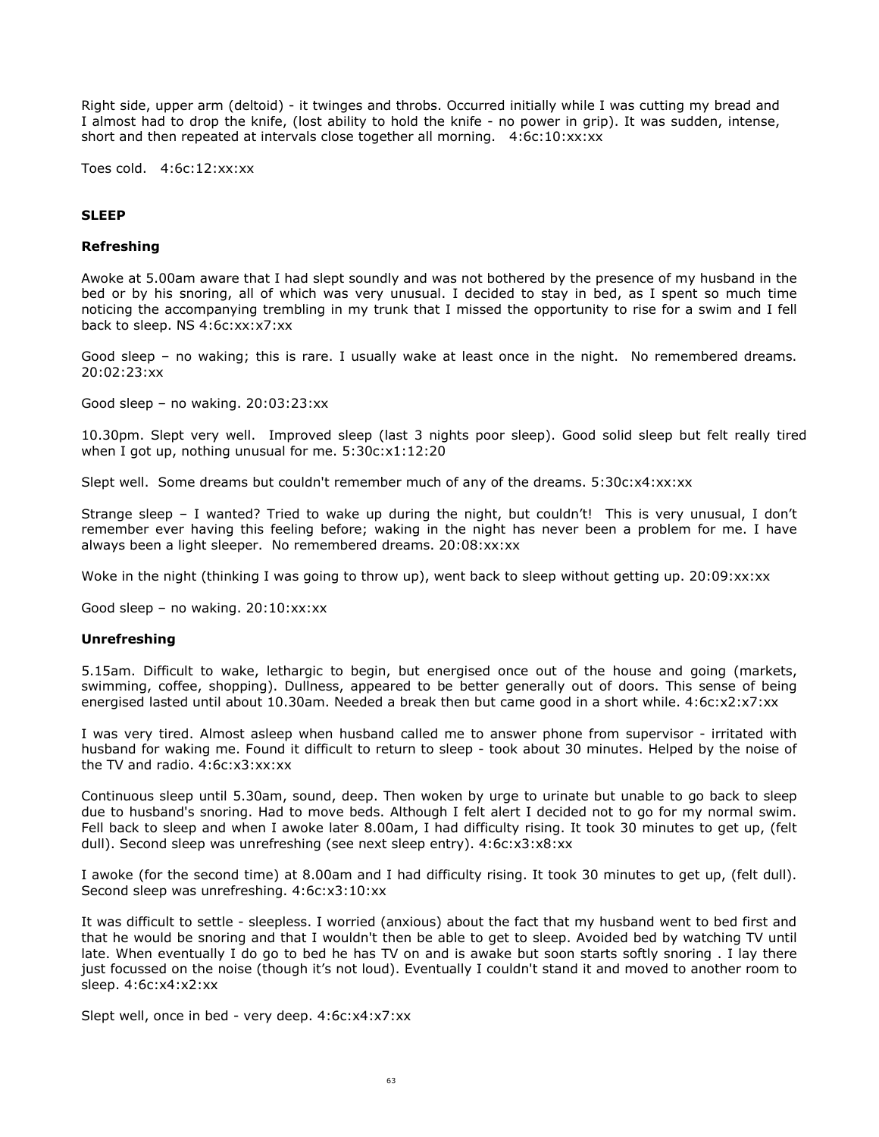Right side, upper arm (deltoid) - it twinges and throbs. Occurred initially while I was cutting my bread and I almost had to drop the knife, (lost ability to hold the knife - no power in grip). It was sudden, intense, short and then repeated at intervals close together all morning. 4:6c:10:xx:xx

Toes cold. 4:6c:12:xx:xx

### SLEEP

### Refreshing

Awoke at 5.00am aware that I had slept soundly and was not bothered by the presence of my husband in the bed or by his snoring, all of which was very unusual. I decided to stay in bed, as I spent so much time noticing the accompanying trembling in my trunk that I missed the opportunity to rise for a swim and I fell back to sleep. NS 4:6c:xx:x7:xx

Good sleep – no waking; this is rare. I usually wake at least once in the night. No remembered dreams. 20:02:23:xx

Good sleep – no waking. 20:03:23:xx

10.30pm. Slept very well. Improved sleep (last 3 nights poor sleep). Good solid sleep but felt really tired when I got up, nothing unusual for me. 5:30c:x1:12:20

Slept well. Some dreams but couldn't remember much of any of the dreams. 5:30c:x4:xx:xx

Strange sleep – I wanted? Tried to wake up during the night, but couldn't! This is very unusual, I don't remember ever having this feeling before; waking in the night has never been a problem for me. I have always been a light sleeper. No remembered dreams. 20:08:xx:xx

Woke in the night (thinking I was going to throw up), went back to sleep without getting up. 20:09:xx:xx

Good sleep – no waking. 20:10:xx:xx

### Unrefreshing

5.15am. Difficult to wake, lethargic to begin, but energised once out of the house and going (markets, swimming, coffee, shopping). Dullness, appeared to be better generally out of doors. This sense of being energised lasted until about 10.30am. Needed a break then but came good in a short while. 4:6c:x2:x7:xx

I was very tired. Almost asleep when husband called me to answer phone from supervisor - irritated with husband for waking me. Found it difficult to return to sleep - took about 30 minutes. Helped by the noise of the TV and radio. 4:6c:x3:xx:xx

Continuous sleep until 5.30am, sound, deep. Then woken by urge to urinate but unable to go back to sleep due to husband's snoring. Had to move beds. Although I felt alert I decided not to go for my normal swim. Fell back to sleep and when I awoke later 8.00am, I had difficulty rising. It took 30 minutes to get up, (felt dull). Second sleep was unrefreshing (see next sleep entry). 4:6c:x3:x8:xx

I awoke (for the second time) at 8.00am and I had difficulty rising. It took 30 minutes to get up, (felt dull). Second sleep was unrefreshing. 4:6c:x3:10:xx

It was difficult to settle - sleepless. I worried (anxious) about the fact that my husband went to bed first and that he would be snoring and that I wouldn't then be able to get to sleep. Avoided bed by watching TV until late. When eventually I do go to bed he has TV on and is awake but soon starts softly snoring . I lay there just focussed on the noise (though it's not loud). Eventually I couldn't stand it and moved to another room to sleep. 4:6c:x4:x2:xx

Slept well, once in bed - very deep. 4:6c:x4:x7:xx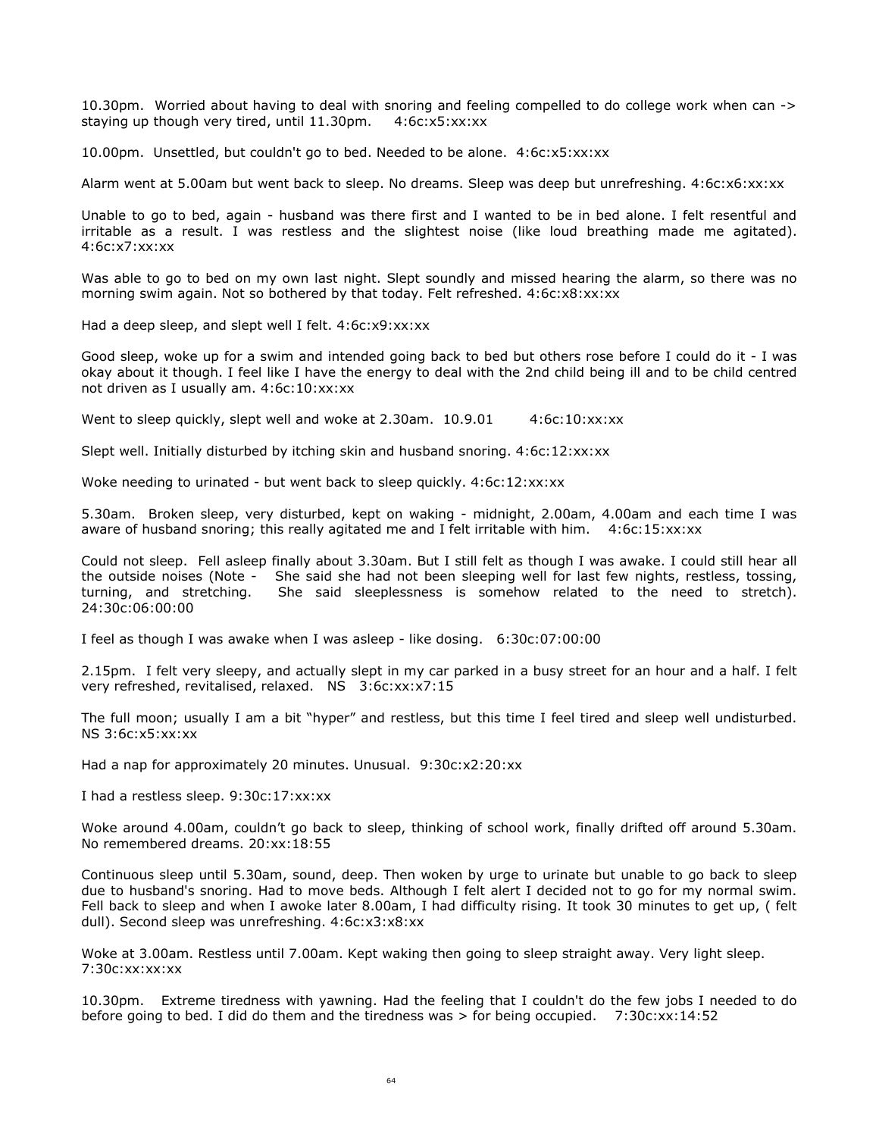10.30pm. Worried about having to deal with snoring and feeling compelled to do college work when can -> staying up though very tired, until 11.30pm. 4:6c:x5:xx:xx

10.00pm. Unsettled, but couldn't go to bed. Needed to be alone. 4:6c:x5:xx:xx

Alarm went at 5.00am but went back to sleep. No dreams. Sleep was deep but unrefreshing. 4:6c:x6:xx:xx

Unable to go to bed, again - husband was there first and I wanted to be in bed alone. I felt resentful and irritable as a result. I was restless and the slightest noise (like loud breathing made me agitated). 4:6c:x7:xx:xx

Was able to go to bed on my own last night. Slept soundly and missed hearing the alarm, so there was no morning swim again. Not so bothered by that today. Felt refreshed. 4:6c:x8:xx:xx

Had a deep sleep, and slept well I felt. 4:6c:x9:xx:xx

Good sleep, woke up for a swim and intended going back to bed but others rose before I could do it - I was okay about it though. I feel like I have the energy to deal with the 2nd child being ill and to be child centred not driven as I usually am. 4:6c:10:xx:xx

Went to sleep quickly, slept well and woke at 2.30am. 10.9.01 4:6c:10:xx:xx

Slept well. Initially disturbed by itching skin and husband snoring. 4:6c:12:xx:xx

Woke needing to urinated - but went back to sleep quickly. 4:6c:12:xx:xx

5.30am. Broken sleep, very disturbed, kept on waking - midnight, 2.00am, 4.00am and each time I was aware of husband snoring; this really agitated me and I felt irritable with him. 4:6c:15:xx:xx

Could not sleep. Fell asleep finally about 3.30am. But I still felt as though I was awake. I could still hear all the outside noises (Note - She said she had not been sleeping well for last few nights, restless, tossing, turning, and stretching. She said sleeplessness is somehow related to the need to stretch). She said sleeplessness is somehow related to the need to stretch). 24:30c:06:00:00

I feel as though I was awake when I was asleep - like dosing. 6:30c:07:00:00

2.15pm. I felt very sleepy, and actually slept in my car parked in a busy street for an hour and a half. I felt very refreshed, revitalised, relaxed. NS 3:6c:xx:x7:15

The full moon; usually I am a bit "hyper" and restless, but this time I feel tired and sleep well undisturbed. NS 3:6c:x5:xx:xx

Had a nap for approximately 20 minutes. Unusual. 9:30c:x2:20:xx

I had a restless sleep. 9:30c:17:xx:xx

Woke around 4.00am, couldn't go back to sleep, thinking of school work, finally drifted off around 5.30am. No remembered dreams. 20:xx:18:55

Continuous sleep until 5.30am, sound, deep. Then woken by urge to urinate but unable to go back to sleep due to husband's snoring. Had to move beds. Although I felt alert I decided not to go for my normal swim. Fell back to sleep and when I awoke later 8.00am, I had difficulty rising. It took 30 minutes to get up, ( felt dull). Second sleep was unrefreshing. 4:6c:x3:x8:xx

Woke at 3.00am. Restless until 7.00am. Kept waking then going to sleep straight away. Very light sleep. 7:30c:xx:xx:xx

10.30pm. Extreme tiredness with yawning. Had the feeling that I couldn't do the few jobs I needed to do before going to bed. I did do them and the tiredness was > for being occupied. 7:30c:xx:14:52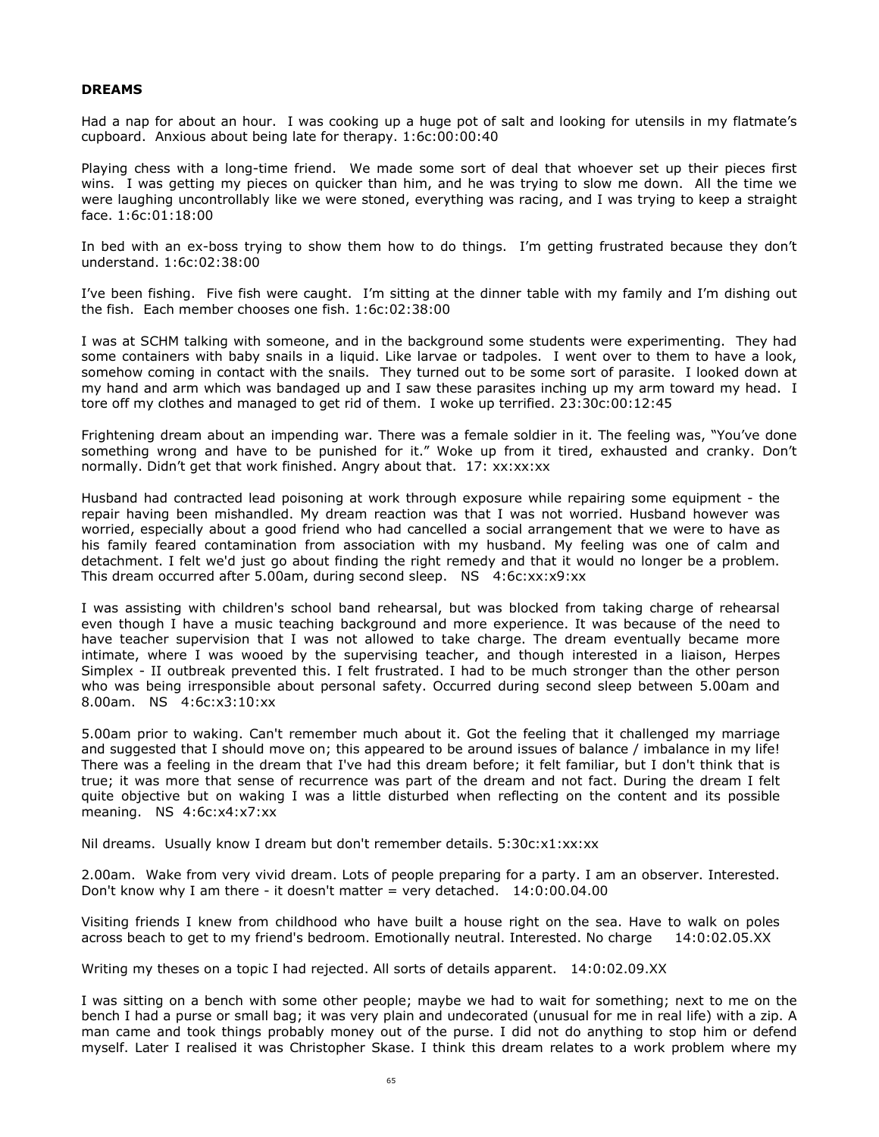## DREAMS

Had a nap for about an hour. I was cooking up a huge pot of salt and looking for utensils in my flatmate's cupboard. Anxious about being late for therapy. 1:6c:00:00:40

Playing chess with a long-time friend. We made some sort of deal that whoever set up their pieces first wins. I was getting my pieces on quicker than him, and he was trying to slow me down. All the time we were laughing uncontrollably like we were stoned, everything was racing, and I was trying to keep a straight face. 1:6c:01:18:00

In bed with an ex-boss trying to show them how to do things. I'm getting frustrated because they don't understand. 1:6c:02:38:00

I've been fishing. Five fish were caught. I'm sitting at the dinner table with my family and I'm dishing out the fish. Each member chooses one fish. 1:6c:02:38:00

I was at SCHM talking with someone, and in the background some students were experimenting. They had some containers with baby snails in a liquid. Like larvae or tadpoles. I went over to them to have a look, somehow coming in contact with the snails. They turned out to be some sort of parasite. I looked down at my hand and arm which was bandaged up and I saw these parasites inching up my arm toward my head. I tore off my clothes and managed to get rid of them. I woke up terrified. 23:30c:00:12:45

Frightening dream about an impending war. There was a female soldier in it. The feeling was, "You've done something wrong and have to be punished for it." Woke up from it tired, exhausted and cranky. Don't normally. Didn't get that work finished. Angry about that. 17: xx:xx:xx

Husband had contracted lead poisoning at work through exposure while repairing some equipment - the repair having been mishandled. My dream reaction was that I was not worried. Husband however was worried, especially about a good friend who had cancelled a social arrangement that we were to have as his family feared contamination from association with my husband. My feeling was one of calm and detachment. I felt we'd just go about finding the right remedy and that it would no longer be a problem. This dream occurred after 5.00am, during second sleep. NS 4:6c:xx:x9:xx

I was assisting with children's school band rehearsal, but was blocked from taking charge of rehearsal even though I have a music teaching background and more experience. It was because of the need to have teacher supervision that I was not allowed to take charge. The dream eventually became more intimate, where I was wooed by the supervising teacher, and though interested in a liaison, Herpes Simplex - II outbreak prevented this. I felt frustrated. I had to be much stronger than the other person who was being irresponsible about personal safety. Occurred during second sleep between 5.00am and 8.00am. NS 4:6c:x3:10:xx

5.00am prior to waking. Can't remember much about it. Got the feeling that it challenged my marriage and suggested that I should move on; this appeared to be around issues of balance / imbalance in my life! There was a feeling in the dream that I've had this dream before; it felt familiar, but I don't think that is true; it was more that sense of recurrence was part of the dream and not fact. During the dream I felt quite objective but on waking I was a little disturbed when reflecting on the content and its possible meaning. NS 4:6c:x4:x7:xx

Nil dreams. Usually know I dream but don't remember details. 5:30c:x1:xx:xx

2.00am. Wake from very vivid dream. Lots of people preparing for a party. I am an observer. Interested. Don't know why I am there - it doesn't matter = very detached. 14:0:00.04.00

Visiting friends I knew from childhood who have built a house right on the sea. Have to walk on poles across beach to get to my friend's bedroom. Emotionally neutral. Interested. No charge 14:0:02.05.XX

Writing my theses on a topic I had rejected. All sorts of details apparent. 14:0:02.09.XX

I was sitting on a bench with some other people; maybe we had to wait for something; next to me on the bench I had a purse or small bag; it was very plain and undecorated (unusual for me in real life) with a zip. A man came and took things probably money out of the purse. I did not do anything to stop him or defend myself. Later I realised it was Christopher Skase. I think this dream relates to a work problem where my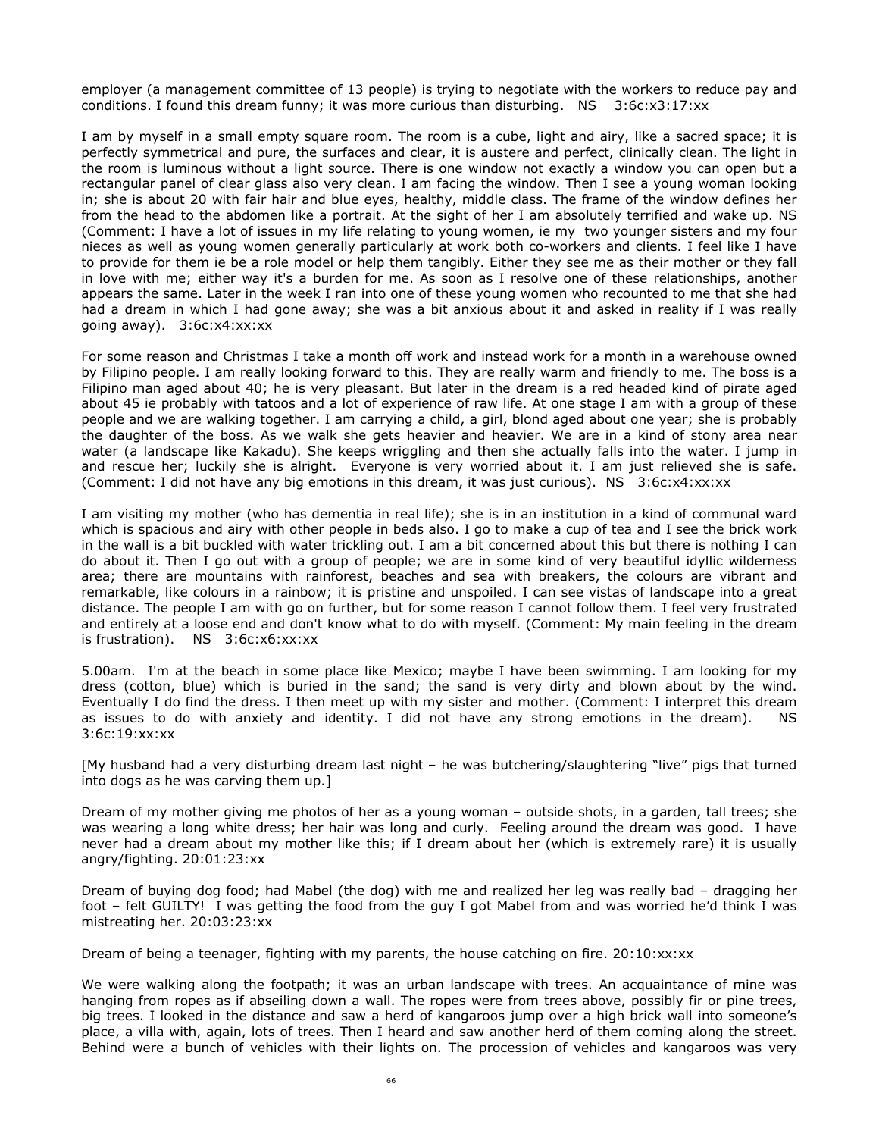employer (a management committee of 13 people) is trying to negotiate with the workers to reduce pay and conditions. I found this dream funny; it was more curious than disturbing. NS 3:6c:x3:17:xx

I am by myself in a small empty square room. The room is a cube, light and airy, like a sacred space; it is perfectly symmetrical and pure, the surfaces and clear, it is austere and perfect, clinically clean. The light in the room is luminous without a light source. There is one window not exactly a window you can open but a rectangular panel of clear glass also very clean. I am facing the window. Then I see a young woman looking in; she is about 20 with fair hair and blue eyes, healthy, middle class. The frame of the window defines her from the head to the abdomen like a portrait. At the sight of her I am absolutely terrified and wake up. NS (Comment: I have a lot of issues in my life relating to young women, ie my two younger sisters and my four nieces as well as young women generally particularly at work both co-workers and clients. I feel like I have to provide for them ie be a role model or help them tangibly. Either they see me as their mother or they fall in love with me; either way it's a burden for me. As soon as I resolve one of these relationships, another appears the same. Later in the week I ran into one of these young women who recounted to me that she had had a dream in which I had gone away; she was a bit anxious about it and asked in reality if I was really going away). 3:6c:x4:xx:xx

For some reason and Christmas I take a month off work and instead work for a month in a warehouse owned by Filipino people. I am really looking forward to this. They are really warm and friendly to me. The boss is a Filipino man aged about 40; he is very pleasant. But later in the dream is a red headed kind of pirate aged about 45 ie probably with tatoos and a lot of experience of raw life. At one stage I am with a group of these people and we are walking together. I am carrying a child, a girl, blond aged about one year; she is probably the daughter of the boss. As we walk she gets heavier and heavier. We are in a kind of stony area near water (a landscape like Kakadu). She keeps wriggling and then she actually falls into the water. I jump in and rescue her; luckily she is alright. Everyone is very worried about it. I am just relieved she is safe. (Comment: I did not have any big emotions in this dream, it was just curious). NS  $3:6c:x4:xx:xx$ 

I am visiting my mother (who has dementia in real life); she is in an institution in a kind of communal ward which is spacious and airy with other people in beds also. I go to make a cup of tea and I see the brick work in the wall is a bit buckled with water trickling out. I am a bit concerned about this but there is nothing I can do about it. Then I go out with a group of people; we are in some kind of very beautiful idyllic wilderness area; there are mountains with rainforest, beaches and sea with breakers, the colours are vibrant and remarkable, like colours in a rainbow; it is pristine and unspoiled. I can see vistas of landscape into a great distance. The people I am with go on further, but for some reason I cannot follow them. I feel very frustrated and entirely at a loose end and don't know what to do with myself. (Comment: My main feeling in the dream is frustration). NS 3:6c:x6:xx:xx

5.00am. I'm at the beach in some place like Mexico; maybe I have been swimming. I am looking for my dress (cotton, blue) which is buried in the sand; the sand is very dirty and blown about by the wind. Eventually I do find the dress. I then meet up with my sister and mother. (Comment: I interpret this dream as issues to do with anxiety and identity. I did not have any strong emotions in the dream). NS 3:6c:19:xx:xx

[My husband had a very disturbing dream last night – he was butchering/slaughtering "live" pigs that turned into dogs as he was carving them up.]

Dream of my mother giving me photos of her as a young woman – outside shots, in a garden, tall trees; she was wearing a long white dress; her hair was long and curly. Feeling around the dream was good. I have never had a dream about my mother like this; if I dream about her (which is extremely rare) it is usually angry/fighting. 20:01:23:xx

Dream of buying dog food; had Mabel (the dog) with me and realized her leg was really bad – dragging her foot – felt GUILTY! I was getting the food from the guy I got Mabel from and was worried he'd think I was mistreating her. 20:03:23:xx

Dream of being a teenager, fighting with my parents, the house catching on fire. 20:10:xx:xx

We were walking along the footpath; it was an urban landscape with trees. An acquaintance of mine was hanging from ropes as if abseiling down a wall. The ropes were from trees above, possibly fir or pine trees, big trees. I looked in the distance and saw a herd of kangaroos jump over a high brick wall into someone's place, a villa with, again, lots of trees. Then I heard and saw another herd of them coming along the street. Behind were a bunch of vehicles with their lights on. The procession of vehicles and kangaroos was very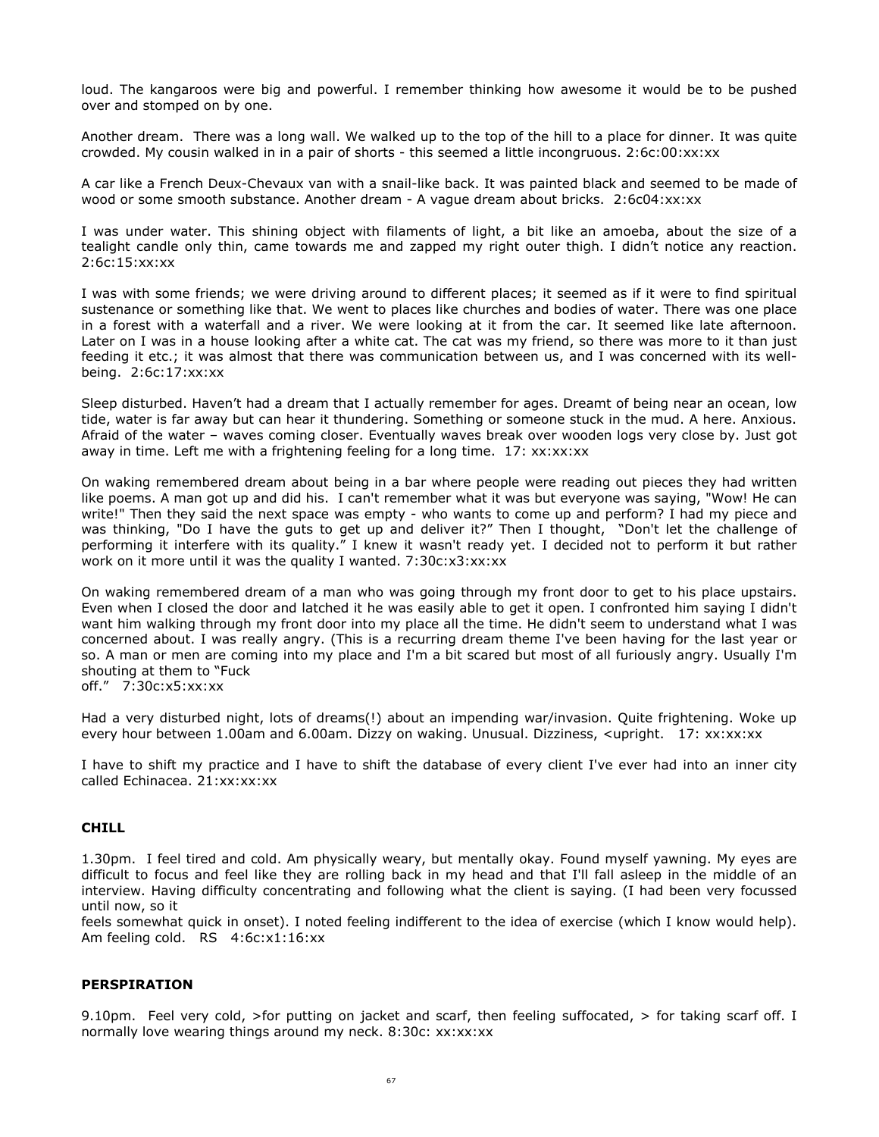loud. The kangaroos were big and powerful. I remember thinking how awesome it would be to be pushed over and stomped on by one.

Another dream. There was a long wall. We walked up to the top of the hill to a place for dinner. It was quite crowded. My cousin walked in in a pair of shorts - this seemed a little incongruous. 2:6c:00:xx:xx

A car like a French Deux-Chevaux van with a snail-like back. It was painted black and seemed to be made of wood or some smooth substance. Another dream - A vague dream about bricks. 2:6c04:xx:xx

I was under water. This shining object with filaments of light, a bit like an amoeba, about the size of a tealight candle only thin, came towards me and zapped my right outer thigh. I didn't notice any reaction. 2:6c:15:xx:xx

I was with some friends; we were driving around to different places; it seemed as if it were to find spiritual sustenance or something like that. We went to places like churches and bodies of water. There was one place in a forest with a waterfall and a river. We were looking at it from the car. It seemed like late afternoon. Later on I was in a house looking after a white cat. The cat was my friend, so there was more to it than just feeding it etc.; it was almost that there was communication between us, and I was concerned with its wellbeing. 2:6c:17:xx:xx

Sleep disturbed. Haven't had a dream that I actually remember for ages. Dreamt of being near an ocean, low tide, water is far away but can hear it thundering. Something or someone stuck in the mud. A here. Anxious. Afraid of the water – waves coming closer. Eventually waves break over wooden logs very close by. Just got away in time. Left me with a frightening feeling for a long time. 17: xx:xx:xx

On waking remembered dream about being in a bar where people were reading out pieces they had written like poems. A man got up and did his. I can't remember what it was but everyone was saying, "Wow! He can write!" Then they said the next space was empty - who wants to come up and perform? I had my piece and was thinking, "Do I have the guts to get up and deliver it?" Then I thought, "Don't let the challenge of performing it interfere with its quality." I knew it wasn't ready yet. I decided not to perform it but rather work on it more until it was the quality I wanted. 7:30c:x3:xx:xx

On waking remembered dream of a man who was going through my front door to get to his place upstairs. Even when I closed the door and latched it he was easily able to get it open. I confronted him saying I didn't want him walking through my front door into my place all the time. He didn't seem to understand what I was concerned about. I was really angry. (This is a recurring dream theme I've been having for the last year or so. A man or men are coming into my place and I'm a bit scared but most of all furiously angry. Usually I'm shouting at them to "Fuck

off." 7:30c:x5:xx:xx

Had a very disturbed night, lots of dreams(!) about an impending war/invasion. Quite frightening. Woke up every hour between 1.00am and 6.00am. Dizzy on waking. Unusual. Dizziness, <upright. 17: xx:xx:xx

I have to shift my practice and I have to shift the database of every client I've ever had into an inner city called Echinacea. 21:xx:xx:xx

# **CHTLL**

1.30pm. I feel tired and cold. Am physically weary, but mentally okay. Found myself yawning. My eyes are difficult to focus and feel like they are rolling back in my head and that I'll fall asleep in the middle of an interview. Having difficulty concentrating and following what the client is saying. (I had been very focussed until now, so it

feels somewhat quick in onset). I noted feeling indifferent to the idea of exercise (which I know would help). Am feeling cold. RS 4:6c:x1:16:xx

### PERSPIRATION

9.10pm. Feel very cold, >for putting on jacket and scarf, then feeling suffocated, > for taking scarf off. I normally love wearing things around my neck. 8:30c: xx:xx:xx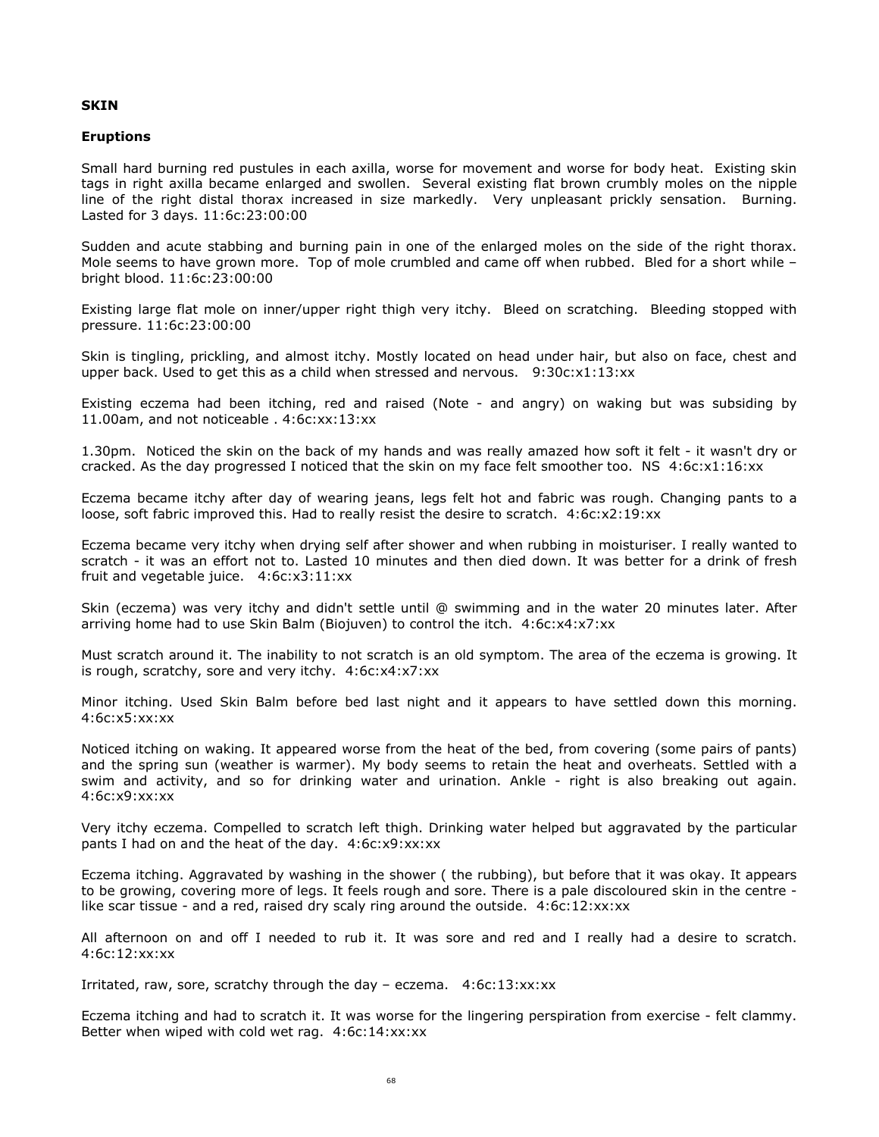# **SKIN**

## Eruptions

Small hard burning red pustules in each axilla, worse for movement and worse for body heat. Existing skin tags in right axilla became enlarged and swollen. Several existing flat brown crumbly moles on the nipple line of the right distal thorax increased in size markedly. Very unpleasant prickly sensation. Burning. Lasted for 3 days. 11:6c:23:00:00

Sudden and acute stabbing and burning pain in one of the enlarged moles on the side of the right thorax. Mole seems to have grown more. Top of mole crumbled and came off when rubbed. Bled for a short while bright blood. 11:6c:23:00:00

Existing large flat mole on inner/upper right thigh very itchy. Bleed on scratching. Bleeding stopped with pressure. 11:6c:23:00:00

Skin is tingling, prickling, and almost itchy. Mostly located on head under hair, but also on face, chest and upper back. Used to get this as a child when stressed and nervous. 9:30c:x1:13:xx

Existing eczema had been itching, red and raised (Note - and angry) on waking but was subsiding by 11.00am, and not noticeable . 4:6c:xx:13:xx

1.30pm. Noticed the skin on the back of my hands and was really amazed how soft it felt - it wasn't dry or cracked. As the day progressed I noticed that the skin on my face felt smoother too. NS 4:6c:x1:16:xx

Eczema became itchy after day of wearing jeans, legs felt hot and fabric was rough. Changing pants to a loose, soft fabric improved this. Had to really resist the desire to scratch. 4:6c:x2:19:xx

Eczema became very itchy when drying self after shower and when rubbing in moisturiser. I really wanted to scratch - it was an effort not to. Lasted 10 minutes and then died down. It was better for a drink of fresh fruit and vegetable juice. 4:6c:x3:11:xx

Skin (eczema) was very itchy and didn't settle until @ swimming and in the water 20 minutes later. After arriving home had to use Skin Balm (Biojuven) to control the itch. 4:6c:x4:x7:xx

Must scratch around it. The inability to not scratch is an old symptom. The area of the eczema is growing. It is rough, scratchy, sore and very itchy. 4:6c:x4:x7:xx

Minor itching. Used Skin Balm before bed last night and it appears to have settled down this morning. 4:6c:x5:xx:xx

Noticed itching on waking. It appeared worse from the heat of the bed, from covering (some pairs of pants) and the spring sun (weather is warmer). My body seems to retain the heat and overheats. Settled with a swim and activity, and so for drinking water and urination. Ankle - right is also breaking out again. 4:6c:x9:xx:xx

Very itchy eczema. Compelled to scratch left thigh. Drinking water helped but aggravated by the particular pants I had on and the heat of the day. 4:6c:x9:xx:xx

Eczema itching. Aggravated by washing in the shower ( the rubbing), but before that it was okay. It appears to be growing, covering more of legs. It feels rough and sore. There is a pale discoloured skin in the centre like scar tissue - and a red, raised dry scaly ring around the outside.  $4:6c:12:xx:xx$ 

All afternoon on and off I needed to rub it. It was sore and red and I really had a desire to scratch. 4:6c:12:xx:xx

Irritated, raw, sore, scratchy through the day – eczema.  $4:6c:13:xx:xx$ 

Eczema itching and had to scratch it. It was worse for the lingering perspiration from exercise - felt clammy. Better when wiped with cold wet rag. 4:6c:14:xx:xx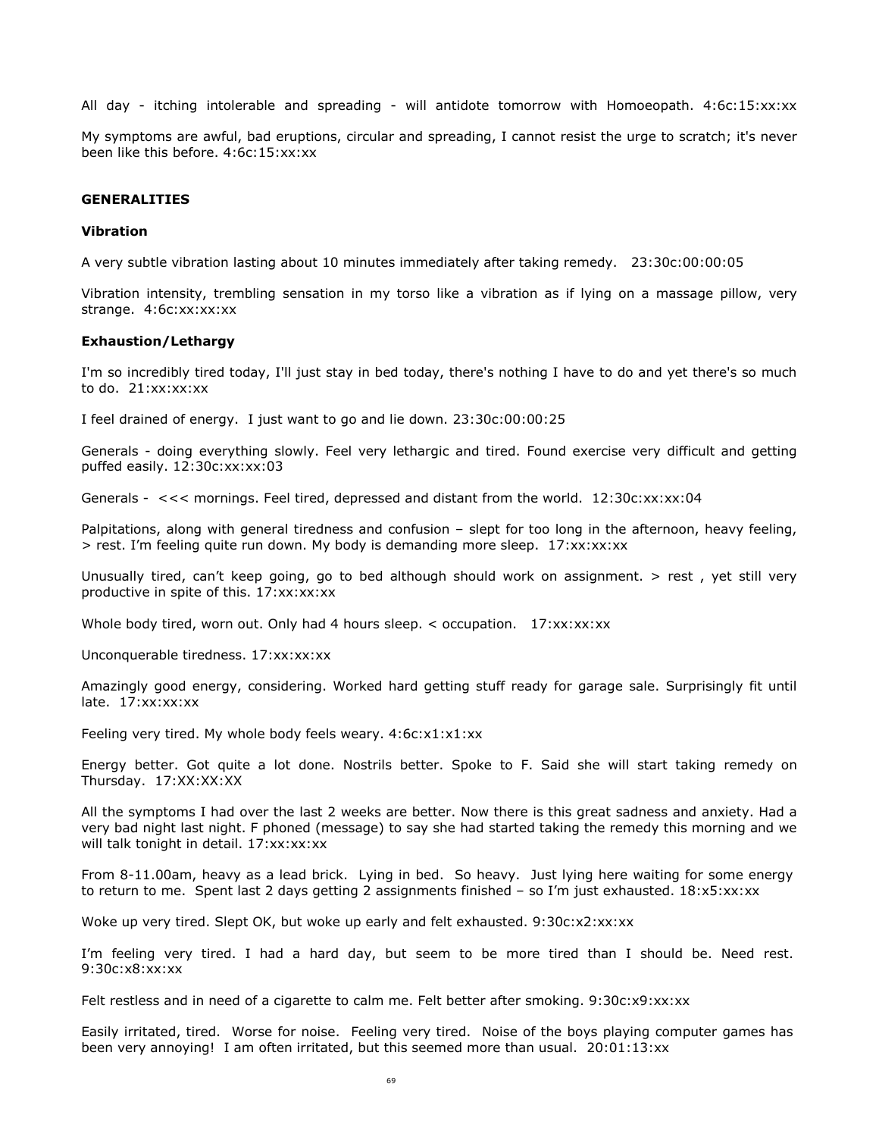All day - itching intolerable and spreading - will antidote tomorrow with Homoeopath. 4:6c:15:xx:xx

My symptoms are awful, bad eruptions, circular and spreading, I cannot resist the urge to scratch; it's never been like this before. 4:6c:15:xx:xx

#### GENERALITIES

#### Vibration

A very subtle vibration lasting about 10 minutes immediately after taking remedy. 23:30c:00:00:05

Vibration intensity, trembling sensation in my torso like a vibration as if lying on a massage pillow, very strange. 4:6c:xx:xx:xx

#### Exhaustion/Lethargy

I'm so incredibly tired today, I'll just stay in bed today, there's nothing I have to do and yet there's so much to do. 21:xx:xx:xx

I feel drained of energy. I just want to go and lie down. 23:30c:00:00:25

Generals - doing everything slowly. Feel very lethargic and tired. Found exercise very difficult and getting puffed easily. 12:30c:xx:xx:03

Generals - <<< mornings. Feel tired, depressed and distant from the world. 12:30c:xx:xx:04

Palpitations, along with general tiredness and confusion – slept for too long in the afternoon, heavy feeling, > rest. I'm feeling quite run down. My body is demanding more sleep. 17:xx:xx:xx

Unusually tired, can't keep going, go to bed although should work on assignment. > rest, yet still very productive in spite of this. 17:xx:xx:xx

Whole body tired, worn out. Only had 4 hours sleep. < occupation. 17:xx:xx:xx

Unconquerable tiredness. 17:xx:xx:xx

Amazingly good energy, considering. Worked hard getting stuff ready for garage sale. Surprisingly fit until late. 17:xx:xx:xx

Feeling very tired. My whole body feels weary. 4:6c:x1:x1:xx

Energy better. Got quite a lot done. Nostrils better. Spoke to F. Said she will start taking remedy on Thursday. 17:XX:XX:XX

All the symptoms I had over the last 2 weeks are better. Now there is this great sadness and anxiety. Had a very bad night last night. F phoned (message) to say she had started taking the remedy this morning and we will talk tonight in detail. 17:xx:xx:xx

From 8-11.00am, heavy as a lead brick. Lying in bed. So heavy. Just lying here waiting for some energy to return to me. Spent last 2 days getting 2 assignments finished - so I'm just exhausted. 18:x5:xx:xx

Woke up very tired. Slept OK, but woke up early and felt exhausted. 9:30c:x2:xx:xx

I'm feeling very tired. I had a hard day, but seem to be more tired than I should be. Need rest. 9:30c:x8:xx:xx

Felt restless and in need of a cigarette to calm me. Felt better after smoking. 9:30c:x9:xx:xx

Easily irritated, tired. Worse for noise. Feeling very tired. Noise of the boys playing computer games has been very annoying! I am often irritated, but this seemed more than usual. 20:01:13:xx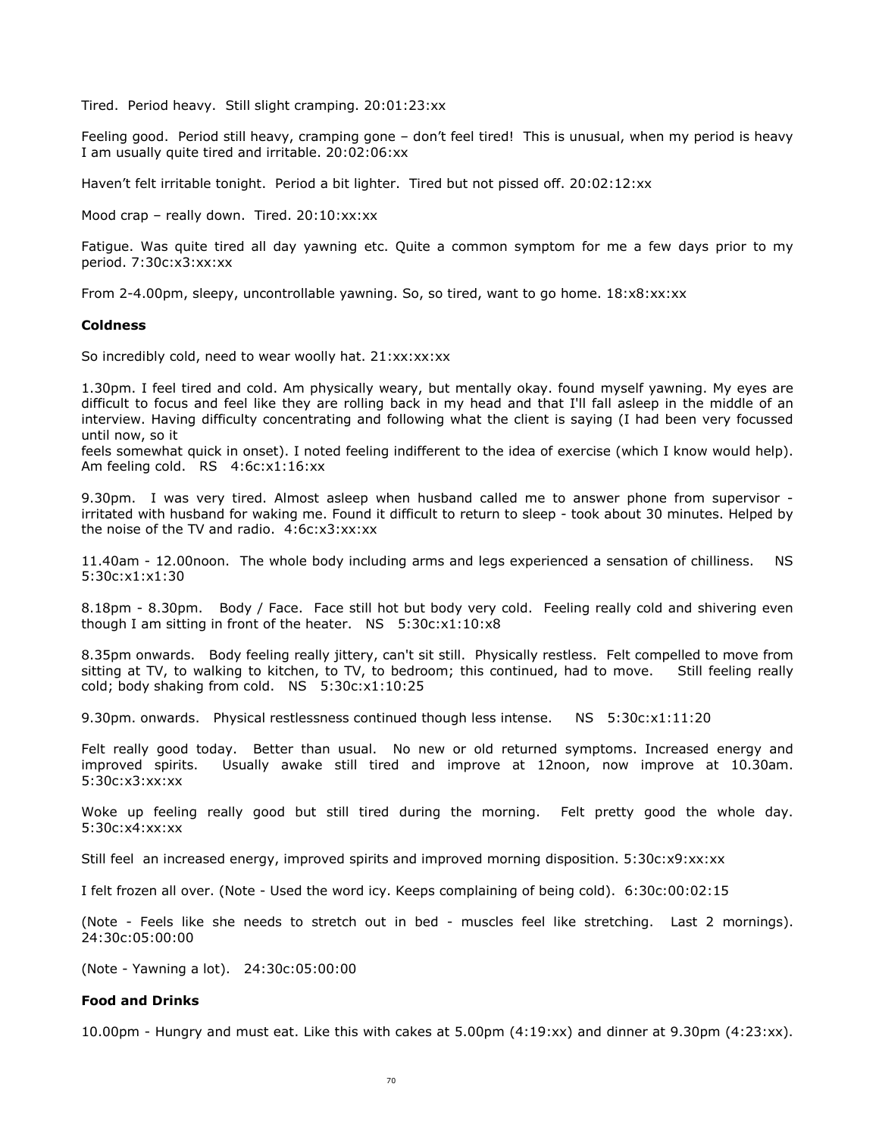Tired. Period heavy. Still slight cramping. 20:01:23:xx

Feeling good. Period still heavy, cramping gone - don't feel tired! This is unusual, when my period is heavy I am usually quite tired and irritable. 20:02:06:xx

Haven't felt irritable tonight. Period a bit lighter. Tired but not pissed off. 20:02:12:xx

Mood crap - really down. Tired. 20:10:xx:xx

Fatigue. Was quite tired all day yawning etc. Quite a common symptom for me a few days prior to my period. 7:30c:x3:xx:xx

From 2-4.00pm, sleepy, uncontrollable yawning. So, so tired, want to go home. 18:x8:xx:xx

#### Coldness

So incredibly cold, need to wear woolly hat. 21:xx:xx:xx

1.30pm. I feel tired and cold. Am physically weary, but mentally okay. found myself yawning. My eyes are difficult to focus and feel like they are rolling back in my head and that I'll fall asleep in the middle of an interview. Having difficulty concentrating and following what the client is saying (I had been very focussed until now, so it

feels somewhat quick in onset). I noted feeling indifferent to the idea of exercise (which I know would help). Am feeling cold. RS 4:6c:x1:16:xx

9.30pm. I was very tired. Almost asleep when husband called me to answer phone from supervisor irritated with husband for waking me. Found it difficult to return to sleep - took about 30 minutes. Helped by the noise of the TV and radio. 4:6c:x3:xx:xx

11.40am - 12.00noon. The whole body including arms and legs experienced a sensation of chilliness. NS 5:30c:x1:x1:30

8.18pm - 8.30pm. Body / Face. Face still hot but body very cold. Feeling really cold and shivering even though I am sitting in front of the heater. NS 5:30c:x1:10:x8

8.35pm onwards. Body feeling really jittery, can't sit still. Physically restless. Felt compelled to move from sitting at TV, to walking to kitchen, to TV, to bedroom; this continued, had to move. Still feeling really cold; body shaking from cold. NS 5:30c:x1:10:25

9.30pm. onwards. Physical restlessness continued though less intense. NS 5:30c:x1:11:20

Felt really good today. Better than usual. No new or old returned symptoms. Increased energy and improved spirits. Usually awake still tired and improve at 12noon, now improve at 10.30am. 5:30c:x3:xx:xx

Woke up feeling really good but still tired during the morning. Felt pretty good the whole day. 5:30c:x4:xx:xx

Still feel an increased energy, improved spirits and improved morning disposition. 5:30c:x9:xx:xx

I felt frozen all over. (Note - Used the word icy. Keeps complaining of being cold). 6:30c:00:02:15

(Note - Feels like she needs to stretch out in bed - muscles feel like stretching. Last 2 mornings). 24:30c:05:00:00

(Note - Yawning a lot). 24:30c:05:00:00

#### Food and Drinks

10.00pm - Hungry and must eat. Like this with cakes at 5.00pm (4:19:xx) and dinner at 9.30pm (4:23:xx).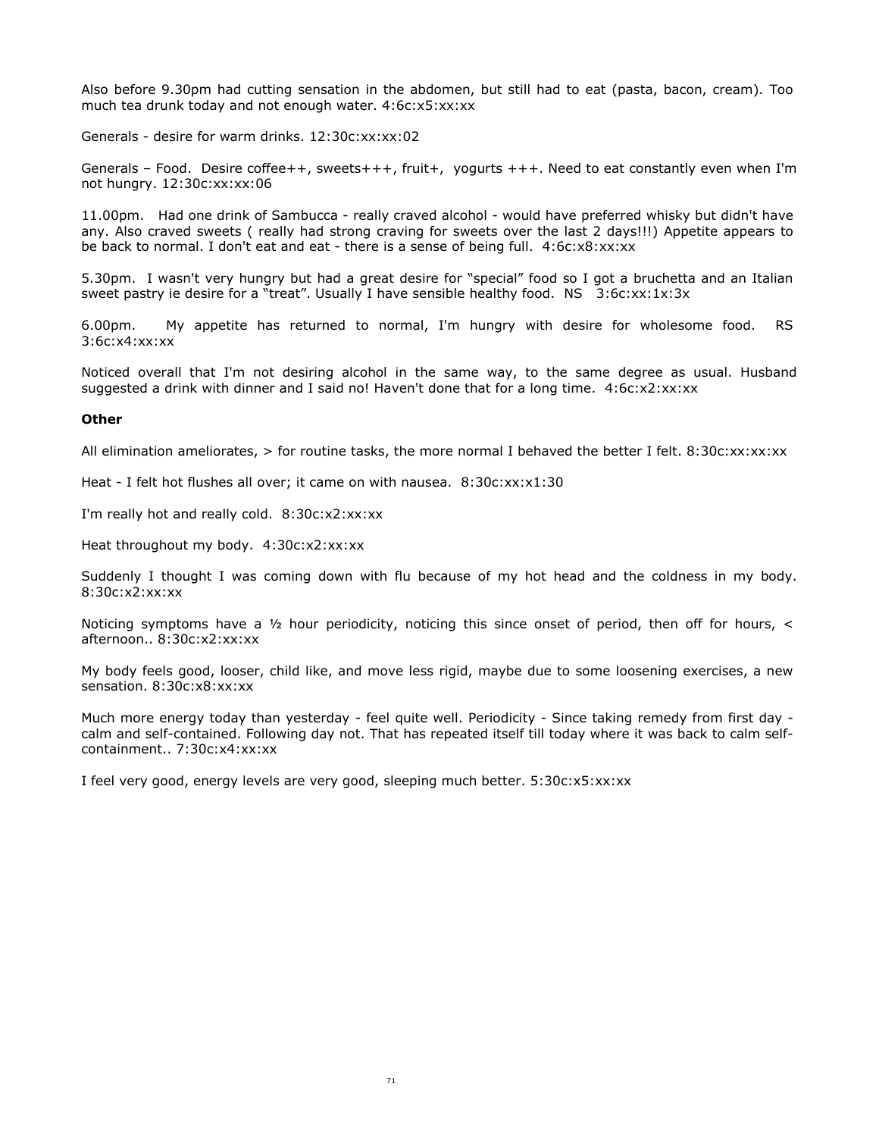Also before 9.30pm had cutting sensation in the abdomen, but still had to eat (pasta, bacon, cream). Too much tea drunk today and not enough water. 4:6c:x5:xx:xx

Generals - desire for warm drinks. 12:30c:xx:xx:02

Generals – Food. Desire coffee++, sweets+++, fruit+, yogurts +++. Need to eat constantly even when I'm not hungry. 12:30c:xx:xx:06

11.00pm. Had one drink of Sambucca - really craved alcohol - would have preferred whisky but didn't have any. Also craved sweets ( really had strong craving for sweets over the last 2 days!!!) Appetite appears to be back to normal. I don't eat and eat - there is a sense of being full. 4:6c:x8:xx:xx

5.30pm. I wasn't very hungry but had a great desire for "special" food so I got a bruchetta and an Italian sweet pastry ie desire for a "treat". Usually I have sensible healthy food. NS 3:6c:xx:1x:3x

6.00pm. My appetite has returned to normal, I'm hungry with desire for wholesome food. RS 3:6c:x4:xx:xx

Noticed overall that I'm not desiring alcohol in the same way, to the same degree as usual. Husband suggested a drink with dinner and I said no! Haven't done that for a long time. 4:6c:x2:xx:xx

#### **Other**

All elimination ameliorates,  $>$  for routine tasks, the more normal I behaved the better I felt. 8:30c:xx:xx:xx

Heat - I felt hot flushes all over; it came on with nausea. 8:30c:xx:x1:30

I'm really hot and really cold. 8:30c:x2:xx:xx

Heat throughout my body. 4:30c:x2:xx:xx

Suddenly I thought I was coming down with flu because of my hot head and the coldness in my body. 8:30c:x2:xx:xx

Noticing symptoms have a 1/2 hour periodicity, noticing this since onset of period, then off for hours, < afternoon.. 8:30c:x2:xx:xx

My body feels good, looser, child like, and move less rigid, maybe due to some loosening exercises, a new sensation. 8:30c:x8:xx:xx

Much more energy today than yesterday - feel quite well. Periodicity - Since taking remedy from first day calm and self-contained. Following day not. That has repeated itself till today where it was back to calm selfcontainment.. 7:30c:x4:xx:xx

I feel very good, energy levels are very good, sleeping much better. 5:30c:x5:xx:xx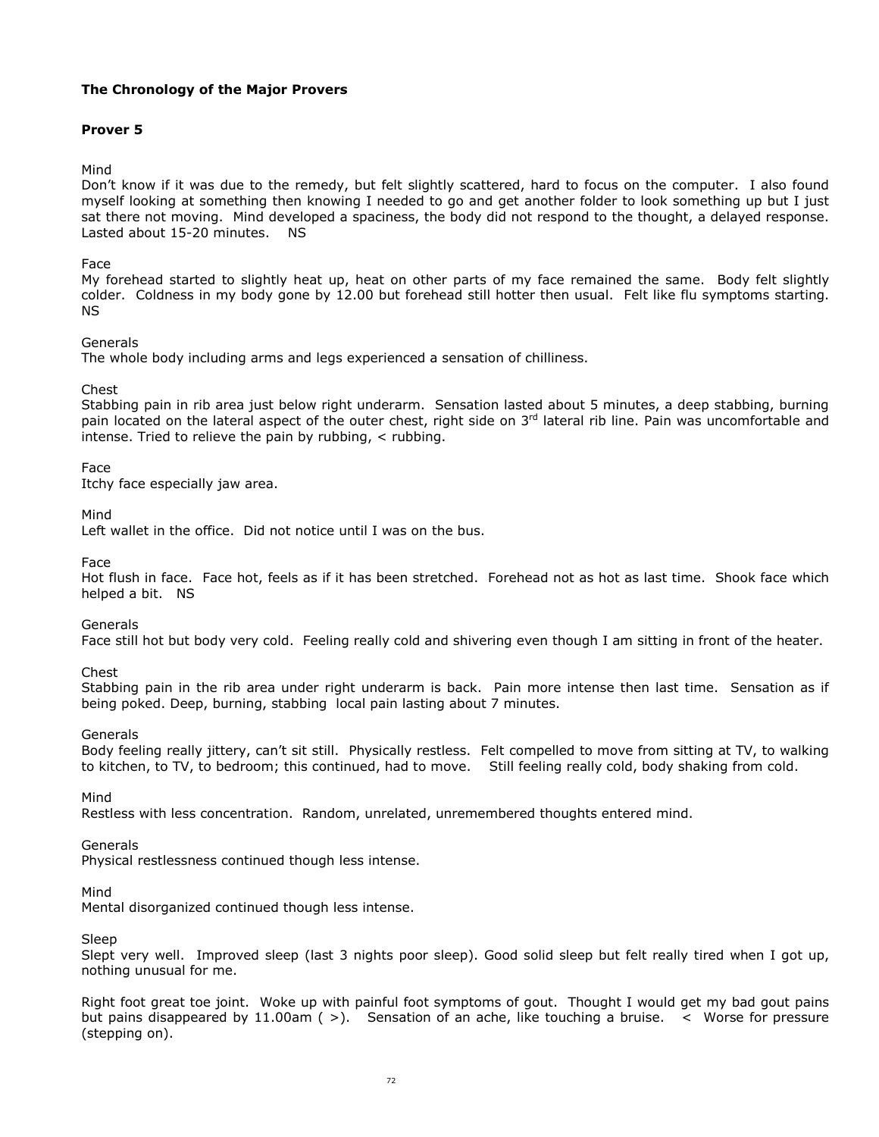# The Chronology of the Major Provers

# Prover 5

# Mind

Don't know if it was due to the remedy, but felt slightly scattered, hard to focus on the computer. I also found myself looking at something then knowing I needed to go and get another folder to look something up but I just sat there not moving. Mind developed a spaciness, the body did not respond to the thought, a delayed response. Lasted about 15-20 minutes. NS

# Face

My forehead started to slightly heat up, heat on other parts of my face remained the same. Body felt slightly colder. Coldness in my body gone by 12.00 but forehead still hotter then usual. Felt like flu symptoms starting. NS

# Generals

The whole body including arms and legs experienced a sensation of chilliness.

# Chest

Stabbing pain in rib area just below right underarm. Sensation lasted about 5 minutes, a deep stabbing, burning pain located on the lateral aspect of the outer chest, right side on 3<sup>rd</sup> lateral rib line. Pain was uncomfortable and intense. Tried to relieve the pain by rubbing, < rubbing.

# Face

Itchy face especially jaw area.

# Mind

Left wallet in the office. Did not notice until I was on the bus.

Face

Hot flush in face. Face hot, feels as if it has been stretched. Forehead not as hot as last time. Shook face which helped a bit. NS

# **Generals**

Face still hot but body very cold. Feeling really cold and shivering even though I am sitting in front of the heater.

Chest

Stabbing pain in the rib area under right underarm is back. Pain more intense then last time. Sensation as if being poked. Deep, burning, stabbing local pain lasting about 7 minutes.

**Generals** 

Body feeling really jittery, can't sit still. Physically restless. Felt compelled to move from sitting at TV, to walking to kitchen, to TV, to bedroom; this continued, had to move. Still feeling really cold, body shaking from cold.

Mind

Restless with less concentration. Random, unrelated, unremembered thoughts entered mind.

# **Generals**

Physical restlessness continued though less intense.

Mind

Mental disorganized continued though less intense.

# Sleep

Slept very well. Improved sleep (last 3 nights poor sleep). Good solid sleep but felt really tired when I got up, nothing unusual for me.

Right foot great toe joint. Woke up with painful foot symptoms of gout. Thought I would get my bad gout pains but pains disappeared by 11.00am ( >). Sensation of an ache, like touching a bruise. < Worse for pressure (stepping on).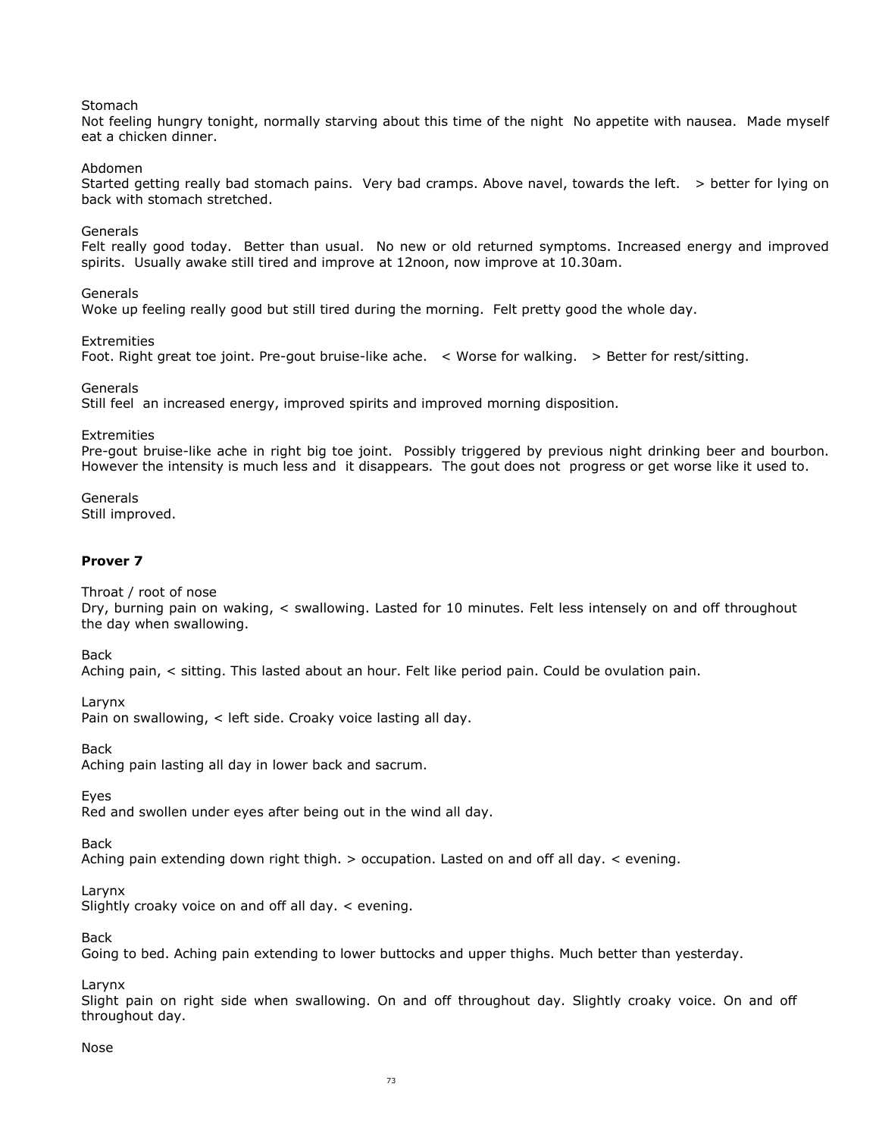# **Stomach**

Not feeling hungry tonight, normally starving about this time of the night No appetite with nausea. Made myself eat a chicken dinner.

Abdomen

Started getting really bad stomach pains. Very bad cramps. Above navel, towards the left. > better for lying on back with stomach stretched.

Generals

Felt really good today. Better than usual. No new or old returned symptoms. Increased energy and improved spirits. Usually awake still tired and improve at 12noon, now improve at 10.30am.

**Generals** 

Woke up feeling really good but still tired during the morning. Felt pretty good the whole day.

Extremities

Foot. Right great toe joint. Pre-gout bruise-like ache. < Worse for walking. > Better for rest/sitting.

**Generals** 

Still feel an increased energy, improved spirits and improved morning disposition.

Extremities

Pre-gout bruise-like ache in right big toe joint. Possibly triggered by previous night drinking beer and bourbon. However the intensity is much less and it disappears. The gout does not progress or get worse like it used to.

Generals Still improved.

# Prover 7

Throat / root of nose

Dry, burning pain on waking, < swallowing. Lasted for 10 minutes. Felt less intensely on and off throughout the day when swallowing.

Back

Aching pain, < sitting. This lasted about an hour. Felt like period pain. Could be ovulation pain.

Larynx

Pain on swallowing, < left side. Croaky voice lasting all day.

Back

Aching pain lasting all day in lower back and sacrum.

Eyes

Red and swollen under eyes after being out in the wind all day.

Back

Aching pain extending down right thigh. > occupation. Lasted on and off all day. < evening.

Larynx

Slightly croaky voice on and off all day. < evening.

**Back** 

Going to bed. Aching pain extending to lower buttocks and upper thighs. Much better than yesterday.

Larynx

Slight pain on right side when swallowing. On and off throughout day. Slightly croaky voice. On and off throughout day.

Nose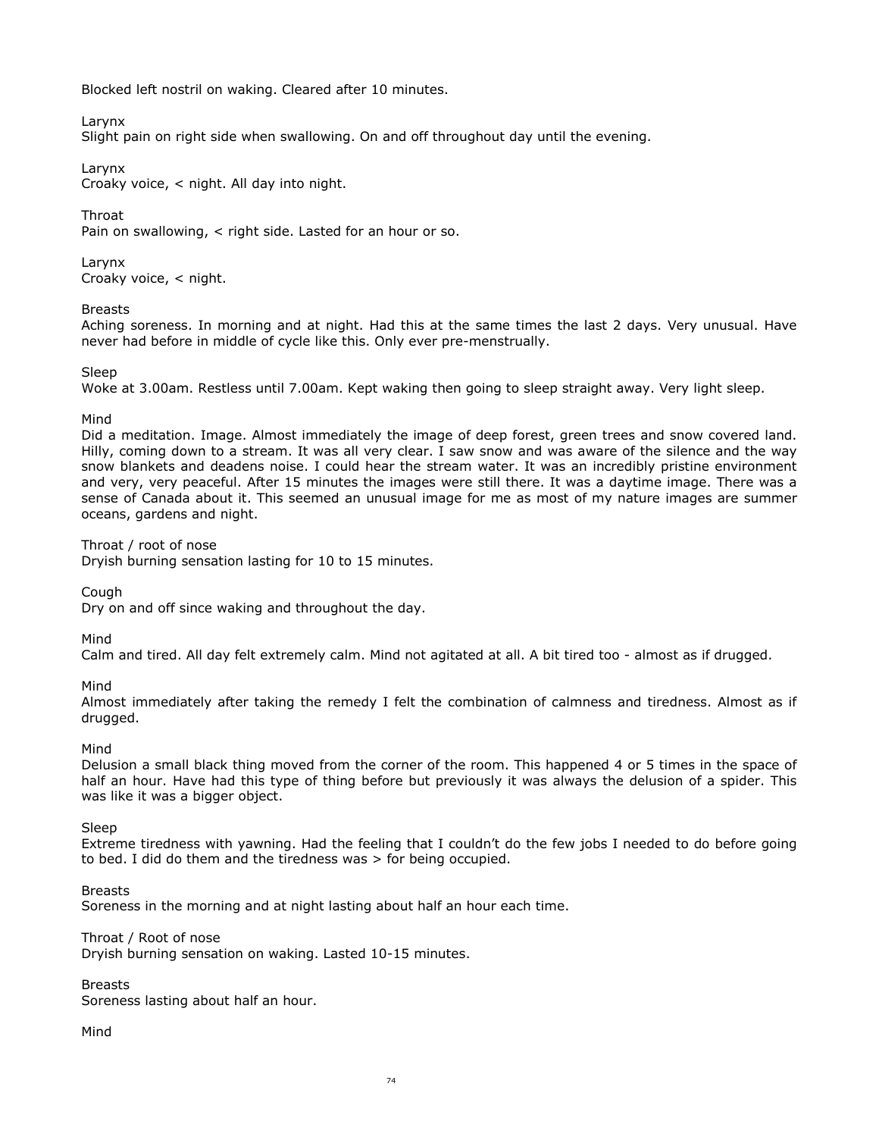Blocked left nostril on waking. Cleared after 10 minutes.

Larynx

Slight pain on right side when swallowing. On and off throughout day until the evening.

Larynx

Croaky voice, < night. All day into night.

Throat

Pain on swallowing, < right side. Lasted for an hour or so.

Larynx Croaky voice, < night.

Breasts

Aching soreness. In morning and at night. Had this at the same times the last 2 days. Very unusual. Have never had before in middle of cycle like this. Only ever pre-menstrually.

Sleep

Woke at 3.00am. Restless until 7.00am. Kept waking then going to sleep straight away. Very light sleep.

Mind

Did a meditation. Image. Almost immediately the image of deep forest, green trees and snow covered land. Hilly, coming down to a stream. It was all very clear. I saw snow and was aware of the silence and the way snow blankets and deadens noise. I could hear the stream water. It was an incredibly pristine environment and very, very peaceful. After 15 minutes the images were still there. It was a daytime image. There was a sense of Canada about it. This seemed an unusual image for me as most of my nature images are summer oceans, gardens and night.

Throat / root of nose

Dryish burning sensation lasting for 10 to 15 minutes.

**Cough** 

Dry on and off since waking and throughout the day.

Mind

Calm and tired. All day felt extremely calm. Mind not agitated at all. A bit tired too - almost as if drugged.

Mind

Almost immediately after taking the remedy I felt the combination of calmness and tiredness. Almost as if drugged.

Mind

Delusion a small black thing moved from the corner of the room. This happened 4 or 5 times in the space of half an hour. Have had this type of thing before but previously it was always the delusion of a spider. This was like it was a bigger object.

Sleep

Extreme tiredness with yawning. Had the feeling that I couldn't do the few jobs I needed to do before going to bed. I did do them and the tiredness was > for being occupied.

Breasts

Soreness in the morning and at night lasting about half an hour each time.

Throat / Root of nose

Dryish burning sensation on waking. Lasted 10-15 minutes.

Breasts

Soreness lasting about half an hour.

Mind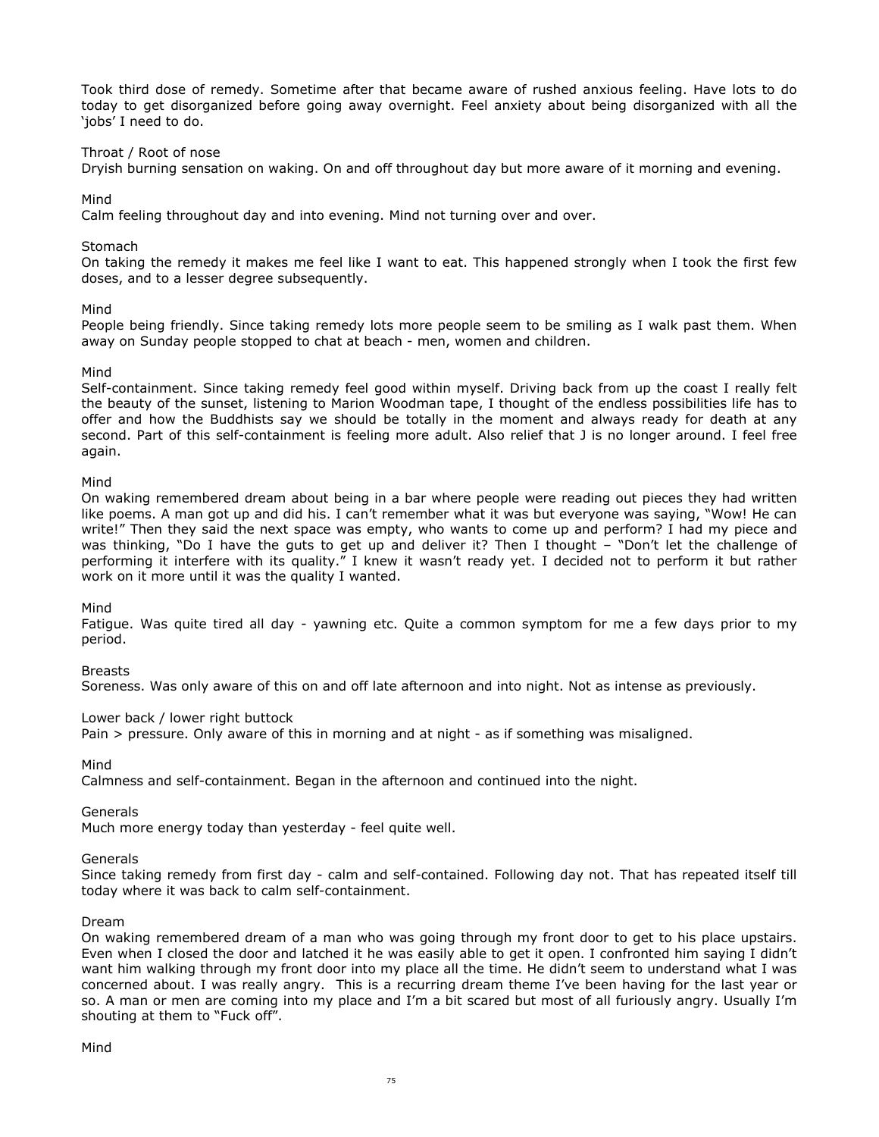Took third dose of remedy. Sometime after that became aware of rushed anxious feeling. Have lots to do today to get disorganized before going away overnight. Feel anxiety about being disorganized with all the 'jobs' I need to do.

### Throat / Root of nose

Dryish burning sensation on waking. On and off throughout day but more aware of it morning and evening.

Mind

Calm feeling throughout day and into evening. Mind not turning over and over.

### **Stomach**

On taking the remedy it makes me feel like I want to eat. This happened strongly when I took the first few doses, and to a lesser degree subsequently.

# Mind

People being friendly. Since taking remedy lots more people seem to be smiling as I walk past them. When away on Sunday people stopped to chat at beach - men, women and children.

### Mind

Self-containment. Since taking remedy feel good within myself. Driving back from up the coast I really felt the beauty of the sunset, listening to Marion Woodman tape, I thought of the endless possibilities life has to offer and how the Buddhists say we should be totally in the moment and always ready for death at any second. Part of this self-containment is feeling more adult. Also relief that J is no longer around. I feel free again.

### Mind

On waking remembered dream about being in a bar where people were reading out pieces they had written like poems. A man got up and did his. I can't remember what it was but everyone was saying, "Wow! He can write!" Then they said the next space was empty, who wants to come up and perform? I had my piece and was thinking, "Do I have the guts to get up and deliver it? Then I thought – "Don't let the challenge of performing it interfere with its quality." I knew it wasn't ready yet. I decided not to perform it but rather work on it more until it was the quality I wanted.

### Mind

Fatigue. Was quite tired all day - yawning etc. Quite a common symptom for me a few days prior to my period.

### Breasts

Soreness. Was only aware of this on and off late afternoon and into night. Not as intense as previously.

### Lower back / lower right buttock

Pain > pressure. Only aware of this in morning and at night - as if something was misaligned.

# Mind

Calmness and self-containment. Began in the afternoon and continued into the night.

# Generals

Much more energy today than yesterday - feel quite well.

# **Generals**

Since taking remedy from first day - calm and self-contained. Following day not. That has repeated itself till today where it was back to calm self-containment.

#### Dream

On waking remembered dream of a man who was going through my front door to get to his place upstairs. Even when I closed the door and latched it he was easily able to get it open. I confronted him saying I didn't want him walking through my front door into my place all the time. He didn't seem to understand what I was concerned about. I was really angry. This is a recurring dream theme I've been having for the last year or so. A man or men are coming into my place and I'm a bit scared but most of all furiously angry. Usually I'm shouting at them to "Fuck off".

### Mind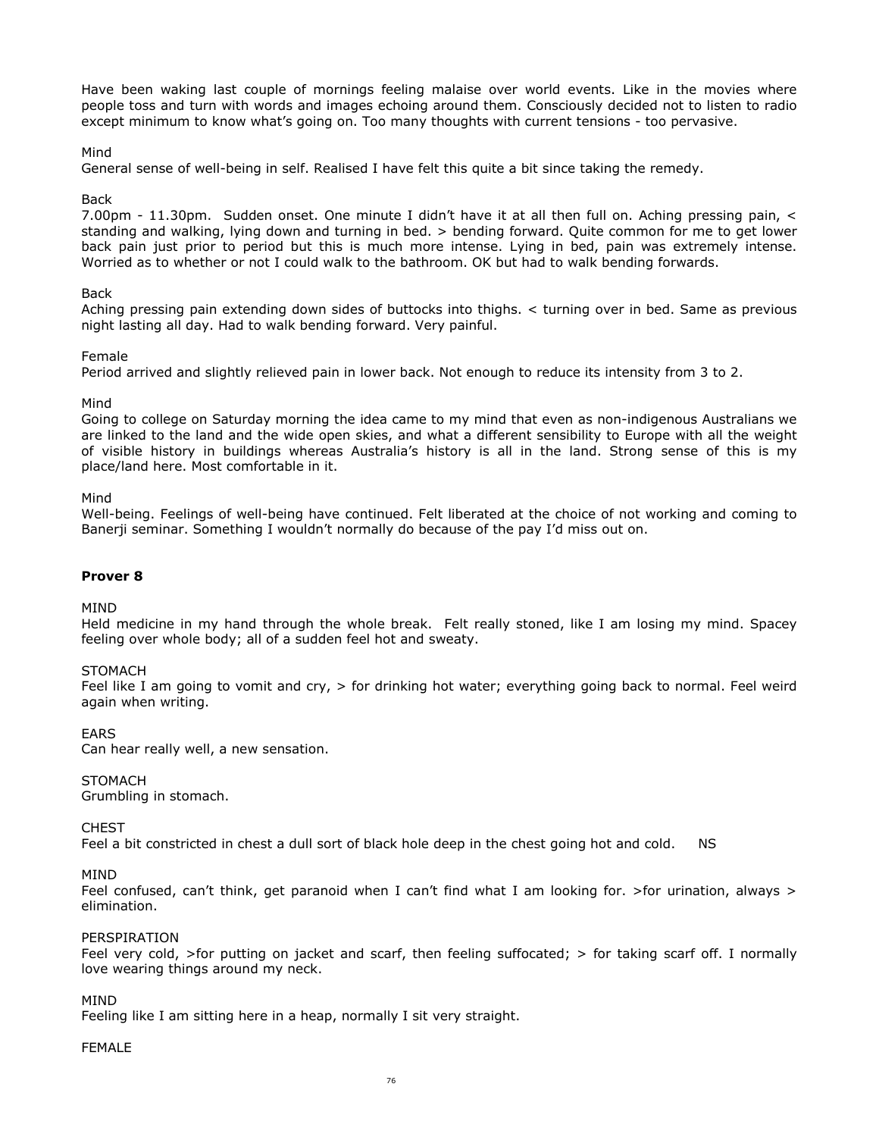Have been waking last couple of mornings feeling malaise over world events. Like in the movies where people toss and turn with words and images echoing around them. Consciously decided not to listen to radio except minimum to know what's going on. Too many thoughts with current tensions - too pervasive.

# Mind

General sense of well-being in self. Realised I have felt this quite a bit since taking the remedy.

Back

7.00pm - 11.30pm. Sudden onset. One minute I didn't have it at all then full on. Aching pressing pain, < standing and walking, lying down and turning in bed. > bending forward. Quite common for me to get lower back pain just prior to period but this is much more intense. Lying in bed, pain was extremely intense. Worried as to whether or not I could walk to the bathroom. OK but had to walk bending forwards.

# **Back**

Aching pressing pain extending down sides of buttocks into thighs. < turning over in bed. Same as previous night lasting all day. Had to walk bending forward. Very painful.

# Female

Period arrived and slightly relieved pain in lower back. Not enough to reduce its intensity from 3 to 2.

# Mind

Going to college on Saturday morning the idea came to my mind that even as non-indigenous Australians we are linked to the land and the wide open skies, and what a different sensibility to Europe with all the weight of visible history in buildings whereas Australia's history is all in the land. Strong sense of this is my place/land here. Most comfortable in it.

# Mind

Well-being. Feelings of well-being have continued. Felt liberated at the choice of not working and coming to Banerji seminar. Something I wouldn't normally do because of the pay I'd miss out on.

### Prover 8

### MIND

Held medicine in my hand through the whole break. Felt really stoned, like I am losing my mind. Spacey feeling over whole body; all of a sudden feel hot and sweaty.

### **STOMACH**

Feel like I am going to vomit and cry, > for drinking hot water; everything going back to normal. Feel weird again when writing.

### EARS

Can hear really well, a new sensation.

**STOMACH** 

Grumbling in stomach.

**CHEST** 

Feel a bit constricted in chest a dull sort of black hole deep in the chest going hot and cold. NS

MIND

Feel confused, can't think, get paranoid when I can't find what I am looking for. >for urination, always > elimination.

### PERSPIRATION

Feel very cold, >for putting on jacket and scarf, then feeling suffocated; > for taking scarf off. I normally love wearing things around my neck.

MIND

Feeling like I am sitting here in a heap, normally I sit very straight.

### FEMALE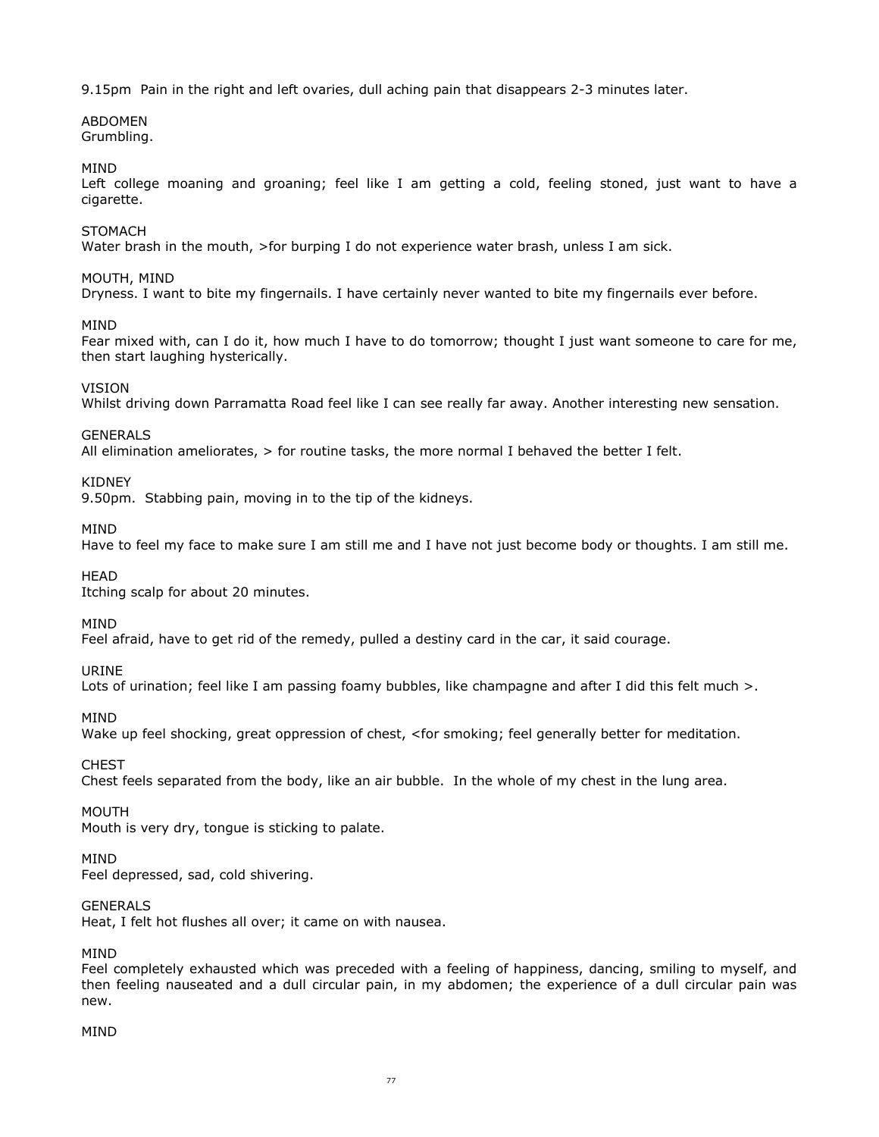9.15pm Pain in the right and left ovaries, dull aching pain that disappears 2-3 minutes later.

# ABDOMEN

Grumbling.

# MIND

Left college moaning and groaning; feel like I am getting a cold, feeling stoned, just want to have a cigarette.

# **STOMACH**

Water brash in the mouth, >for burping I do not experience water brash, unless I am sick.

# MOUTH, MIND

Dryness. I want to bite my fingernails. I have certainly never wanted to bite my fingernails ever before.

# MIND

Fear mixed with, can I do it, how much I have to do tomorrow; thought I just want someone to care for me, then start laughing hysterically.

### **VISION**

Whilst driving down Parramatta Road feel like I can see really far away. Another interesting new sensation.

# GENERALS

All elimination ameliorates, > for routine tasks, the more normal I behaved the better I felt.

# KIDNEY

9.50pm. Stabbing pain, moving in to the tip of the kidneys.

### MIND

Have to feel my face to make sure I am still me and I have not just become body or thoughts. I am still me.

### HEAD

Itching scalp for about 20 minutes.

### MIND

Feel afraid, have to get rid of the remedy, pulled a destiny card in the car, it said courage.

# URINE

Lots of urination; feel like I am passing foamy bubbles, like champagne and after I did this felt much >.

### MIND

Wake up feel shocking, great oppression of chest, <for smoking; feel generally better for meditation.

### CHEST

Chest feels separated from the body, like an air bubble. In the whole of my chest in the lung area.

### MOUTH

Mouth is very dry, tongue is sticking to palate.

### MIND

Feel depressed, sad, cold shivering.

### GENERALS

Heat, I felt hot flushes all over; it came on with nausea.

### MIND

Feel completely exhausted which was preceded with a feeling of happiness, dancing, smiling to myself, and then feeling nauseated and a dull circular pain, in my abdomen; the experience of a dull circular pain was new.

### MIND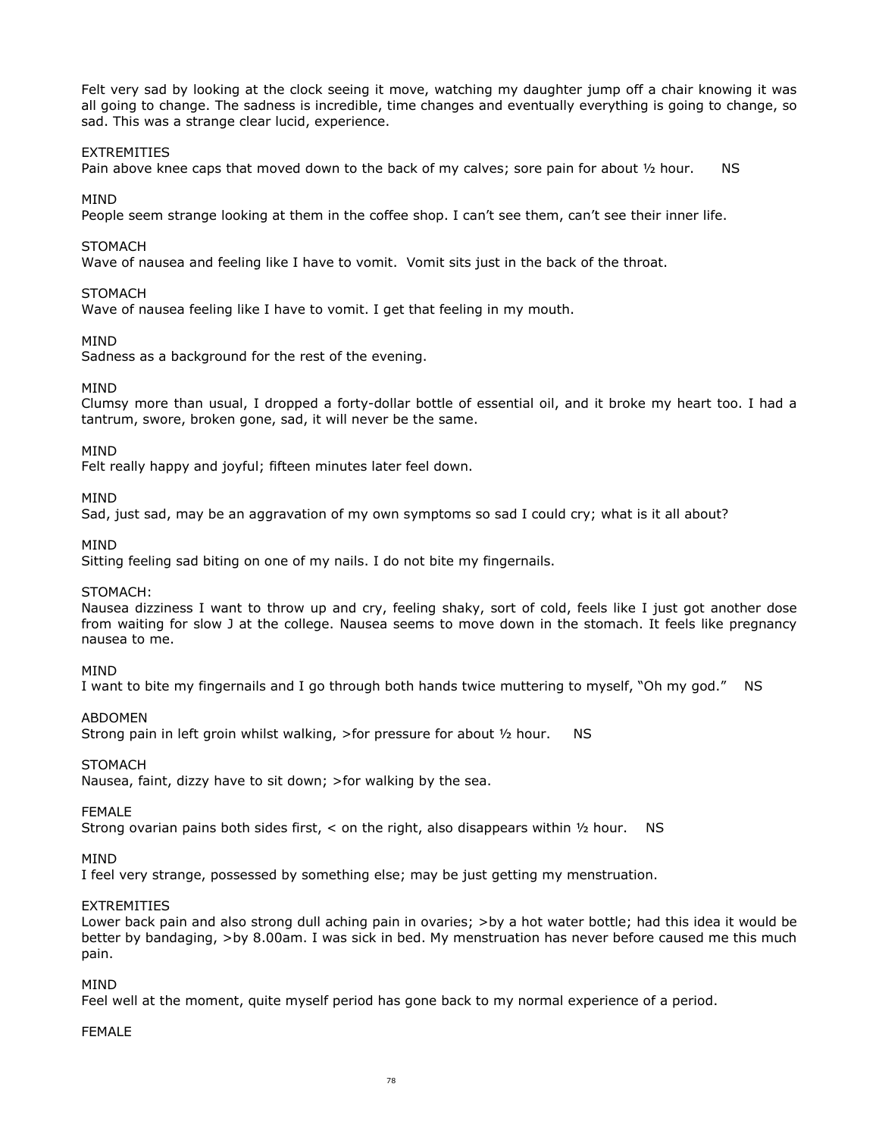Felt very sad by looking at the clock seeing it move, watching my daughter jump off a chair knowing it was all going to change. The sadness is incredible, time changes and eventually everything is going to change, so sad. This was a strange clear lucid, experience.

### EXTREMITIES

Pain above knee caps that moved down to the back of my calves; sore pain for about  $\frac{1}{2}$  hour. NS

### MIND

People seem strange looking at them in the coffee shop. I can't see them, can't see their inner life.

### **STOMACH**

Wave of nausea and feeling like I have to vomit. Vomit sits just in the back of the throat.

# **STOMACH**

Wave of nausea feeling like I have to vomit. I get that feeling in my mouth.

# MIND

Sadness as a background for the rest of the evening.

### **MIND**

Clumsy more than usual, I dropped a forty-dollar bottle of essential oil, and it broke my heart too. I had a tantrum, swore, broken gone, sad, it will never be the same.

# MIND

Felt really happy and joyful; fifteen minutes later feel down.

# MIND

Sad, just sad, may be an aggravation of my own symptoms so sad I could cry; what is it all about?

# MIND

Sitting feeling sad biting on one of my nails. I do not bite my fingernails.

### STOMACH:

Nausea dizziness I want to throw up and cry, feeling shaky, sort of cold, feels like I just got another dose from waiting for slow J at the college. Nausea seems to move down in the stomach. It feels like pregnancy nausea to me.

### MIND

I want to bite my fingernails and I go through both hands twice muttering to myself, "Oh my god." NS

### **ARDOMEN**

Strong pain in left groin whilst walking, >for pressure for about ½ hour. NS

### **STOMACH**

Nausea, faint, dizzy have to sit down; >for walking by the sea.

### FEMALE

Strong ovarian pains both sides first,  $\lt$  on the right, also disappears within  $\frac{1}{2}$  hour. NS

### **MIND**

I feel very strange, possessed by something else; may be just getting my menstruation.

### EXTREMITIES

Lower back pain and also strong dull aching pain in ovaries; >by a hot water bottle; had this idea it would be better by bandaging, >by 8.00am. I was sick in bed. My menstruation has never before caused me this much pain.

### **MIND**

Feel well at the moment, quite myself period has gone back to my normal experience of a period.

### FEMALE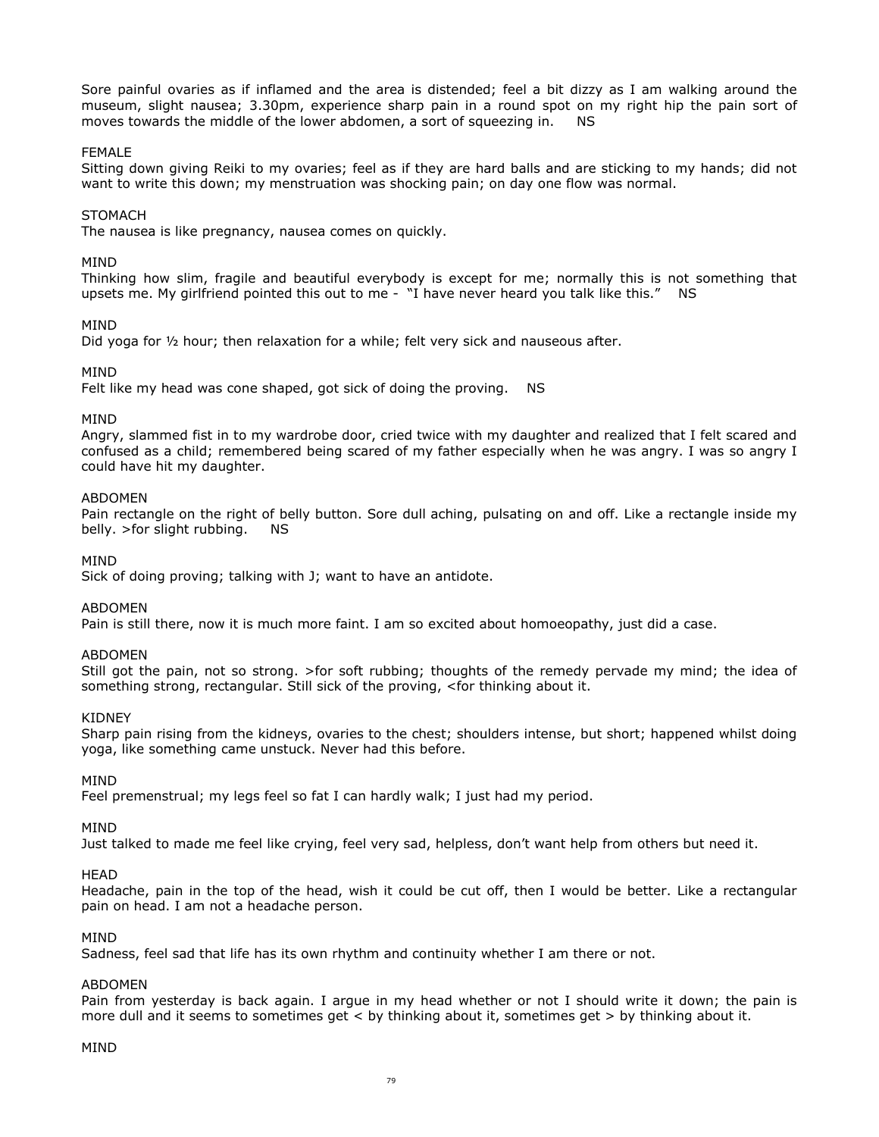Sore painful ovaries as if inflamed and the area is distended; feel a bit dizzy as I am walking around the museum, slight nausea; 3.30pm, experience sharp pain in a round spot on my right hip the pain sort of moves towards the middle of the lower abdomen, a sort of squeezing in. NS

### FEMALE

Sitting down giving Reiki to my ovaries; feel as if they are hard balls and are sticking to my hands; did not want to write this down; my menstruation was shocking pain; on day one flow was normal.

# **STOMACH**

The nausea is like pregnancy, nausea comes on quickly.

### MIND

Thinking how slim, fragile and beautiful everybody is except for me; normally this is not something that upsets me. My girlfriend pointed this out to me - "I have never heard you talk like this." NS

# MIND

Did yoga for ½ hour; then relaxation for a while; felt very sick and nauseous after.

# MIND

Felt like my head was cone shaped, got sick of doing the proving. NS

# MIND

Angry, slammed fist in to my wardrobe door, cried twice with my daughter and realized that I felt scared and confused as a child; remembered being scared of my father especially when he was angry. I was so angry I could have hit my daughter.

# ABDOMEN

Pain rectangle on the right of belly button. Sore dull aching, pulsating on and off. Like a rectangle inside my belly. >for slight rubbing. NS

# MIND

Sick of doing proving; talking with J; want to have an antidote.

### **ARDOMEN**

Pain is still there, now it is much more faint. I am so excited about homoeopathy, just did a case.

### ABDOMEN

Still got the pain, not so strong. >for soft rubbing; thoughts of the remedy pervade my mind; the idea of something strong, rectangular. Still sick of the proving, <for thinking about it.

### KIDNEY

Sharp pain rising from the kidneys, ovaries to the chest; shoulders intense, but short; happened whilst doing yoga, like something came unstuck. Never had this before.

### **MIND**

Feel premenstrual; my legs feel so fat I can hardly walk; I just had my period.

### MIND

Just talked to made me feel like crying, feel very sad, helpless, don't want help from others but need it.

### HEAD

Headache, pain in the top of the head, wish it could be cut off, then I would be better. Like a rectangular pain on head. I am not a headache person.

### **MIND**

Sadness, feel sad that life has its own rhythm and continuity whether I am there or not.

### ABDOMEN

Pain from yesterday is back again. I argue in my head whether or not I should write it down; the pain is more dull and it seems to sometimes get < by thinking about it, sometimes get > by thinking about it.

### MIND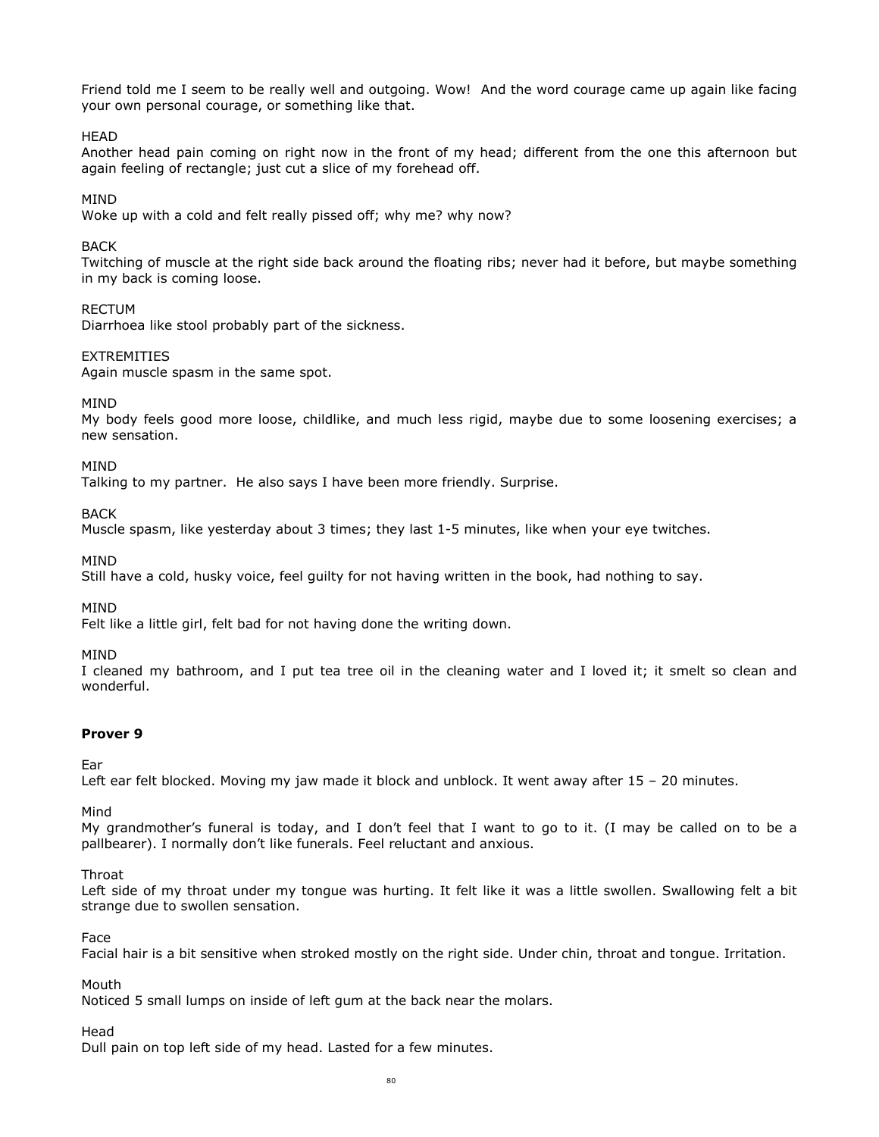Friend told me I seem to be really well and outgoing. Wow! And the word courage came up again like facing your own personal courage, or something like that.

# HEAD

Another head pain coming on right now in the front of my head; different from the one this afternoon but again feeling of rectangle; just cut a slice of my forehead off.

### MIND

Woke up with a cold and felt really pissed off; why me? why now?

# BACK

Twitching of muscle at the right side back around the floating ribs; never had it before, but maybe something in my back is coming loose.

# RECTUM

Diarrhoea like stool probably part of the sickness.

# EXTREMITIES

Again muscle spasm in the same spot.

# MIND

My body feels good more loose, childlike, and much less rigid, maybe due to some loosening exercises; a new sensation.

### MIND

Talking to my partner. He also says I have been more friendly. Surprise.

BACK

Muscle spasm, like yesterday about 3 times; they last 1-5 minutes, like when your eye twitches.

MIND

Still have a cold, husky voice, feel guilty for not having written in the book, had nothing to say.

# MIND

Felt like a little girl, felt bad for not having done the writing down.

### MIND

I cleaned my bathroom, and I put tea tree oil in the cleaning water and I loved it; it smelt so clean and wonderful.

# Prover 9

Ear

Left ear felt blocked. Moving my jaw made it block and unblock. It went away after 15 - 20 minutes.

### Mind

My grandmother's funeral is today, and I don't feel that I want to go to it. (I may be called on to be a pallbearer). I normally don't like funerals. Feel reluctant and anxious.

### Throat

Left side of my throat under my tongue was hurting. It felt like it was a little swollen. Swallowing felt a bit strange due to swollen sensation.

Face

Facial hair is a bit sensitive when stroked mostly on the right side. Under chin, throat and tongue. Irritation.

Mouth

Noticed 5 small lumps on inside of left gum at the back near the molars.

Head

Dull pain on top left side of my head. Lasted for a few minutes.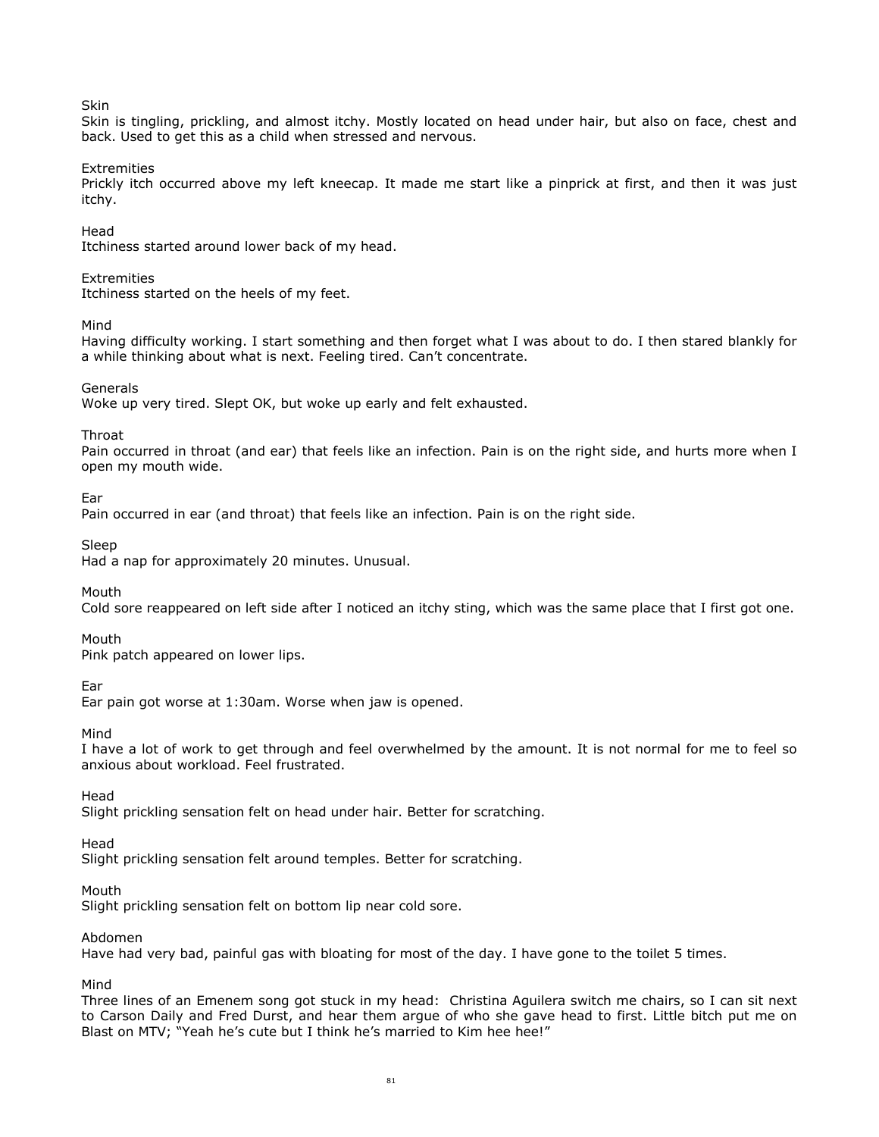# **Skin**

Skin is tingling, prickling, and almost itchy. Mostly located on head under hair, but also on face, chest and back. Used to get this as a child when stressed and nervous.

# Extremities

Prickly itch occurred above my left kneecap. It made me start like a pinprick at first, and then it was just itchy.

### Head

Itchiness started around lower back of my head.

### **Extremities**

Itchiness started on the heels of my feet.

Mind

Having difficulty working. I start something and then forget what I was about to do. I then stared blankly for a while thinking about what is next. Feeling tired. Can't concentrate.

**Generals** 

Woke up very tired. Slept OK, but woke up early and felt exhausted.

### Throat

Pain occurred in throat (and ear) that feels like an infection. Pain is on the right side, and hurts more when I open my mouth wide.

Ear

Pain occurred in ear (and throat) that feels like an infection. Pain is on the right side.

Sleep

Had a nap for approximately 20 minutes. Unusual.

Mouth

Cold sore reappeared on left side after I noticed an itchy sting, which was the same place that I first got one.

### Mouth

Pink patch appeared on lower lips.

Ear

Ear pain got worse at 1:30am. Worse when jaw is opened.

Mind

I have a lot of work to get through and feel overwhelmed by the amount. It is not normal for me to feel so anxious about workload. Feel frustrated.

Head

Slight prickling sensation felt on head under hair. Better for scratching.

Head

Slight prickling sensation felt around temples. Better for scratching.

Mouth

Slight prickling sensation felt on bottom lip near cold sore.

### Abdomen

Have had very bad, painful gas with bloating for most of the day. I have gone to the toilet 5 times.

Mind

Three lines of an Emenem song got stuck in my head: Christina Aguilera switch me chairs, so I can sit next to Carson Daily and Fred Durst, and hear them argue of who she gave head to first. Little bitch put me on Blast on MTV; "Yeah he's cute but I think he's married to Kim hee hee!"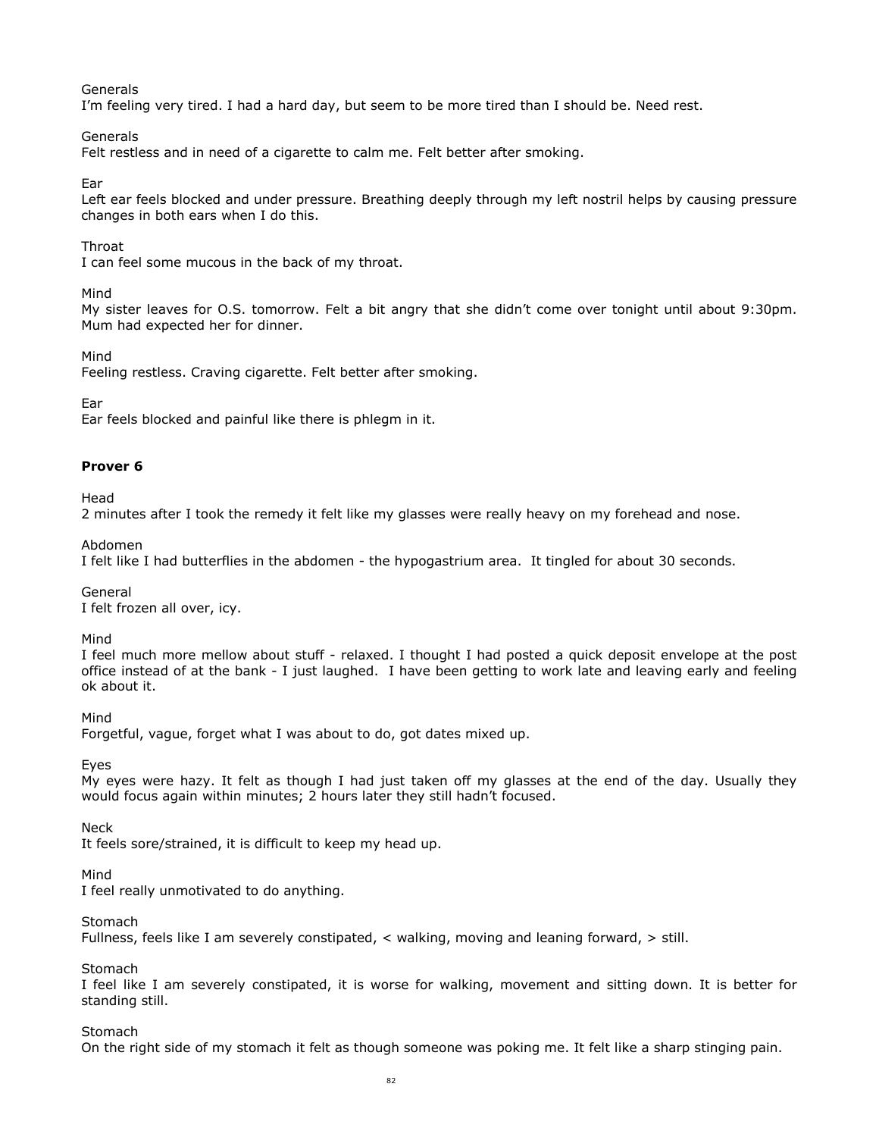# Generals

I'm feeling very tired. I had a hard day, but seem to be more tired than I should be. Need rest.

# Generals

Felt restless and in need of a cigarette to calm me. Felt better after smoking.

Ear

Left ear feels blocked and under pressure. Breathing deeply through my left nostril helps by causing pressure changes in both ears when I do this.

# Throat

I can feel some mucous in the back of my throat.

Mind

My sister leaves for O.S. tomorrow. Felt a bit angry that she didn't come over tonight until about 9:30pm. Mum had expected her for dinner.

Mind

Feeling restless. Craving cigarette. Felt better after smoking.

Ear

Ear feels blocked and painful like there is phlegm in it.

# Prover 6

Head

2 minutes after I took the remedy it felt like my glasses were really heavy on my forehead and nose.

Abdomen

I felt like I had butterflies in the abdomen - the hypogastrium area. It tingled for about 30 seconds.

General

I felt frozen all over, icy.

Mind

I feel much more mellow about stuff - relaxed. I thought I had posted a quick deposit envelope at the post office instead of at the bank - I just laughed. I have been getting to work late and leaving early and feeling ok about it.

Mind

Forgetful, vague, forget what I was about to do, got dates mixed up.

Eyes

My eyes were hazy. It felt as though I had just taken off my glasses at the end of the day. Usually they would focus again within minutes; 2 hours later they still hadn't focused.

Neck

It feels sore/strained, it is difficult to keep my head up.

Mind

I feel really unmotivated to do anything.

**Stomach** 

Fullness, feels like I am severely constipated, < walking, moving and leaning forward, > still.

**Stomach** 

I feel like I am severely constipated, it is worse for walking, movement and sitting down. It is better for standing still.

Stomach

On the right side of my stomach it felt as though someone was poking me. It felt like a sharp stinging pain.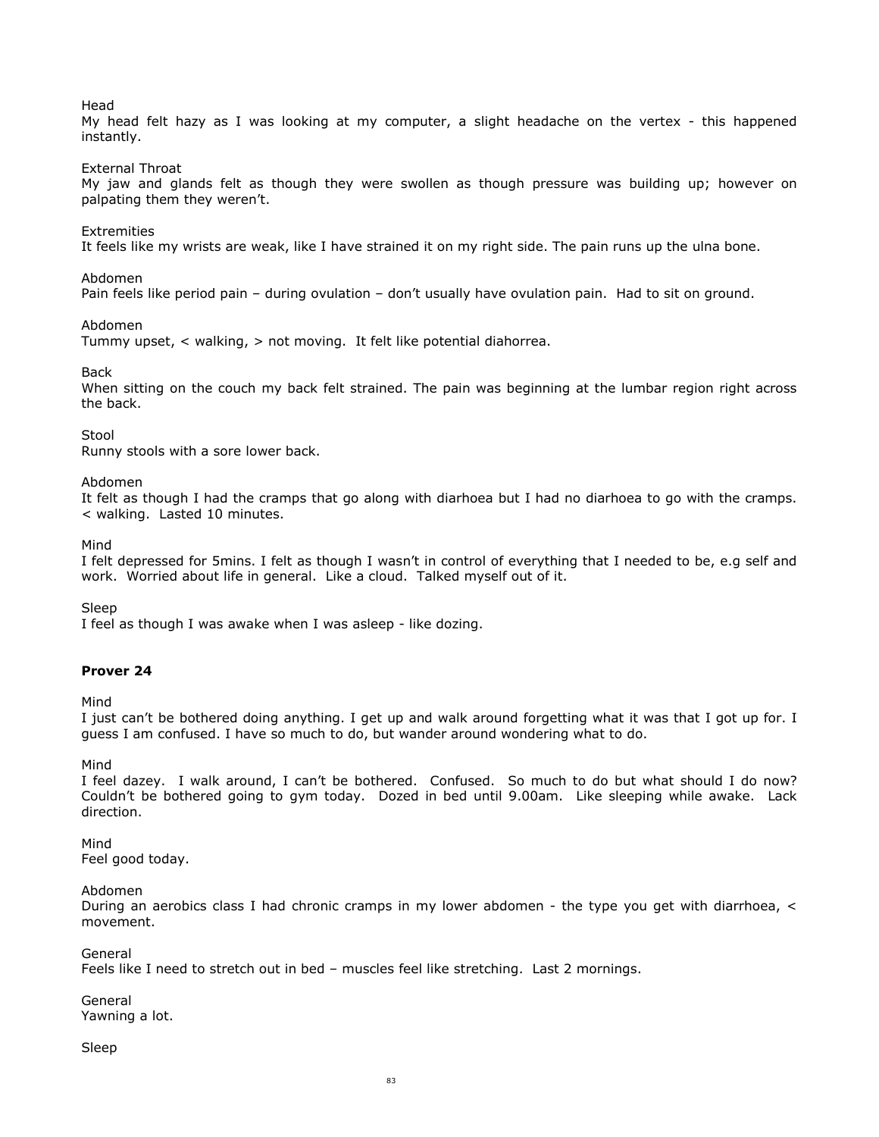Head

My head felt hazy as I was looking at my computer, a slight headache on the vertex - this happened instantly.

# External Throat

My jaw and glands felt as though they were swollen as though pressure was building up; however on palpating them they weren't.

# Extremities

It feels like my wrists are weak, like I have strained it on my right side. The pain runs up the ulna bone.

# Abdomen

Pain feels like period pain – during ovulation – don't usually have ovulation pain. Had to sit on ground.

Abdomen

Tummy upset, < walking, > not moving. It felt like potential diahorrea.

Back

When sitting on the couch my back felt strained. The pain was beginning at the lumbar region right across the back.

Stool

Runny stools with a sore lower back.

Abdomen

It felt as though I had the cramps that go along with diarhoea but I had no diarhoea to go with the cramps. < walking. Lasted 10 minutes.

Mind

I felt depressed for 5mins. I felt as though I wasn't in control of everything that I needed to be, e.g self and work. Worried about life in general. Like a cloud. Talked myself out of it.

Sleep

I feel as though I was awake when I was asleep - like dozing.

# Prover 24

Mind

I just can't be bothered doing anything. I get up and walk around forgetting what it was that I got up for. I guess I am confused. I have so much to do, but wander around wondering what to do.

Mind

I feel dazey. I walk around, I can't be bothered. Confused. So much to do but what should I do now? Couldn't be bothered going to gym today. Dozed in bed until 9.00am. Like sleeping while awake. Lack direction.

Mind Feel good today.

Abdomen

During an aerobics class I had chronic cramps in my lower abdomen - the type you get with diarrhoea, < movement.

General

Feels like I need to stretch out in bed – muscles feel like stretching. Last 2 mornings.

General Yawning a lot.

Sleep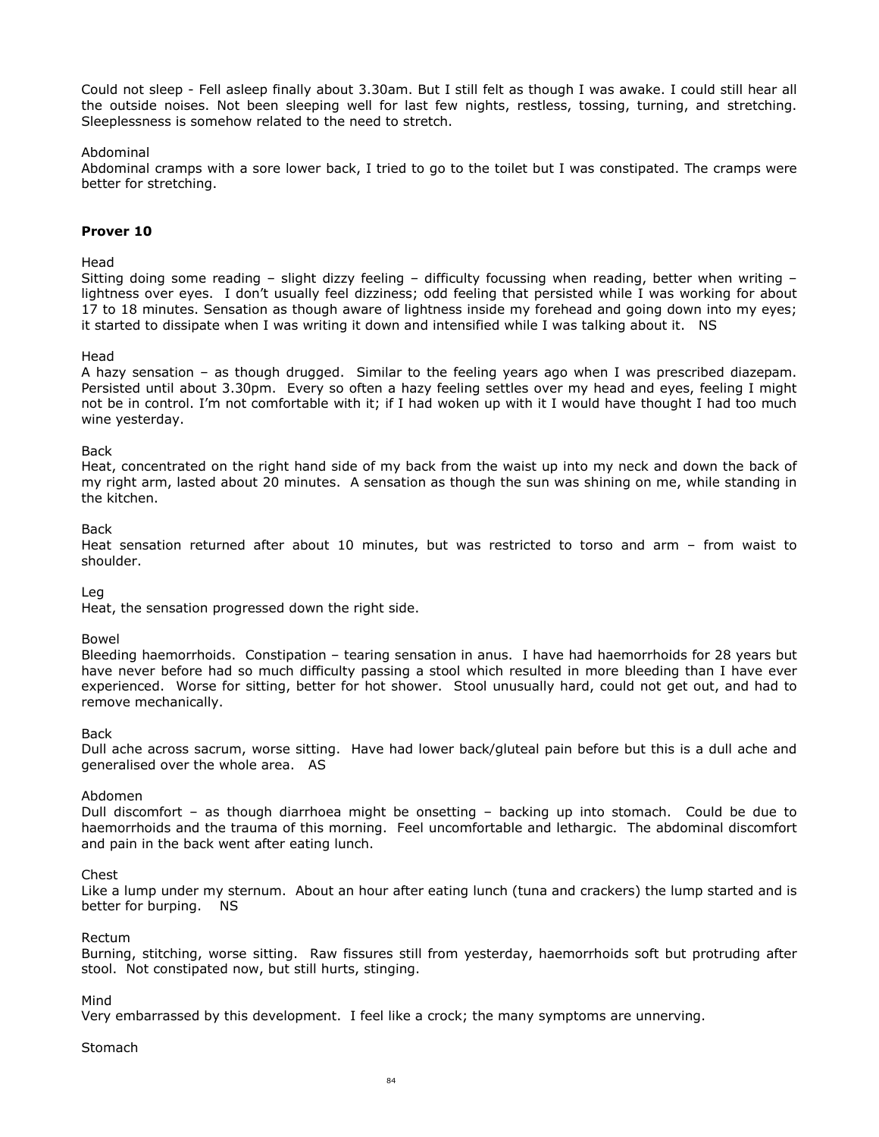Could not sleep - Fell asleep finally about 3.30am. But I still felt as though I was awake. I could still hear all the outside noises. Not been sleeping well for last few nights, restless, tossing, turning, and stretching. Sleeplessness is somehow related to the need to stretch.

#### Abdominal

Abdominal cramps with a sore lower back, I tried to go to the toilet but I was constipated. The cramps were better for stretching.

#### Prover 10

Head

Sitting doing some reading – slight dizzy feeling – difficulty focussing when reading, better when writing – lightness over eyes. I don't usually feel dizziness; odd feeling that persisted while I was working for about 17 to 18 minutes. Sensation as though aware of lightness inside my forehead and going down into my eyes; it started to dissipate when I was writing it down and intensified while I was talking about it. NS

#### Head

A hazy sensation – as though drugged. Similar to the feeling years ago when I was prescribed diazepam. Persisted until about 3.30pm. Every so often a hazy feeling settles over my head and eyes, feeling I might not be in control. I'm not comfortable with it; if I had woken up with it I would have thought I had too much wine yesterday.

#### Back

Heat, concentrated on the right hand side of my back from the waist up into my neck and down the back of my right arm, lasted about 20 minutes. A sensation as though the sun was shining on me, while standing in the kitchen.

#### **Back**

Heat sensation returned after about 10 minutes, but was restricted to torso and arm – from waist to shoulder.

Leg

Heat, the sensation progressed down the right side.

#### Bowel

Bleeding haemorrhoids. Constipation – tearing sensation in anus. I have had haemorrhoids for 28 years but have never before had so much difficulty passing a stool which resulted in more bleeding than I have ever experienced. Worse for sitting, better for hot shower. Stool unusually hard, could not get out, and had to remove mechanically.

#### Back

Dull ache across sacrum, worse sitting. Have had lower back/gluteal pain before but this is a dull ache and generalised over the whole area. AS

#### Abdomen

Dull discomfort – as though diarrhoea might be onsetting – backing up into stomach. Could be due to haemorrhoids and the trauma of this morning. Feel uncomfortable and lethargic. The abdominal discomfort and pain in the back went after eating lunch.

#### Chest

Like a lump under my sternum. About an hour after eating lunch (tuna and crackers) the lump started and is better for burping. NS

#### Rectum

Burning, stitching, worse sitting. Raw fissures still from yesterday, haemorrhoids soft but protruding after stool. Not constipated now, but still hurts, stinging.

#### Mind

Very embarrassed by this development. I feel like a crock; the many symptoms are unnerving.

#### **Stomach**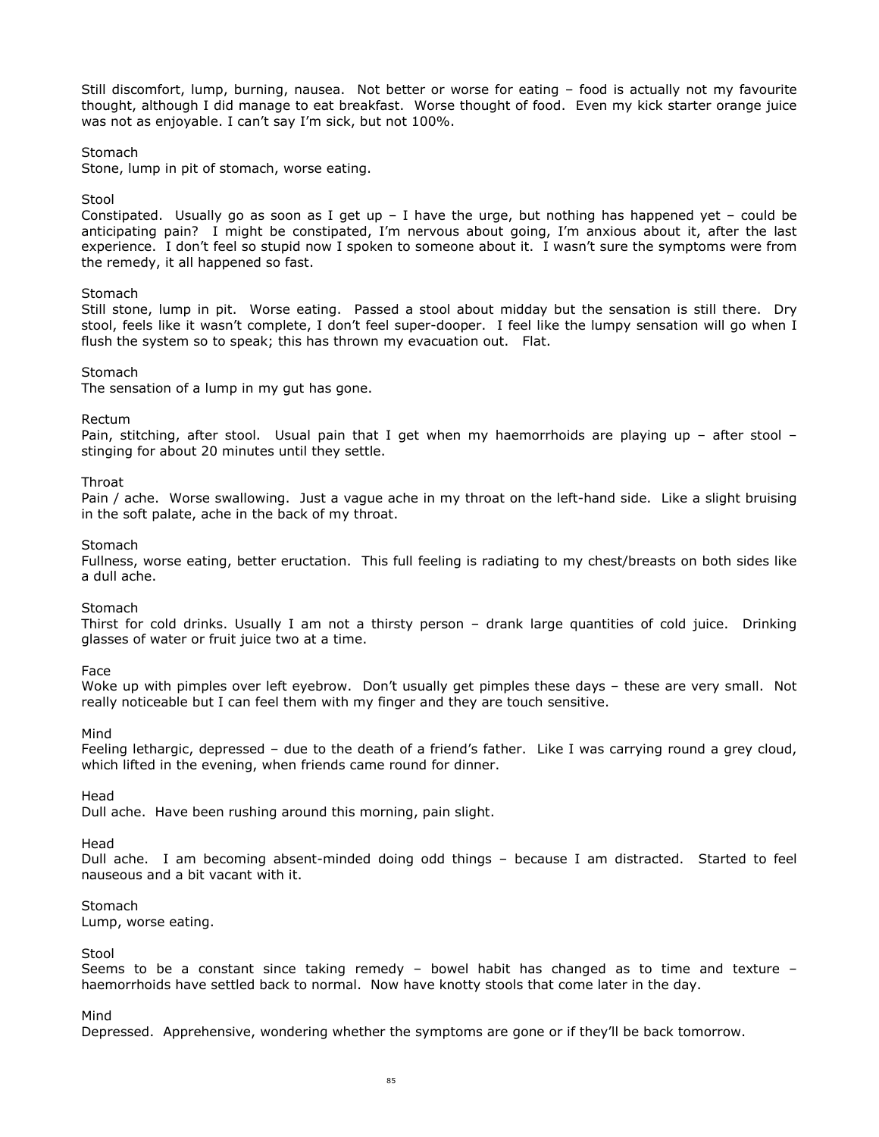Still discomfort, lump, burning, nausea. Not better or worse for eating – food is actually not my favourite thought, although I did manage to eat breakfast. Worse thought of food. Even my kick starter orange juice was not as enjoyable. I can't say I'm sick, but not 100%.

### **Stomach**

Stone, lump in pit of stomach, worse eating.

### Stool

Constipated. Usually go as soon as I get up  $-$  I have the urge, but nothing has happened yet – could be anticipating pain? I might be constipated, I'm nervous about going, I'm anxious about it, after the last experience. I don't feel so stupid now I spoken to someone about it. I wasn't sure the symptoms were from the remedy, it all happened so fast.

### **Stomach**

Still stone, lump in pit. Worse eating. Passed a stool about midday but the sensation is still there. Dry stool, feels like it wasn't complete, I don't feel super-dooper. I feel like the lumpy sensation will go when I flush the system so to speak; this has thrown my evacuation out. Flat.

### **Stomach**

The sensation of a lump in my gut has gone.

### Rectum

Pain, stitching, after stool. Usual pain that I get when my haemorrhoids are playing up – after stool – stinging for about 20 minutes until they settle.

### **Throat**

Pain / ache. Worse swallowing. Just a vague ache in my throat on the left-hand side. Like a slight bruising in the soft palate, ache in the back of my throat.

### Stomach

Fullness, worse eating, better eructation. This full feeling is radiating to my chest/breasts on both sides like a dull ache.

### Stomach

Thirst for cold drinks. Usually I am not a thirsty person – drank large quantities of cold juice. Drinking glasses of water or fruit juice two at a time.

### Face

Woke up with pimples over left eyebrow. Don't usually get pimples these days - these are very small. Not really noticeable but I can feel them with my finger and they are touch sensitive.

### Mind

Feeling lethargic, depressed – due to the death of a friend's father. Like I was carrying round a grey cloud, which lifted in the evening, when friends came round for dinner.

### Head

Dull ache. Have been rushing around this morning, pain slight.

### Head

Dull ache. I am becoming absent-minded doing odd things – because I am distracted. Started to feel nauseous and a bit vacant with it.

### **Stomach**

Lump, worse eating.

### Stool

Seems to be a constant since taking remedy – bowel habit has changed as to time and texture – haemorrhoids have settled back to normal. Now have knotty stools that come later in the day.

### Mind

Depressed. Apprehensive, wondering whether the symptoms are gone or if they'll be back tomorrow.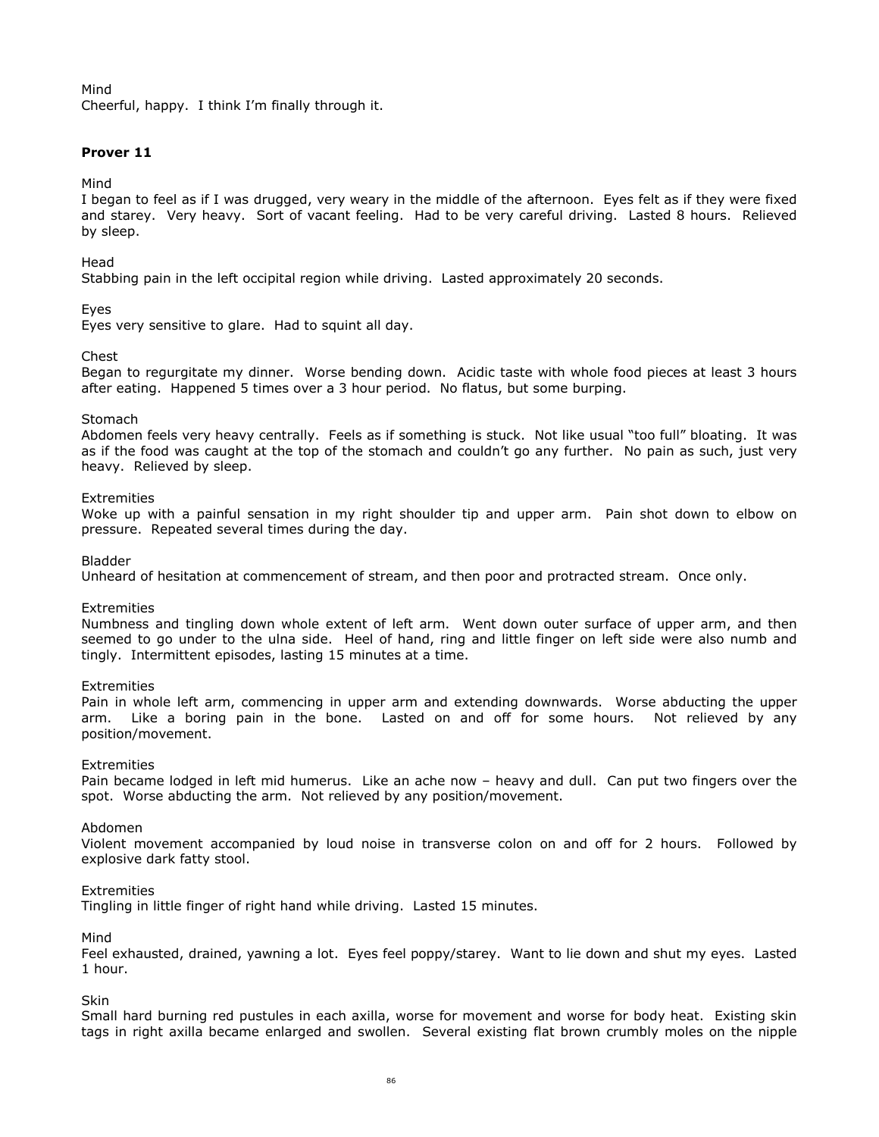Mind

Cheerful, happy. I think I'm finally through it.

# Prover 11

Mind

I began to feel as if I was drugged, very weary in the middle of the afternoon. Eyes felt as if they were fixed and starey. Very heavy. Sort of vacant feeling. Had to be very careful driving. Lasted 8 hours. Relieved by sleep.

Head

Stabbing pain in the left occipital region while driving. Lasted approximately 20 seconds.

# Eyes

Eyes very sensitive to glare. Had to squint all day.

# Chest

Began to regurgitate my dinner. Worse bending down. Acidic taste with whole food pieces at least 3 hours after eating. Happened 5 times over a 3 hour period. No flatus, but some burping.

### Stomach

Abdomen feels very heavy centrally. Feels as if something is stuck. Not like usual "too full" bloating. It was as if the food was caught at the top of the stomach and couldn't go any further. No pain as such, just very heavy. Relieved by sleep.

# Extremities

Woke up with a painful sensation in my right shoulder tip and upper arm. Pain shot down to elbow on pressure. Repeated several times during the day.

### Bladder

Unheard of hesitation at commencement of stream, and then poor and protracted stream. Once only.

### Extremities

Numbness and tingling down whole extent of left arm. Went down outer surface of upper arm, and then seemed to go under to the ulna side. Heel of hand, ring and little finger on left side were also numb and tingly. Intermittent episodes, lasting 15 minutes at a time.

### Extremities

Pain in whole left arm, commencing in upper arm and extending downwards. Worse abducting the upper arm. Like a boring pain in the bone. Lasted on and off for some hours. Not relieved by any position/movement.

### Extremities

Pain became lodged in left mid humerus. Like an ache now – heavy and dull. Can put two fingers over the spot. Worse abducting the arm. Not relieved by any position/movement.

### Abdomen

Violent movement accompanied by loud noise in transverse colon on and off for 2 hours. Followed by explosive dark fatty stool.

### Extremities

Tingling in little finger of right hand while driving. Lasted 15 minutes.

### Mind

Feel exhausted, drained, yawning a lot. Eyes feel poppy/starey. Want to lie down and shut my eyes. Lasted 1 hour.

### Skin

Small hard burning red pustules in each axilla, worse for movement and worse for body heat. Existing skin tags in right axilla became enlarged and swollen. Several existing flat brown crumbly moles on the nipple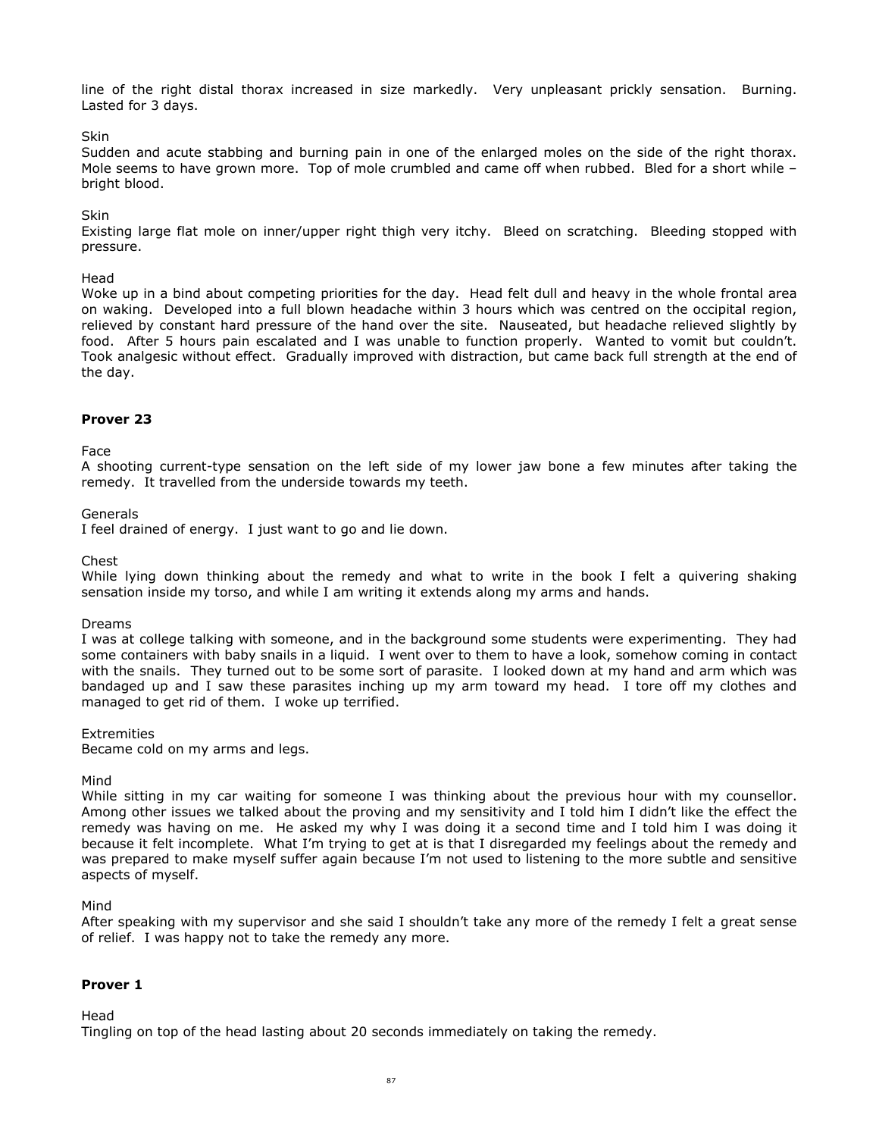line of the right distal thorax increased in size markedly. Very unpleasant prickly sensation. Burning. Lasted for 3 days.

#### Skin

Sudden and acute stabbing and burning pain in one of the enlarged moles on the side of the right thorax. Mole seems to have grown more. Top of mole crumbled and came off when rubbed. Bled for a short while bright blood.

Skin

Existing large flat mole on inner/upper right thigh very itchy. Bleed on scratching. Bleeding stopped with pressure.

#### Head

Woke up in a bind about competing priorities for the day. Head felt dull and heavy in the whole frontal area on waking. Developed into a full blown headache within 3 hours which was centred on the occipital region, relieved by constant hard pressure of the hand over the site. Nauseated, but headache relieved slightly by food. After 5 hours pain escalated and I was unable to function properly. Wanted to vomit but couldn't. Took analgesic without effect. Gradually improved with distraction, but came back full strength at the end of the day.

### Prover 23

Face

A shooting current-type sensation on the left side of my lower jaw bone a few minutes after taking the remedy. It travelled from the underside towards my teeth.

Generals

I feel drained of energy. I just want to go and lie down.

Chest

While lying down thinking about the remedy and what to write in the book I felt a quivering shaking sensation inside my torso, and while I am writing it extends along my arms and hands.

### Dreams

I was at college talking with someone, and in the background some students were experimenting. They had some containers with baby snails in a liquid. I went over to them to have a look, somehow coming in contact with the snails. They turned out to be some sort of parasite. I looked down at my hand and arm which was bandaged up and I saw these parasites inching up my arm toward my head. I tore off my clothes and managed to get rid of them. I woke up terrified.

### Extremities

Became cold on my arms and legs.

#### Mind

While sitting in my car waiting for someone I was thinking about the previous hour with my counsellor. Among other issues we talked about the proving and my sensitivity and I told him I didn't like the effect the remedy was having on me. He asked my why I was doing it a second time and I told him I was doing it because it felt incomplete. What I'm trying to get at is that I disregarded my feelings about the remedy and was prepared to make myself suffer again because I'm not used to listening to the more subtle and sensitive aspects of myself.

#### Mind

After speaking with my supervisor and she said I shouldn't take any more of the remedy I felt a great sense of relief. I was happy not to take the remedy any more.

### Prover 1

Head

Tingling on top of the head lasting about 20 seconds immediately on taking the remedy.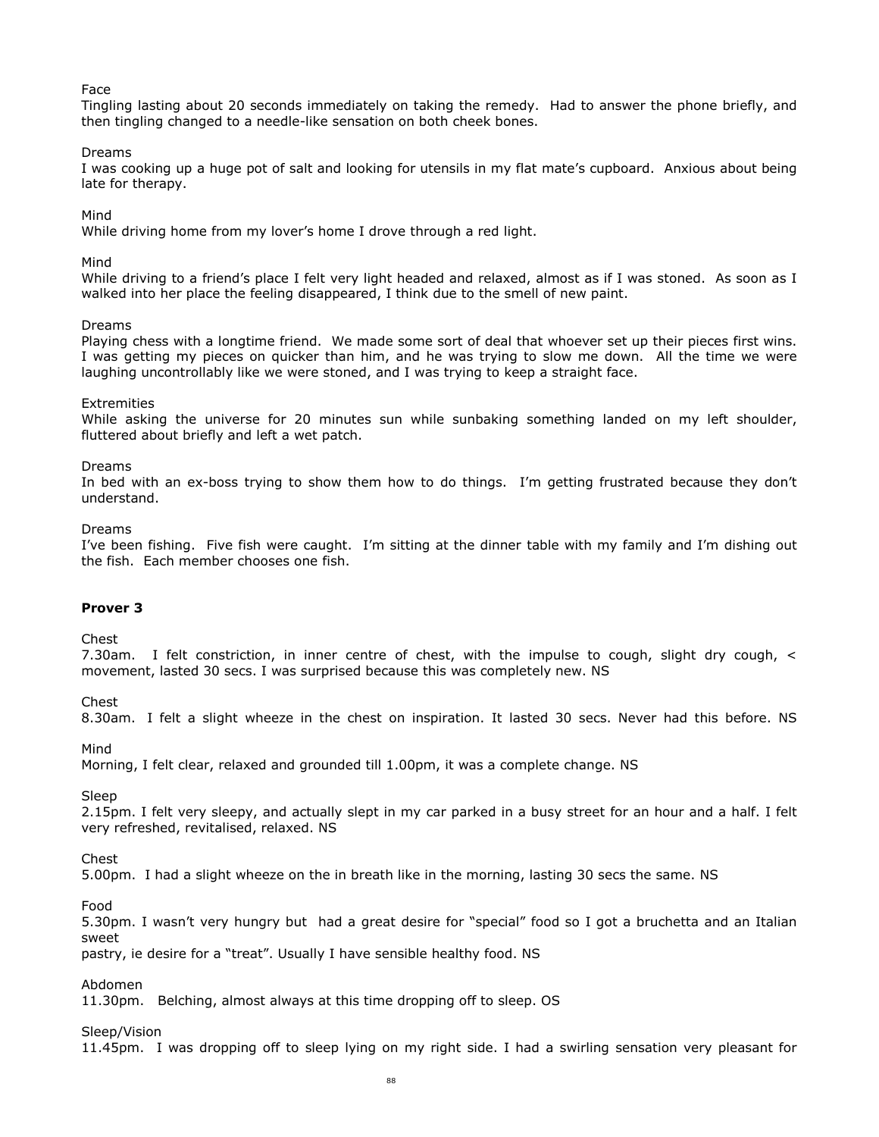# Face

Tingling lasting about 20 seconds immediately on taking the remedy. Had to answer the phone briefly, and then tingling changed to a needle-like sensation on both cheek bones.

# Dreams

I was cooking up a huge pot of salt and looking for utensils in my flat mate's cupboard. Anxious about being late for therapy.

Mind

While driving home from my lover's home I drove through a red light.

# Mind

While driving to a friend's place I felt very light headed and relaxed, almost as if I was stoned. As soon as I walked into her place the feeling disappeared, I think due to the smell of new paint.

# Dreams

Playing chess with a longtime friend. We made some sort of deal that whoever set up their pieces first wins. I was getting my pieces on quicker than him, and he was trying to slow me down. All the time we were laughing uncontrollably like we were stoned, and I was trying to keep a straight face.

# Extremities

While asking the universe for 20 minutes sun while sunbaking something landed on my left shoulder, fluttered about briefly and left a wet patch.

### Dreams

In bed with an ex-boss trying to show them how to do things. I'm getting frustrated because they don't understand.

# Dreams

I've been fishing. Five fish were caught. I'm sitting at the dinner table with my family and I'm dishing out the fish. Each member chooses one fish.

# Prover 3

Chest

7.30am. I felt constriction, in inner centre of chest, with the impulse to cough, slight dry cough, < movement, lasted 30 secs. I was surprised because this was completely new. NS

Chest

8.30am. I felt a slight wheeze in the chest on inspiration. It lasted 30 secs. Never had this before. NS

Mind

Morning, I felt clear, relaxed and grounded till 1.00pm, it was a complete change. NS

Sleep

2.15pm. I felt very sleepy, and actually slept in my car parked in a busy street for an hour and a half. I felt very refreshed, revitalised, relaxed. NS

Chest

5.00pm. I had a slight wheeze on the in breath like in the morning, lasting 30 secs the same. NS

Food

5.30pm. I wasn't very hungry but had a great desire for "special" food so I got a bruchetta and an Italian sweet

pastry, ie desire for a "treat". Usually I have sensible healthy food. NS

Abdomen

11.30pm. Belching, almost always at this time dropping off to sleep. OS

Sleep/Vision

11.45pm. I was dropping off to sleep lying on my right side. I had a swirling sensation very pleasant for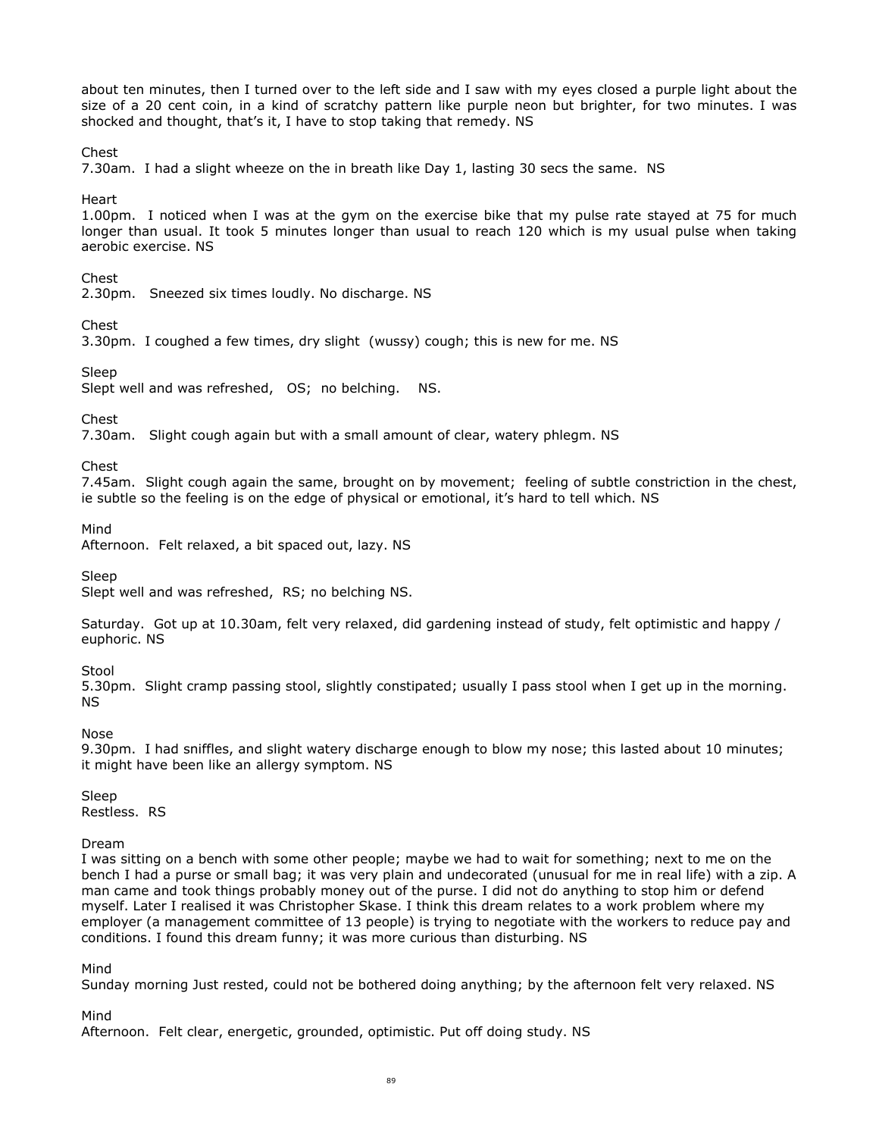about ten minutes, then I turned over to the left side and I saw with my eyes closed a purple light about the size of a 20 cent coin, in a kind of scratchy pattern like purple neon but brighter, for two minutes. I was shocked and thought, that's it, I have to stop taking that remedy. NS

Chest

7.30am. I had a slight wheeze on the in breath like Day 1, lasting 30 secs the same. NS

Heart

1.00pm. I noticed when I was at the gym on the exercise bike that my pulse rate stayed at 75 for much longer than usual. It took 5 minutes longer than usual to reach 120 which is my usual pulse when taking aerobic exercise. NS

# Chest

2.30pm. Sneezed six times loudly. No discharge. NS

Chest

3.30pm. I coughed a few times, dry slight (wussy) cough; this is new for me. NS

Sleep

Slept well and was refreshed, OS; no belching. NS.

Chest

7.30am. Slight cough again but with a small amount of clear, watery phlegm. NS

Chest

7.45am. Slight cough again the same, brought on by movement; feeling of subtle constriction in the chest, ie subtle so the feeling is on the edge of physical or emotional, it's hard to tell which. NS

Mind

Afternoon. Felt relaxed, a bit spaced out, lazy. NS

Sleep

Slept well and was refreshed, RS; no belching NS.

Saturday. Got up at 10.30am, felt very relaxed, did gardening instead of study, felt optimistic and happy / euphoric. NS

Stool

5.30pm. Slight cramp passing stool, slightly constipated; usually I pass stool when I get up in the morning. NS

Nose

9.30pm. I had sniffles, and slight watery discharge enough to blow my nose; this lasted about 10 minutes; it might have been like an allergy symptom. NS

Sleep

Restless. RS

Dream

I was sitting on a bench with some other people; maybe we had to wait for something; next to me on the bench I had a purse or small bag; it was very plain and undecorated (unusual for me in real life) with a zip. A man came and took things probably money out of the purse. I did not do anything to stop him or defend myself. Later I realised it was Christopher Skase. I think this dream relates to a work problem where my employer (a management committee of 13 people) is trying to negotiate with the workers to reduce pay and conditions. I found this dream funny; it was more curious than disturbing. NS

Mind

Sunday morning Just rested, could not be bothered doing anything; by the afternoon felt very relaxed. NS

Mind

Afternoon. Felt clear, energetic, grounded, optimistic. Put off doing study. NS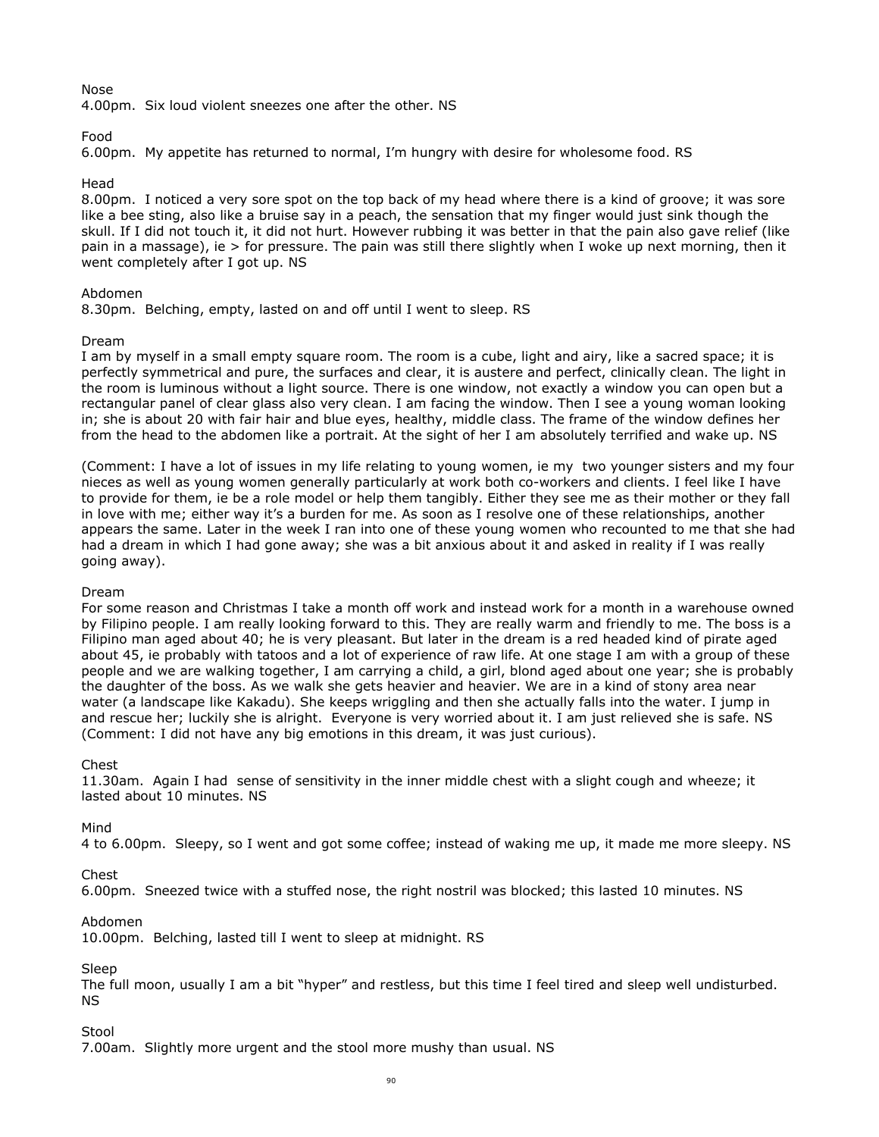# Nose

4.00pm. Six loud violent sneezes one after the other. NS

# Food

6.00pm. My appetite has returned to normal, I'm hungry with desire for wholesome food. RS

# Head

8.00pm. I noticed a very sore spot on the top back of my head where there is a kind of groove; it was sore like a bee sting, also like a bruise say in a peach, the sensation that my finger would just sink though the skull. If I did not touch it, it did not hurt. However rubbing it was better in that the pain also gave relief (like pain in a massage), ie > for pressure. The pain was still there slightly when I woke up next morning, then it went completely after I got up. NS

### Abdomen

8.30pm. Belching, empty, lasted on and off until I went to sleep. RS

# Dream

I am by myself in a small empty square room. The room is a cube, light and airy, like a sacred space; it is perfectly symmetrical and pure, the surfaces and clear, it is austere and perfect, clinically clean. The light in the room is luminous without a light source. There is one window, not exactly a window you can open but a rectangular panel of clear glass also very clean. I am facing the window. Then I see a young woman looking in; she is about 20 with fair hair and blue eyes, healthy, middle class. The frame of the window defines her from the head to the abdomen like a portrait. At the sight of her I am absolutely terrified and wake up. NS

(Comment: I have a lot of issues in my life relating to young women, ie my two younger sisters and my four nieces as well as young women generally particularly at work both co-workers and clients. I feel like I have to provide for them, ie be a role model or help them tangibly. Either they see me as their mother or they fall in love with me; either way it's a burden for me. As soon as I resolve one of these relationships, another appears the same. Later in the week I ran into one of these young women who recounted to me that she had had a dream in which I had gone away; she was a bit anxious about it and asked in reality if I was really going away).

### Dream

For some reason and Christmas I take a month off work and instead work for a month in a warehouse owned by Filipino people. I am really looking forward to this. They are really warm and friendly to me. The boss is a Filipino man aged about 40; he is very pleasant. But later in the dream is a red headed kind of pirate aged about 45, ie probably with tatoos and a lot of experience of raw life. At one stage I am with a group of these people and we are walking together, I am carrying a child, a girl, blond aged about one year; she is probably the daughter of the boss. As we walk she gets heavier and heavier. We are in a kind of stony area near water (a landscape like Kakadu). She keeps wriggling and then she actually falls into the water. I jump in and rescue her; luckily she is alright. Everyone is very worried about it. I am just relieved she is safe. NS (Comment: I did not have any big emotions in this dream, it was just curious).

Chest

11.30am. Again I had sense of sensitivity in the inner middle chest with a slight cough and wheeze; it lasted about 10 minutes. NS

### Mind

4 to 6.00pm. Sleepy, so I went and got some coffee; instead of waking me up, it made me more sleepy. NS

### Chest

6.00pm. Sneezed twice with a stuffed nose, the right nostril was blocked; this lasted 10 minutes. NS

# Abdomen

10.00pm. Belching, lasted till I went to sleep at midnight. RS

Sleep

The full moon, usually I am a bit "hyper" and restless, but this time I feel tired and sleep well undisturbed. NS

Stool

7.00am. Slightly more urgent and the stool more mushy than usual. NS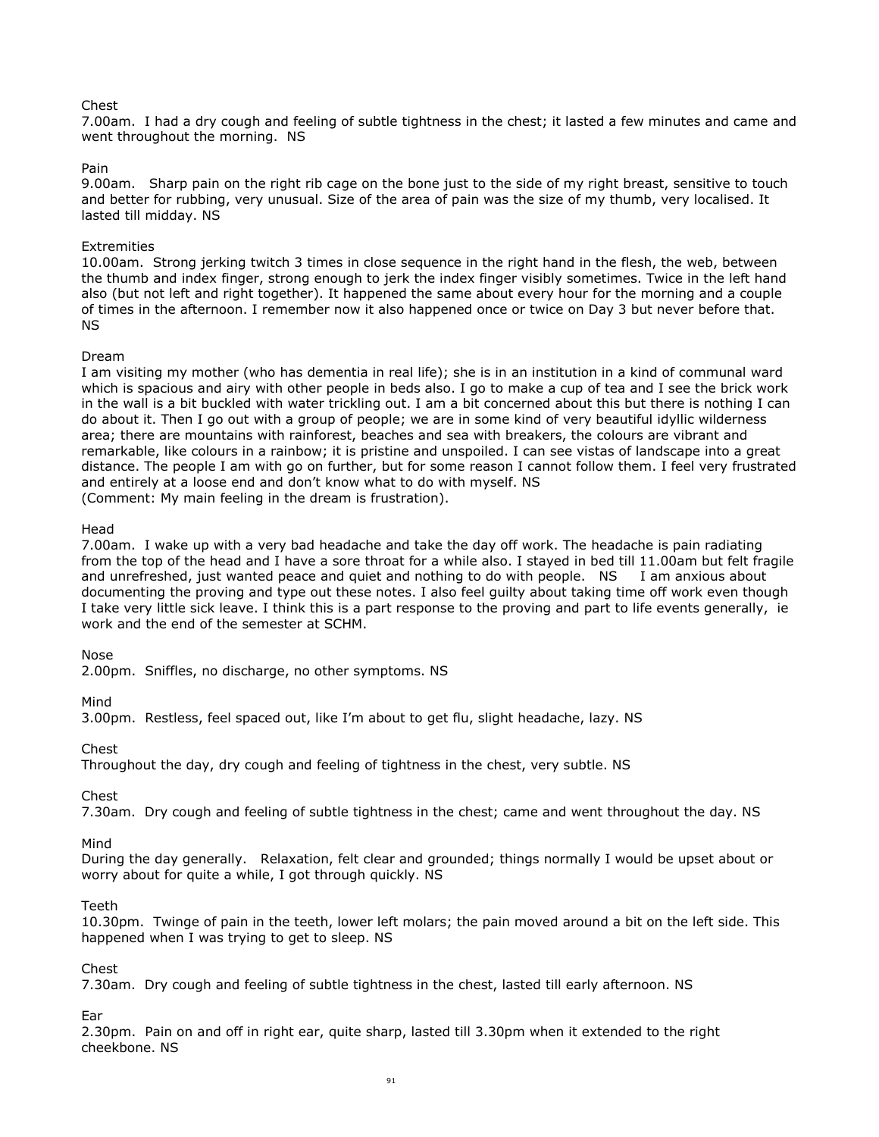# Chest

7.00am. I had a dry cough and feeling of subtle tightness in the chest; it lasted a few minutes and came and went throughout the morning. NS

# Pain

9.00am. Sharp pain on the right rib cage on the bone just to the side of my right breast, sensitive to touch and better for rubbing, very unusual. Size of the area of pain was the size of my thumb, very localised. It lasted till midday. NS

# Extremities

10.00am. Strong jerking twitch 3 times in close sequence in the right hand in the flesh, the web, between the thumb and index finger, strong enough to jerk the index finger visibly sometimes. Twice in the left hand also (but not left and right together). It happened the same about every hour for the morning and a couple of times in the afternoon. I remember now it also happened once or twice on Day 3 but never before that. NS

# Dream

I am visiting my mother (who has dementia in real life); she is in an institution in a kind of communal ward which is spacious and airy with other people in beds also. I go to make a cup of tea and I see the brick work in the wall is a bit buckled with water trickling out. I am a bit concerned about this but there is nothing I can do about it. Then I go out with a group of people; we are in some kind of very beautiful idyllic wilderness area; there are mountains with rainforest, beaches and sea with breakers, the colours are vibrant and remarkable, like colours in a rainbow; it is pristine and unspoiled. I can see vistas of landscape into a great distance. The people I am with go on further, but for some reason I cannot follow them. I feel very frustrated and entirely at a loose end and don't know what to do with myself. NS (Comment: My main feeling in the dream is frustration).

# Head

7.00am. I wake up with a very bad headache and take the day off work. The headache is pain radiating from the top of the head and I have a sore throat for a while also. I stayed in bed till 11.00am but felt fragile and unrefreshed, just wanted peace and quiet and nothing to do with people. NS I am anxious about documenting the proving and type out these notes. I also feel guilty about taking time off work even though I take very little sick leave. I think this is a part response to the proving and part to life events generally, ie work and the end of the semester at SCHM.

# Nose

2.00pm. Sniffles, no discharge, no other symptoms. NS

Mind

3.00pm. Restless, feel spaced out, like I'm about to get flu, slight headache, lazy. NS

Chest

Throughout the day, dry cough and feeling of tightness in the chest, very subtle. NS

Chest

7.30am. Dry cough and feeling of subtle tightness in the chest; came and went throughout the day. NS

### Mind

During the day generally. Relaxation, felt clear and grounded; things normally I would be upset about or worry about for quite a while, I got through quickly. NS

### Teeth

10.30pm. Twinge of pain in the teeth, lower left molars; the pain moved around a bit on the left side. This happened when I was trying to get to sleep. NS

### Chest

7.30am. Dry cough and feeling of subtle tightness in the chest, lasted till early afternoon. NS

Ear

2.30pm. Pain on and off in right ear, quite sharp, lasted till 3.30pm when it extended to the right cheekbone. NS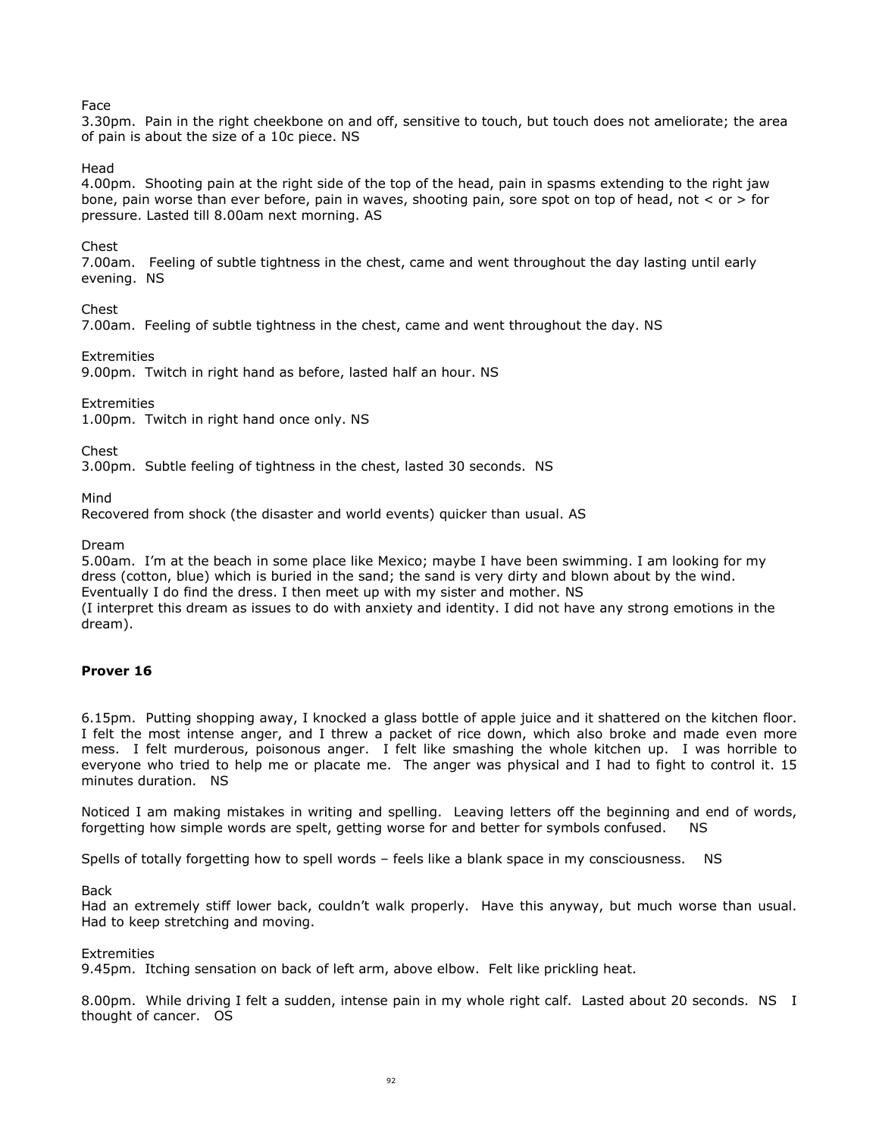Face

3.30pm. Pain in the right cheekbone on and off, sensitive to touch, but touch does not ameliorate; the area of pain is about the size of a 10c piece. NS

Head

4.00pm. Shooting pain at the right side of the top of the head, pain in spasms extending to the right jaw bone, pain worse than ever before, pain in waves, shooting pain, sore spot on top of head, not < or > for pressure. Lasted till 8.00am next morning. AS

Chest

7.00am. Feeling of subtle tightness in the chest, came and went throughout the day lasting until early evening. NS

Chest

7.00am. Feeling of subtle tightness in the chest, came and went throughout the day. NS

Extremities

9.00pm. Twitch in right hand as before, lasted half an hour. NS

Extremities

1.00pm. Twitch in right hand once only. NS

Chest

3.00pm. Subtle feeling of tightness in the chest, lasted 30 seconds. NS

Mind

Recovered from shock (the disaster and world events) quicker than usual. AS

Dream

5.00am. I'm at the beach in some place like Mexico; maybe I have been swimming. I am looking for my dress (cotton, blue) which is buried in the sand; the sand is very dirty and blown about by the wind. Eventually I do find the dress. I then meet up with my sister and mother. NS (I interpret this dream as issues to do with anxiety and identity. I did not have any strong emotions in the dream).

# Prover 16

6.15pm. Putting shopping away, I knocked a glass bottle of apple juice and it shattered on the kitchen floor. I felt the most intense anger, and I threw a packet of rice down, which also broke and made even more mess. I felt murderous, poisonous anger. I felt like smashing the whole kitchen up. I was horrible to everyone who tried to help me or placate me. The anger was physical and I had to fight to control it. 15 minutes duration. NS

Noticed I am making mistakes in writing and spelling. Leaving letters off the beginning and end of words, forgetting how simple words are spelt, getting worse for and better for symbols confused. NS

Spells of totally forgetting how to spell words – feels like a blank space in my consciousness. NS

Back

Had an extremely stiff lower back, couldn't walk properly. Have this anyway, but much worse than usual. Had to keep stretching and moving.

Extremities

9.45pm. Itching sensation on back of left arm, above elbow. Felt like prickling heat.

8.00pm. While driving I felt a sudden, intense pain in my whole right calf. Lasted about 20 seconds. NS I thought of cancer. OS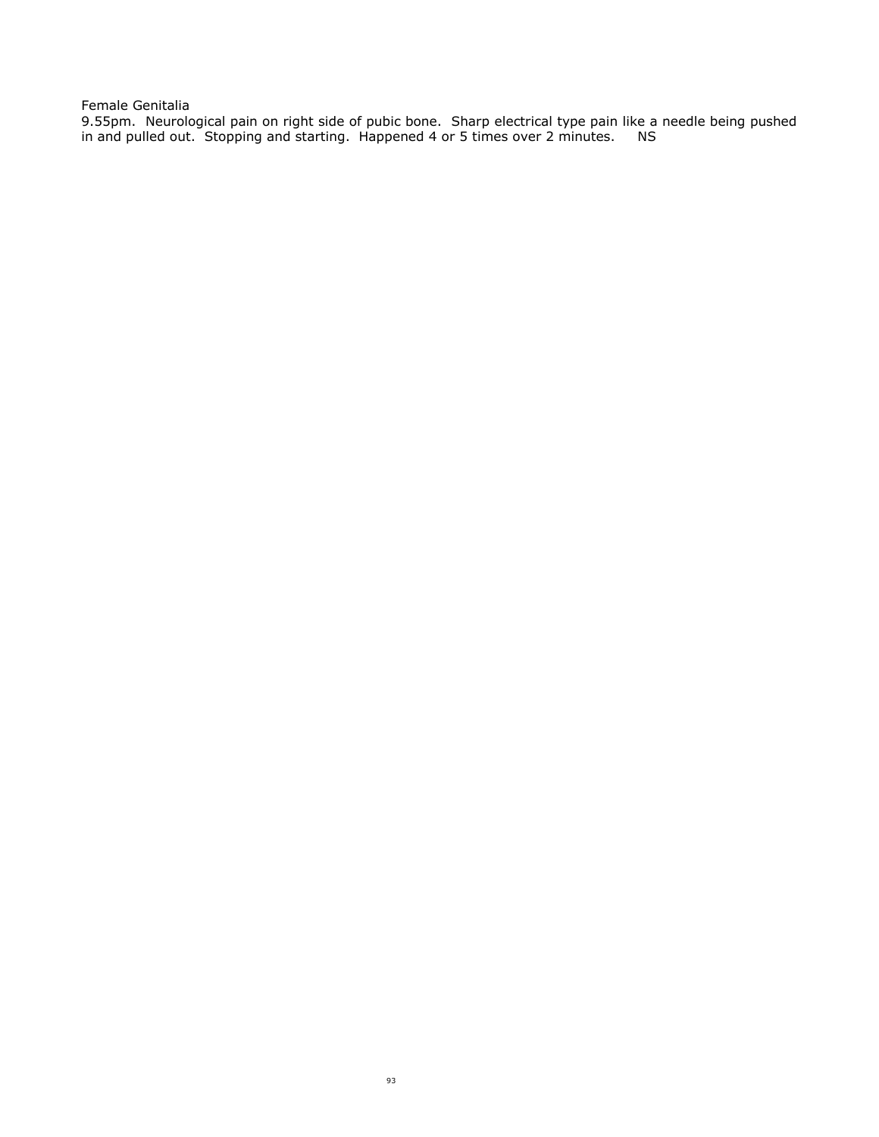# Female Genitalia

9.55pm. Neurological pain on right side of pubic bone. Sharp electrical type pain like a needle being pushed in and pulled out. Stopping and starting. Happened 4 or 5 times over 2 minutes. NS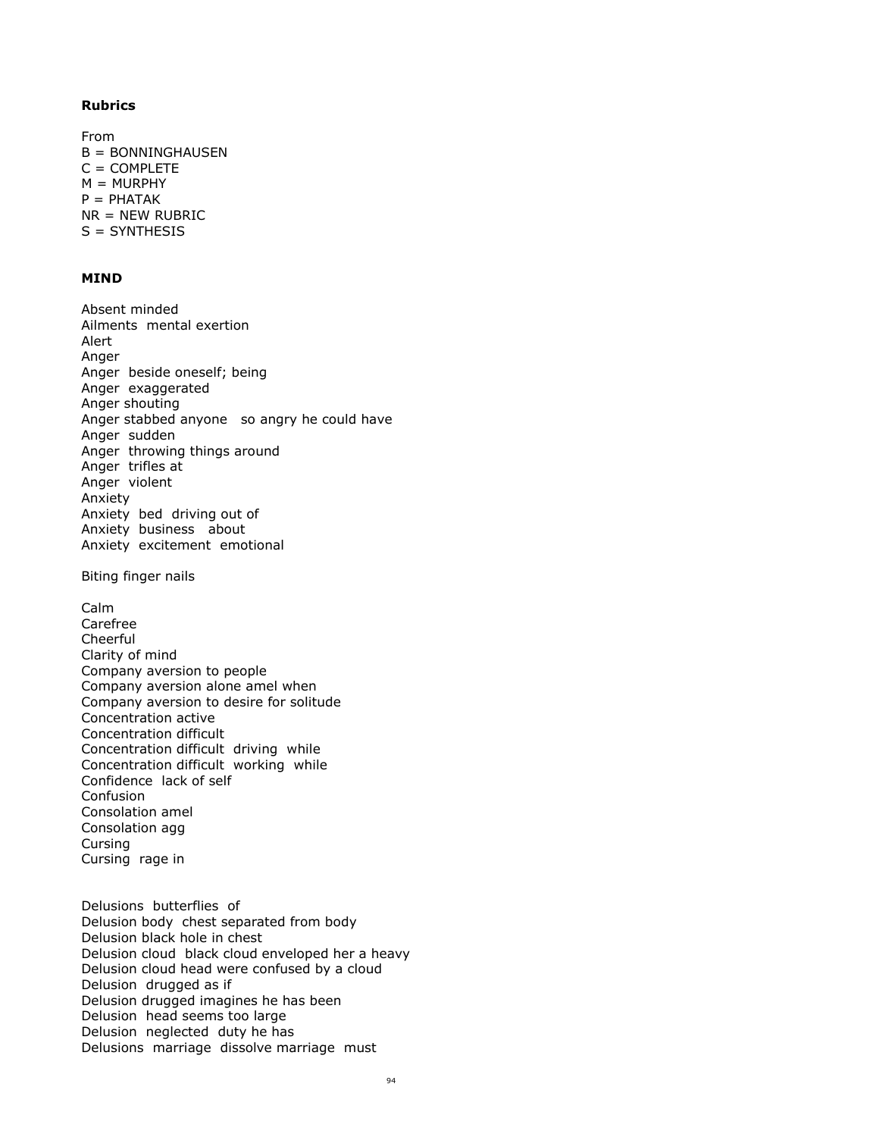# Rubrics

From B = BONNINGHAUSEN  $C = COMPLETE$  $M = MURPHY$  $P = PHATAK$ NR = NEW RUBRIC S = SYNTHESIS

# MIND

Absent minded Ailments mental exertion Alert Anger Anger beside oneself; being Anger exaggerated Anger shouting Anger stabbed anyone so angry he could have Anger sudden Anger throwing things around Anger trifles at Anger violent Anxiety Anxiety bed driving out of Anxiety business about Anxiety excitement emotional

Biting finger nails

Calm Carefree Cheerful Clarity of mind Company aversion to people Company aversion alone amel when Company aversion to desire for solitude Concentration active Concentration difficult Concentration difficult driving while Concentration difficult working while Confidence lack of self Confusion Consolation amel Consolation agg Cursing Cursing rage in

Delusions butterflies of Delusion body chest separated from body Delusion black hole in chest Delusion cloud black cloud enveloped her a heavy Delusion cloud head were confused by a cloud Delusion drugged as if Delusion drugged imagines he has been Delusion head seems too large Delusion neglected duty he has Delusions marriage dissolve marriage must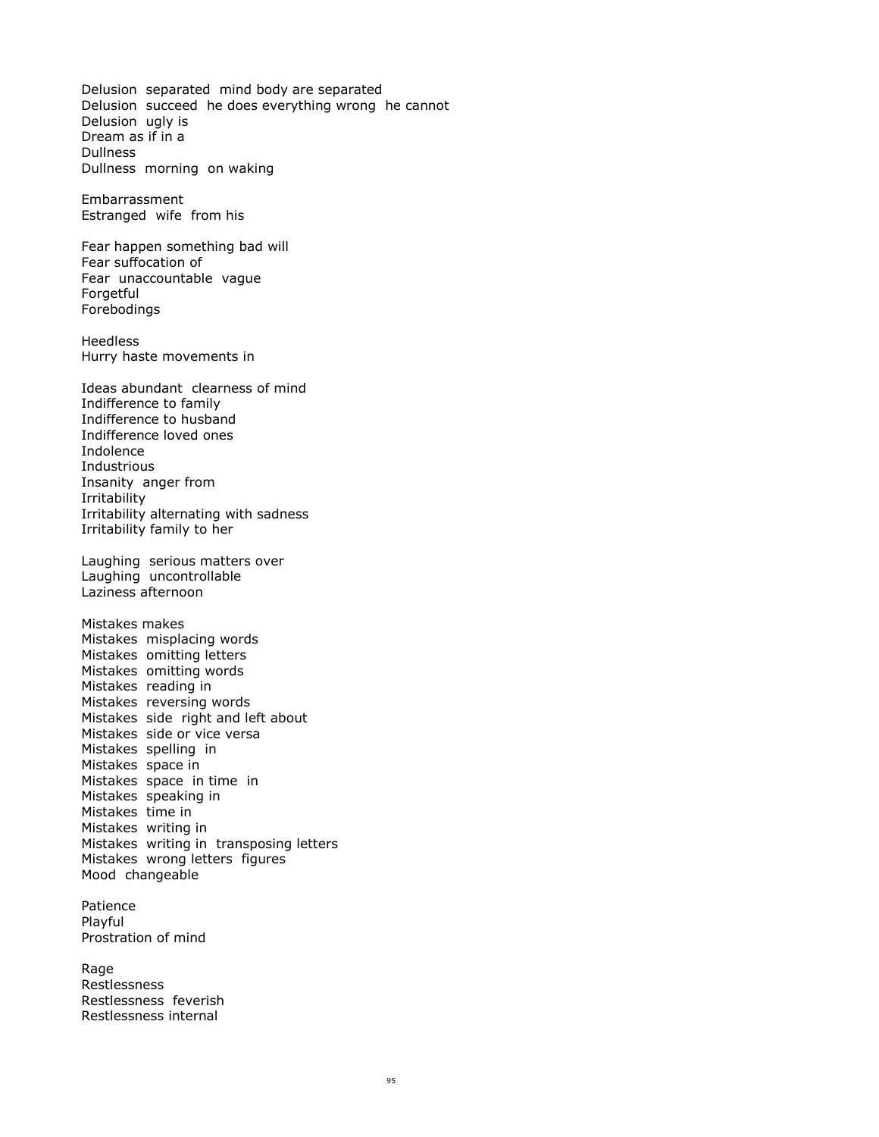Delusion separated mind body are separated Delusion succeed he does everything wrong he cannot Delusion ugly is Dream as if in a **Dullness** Dullness morning on waking Embarrassment Estranged wife from his Fear happen something bad will Fear suffocation of Fear unaccountable vague Forgetful Forebodings Heedless Hurry haste movements in Ideas abundant clearness of mind Indifference to family Indifference to husband Indifference loved ones Indolence Industrious Insanity anger from Irritability Irritability alternating with sadness Irritability family to her Laughing serious matters over Laughing uncontrollable Laziness afternoon Mistakes makes Mistakes misplacing words Mistakes omitting letters Mistakes omitting words Mistakes reading in Mistakes reversing words Mistakes side right and left about Mistakes side or vice versa Mistakes spelling in Mistakes space in Mistakes space in time in Mistakes speaking in Mistakes time in Mistakes writing in Mistakes writing in transposing letters Mistakes wrong letters figures Mood changeable Patience Playful Prostration of mind Rage Restlessness Restlessness feverish Restlessness internal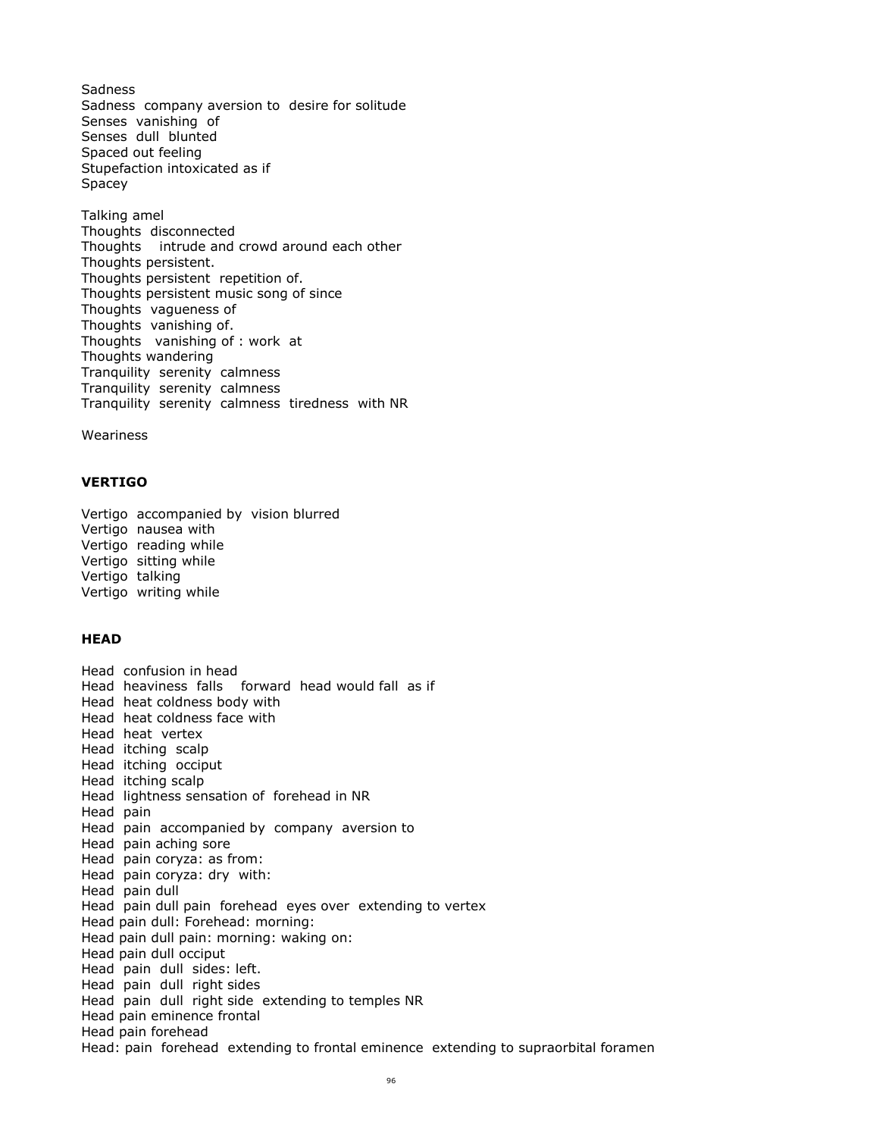**Sadness** Sadness company aversion to desire for solitude Senses vanishing of Senses dull blunted Spaced out feeling Stupefaction intoxicated as if Spacey

Talking amel Thoughts disconnected Thoughts intrude and crowd around each other Thoughts persistent. Thoughts persistent repetition of. Thoughts persistent music song of since Thoughts vagueness of Thoughts vanishing of. Thoughts vanishing of : work at Thoughts wandering Tranquility serenity calmness Tranquility serenity calmness Tranquility serenity calmness tiredness with NR

Weariness

# **VERTIGO**

Vertigo accompanied by vision blurred Vertigo nausea with Vertigo reading while Vertigo sitting while Vertigo talking Vertigo writing while

# **HEAD**

```
Head confusion in head 
Head heaviness falls forward head would fall as if 
Head heat coldness body with 
Head heat coldness face with 
Head heat vertex 
Head itching scalp 
Head itching occiput 
Head itching scalp 
Head lightness sensation of forehead in NR 
Head pain 
Head pain accompanied by company aversion to 
Head pain aching sore 
Head pain coryza: as from: 
Head pain coryza: dry with: 
Head pain dull 
Head pain dull pain forehead eyes over extending to vertex 
Head pain dull: Forehead: morning: 
Head pain dull pain: morning: waking on: 
Head pain dull occiput 
Head pain dull sides: left. 
Head pain dull right sides 
Head pain dull right side extending to temples NR 
Head pain eminence frontal 
Head pain forehead 
Head: pain forehead extending to frontal eminence extending to supraorbital foramen
```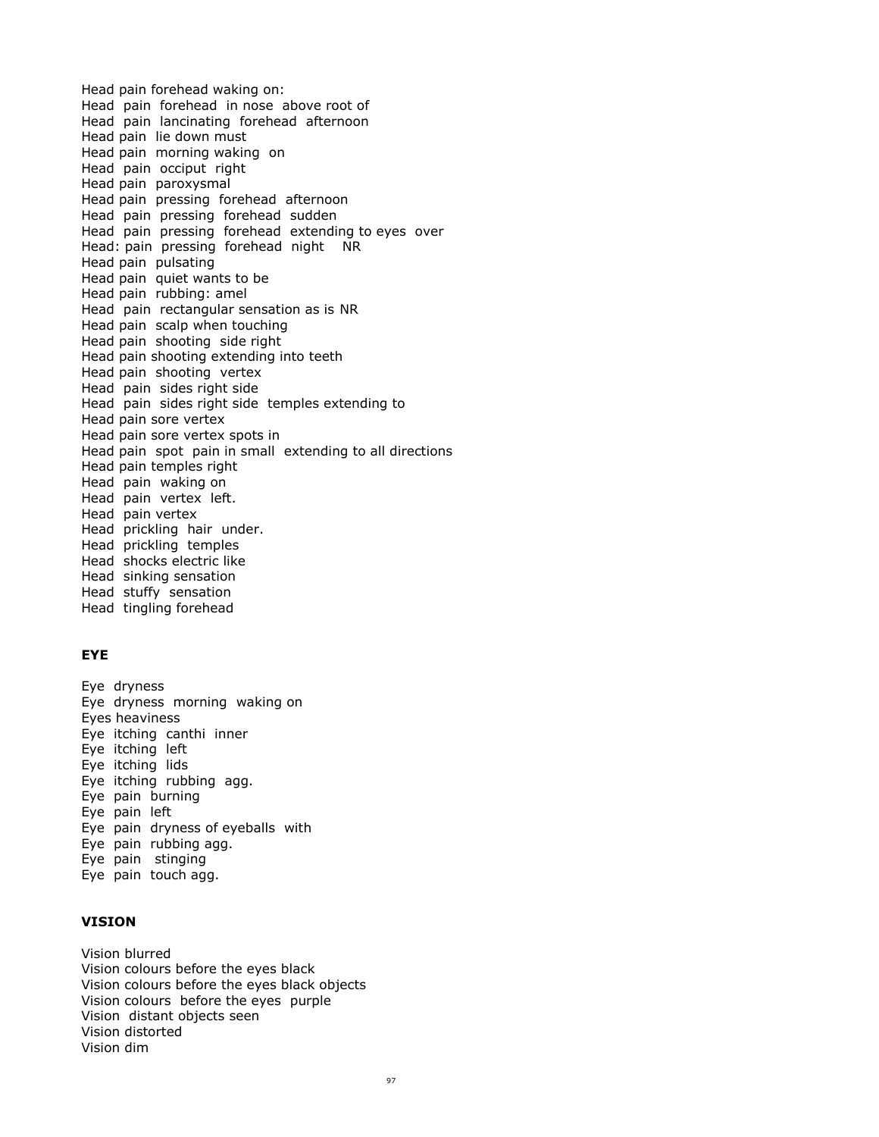Head pain forehead waking on: Head pain forehead in nose above root of Head pain lancinating forehead afternoon Head pain lie down must Head pain morning waking on Head pain occiput right Head pain paroxysmal Head pain pressing forehead afternoon Head pain pressing forehead sudden Head pain pressing forehead extending to eyes over Head: pain pressing forehead night NR Head pain pulsating Head pain quiet wants to be Head pain rubbing: amel Head pain rectangular sensation as is NR Head pain scalp when touching Head pain shooting side right Head pain shooting extending into teeth Head pain shooting vertex Head pain sides right side Head pain sides right side temples extending to Head pain sore vertex Head pain sore vertex spots in Head pain spot pain in small extending to all directions Head pain temples right Head pain waking on Head pain vertex left. Head pain vertex Head prickling hair under. Head prickling temples Head shocks electric like Head sinking sensation Head stuffy sensation Head tingling forehead

# EYE

Eye dryness Eye dryness morning waking on Eyes heaviness Eye itching canthi inner Eye itching left Eye itching lids Eye itching rubbing agg. Eye pain burning Eye pain left Eye pain dryness of eyeballs with Eye pain rubbing agg. Eye pain stinging Eye pain touch agg.

# VISION

Vision blurred Vision colours before the eyes black Vision colours before the eyes black objects Vision colours before the eyes purple Vision distant objects seen Vision distorted Vision dim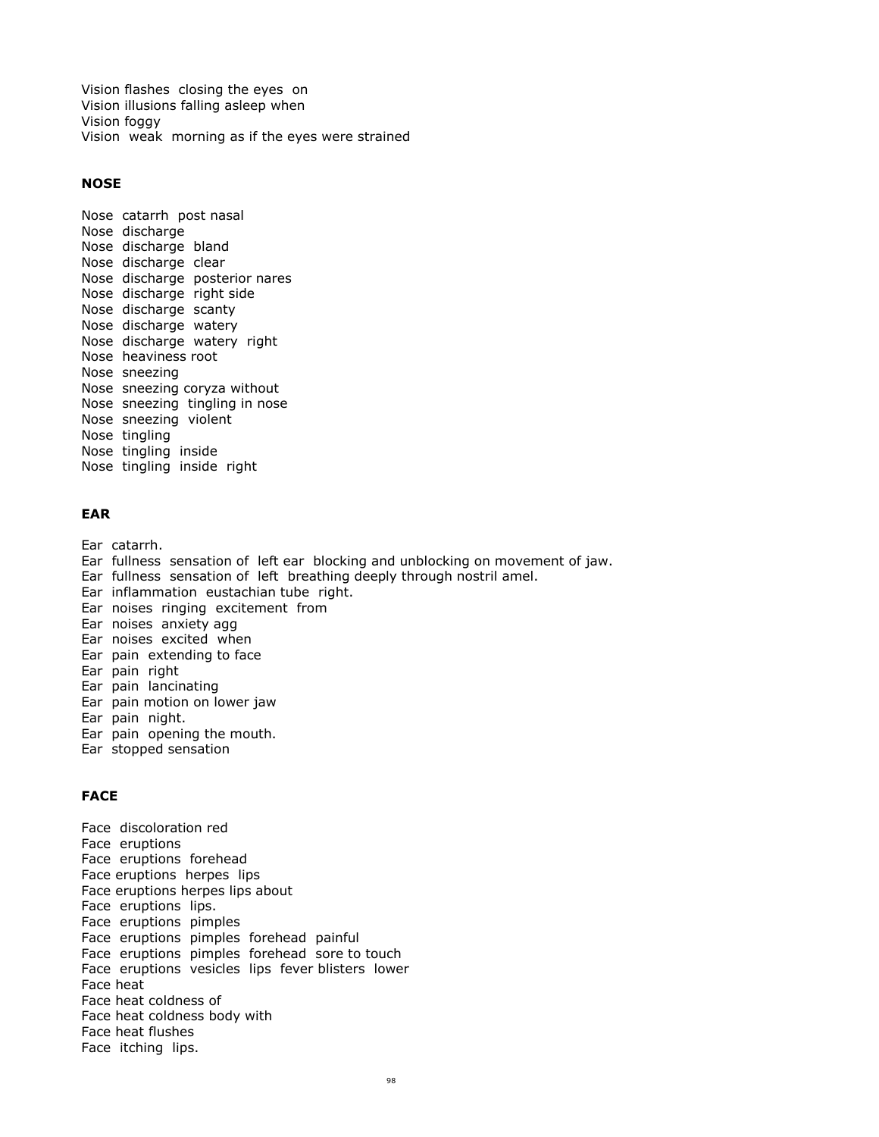Vision flashes closing the eyes on Vision illusions falling asleep when Vision foggy Vision weak morning as if the eyes were strained

# **NOSE**

Nose catarrh post nasal Nose discharge Nose discharge bland Nose discharge clear Nose discharge posterior nares Nose discharge right side Nose discharge scanty Nose discharge watery Nose discharge watery right Nose heaviness root Nose sneezing Nose sneezing coryza without Nose sneezing tingling in nose Nose sneezing violent Nose tingling Nose tingling inside Nose tingling inside right

# EAR

Ear catarrh. Ear fullness sensation of left ear blocking and unblocking on movement of jaw. Ear fullness sensation of left breathing deeply through nostril amel. Ear inflammation eustachian tube right. Ear noises ringing excitement from Ear noises anxiety agg Ear noises excited when Ear pain extending to face Ear pain right Ear pain lancinating Ear pain motion on lower jaw Ear pain night. Ear pain opening the mouth. Ear stopped sensation

### FACE

Face discoloration red Face eruptions Face eruptions forehead Face eruptions herpes lips Face eruptions herpes lips about Face eruptions lips. Face eruptions pimples Face eruptions pimples forehead painful Face eruptions pimples forehead sore to touch Face eruptions vesicles lips fever blisters lower Face heat Face heat coldness of Face heat coldness body with Face heat flushes Face itching lips.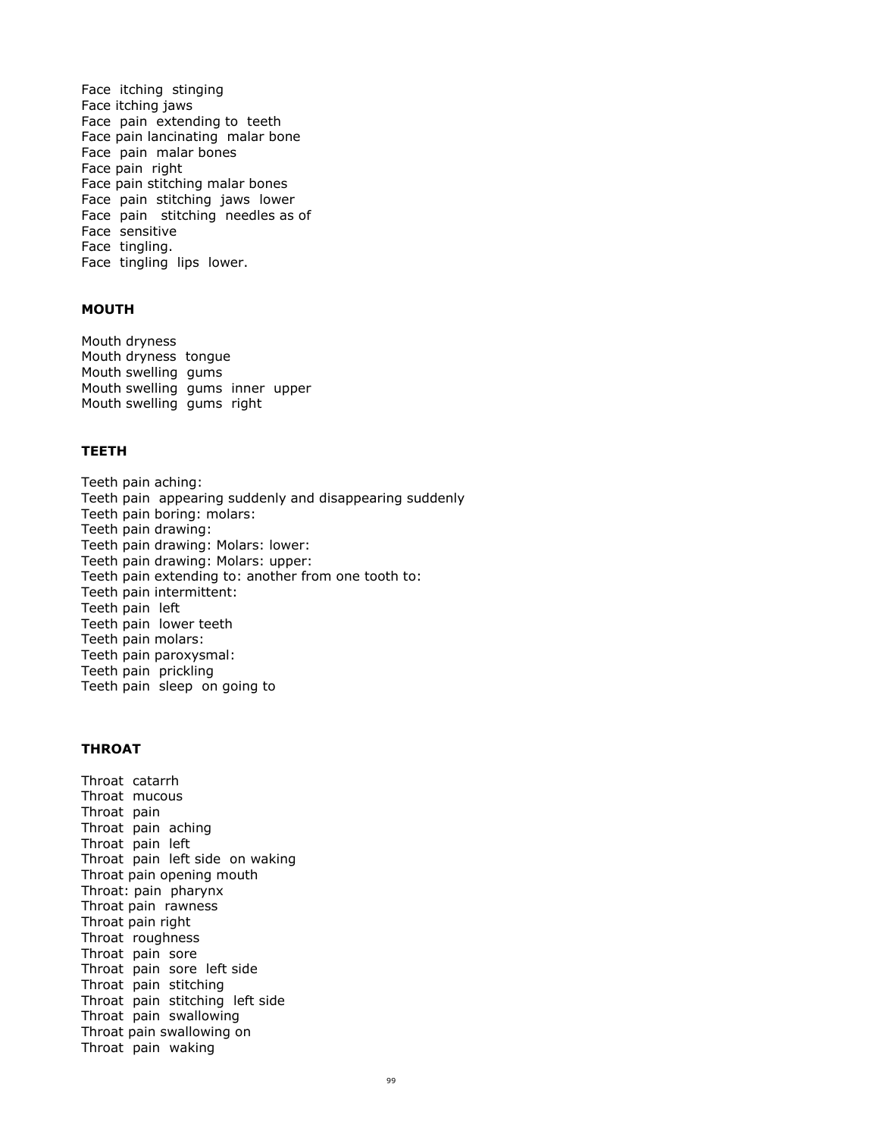Face itching stinging Face itching jaws Face pain extending to teeth Face pain lancinating malar bone Face pain malar bones Face pain right Face pain stitching malar bones Face pain stitching jaws lower Face pain stitching needles as of Face sensitive Face tingling. Face tingling lips lower.

# MOUTH

Mouth dryness Mouth dryness tongue Mouth swelling gums Mouth swelling gums inner upper Mouth swelling gums right

# **TEETH**

Teeth pain aching: Teeth pain appearing suddenly and disappearing suddenly Teeth pain boring: molars: Teeth pain drawing: Teeth pain drawing: Molars: lower: Teeth pain drawing: Molars: upper: Teeth pain extending to: another from one tooth to: Teeth pain intermittent: Teeth pain left Teeth pain lower teeth Teeth pain molars: Teeth pain paroxysmal: Teeth pain prickling Teeth pain sleep on going to

#### THROAT

Throat catarrh Throat mucous Throat pain Throat pain aching Throat pain left Throat pain left side on waking Throat pain opening mouth Throat: pain pharynx Throat pain rawness Throat pain right Throat roughness Throat pain sore Throat pain sore left side Throat pain stitching Throat pain stitching left side Throat pain swallowing Throat pain swallowing on Throat pain waking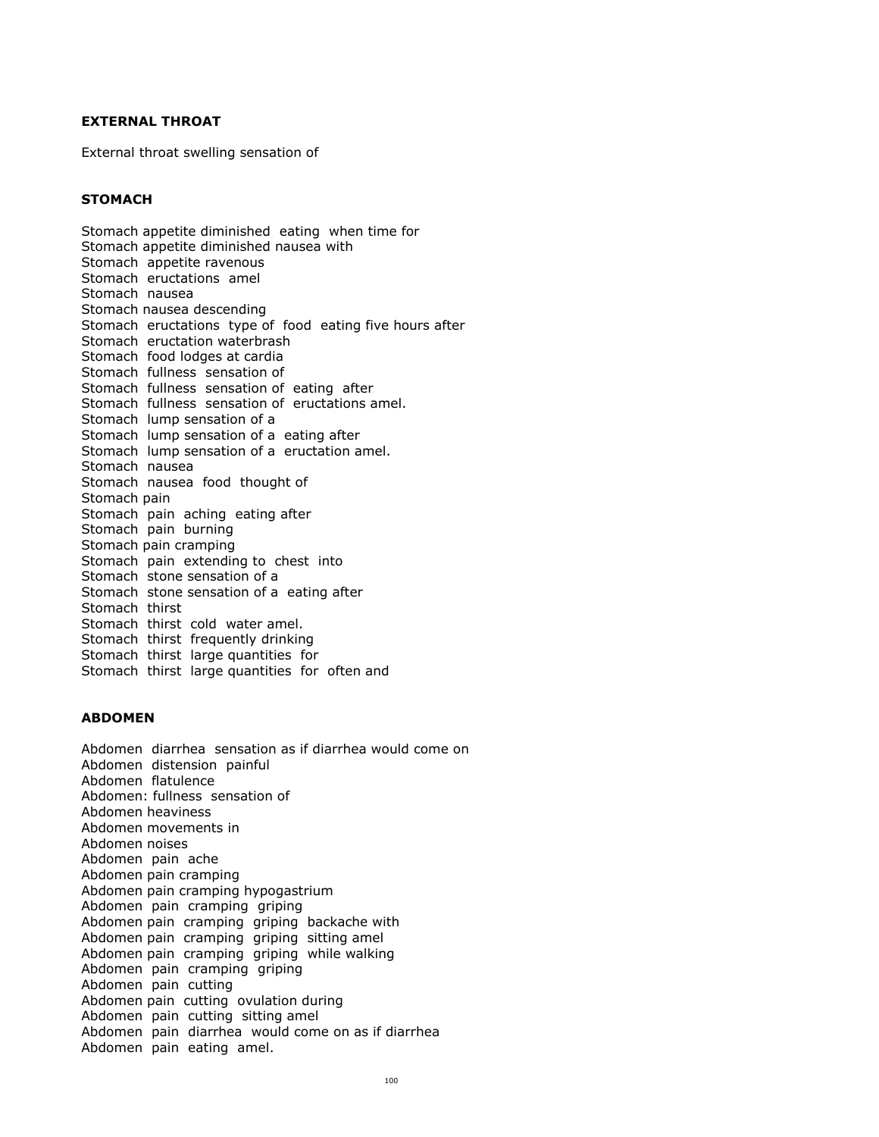### EXTERNAL THROAT

External throat swelling sensation of

### **STOMACH**

Stomach appetite diminished eating when time for Stomach appetite diminished nausea with Stomach appetite ravenous Stomach eructations amel Stomach nausea Stomach nausea descending Stomach eructations type of food eating five hours after Stomach eructation waterbrash Stomach food lodges at cardia Stomach fullness sensation of Stomach fullness sensation of eating after Stomach fullness sensation of eructations amel. Stomach lump sensation of a Stomach lump sensation of a eating after Stomach lump sensation of a eructation amel. Stomach nausea Stomach nausea food thought of Stomach pain Stomach pain aching eating after Stomach pain burning Stomach pain cramping Stomach pain extending to chest into Stomach stone sensation of a Stomach stone sensation of a eating after Stomach thirst Stomach thirst cold water amel. Stomach thirst frequently drinking Stomach thirst large quantities for Stomach thirst large quantities for often and

### ABDOMEN

Abdomen diarrhea sensation as if diarrhea would come on Abdomen distension painful Abdomen flatulence Abdomen: fullness sensation of Abdomen heaviness Abdomen movements in Abdomen noises Abdomen pain ache Abdomen pain cramping Abdomen pain cramping hypogastrium Abdomen pain cramping griping Abdomen pain cramping griping backache with Abdomen pain cramping griping sitting amel Abdomen pain cramping griping while walking Abdomen pain cramping griping Abdomen pain cutting Abdomen pain cutting ovulation during Abdomen pain cutting sitting amel Abdomen pain diarrhea would come on as if diarrhea Abdomen pain eating amel.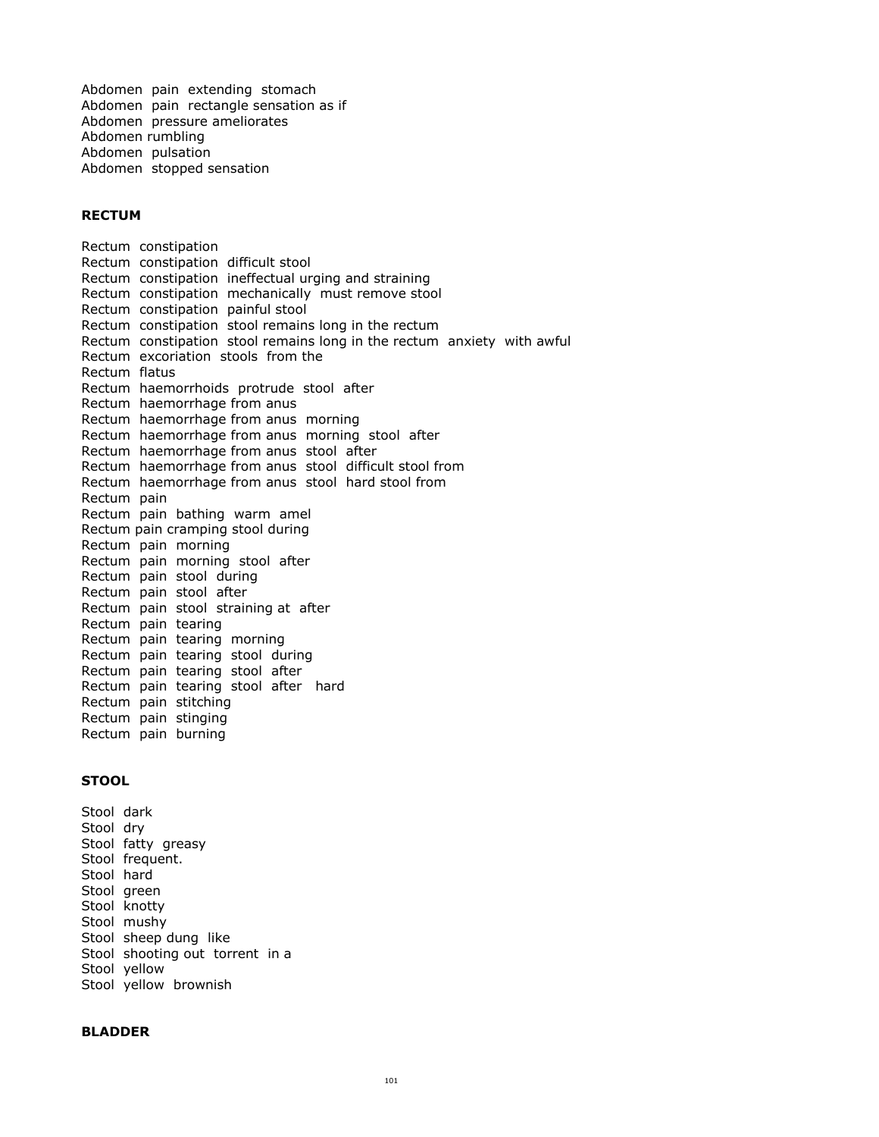Abdomen pain extending stomach Abdomen pain rectangle sensation as if Abdomen pressure ameliorates Abdomen rumbling Abdomen pulsation Abdomen stopped sensation

#### **RECTUM**

Rectum constipation Rectum constipation difficult stool Rectum constipation ineffectual urging and straining Rectum constipation mechanically must remove stool Rectum constipation painful stool Rectum constipation stool remains long in the rectum Rectum constipation stool remains long in the rectum anxiety with awful Rectum excoriation stools from the Rectum flatus Rectum haemorrhoids protrude stool after Rectum haemorrhage from anus Rectum haemorrhage from anus morning Rectum haemorrhage from anus morning stool after Rectum haemorrhage from anus stool after Rectum haemorrhage from anus stool difficult stool from Rectum haemorrhage from anus stool hard stool from Rectum pain Rectum pain bathing warm amel Rectum pain cramping stool during Rectum pain morning Rectum pain morning stool after Rectum pain stool during Rectum pain stool after Rectum pain stool straining at after Rectum pain tearing Rectum pain tearing morning Rectum pain tearing stool during Rectum pain tearing stool after Rectum pain tearing stool after hard Rectum pain stitching Rectum pain stinging Rectum pain burning

# **STOOL**

Stool dark Stool dry Stool fatty greasy Stool frequent. Stool hard Stool green Stool knotty Stool mushy Stool sheep dung like Stool shooting out torrent in a Stool yellow Stool yellow brownish

#### BLADDER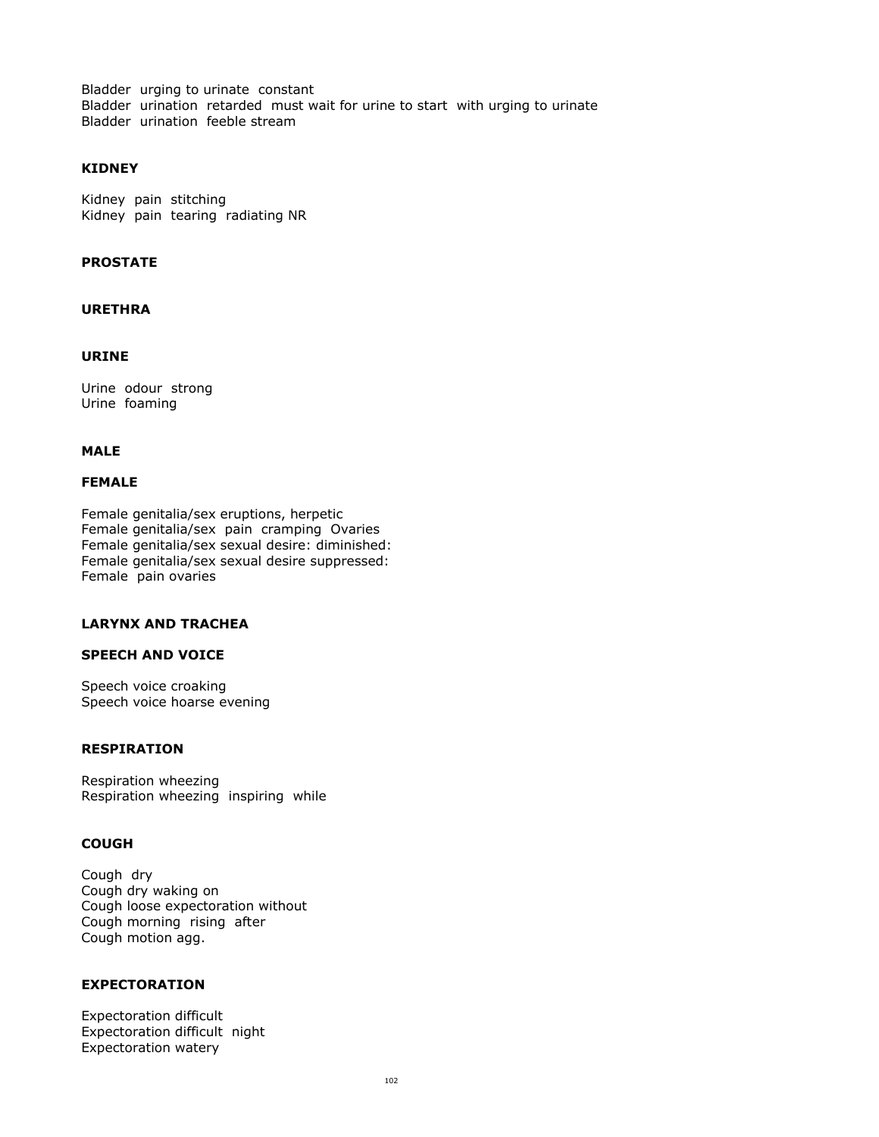Bladder urging to urinate constant Bladder urination retarded must wait for urine to start with urging to urinate Bladder urination feeble stream

# KIDNEY

Kidney pain stitching Kidney pain tearing radiating NR

#### PROSTATE

# URETHRA

#### URINE

Urine odour strong Urine foaming

# MALE

### FEMALE

Female genitalia/sex eruptions, herpetic Female genitalia/sex pain cramping Ovaries Female genitalia/sex sexual desire: diminished: Female genitalia/sex sexual desire suppressed: Female pain ovaries

# LARYNX AND TRACHEA

### SPEECH AND VOICE

Speech voice croaking Speech voice hoarse evening

#### RESPIRATION

Respiration wheezing Respiration wheezing inspiring while

#### **COUGH**

Cough dry Cough dry waking on Cough loose expectoration without Cough morning rising after Cough motion agg.

#### EXPECTORATION

Expectoration difficult Expectoration difficult night Expectoration watery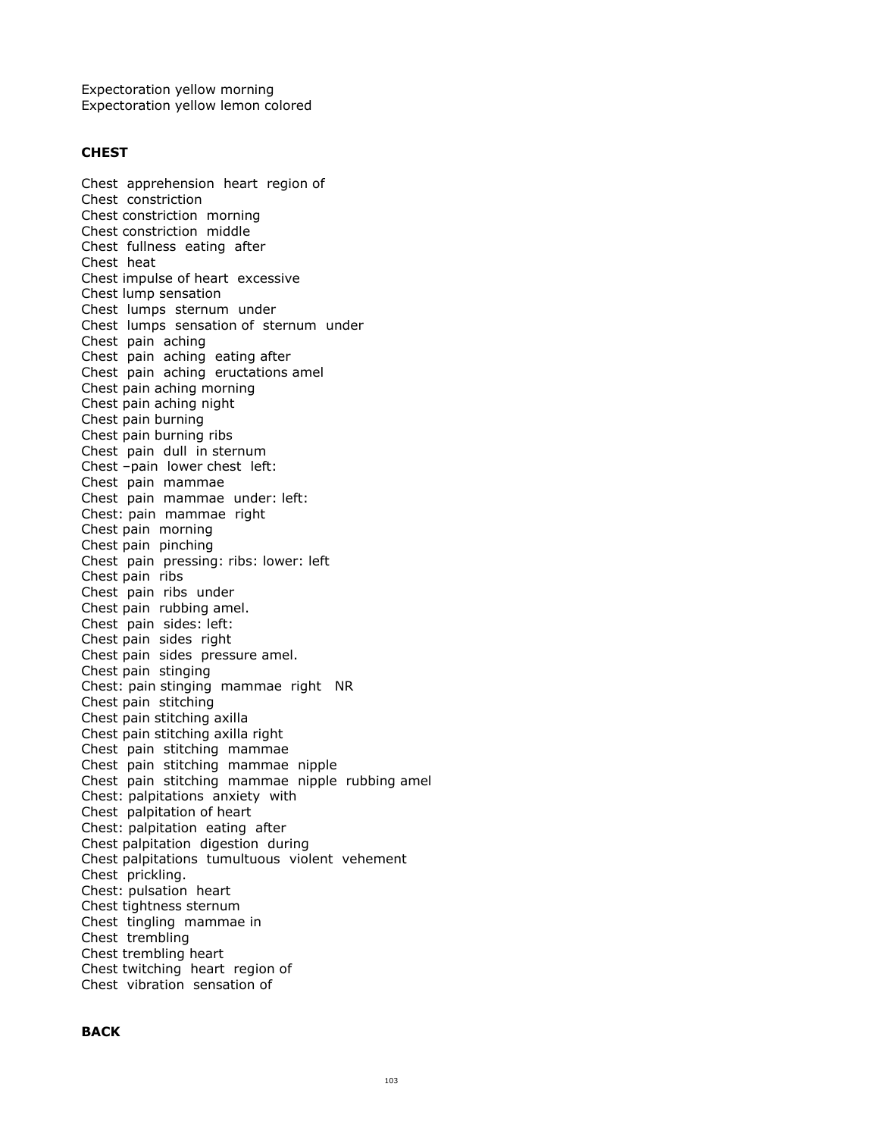Expectoration yellow morning Expectoration yellow lemon colored

### **CHEST**

Chest apprehension heart region of Chest constriction Chest constriction morning Chest constriction middle Chest fullness eating after Chest heat Chest impulse of heart excessive Chest lump sensation Chest lumps sternum under Chest lumps sensation of sternum under Chest pain aching Chest pain aching eating after Chest pain aching eructations amel Chest pain aching morning Chest pain aching night Chest pain burning Chest pain burning ribs Chest pain dull in sternum Chest –pain lower chest left: Chest pain mammae Chest pain mammae under: left: Chest: pain mammae right Chest pain morning Chest pain pinching Chest pain pressing: ribs: lower: left Chest pain ribs Chest pain ribs under Chest pain rubbing amel. Chest pain sides: left: Chest pain sides right Chest pain sides pressure amel. Chest pain stinging Chest: pain stinging mammae right NR Chest pain stitching Chest pain stitching axilla Chest pain stitching axilla right Chest pain stitching mammae Chest pain stitching mammae nipple Chest pain stitching mammae nipple rubbing amel Chest: palpitations anxiety with Chest palpitation of heart Chest: palpitation eating after Chest palpitation digestion during Chest palpitations tumultuous violent vehement Chest prickling. Chest: pulsation heart Chest tightness sternum Chest tingling mammae in Chest trembling Chest trembling heart Chest twitching heart region of Chest vibration sensation of

#### BACK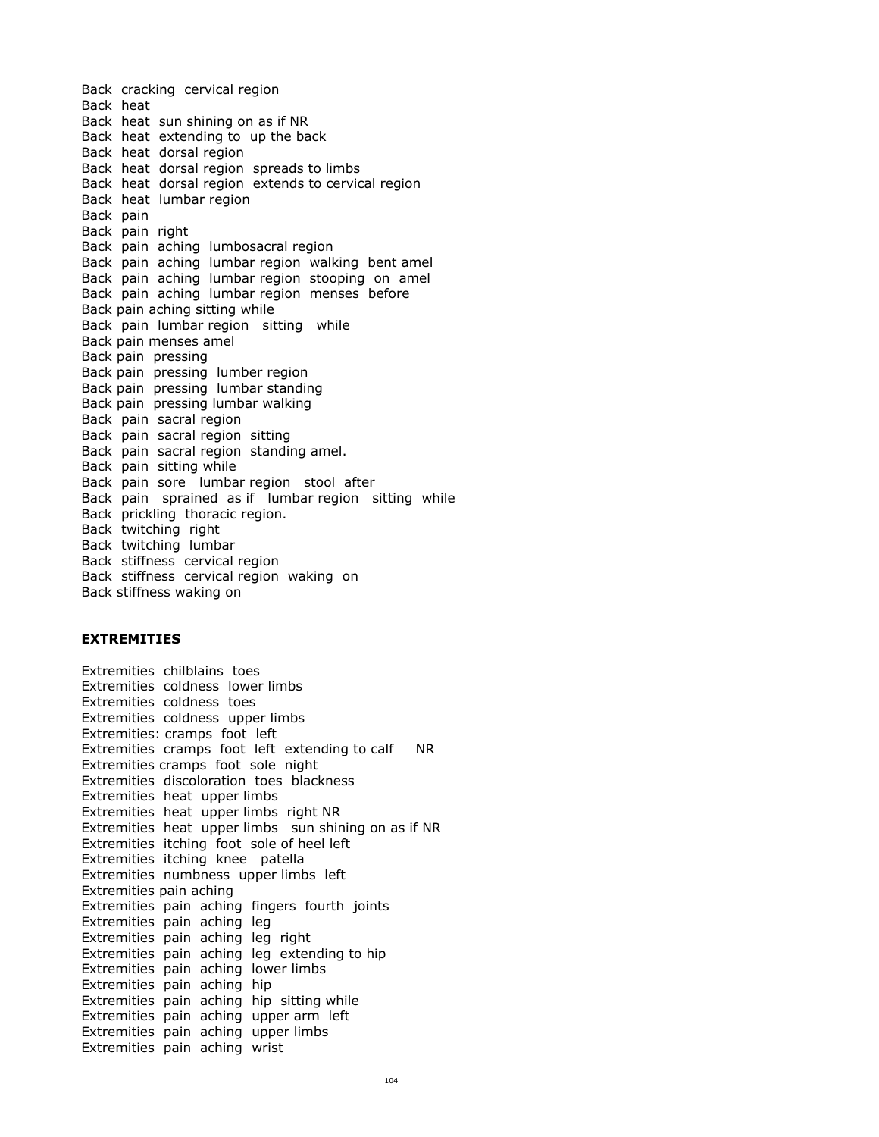Back cracking cervical region Back heat Back heat sun shining on as if NR Back heat extending to up the back Back heat dorsal region Back heat dorsal region spreads to limbs Back heat dorsal region extends to cervical region Back heat lumbar region Back pain Back pain right Back pain aching lumbosacral region Back pain aching lumbar region walking bent amel Back pain aching lumbar region stooping on amel Back pain aching lumbar region menses before Back pain aching sitting while Back pain lumbar region sitting while Back pain menses amel Back pain pressing Back pain pressing lumber region Back pain pressing lumbar standing Back pain pressing lumbar walking Back pain sacral region Back pain sacral region sitting Back pain sacral region standing amel. Back pain sitting while Back pain sore lumbar region stool after Back pain sprained as if lumbar region sitting while Back prickling thoracic region. Back twitching right Back twitching lumbar Back stiffness cervical region Back stiffness cervical region waking on Back stiffness waking on

### EXTREMITIES

Extremities chilblains toes Extremities coldness lower limbs Extremities coldness toes Extremities coldness upper limbs Extremities: cramps foot left Extremities cramps foot left extending to calf NR Extremities cramps foot sole night Extremities discoloration toes blackness Extremities heat upper limbs Extremities heat upper limbs right NR Extremities heat upper limbs sun shining on as if NR Extremities itching foot sole of heel left Extremities itching knee patella Extremities numbness upper limbs left Extremities pain aching Extremities pain aching fingers fourth joints Extremities pain aching leg Extremities pain aching leg right Extremities pain aching leg extending to hip Extremities pain aching lower limbs Extremities pain aching hip Extremities pain aching hip sitting while Extremities pain aching upper arm left Extremities pain aching upper limbs Extremities pain aching wrist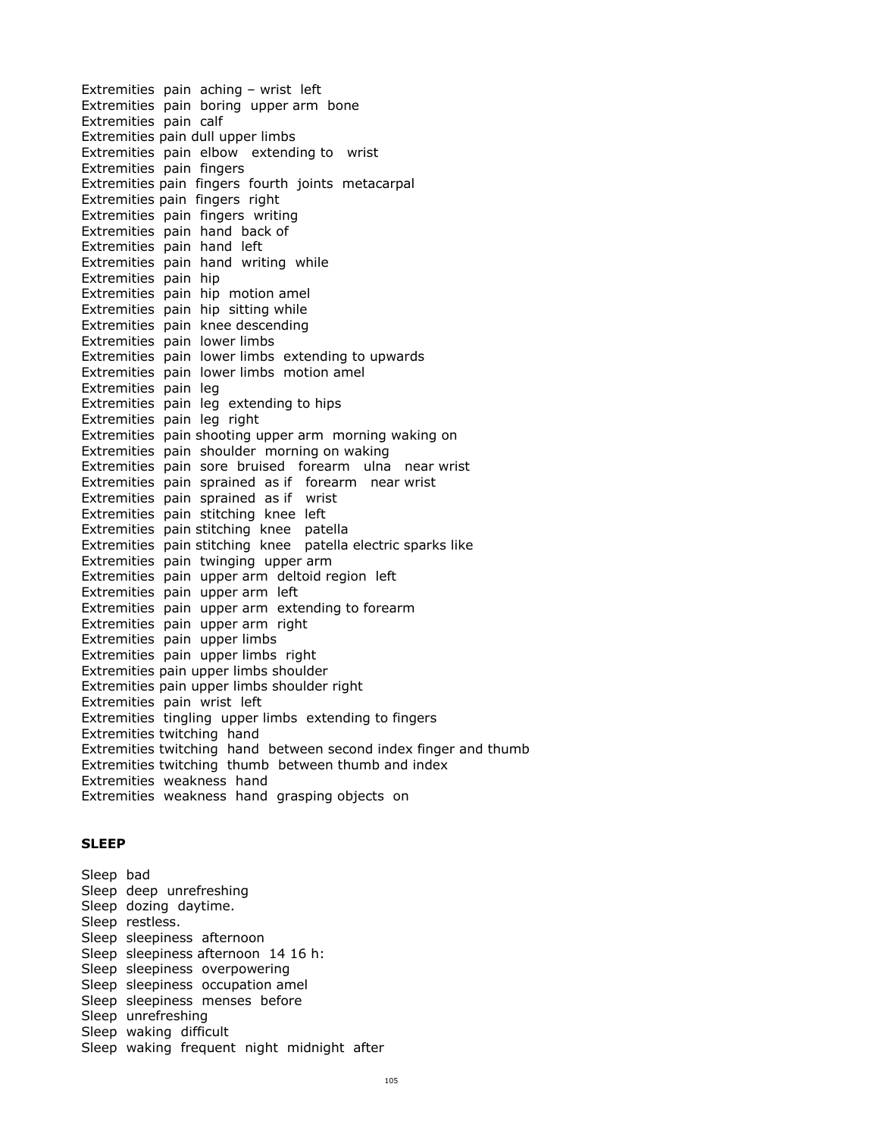Extremities pain aching – wrist left Extremities pain boring upper arm bone Extremities pain calf Extremities pain dull upper limbs Extremities pain elbow extending to wrist Extremities pain fingers Extremities pain fingers fourth joints metacarpal Extremities pain fingers right Extremities pain fingers writing Extremities pain hand back of Extremities pain hand left Extremities pain hand writing while Extremities pain hip Extremities pain hip motion amel Extremities pain hip sitting while Extremities pain knee descending Extremities pain lower limbs Extremities pain lower limbs extending to upwards Extremities pain lower limbs motion amel Extremities pain leg Extremities pain leg extending to hips Extremities pain leg right Extremities pain shooting upper arm morning waking on Extremities pain shoulder morning on waking Extremities pain sore bruised forearm ulna near wrist Extremities pain sprained as if forearm near wrist Extremities pain sprained as if wrist Extremities pain stitching knee left Extremities pain stitching knee patella Extremities pain stitching knee patella electric sparks like Extremities pain twinging upper arm Extremities pain upper arm deltoid region left Extremities pain upper arm left Extremities pain upper arm extending to forearm Extremities pain upper arm right Extremities pain upper limbs Extremities pain upper limbs right Extremities pain upper limbs shoulder Extremities pain upper limbs shoulder right Extremities pain wrist left Extremities tingling upper limbs extending to fingers Extremities twitching hand Extremities twitching hand between second index finger and thumb Extremities twitching thumb between thumb and index Extremities weakness hand Extremities weakness hand grasping objects on

# SLEEP

Sleep bad Sleep deep unrefreshing Sleep dozing daytime. Sleep restless. Sleep sleepiness afternoon Sleep sleepiness afternoon 14 16 h: Sleep sleepiness overpowering Sleep sleepiness occupation amel Sleep sleepiness menses before Sleep unrefreshing Sleep waking difficult Sleep waking frequent night midnight after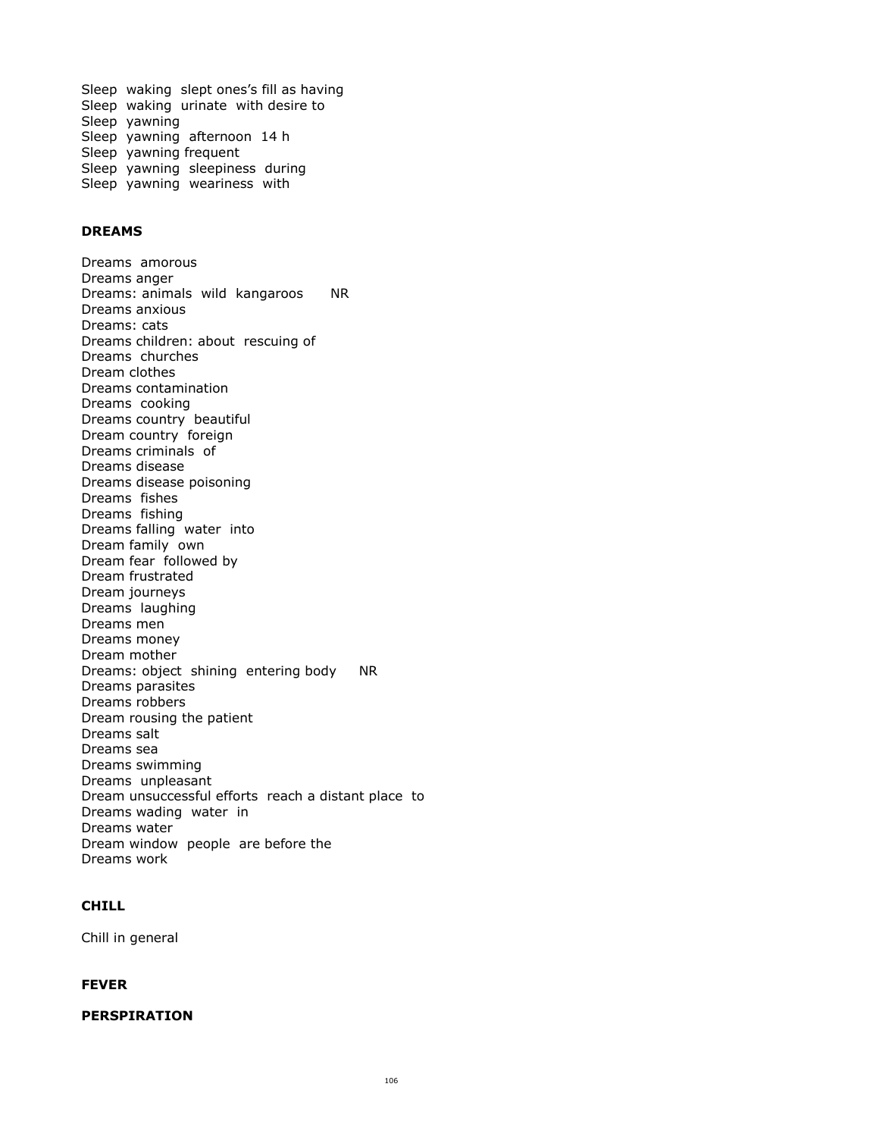Sleep waking slept ones's fill as having Sleep waking urinate with desire to Sleep yawning Sleep yawning afternoon 14 h Sleep yawning frequent Sleep yawning sleepiness during Sleep yawning weariness with

# DREAMS

Dreams amorous Dreams anger Dreams: animals wild kangaroos NR Dreams anxious Dreams: cats Dreams children: about rescuing of Dreams churches Dream clothes Dreams contamination Dreams cooking Dreams country beautiful Dream country foreign Dreams criminals of Dreams disease Dreams disease poisoning Dreams fishes Dreams fishing Dreams falling water into Dream family own Dream fear followed by Dream frustrated Dream journeys Dreams laughing Dreams men Dreams money Dream mother Dreams: object shining entering body NR Dreams parasites Dreams robbers Dream rousing the patient Dreams salt Dreams sea Dreams swimming Dreams unpleasant Dream unsuccessful efforts reach a distant place to Dreams wading water in Dreams water Dream window people are before the Dreams work

#### **CHILL**

Chill in general

#### FEVER

PERSPIRATION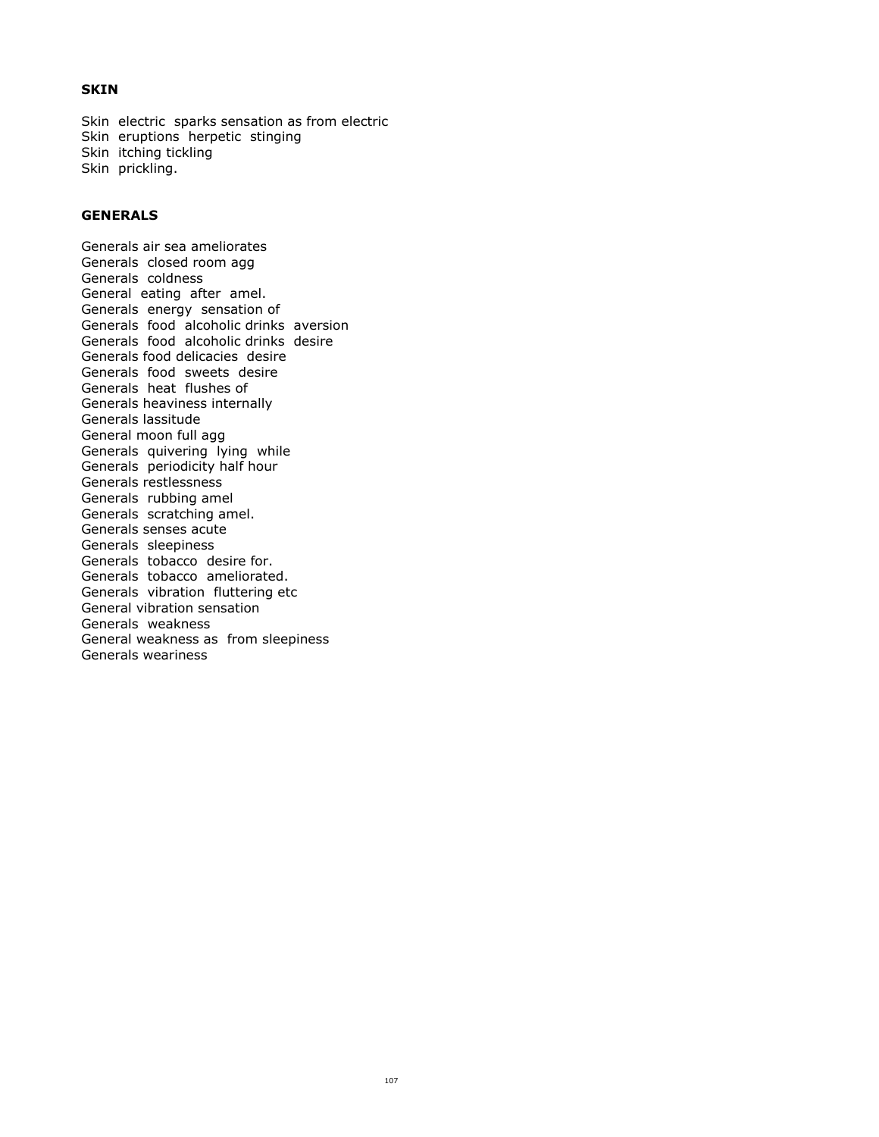# **SKIN**

Skin electric sparks sensation as from electric Skin eruptions herpetic stinging Skin itching tickling Skin prickling.

# GENERALS

Generals air sea ameliorates Generals closed room agg Generals coldness General eating after amel. Generals energy sensation of Generals food alcoholic drinks aversion Generals food alcoholic drinks desire Generals food delicacies desire Generals food sweets desire Generals heat flushes of Generals heaviness internally Generals lassitude General moon full agg Generals quivering lying while Generals periodicity half hour Generals restlessness Generals rubbing amel Generals scratching amel. Generals senses acute Generals sleepiness Generals tobacco desire for. Generals tobacco ameliorated. Generals vibration fluttering etc General vibration sensation Generals weakness General weakness as from sleepiness Generals weariness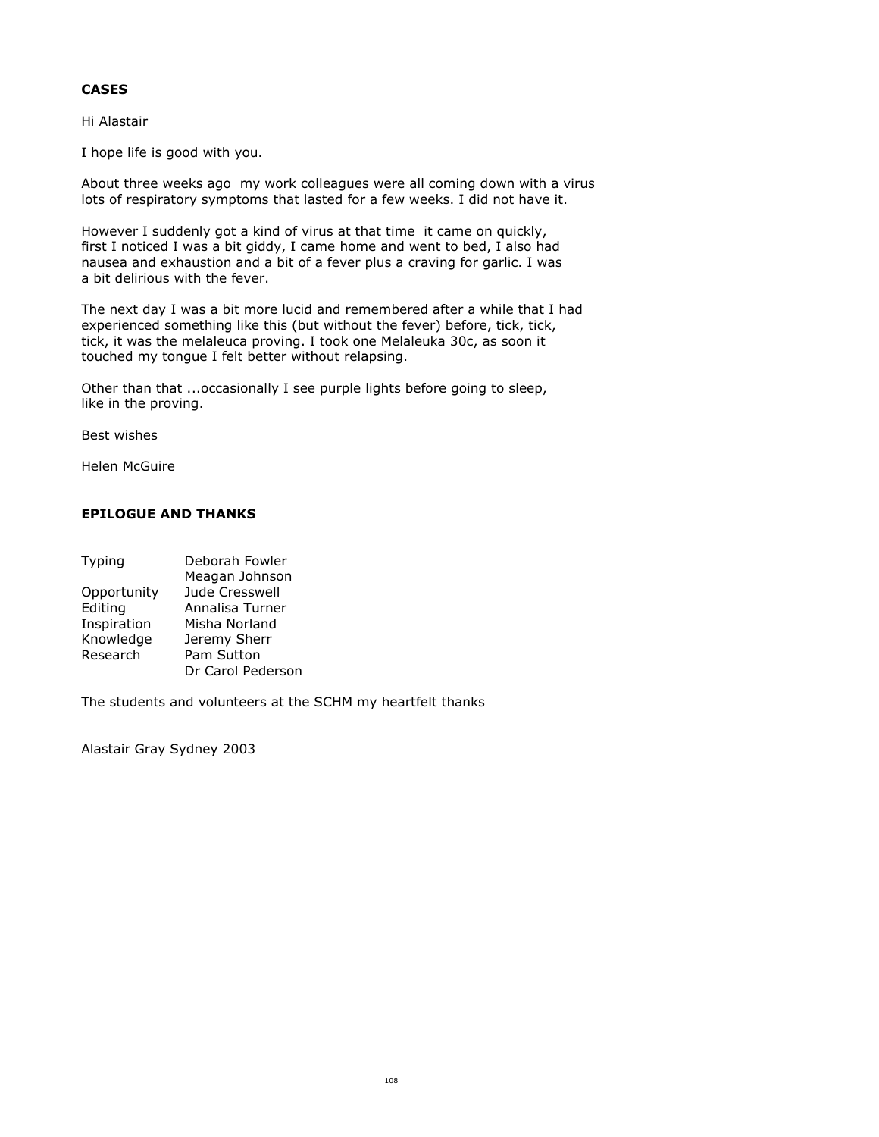# CASES

Hi Alastair

I hope life is good with you.

About three weeks ago my work colleagues were all coming down with a virus lots of respiratory symptoms that lasted for a few weeks. I did not have it.

However I suddenly got a kind of virus at that time it came on quickly, first I noticed I was a bit giddy, I came home and went to bed, I also had nausea and exhaustion and a bit of a fever plus a craving for garlic. I was a bit delirious with the fever.

The next day I was a bit more lucid and remembered after a while that I had experienced something like this (but without the fever) before, tick, tick, tick, it was the melaleuca proving. I took one Melaleuka 30c, as soon it touched my tongue I felt better without relapsing.

Other than that ...occasionally I see purple lights before going to sleep, like in the proving.

Best wishes

Helen McGuire

# EPILOGUE AND THANKS

| Typing      | Deborah Fowler    |
|-------------|-------------------|
|             | Meagan Johnson    |
| Opportunity | Jude Cresswell    |
| Editing     | Annalisa Turner   |
| Inspiration | Misha Norland     |
| Knowledge   | Jeremy Sherr      |
| Research    | Pam Sutton        |
|             | Dr Carol Pederson |

The students and volunteers at the SCHM my heartfelt thanks

Alastair Gray Sydney 2003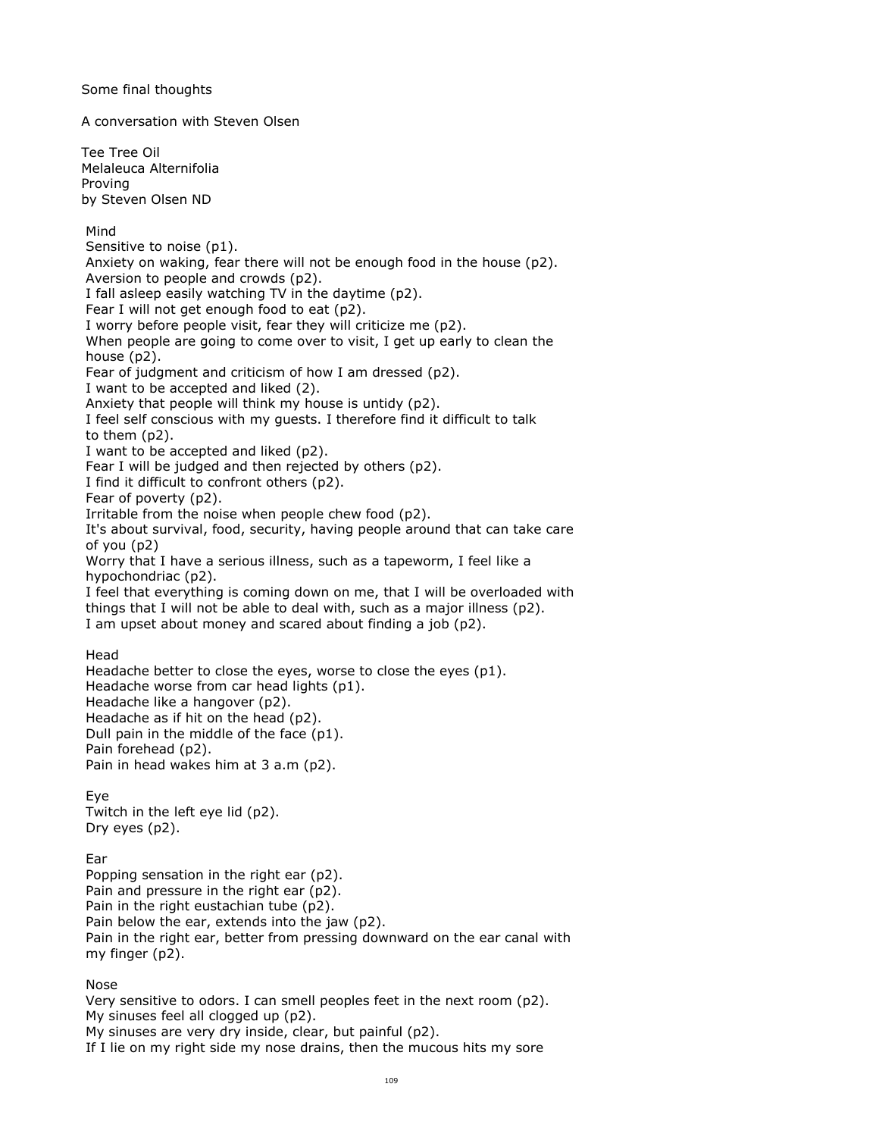Some final thoughts

A conversation with Steven Olsen

Tee Tree Oil Melaleuca Alternifolia Proving by Steven Olsen ND

Mind

 Sensitive to noise (p1). Anxiety on waking, fear there will not be enough food in the house (p2). Aversion to people and crowds (p2). I fall asleep easily watching TV in the daytime (p2). Fear I will not get enough food to eat (p2). I worry before people visit, fear they will criticize me (p2). When people are going to come over to visit, I get up early to clean the house (p2). Fear of judgment and criticism of how I am dressed (p2). I want to be accepted and liked (2). Anxiety that people will think my house is untidy (p2). I feel self conscious with my guests. I therefore find it difficult to talk to them (p2). I want to be accepted and liked (p2). Fear I will be judged and then rejected by others (p2). I find it difficult to confront others (p2). Fear of poverty (p2). Irritable from the noise when people chew food (p2). It's about survival, food, security, having people around that can take care of you (p2) Worry that I have a serious illness, such as a tapeworm, I feel like a hypochondriac (p2). I feel that everything is coming down on me, that I will be overloaded with things that I will not be able to deal with, such as a major illness (p2). I am upset about money and scared about finding a job (p2). Head Headache better to close the eyes, worse to close the eyes (p1). Headache worse from car head lights (p1). Headache like a hangover (p2). Headache as if hit on the head (p2). Dull pain in the middle of the face (p1). Pain forehead (p2). Pain in head wakes him at 3 a.m (p2). Eye Twitch in the left eye lid (p2). Dry eyes (p2). Ear Popping sensation in the right ear (p2). Pain and pressure in the right ear (p2). Pain in the right eustachian tube (p2). Pain below the ear, extends into the jaw (p2). Pain in the right ear, better from pressing downward on the ear canal with my finger (p2). Nose

 Very sensitive to odors. I can smell peoples feet in the next room (p2). My sinuses feel all clogged up (p2). My sinuses are very dry inside, clear, but painful (p2). If I lie on my right side my nose drains, then the mucous hits my sore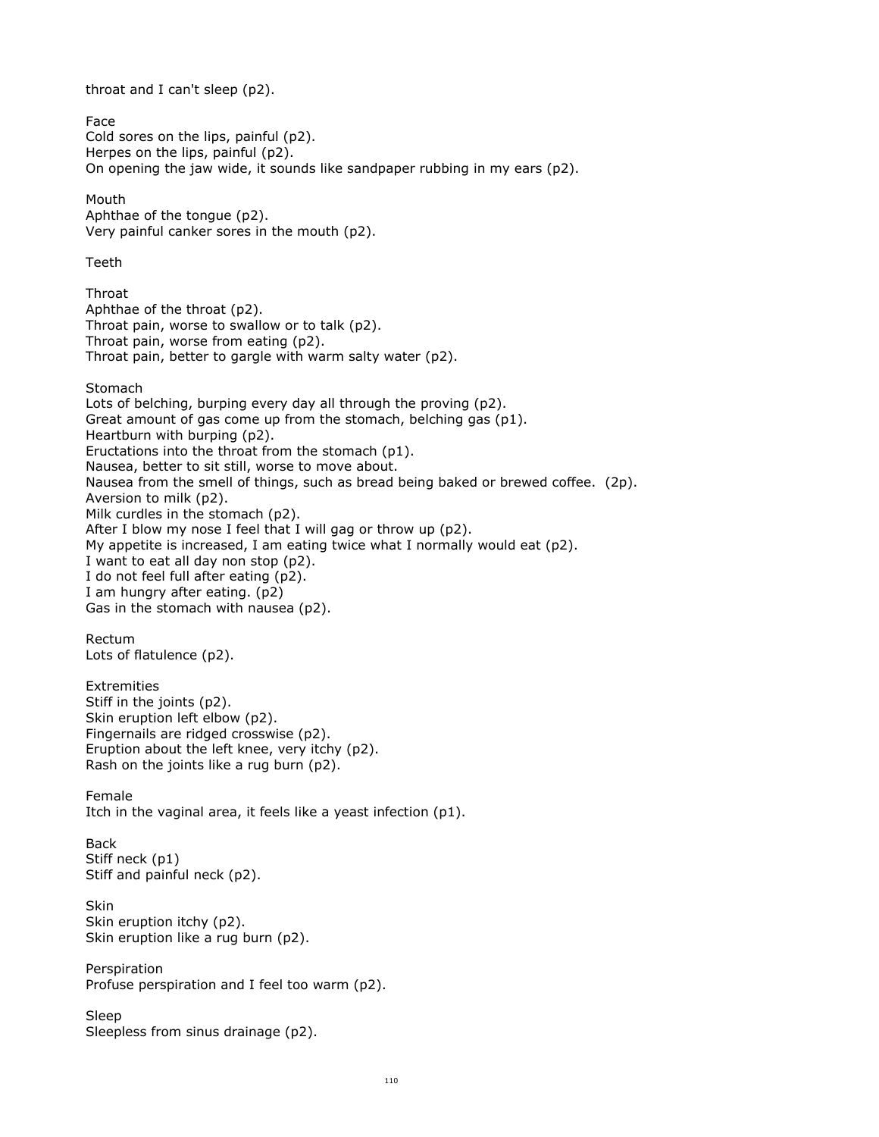throat and I can't sleep (p2).

 Face Cold sores on the lips, painful (p2). Herpes on the lips, painful (p2). On opening the jaw wide, it sounds like sandpaper rubbing in my ears (p2).

Mouth

 Aphthae of the tongue (p2). Very painful canker sores in the mouth (p2).

Teeth

**Throat**  Aphthae of the throat (p2). Throat pain, worse to swallow or to talk (p2). Throat pain, worse from eating (p2). Throat pain, better to gargle with warm salty water (p2).

**Stomach** 

 Lots of belching, burping every day all through the proving (p2). Great amount of gas come up from the stomach, belching gas (p1). Heartburn with burping (p2). Eructations into the throat from the stomach (p1). Nausea, better to sit still, worse to move about. Nausea from the smell of things, such as bread being baked or brewed coffee. (2p). Aversion to milk (p2). Milk curdles in the stomach (p2). After I blow my nose I feel that I will gag or throw up (p2). My appetite is increased, I am eating twice what I normally would eat (p2). I want to eat all day non stop (p2). I do not feel full after eating (p2). I am hungry after eating. (p2) Gas in the stomach with nausea (p2).

 Rectum Lots of flatulence (p2).

 Extremities Stiff in the joints (p2). Skin eruption left elbow (p2). Fingernails are ridged crosswise (p2). Eruption about the left knee, very itchy (p2). Rash on the joints like a rug burn (p2).

 Female Itch in the vaginal area, it feels like a yeast infection (p1).

 Back Stiff neck (p1) Stiff and painful neck (p2).

**Skin**  Skin eruption itchy (p2). Skin eruption like a rug burn (p2).

 Perspiration Profuse perspiration and I feel too warm (p2).

 Sleep Sleepless from sinus drainage (p2).